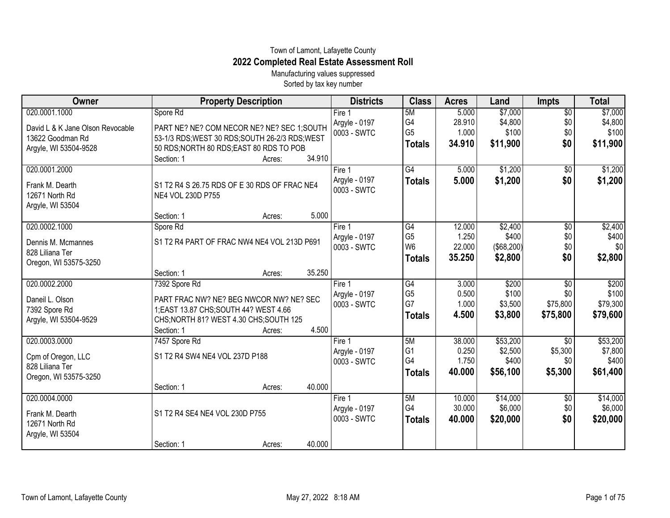## Town of Lamont, Lafayette County **2022 Completed Real Estate Assessment Roll**

Manufacturing values suppressed Sorted by tax key number

| Owner                            | <b>Property Description</b>                     | <b>Districts</b> | <b>Class</b>                     | <b>Acres</b>    | Land              | <b>Impts</b>    | <b>Total</b> |
|----------------------------------|-------------------------------------------------|------------------|----------------------------------|-----------------|-------------------|-----------------|--------------|
| 020.0001.1000                    | Spore Rd                                        | Fire 1           | 5M                               | 5.000           | \$7,000           | $\overline{50}$ | \$7,000      |
| David L & K Jane Olson Revocable | PART NE? NE? COM NECOR NE? NE? SEC 1;SOUTH      | Argyle - 0197    | G <sub>4</sub>                   | 28.910          | \$4,800           | \$0             | \$4,800      |
| 13622 Goodman Rd                 | 53-1/3 RDS; WEST 30 RDS; SOUTH 26-2/3 RDS; WEST | 0003 - SWTC      | G <sub>5</sub>                   | 1.000           | \$100             | \$0             | \$100        |
| Argyle, WI 53504-9528            | 50 RDS; NORTH 80 RDS; EAST 80 RDS TO POB        |                  | <b>Totals</b>                    | 34.910          | \$11,900          | \$0             | \$11,900     |
|                                  | Section: 1<br>34.910<br>Acres:                  |                  |                                  |                 |                   |                 |              |
| 020.0001.2000                    |                                                 | Fire 1           | G4                               | 5.000           | \$1,200           | $\overline{60}$ | \$1,200      |
|                                  |                                                 | Argyle - 0197    | <b>Totals</b>                    | 5.000           | \$1,200           | \$0             | \$1,200      |
| Frank M. Dearth                  | S1 T2 R4 S 26.75 RDS OF E 30 RDS OF FRAC NE4    | 0003 - SWTC      |                                  |                 |                   |                 |              |
| 12671 North Rd                   | NE4 VOL 230D P755                               |                  |                                  |                 |                   |                 |              |
| Argyle, WI 53504                 | 5.000                                           |                  |                                  |                 |                   |                 |              |
|                                  | Section: 1<br>Acres:                            |                  |                                  |                 |                   |                 |              |
| 020.0002.1000                    | Spore Rd                                        | Fire 1           | G4                               | 12.000          | \$2,400           | \$0             | \$2,400      |
| Dennis M. Mcmannes               | S1 T2 R4 PART OF FRAC NW4 NE4 VOL 213D P691     | Argyle - 0197    | G <sub>5</sub><br>W <sub>6</sub> | 1.250<br>22.000 | \$400             | \$0<br>\$0      | \$400<br>\$0 |
| 828 Liliana Ter                  |                                                 | 0003 - SWTC      |                                  |                 | $($ \$68,200) $ $ |                 |              |
| Oregon, WI 53575-3250            |                                                 |                  | <b>Totals</b>                    | 35.250          | \$2,800           | \$0             | \$2,800      |
|                                  | 35.250<br>Section: 1<br>Acres:                  |                  |                                  |                 |                   |                 |              |
| 020.0002.2000                    | 7392 Spore Rd                                   | Fire 1           | $\overline{G4}$                  | 3.000           | \$200             | $\overline{50}$ | \$200        |
| Daneil L. Olson                  | PART FRAC NW? NE? BEG NWCOR NW? NE? SEC         | Argyle - 0197    | G <sub>5</sub>                   | 0.500           | \$100             | \$0             | \$100        |
| 7392 Spore Rd                    | 1; EAST 13.87 CHS; SOUTH 44? WEST 4.66          | 0003 - SWTC      | G7                               | 1.000           | \$3,500           | \$75,800        | \$79,300     |
| Argyle, WI 53504-9529            | CHS; NORTH 81? WEST 4.30 CHS; SOUTH 125         |                  | <b>Totals</b>                    | 4.500           | \$3,800           | \$75,800        | \$79,600     |
|                                  | 4.500<br>Section: 1<br>Acres:                   |                  |                                  |                 |                   |                 |              |
| 020.0003.0000                    | 7457 Spore Rd                                   | Fire 1           | 5M                               | 38.000          | \$53,200          | \$0             | \$53,200     |
|                                  |                                                 | Argyle - 0197    | G <sub>1</sub>                   | 0.250           | \$2,500           | \$5,300         | \$7,800      |
| Cpm of Oregon, LLC               | S1 T2 R4 SW4 NE4 VOL 237D P188                  | 0003 - SWTC      | G <sub>4</sub>                   | 1.750           | \$400             | \$0             | \$400        |
| 828 Liliana Ter                  |                                                 |                  | <b>Totals</b>                    | 40.000          | \$56,100          | \$5,300         | \$61,400     |
| Oregon, WI 53575-3250            |                                                 |                  |                                  |                 |                   |                 |              |
|                                  | 40.000<br>Section: 1<br>Acres:                  |                  |                                  |                 |                   |                 |              |
| 020.0004.0000                    |                                                 | Fire 1           | 5M                               | 10.000          | \$14,000          | \$0             | \$14,000     |
| Frank M. Dearth                  | S1 T2 R4 SE4 NE4 VOL 230D P755                  | Argyle - 0197    | G4                               | 30.000          | \$6,000           | \$0             | \$6,000      |
| 12671 North Rd                   |                                                 | 0003 - SWTC      | <b>Totals</b>                    | 40.000          | \$20,000          | \$0             | \$20,000     |
| Argyle, WI 53504                 |                                                 |                  |                                  |                 |                   |                 |              |
|                                  | 40.000<br>Section: 1<br>Acres:                  |                  |                                  |                 |                   |                 |              |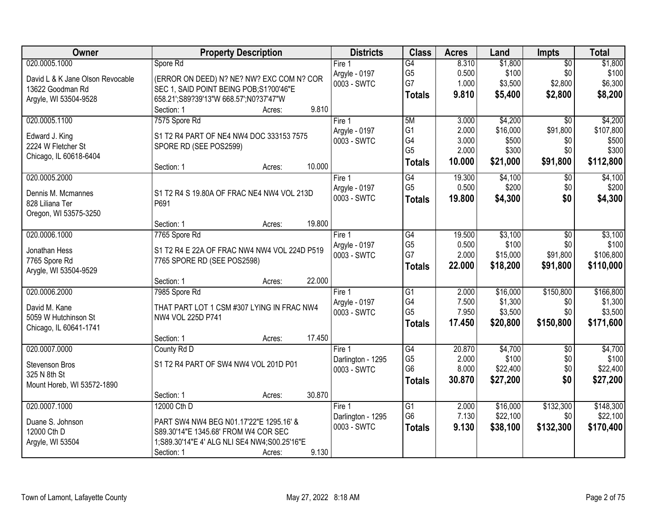| Owner                            | <b>Property Description</b>                  | <b>Districts</b>  | <b>Class</b>    | <b>Acres</b> | Land     | <b>Impts</b>    | <b>Total</b> |
|----------------------------------|----------------------------------------------|-------------------|-----------------|--------------|----------|-----------------|--------------|
| 020.0005.1000                    | Spore Rd                                     | Fire $1$          | $\overline{G4}$ | 8.310        | \$1,800  | $\overline{50}$ | \$1,800      |
| David L & K Jane Olson Revocable | (ERROR ON DEED) N? NE? NW? EXC COM N? COR    | Argyle - 0197     | G <sub>5</sub>  | 0.500        | \$100    | \$0             | \$100        |
| 13622 Goodman Rd                 | SEC 1, SAID POINT BEING POB;S1?00'46"E       | 0003 - SWTC       | G7              | 1.000        | \$3,500  | \$2,800         | \$6,300      |
| Argyle, WI 53504-9528            | 658.21';S89?39'13"W 668.57';N0?37'47"W       |                   | <b>Totals</b>   | 9.810        | \$5,400  | \$2,800         | \$8,200      |
|                                  | 9.810<br>Section: 1<br>Acres:                |                   |                 |              |          |                 |              |
| 020.0005.1100                    | 7575 Spore Rd                                | Fire 1            | 5M              | 3.000        | \$4,200  | $\overline{50}$ | \$4,200      |
| Edward J. King                   | S1 T2 R4 PART OF NE4 NW4 DOC 333153 7575     | Argyle - 0197     | G <sub>1</sub>  | 2.000        | \$16,000 | \$91,800        | \$107,800    |
| 2224 W Fletcher St               | SPORE RD (SEE POS2599)                       | 0003 - SWTC       | G4              | 3.000        | \$500    | \$0             | \$500        |
| Chicago, IL 60618-6404           |                                              |                   | G <sub>5</sub>  | 2.000        | \$300    | \$0             | \$300        |
|                                  | 10.000<br>Section: 1<br>Acres:               |                   | <b>Totals</b>   | 10.000       | \$21,000 | \$91,800        | \$112,800    |
| 020.0005.2000                    |                                              | Fire 1            | G4              | 19.300       | \$4,100  | \$0             | \$4,100      |
| Dennis M. Mcmannes               | S1 T2 R4 S 19.80A OF FRAC NE4 NW4 VOL 213D   | Argyle - 0197     | G <sub>5</sub>  | 0.500        | \$200    | \$0             | \$200        |
| 828 Liliana Ter                  | P691                                         | 0003 - SWTC       | <b>Totals</b>   | 19.800       | \$4,300  | \$0             | \$4,300      |
| Oregon, WI 53575-3250            |                                              |                   |                 |              |          |                 |              |
|                                  | 19.800<br>Section: 1<br>Acres:               |                   |                 |              |          |                 |              |
| 020.0006.1000                    | 7765 Spore Rd                                | Fire 1            | G4              | 19.500       | \$3,100  | \$0             | \$3,100      |
| Jonathan Hess                    | S1 T2 R4 E 22A OF FRAC NW4 NW4 VOL 224D P519 | Argyle - 0197     | G <sub>5</sub>  | 0.500        | \$100    | \$0             | \$100        |
| 7765 Spore Rd                    | 7765 SPORE RD (SEE POS2598)                  | 0003 - SWTC       | G7              | 2.000        | \$15,000 | \$91,800        | \$106,800    |
| Arygle, WI 53504-9529            |                                              |                   | <b>Totals</b>   | 22.000       | \$18,200 | \$91,800        | \$110,000    |
|                                  | 22.000<br>Section: 1<br>Acres:               |                   |                 |              |          |                 |              |
| 020.0006.2000                    | 7985 Spore Rd                                | Fire 1            | $\overline{G1}$ | 2.000        | \$16,000 | \$150,800       | \$166,800    |
| David M. Kane                    | THAT PART LOT 1 CSM #307 LYING IN FRAC NW4   | Argyle - 0197     | G4              | 7.500        | \$1,300  | \$0             | \$1,300      |
| 5059 W Hutchinson St             | NW4 VOL 225D P741                            | 0003 - SWTC       | G <sub>5</sub>  | 7.950        | \$3,500  | \$0             | \$3,500      |
| Chicago, IL 60641-1741           |                                              |                   | <b>Totals</b>   | 17.450       | \$20,800 | \$150,800       | \$171,600    |
|                                  | 17.450<br>Section: 1<br>Acres:               |                   |                 |              |          |                 |              |
| 020.0007.0000                    | County Rd D                                  | Fire 1            | $\overline{G4}$ | 20.870       | \$4,700  | $\overline{50}$ | \$4,700      |
| Stevenson Bros                   | S1 T2 R4 PART OF SW4 NW4 VOL 201D P01        | Darlington - 1295 | G <sub>5</sub>  | 2.000        | \$100    | \$0             | \$100        |
| 325 N 8th St                     |                                              | 0003 - SWTC       | G <sub>6</sub>  | 8.000        | \$22,400 | \$0             | \$22,400     |
| Mount Horeb, WI 53572-1890       |                                              |                   | <b>Totals</b>   | 30.870       | \$27,200 | \$0             | \$27,200     |
|                                  | 30.870<br>Section: 1<br>Acres:               |                   |                 |              |          |                 |              |
| 020.0007.1000                    | 12000 Cth D                                  | Fire 1            | G1              | 2.000        | \$16,000 | \$132,300       | \$148,300    |
| Duane S. Johnson                 | PART SW4 NW4 BEG N01.17'22"E 1295.16' &      | Darlington - 1295 | G <sub>6</sub>  | 7.130        | \$22,100 | \$0             | \$22,100     |
| 12000 Cth D                      | S89.30'14"E 1345.68' FROM W4 COR SEC         | 0003 - SWTC       | <b>Totals</b>   | 9.130        | \$38,100 | \$132,300       | \$170,400    |
| Argyle, WI 53504                 | 1;S89.30'14"E 4' ALG NLI SE4 NW4;S00.25'16"E |                   |                 |              |          |                 |              |
|                                  | 9.130<br>Section: 1<br>Acres:                |                   |                 |              |          |                 |              |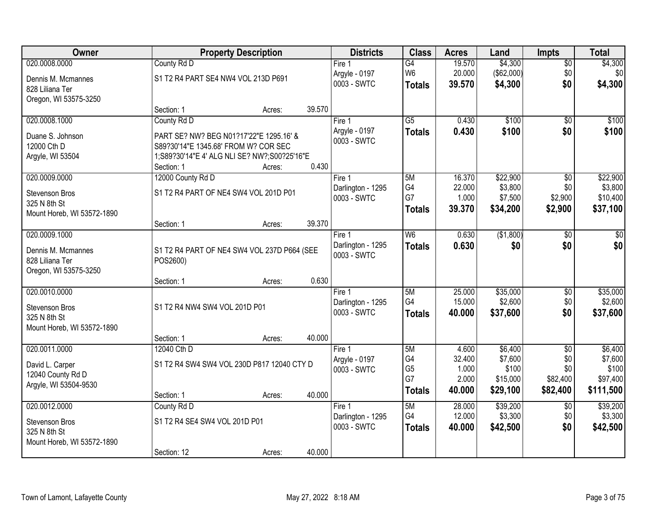| Owner                                      |                                      | <b>Property Description</b>                  |        | <b>Districts</b>             | <b>Class</b>    | <b>Acres</b>     | Land                | <b>Impts</b>    | <b>Total</b>        |
|--------------------------------------------|--------------------------------------|----------------------------------------------|--------|------------------------------|-----------------|------------------|---------------------|-----------------|---------------------|
| 020.0008.0000                              | County Rd D                          |                                              |        | Fire 1                       | $\overline{G4}$ | 19.570           | \$4,300             | \$0             | \$4,300             |
| Dennis M. Mcmannes                         | S1 T2 R4 PART SE4 NW4 VOL 213D P691  |                                              |        | Argyle - 0197                | W <sub>6</sub>  | 20.000           | (\$62,000)          | \$0             | \$0                 |
| 828 Liliana Ter                            |                                      |                                              |        | 0003 - SWTC                  | <b>Totals</b>   | 39.570           | \$4,300             | \$0             | \$4,300             |
| Oregon, WI 53575-3250                      |                                      |                                              |        |                              |                 |                  |                     |                 |                     |
|                                            | Section: 1                           | Acres:                                       | 39.570 |                              |                 |                  |                     |                 |                     |
| 020.0008.1000                              | County Rd D                          |                                              |        | Fire 1                       | $\overline{G5}$ | 0.430            | \$100               | $\overline{50}$ | \$100               |
| Duane S. Johnson                           |                                      | PART SE? NW? BEG N01?17'22"E 1295.16' &      |        | Argyle - 0197<br>0003 - SWTC | <b>Totals</b>   | 0.430            | \$100               | \$0             | \$100               |
| 12000 Cth D                                | S89?30'14"E 1345.68' FROM W? COR SEC |                                              |        |                              |                 |                  |                     |                 |                     |
| Argyle, WI 53504                           |                                      | 1;S89?30'14"E 4' ALG NLI SE? NW?;S00?25'16"E |        |                              |                 |                  |                     |                 |                     |
|                                            | Section: 1                           | Acres:                                       | 0.430  |                              |                 |                  |                     |                 |                     |
| 020.0009.0000                              | 12000 County Rd D                    |                                              |        | Fire 1<br>Darlington - 1295  | 5M<br>G4        | 16.370<br>22.000 | \$22,900<br>\$3,800 | \$0<br>\$0      | \$22,900<br>\$3,800 |
| Stevenson Bros                             |                                      | S1 T2 R4 PART OF NE4 SW4 VOL 201D P01        |        | 0003 - SWTC                  | G7              | 1.000            | \$7,500             | \$2,900         | \$10,400            |
| 325 N 8th St                               |                                      |                                              |        |                              | <b>Totals</b>   | 39.370           | \$34,200            | \$2,900         | \$37,100            |
| Mount Horeb, WI 53572-1890                 |                                      |                                              | 39.370 |                              |                 |                  |                     |                 |                     |
| 020.0009.1000                              | Section: 1                           | Acres:                                       |        | Fire 1                       | W <sub>6</sub>  | 0.630            | (\$1,800)           | $\sqrt[6]{}$    | $\sqrt{50}$         |
|                                            |                                      |                                              |        | Darlington - 1295            | <b>Totals</b>   | 0.630            | \$0                 | \$0             | \$0                 |
| Dennis M. Mcmannes                         |                                      | S1 T2 R4 PART OF NE4 SW4 VOL 237D P664 (SEE  |        | 0003 - SWTC                  |                 |                  |                     |                 |                     |
| 828 Liliana Ter                            | POS2600)                             |                                              |        |                              |                 |                  |                     |                 |                     |
| Oregon, WI 53575-3250                      | Section: 1                           | Acres:                                       | 0.630  |                              |                 |                  |                     |                 |                     |
| 020.0010.0000                              |                                      |                                              |        | Fire 1                       | 5M              | 25.000           | \$35,000            | $\overline{50}$ | \$35,000            |
|                                            |                                      |                                              |        | Darlington - 1295            | G4              | 15.000           | \$2,600             | \$0             | \$2,600             |
| <b>Stevenson Bros</b>                      | S1 T2 R4 NW4 SW4 VOL 201D P01        |                                              |        | 0003 - SWTC                  | <b>Totals</b>   | 40.000           | \$37,600            | \$0             | \$37,600            |
| 325 N 8th St<br>Mount Horeb, WI 53572-1890 |                                      |                                              |        |                              |                 |                  |                     |                 |                     |
|                                            | Section: 1                           | Acres:                                       | 40.000 |                              |                 |                  |                     |                 |                     |
| 020.0011.0000                              | 12040 Cth D                          |                                              |        | Fire 1                       | 5M              | 4.600            | \$6,400             | $\overline{50}$ | \$6,400             |
| David L. Carper                            |                                      | S1 T2 R4 SW4 SW4 VOL 230D P817 12040 CTY D   |        | Argyle - 0197                | G4              | 32.400           | \$7,600             | \$0             | \$7,600             |
| 12040 County Rd D                          |                                      |                                              |        | 0003 - SWTC                  | G <sub>5</sub>  | 1.000            | \$100               | \$0             | \$100               |
| Argyle, WI 53504-9530                      |                                      |                                              |        |                              | G7              | 2.000            | \$15,000            | \$82,400        | \$97,400            |
|                                            | Section: 1                           | Acres:                                       | 40.000 |                              | <b>Totals</b>   | 40.000           | \$29,100            | \$82,400        | \$111,500           |
| 020.0012.0000                              | County Rd D                          |                                              |        | Fire 1                       | 5M              | 28.000           | \$39,200            | $\overline{50}$ | \$39,200            |
| Stevenson Bros                             | S1 T2 R4 SE4 SW4 VOL 201D P01        |                                              |        | Darlington - 1295            | G4              | 12.000           | \$3,300             | \$0             | \$3,300             |
| 325 N 8th St                               |                                      |                                              |        | 0003 - SWTC                  | <b>Totals</b>   | 40.000           | \$42,500            | \$0             | \$42,500            |
| Mount Horeb, WI 53572-1890                 |                                      |                                              |        |                              |                 |                  |                     |                 |                     |
|                                            | Section: 12                          | Acres:                                       | 40.000 |                              |                 |                  |                     |                 |                     |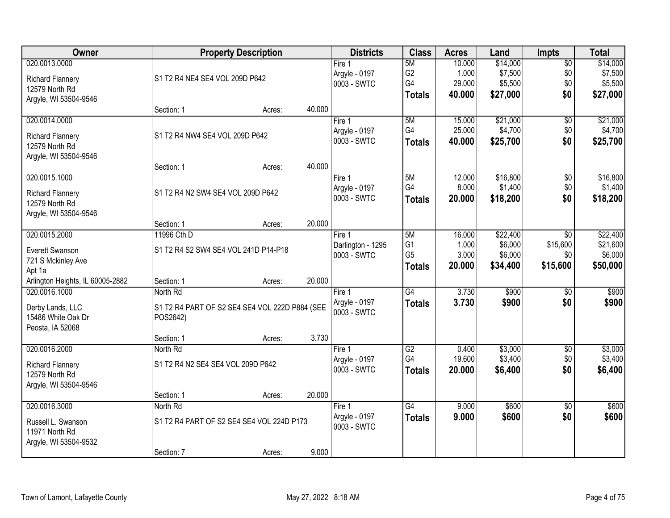| Owner                            |                                      | <b>Property Description</b>                    |        | <b>Districts</b>  | <b>Class</b>    | <b>Acres</b> | Land     | <b>Impts</b>    | <b>Total</b> |
|----------------------------------|--------------------------------------|------------------------------------------------|--------|-------------------|-----------------|--------------|----------|-----------------|--------------|
| 020.0013.0000                    |                                      |                                                |        | Fire <sub>1</sub> | 5M              | 10.000       | \$14,000 | $\overline{60}$ | \$14,000     |
| <b>Richard Flannery</b>          | S1 T2 R4 NE4 SE4 VOL 209D P642       |                                                |        | Argyle - 0197     | G <sub>2</sub>  | 1.000        | \$7,500  | \$0             | \$7,500      |
| 12579 North Rd                   |                                      |                                                |        | 0003 - SWTC       | G4              | 29.000       | \$5,500  | \$0             | \$5,500      |
| Argyle, WI 53504-9546            |                                      |                                                |        |                   | <b>Totals</b>   | 40.000       | \$27,000 | \$0             | \$27,000     |
|                                  | Section: 1                           | Acres:                                         | 40.000 |                   |                 |              |          |                 |              |
| 020.0014.0000                    |                                      |                                                |        | Fire 1            | 5M              | 15.000       | \$21,000 | \$0             | \$21,000     |
| <b>Richard Flannery</b>          | S1 T2 R4 NW4 SE4 VOL 209D P642       |                                                |        | Argyle - 0197     | G4              | 25.000       | \$4,700  | \$0             | \$4,700      |
| 12579 North Rd                   |                                      |                                                |        | 0003 - SWTC       | <b>Totals</b>   | 40.000       | \$25,700 | \$0             | \$25,700     |
| Argyle, WI 53504-9546            |                                      |                                                |        |                   |                 |              |          |                 |              |
|                                  | Section: 1                           | Acres:                                         | 40.000 |                   |                 |              |          |                 |              |
| 020.0015.1000                    |                                      |                                                |        | Fire 1            | 5M              | 12.000       | \$16,800 | \$0             | \$16,800     |
| <b>Richard Flannery</b>          | S1 T2 R4 N2 SW4 SE4 VOL 209D P642    |                                                |        | Argyle - 0197     | G4              | 8.000        | \$1,400  | \$0             | \$1,400      |
| 12579 North Rd                   |                                      |                                                |        | 0003 - SWTC       | <b>Totals</b>   | 20,000       | \$18,200 | \$0             | \$18,200     |
| Argyle, WI 53504-9546            |                                      |                                                |        |                   |                 |              |          |                 |              |
|                                  | Section: 1                           | Acres:                                         | 20.000 |                   |                 |              |          |                 |              |
| 020.0015.2000                    | 11996 Cth D                          |                                                |        | Fire 1            | 5M              | 16.000       | \$22,400 | $\overline{50}$ | \$22,400     |
| Everett Swanson                  | S1 T2 R4 S2 SW4 SE4 VOL 241D P14-P18 |                                                |        | Darlington - 1295 | G <sub>1</sub>  | 1.000        | \$6,000  | \$15,600        | \$21,600     |
| 721 S Mckinley Ave               |                                      |                                                |        | 0003 - SWTC       | G <sub>5</sub>  | 3.000        | \$6,000  | \$0             | \$6,000      |
| Apt 1a                           |                                      |                                                |        |                   | <b>Totals</b>   | 20.000       | \$34,400 | \$15,600        | \$50,000     |
| Arlington Heights, IL 60005-2882 | Section: 1                           | Acres:                                         | 20.000 |                   |                 |              |          |                 |              |
| 020.0016.1000                    | North Rd                             |                                                |        | Fire 1            | G4              | 3.730        | \$900    | $\overline{30}$ | \$900        |
| Derby Lands, LLC                 |                                      | S1 T2 R4 PART OF S2 SE4 SE4 VOL 222D P884 (SEE |        | Argyle - 0197     | <b>Totals</b>   | 3.730        | \$900    | \$0             | \$900        |
| 15486 White Oak Dr               | POS2642)                             |                                                |        | 0003 - SWTC       |                 |              |          |                 |              |
| Peosta, IA 52068                 |                                      |                                                |        |                   |                 |              |          |                 |              |
|                                  | Section: 1                           | Acres:                                         | 3.730  |                   |                 |              |          |                 |              |
| 020.0016.2000                    | North Rd                             |                                                |        | Fire 1            | $\overline{G2}$ | 0.400        | \$3,000  | $\overline{60}$ | \$3,000      |
| <b>Richard Flannery</b>          | S1 T2 R4 N2 SE4 SE4 VOL 209D P642    |                                                |        | Argyle - 0197     | G4              | 19.600       | \$3,400  | \$0             | \$3,400      |
| 12579 North Rd                   |                                      |                                                |        | 0003 - SWTC       | <b>Totals</b>   | 20.000       | \$6,400  | \$0             | \$6,400      |
| Argyle, WI 53504-9546            |                                      |                                                |        |                   |                 |              |          |                 |              |
|                                  | Section: 1                           | Acres:                                         | 20.000 |                   |                 |              |          |                 |              |
| 020.0016.3000                    | North Rd                             |                                                |        | Fire 1            | $\overline{G4}$ | 9.000        | \$600    | $\overline{50}$ | \$600        |
| Russell L. Swanson               |                                      | S1 T2 R4 PART OF S2 SE4 SE4 VOL 224D P173      |        | Argyle - 0197     | <b>Totals</b>   | 9.000        | \$600    | \$0             | \$600        |
| 11971 North Rd                   |                                      |                                                |        | 0003 - SWTC       |                 |              |          |                 |              |
| Argyle, WI 53504-9532            |                                      |                                                |        |                   |                 |              |          |                 |              |
|                                  | Section: 7                           | Acres:                                         | 9.000  |                   |                 |              |          |                 |              |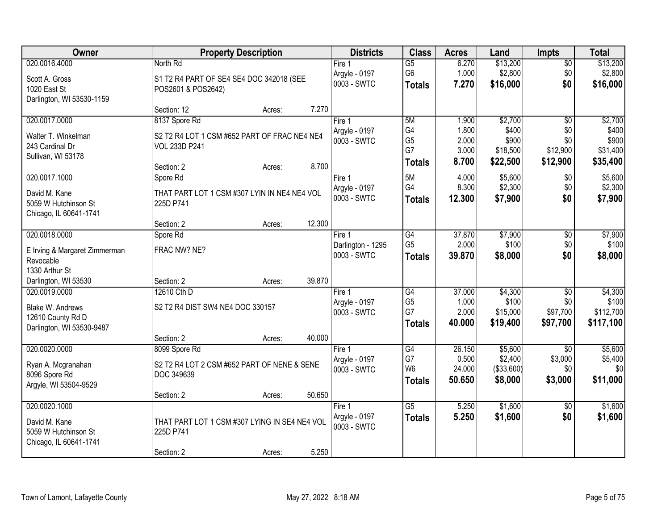| Owner                         |                                               | <b>Property Description</b> |        | <b>Districts</b>  | <b>Class</b>    | <b>Acres</b> | Land       | <b>Impts</b>    | <b>Total</b> |
|-------------------------------|-----------------------------------------------|-----------------------------|--------|-------------------|-----------------|--------------|------------|-----------------|--------------|
| 020.0016.4000                 | North Rd                                      |                             |        | Fire 1            | $\overline{G5}$ | 6.270        | \$13,200   | $\sqrt{$0}$     | \$13,200     |
| Scott A. Gross                | S1 T2 R4 PART OF SE4 SE4 DOC 342018 (SEE      |                             |        | Argyle - 0197     | G <sub>6</sub>  | 1.000        | \$2,800    | \$0             | \$2,800      |
| 1020 East St                  | POS2601 & POS2642)                            |                             |        | 0003 - SWTC       | <b>Totals</b>   | 7.270        | \$16,000   | \$0             | \$16,000     |
| Darlington, WI 53530-1159     |                                               |                             |        |                   |                 |              |            |                 |              |
|                               | Section: 12                                   | Acres:                      | 7.270  |                   |                 |              |            |                 |              |
| 020.0017.0000                 | 8137 Spore Rd                                 |                             |        | Fire 1            | 5M              | 1.900        | \$2,700    | $\overline{50}$ | \$2,700      |
| Walter T. Winkelman           | S2 T2 R4 LOT 1 CSM #652 PART OF FRAC NE4 NE4  |                             |        | Argyle - 0197     | G4              | 1.800        | \$400      | \$0             | \$400        |
| 243 Cardinal Dr               | <b>VOL 233D P241</b>                          |                             |        | 0003 - SWTC       | G <sub>5</sub>  | 2.000        | \$900      | \$0             | \$900        |
| Sullivan, WI 53178            |                                               |                             |        |                   | G7              | 3.000        | \$18,500   | \$12,900        | \$31,400     |
|                               | Section: 2                                    | Acres:                      | 8.700  |                   | <b>Totals</b>   | 8.700        | \$22,500   | \$12,900        | \$35,400     |
| 020.0017.1000                 | Spore Rd                                      |                             |        | Fire 1            | 5M              | 4.000        | \$5,600    | $\sqrt[6]{}$    | \$5,600      |
| David M. Kane                 | THAT PART LOT 1 CSM #307 LYIN IN NE4 NE4 VOL  |                             |        | Argyle - 0197     | G4              | 8.300        | \$2,300    | \$0             | \$2,300      |
| 5059 W Hutchinson St          | 225D P741                                     |                             |        | 0003 - SWTC       | <b>Totals</b>   | 12.300       | \$7,900    | \$0             | \$7,900      |
| Chicago, IL 60641-1741        |                                               |                             |        |                   |                 |              |            |                 |              |
|                               | Section: 2                                    | Acres:                      | 12.300 |                   |                 |              |            |                 |              |
| 020.0018.0000                 | Spore Rd                                      |                             |        | Fire 1            | $\overline{G4}$ | 37.870       | \$7,900    | \$0             | \$7,900      |
| E Irving & Margaret Zimmerman | FRAC NW? NE?                                  |                             |        | Darlington - 1295 | G <sub>5</sub>  | 2.000        | \$100      | \$0             | \$100        |
| Revocable                     |                                               |                             |        | 0003 - SWTC       | <b>Totals</b>   | 39.870       | \$8,000    | \$0             | \$8,000      |
| 1330 Arthur St                |                                               |                             |        |                   |                 |              |            |                 |              |
| Darlington, WI 53530          | Section: 2                                    | Acres:                      | 39.870 |                   |                 |              |            |                 |              |
| 020.0019.0000                 | 12610 Cth D                                   |                             |        | Fire 1            | G4              | 37.000       | \$4,300    | \$0             | \$4,300      |
| Blake W. Andrews              | S2 T2 R4 DIST SW4 NE4 DOC 330157              |                             |        | Argyle - 0197     | G <sub>5</sub>  | 1.000        | \$100      | \$0             | \$100        |
| 12610 County Rd D             |                                               |                             |        | 0003 - SWTC       | G7              | 2.000        | \$15,000   | \$97,700        | \$112,700    |
| Darlington, WI 53530-9487     |                                               |                             |        |                   | <b>Totals</b>   | 40.000       | \$19,400   | \$97,700        | \$117,100    |
|                               | Section: 2                                    | Acres:                      | 40.000 |                   |                 |              |            |                 |              |
| 020.0020.0000                 | 8099 Spore Rd                                 |                             |        | Fire 1            | G4              | 26.150       | \$5,600    | $\overline{30}$ | \$5,600      |
| Ryan A. Mcgranahan            | S2 T2 R4 LOT 2 CSM #652 PART OF NENE & SENE   |                             |        | Argyle - 0197     | G7              | 0.500        | \$2,400    | \$3,000         | \$5,400      |
| 8096 Spore Rd                 | DOC 349639                                    |                             |        | 0003 - SWTC       | W <sub>6</sub>  | 24.000       | (\$33,600) | \$0             | \$0          |
| Argyle, WI 53504-9529         |                                               |                             |        |                   | <b>Totals</b>   | 50.650       | \$8,000    | \$3,000         | \$11,000     |
|                               | Section: 2                                    | Acres:                      | 50.650 |                   |                 |              |            |                 |              |
| 020.0020.1000                 |                                               |                             |        | Fire 1            | $\overline{G5}$ | 5.250        | \$1,600    | $\overline{30}$ | \$1,600      |
| David M. Kane                 | THAT PART LOT 1 CSM #307 LYING IN SE4 NE4 VOL |                             |        | Argyle - 0197     | <b>Totals</b>   | 5.250        | \$1,600    | \$0             | \$1,600      |
| 5059 W Hutchinson St          | 225D P741                                     |                             |        | 0003 - SWTC       |                 |              |            |                 |              |
| Chicago, IL 60641-1741        |                                               |                             |        |                   |                 |              |            |                 |              |
|                               | Section: 2                                    | Acres:                      | 5.250  |                   |                 |              |            |                 |              |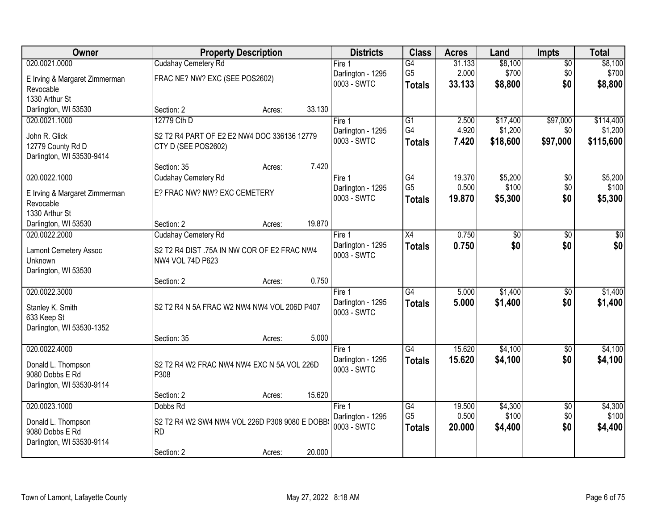| Owner                         |                                               | <b>Property Description</b> |        | <b>Districts</b>                 | <b>Class</b>         | <b>Acres</b>    | Land            | <b>Impts</b>    | <b>Total</b> |
|-------------------------------|-----------------------------------------------|-----------------------------|--------|----------------------------------|----------------------|-----------------|-----------------|-----------------|--------------|
| 020.0021.0000                 | Cudahay Cemetery Rd                           |                             |        | Fire 1                           | $\overline{G4}$      | 31.133          | \$8,100         | $\overline{50}$ | \$8,100      |
| E Irving & Margaret Zimmerman | FRAC NE? NW? EXC (SEE POS2602)                |                             |        | Darlington - 1295                | G <sub>5</sub>       | 2.000           | \$700           | \$0             | \$700        |
| Revocable                     |                                               |                             |        | 0003 - SWTC                      | <b>Totals</b>        | 33.133          | \$8,800         | \$0             | \$8,800      |
| 1330 Arthur St                |                                               |                             |        |                                  |                      |                 |                 |                 |              |
| Darlington, WI 53530          | Section: 2                                    | Acres:                      | 33.130 |                                  |                      |                 |                 |                 |              |
| 020.0021.1000                 | 12779 Cth D                                   |                             |        | Fire 1                           | $\overline{G1}$      | 2.500           | \$17,400        | \$97,000        | \$114,400    |
| John R. Glick                 | S2 T2 R4 PART OF E2 E2 NW4 DOC 336136 12779   |                             |        | Darlington - 1295                | G4                   | 4.920           | \$1,200         | \$0             | \$1,200      |
| 12779 County Rd D             | CTY D (SEE POS2602)                           |                             |        | 0003 - SWTC                      | <b>Totals</b>        | 7.420           | \$18,600        | \$97,000        | \$115,600    |
| Darlington, WI 53530-9414     |                                               |                             |        |                                  |                      |                 |                 |                 |              |
|                               | Section: 35                                   | Acres:                      | 7.420  |                                  |                      |                 |                 |                 |              |
| 020.0022.1000                 | Cudahay Cemetery Rd                           |                             |        | Fire 1                           | G4                   | 19.370          | \$5,200         | $\sqrt[6]{30}$  | \$5,200      |
| E Irving & Margaret Zimmerman | E? FRAC NW? NW? EXC CEMETERY                  |                             |        | Darlington - 1295<br>0003 - SWTC | G <sub>5</sub>       | 0.500           | \$100           | \$0             | \$100        |
| Revocable                     |                                               |                             |        |                                  | <b>Totals</b>        | 19.870          | \$5,300         | \$0             | \$5,300      |
| 1330 Arthur St                |                                               |                             |        |                                  |                      |                 |                 |                 |              |
| Darlington, WI 53530          | Section: 2                                    | Acres:                      | 19.870 |                                  |                      |                 |                 |                 |              |
| 020.0022.2000                 | Cudahay Cemetery Rd                           |                             |        | Fire 1                           | X4                   | 0.750           | $\overline{50}$ | \$0             | \$0          |
| <b>Lamont Cemetery Assoc</b>  | S2 T2 R4 DIST .75A IN NW COR OF E2 FRAC NW4   |                             |        | Darlington - 1295<br>0003 - SWTC | <b>Totals</b>        | 0.750           | \$0             | \$0             | \$0          |
| Unknown                       | NW4 VOL 74D P623                              |                             |        |                                  |                      |                 |                 |                 |              |
| Darlington, WI 53530          |                                               |                             |        |                                  |                      |                 |                 |                 |              |
|                               | Section: 2                                    | Acres:                      | 0.750  |                                  |                      |                 |                 |                 |              |
| 020.0022.3000                 |                                               |                             |        | Fire 1                           | $\overline{G4}$      | 5.000           | \$1,400         | $\overline{50}$ | \$1,400      |
| Stanley K. Smith              | S2 T2 R4 N 5A FRAC W2 NW4 NW4 VOL 206D P407   |                             |        | Darlington - 1295<br>0003 - SWTC | <b>Totals</b>        | 5.000           | \$1,400         | \$0             | \$1,400      |
| 633 Keep St                   |                                               |                             |        |                                  |                      |                 |                 |                 |              |
| Darlington, WI 53530-1352     |                                               |                             |        |                                  |                      |                 |                 |                 |              |
|                               | Section: 35                                   | Acres:                      | 5.000  |                                  |                      |                 |                 |                 |              |
| 020.0022.4000                 |                                               |                             |        | Fire 1                           | G4                   | 15.620          | \$4,100         | \$0             | \$4,100      |
| Donald L. Thompson            | S2 T2 R4 W2 FRAC NW4 NW4 EXC N 5A VOL 226D    |                             |        | Darlington - 1295<br>0003 - SWTC | <b>Totals</b>        | 15.620          | \$4,100         | \$0             | \$4,100      |
| 9080 Dobbs E Rd               | P308                                          |                             |        |                                  |                      |                 |                 |                 |              |
| Darlington, WI 53530-9114     |                                               |                             |        |                                  |                      |                 |                 |                 |              |
|                               | Section: 2                                    | Acres:                      | 15.620 |                                  |                      |                 |                 |                 |              |
| 020.0023.1000                 | Dobbs Rd                                      |                             |        | Fire 1                           | G4<br>G <sub>5</sub> | 19.500<br>0.500 | \$4,300         | $\overline{30}$ | \$4,300      |
| Donald L. Thompson            | S2 T2 R4 W2 SW4 NW4 VOL 226D P308 9080 E DOBB |                             |        | Darlington - 1295<br>0003 - SWTC |                      |                 | \$100           | \$0<br>\$0      | \$100        |
| 9080 Dobbs E Rd               | <b>RD</b>                                     |                             |        |                                  | <b>Totals</b>        | 20.000          | \$4,400         |                 | \$4,400      |
| Darlington, WI 53530-9114     |                                               |                             |        |                                  |                      |                 |                 |                 |              |
|                               | Section: 2                                    | Acres:                      | 20.000 |                                  |                      |                 |                 |                 |              |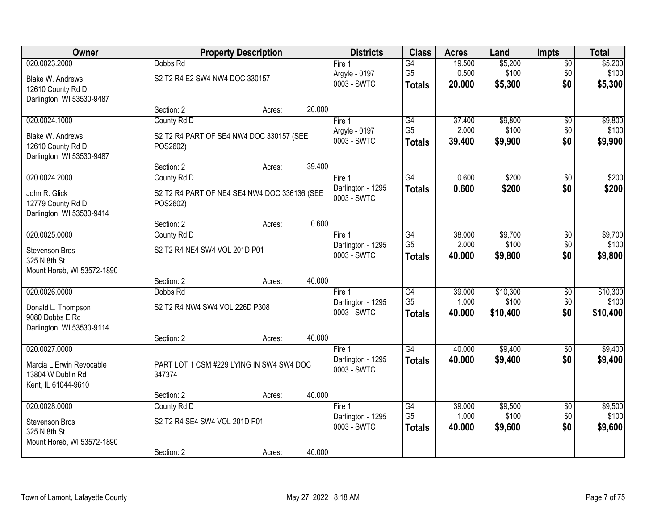| Owner                                    |                                | <b>Property Description</b>                  |        | <b>Districts</b>                 | <b>Class</b>    | <b>Acres</b> | Land     | <b>Impts</b>    | <b>Total</b>     |
|------------------------------------------|--------------------------------|----------------------------------------------|--------|----------------------------------|-----------------|--------------|----------|-----------------|------------------|
| 020.0023.2000                            | Dobbs Rd                       |                                              |        | Fire <sub>1</sub>                | $\overline{G4}$ | 19.500       | \$5,200  | $\sqrt{$0}$     | \$5,200          |
| Blake W. Andrews                         | S2 T2 R4 E2 SW4 NW4 DOC 330157 |                                              |        | Argyle - 0197                    | G <sub>5</sub>  | 0.500        | \$100    | \$0             | \$100            |
| 12610 County Rd D                        |                                |                                              |        | 0003 - SWTC                      | <b>Totals</b>   | 20.000       | \$5,300  | \$0             | \$5,300          |
| Darlington, WI 53530-9487                |                                |                                              |        |                                  |                 |              |          |                 |                  |
|                                          | Section: 2                     | Acres:                                       | 20.000 |                                  |                 |              |          |                 |                  |
| 020.0024.1000                            | County Rd D                    |                                              |        | Fire 1                           | G4              | 37.400       | \$9,800  | $\overline{50}$ | \$9,800          |
| <b>Blake W. Andrews</b>                  |                                | S2 T2 R4 PART OF SE4 NW4 DOC 330157 (SEE     |        | Argyle - 0197<br>0003 - SWTC     | G <sub>5</sub>  | 2.000        | \$100    | \$0<br>\$0      | \$100            |
| 12610 County Rd D                        | POS2602)                       |                                              |        |                                  | <b>Totals</b>   | 39.400       | \$9,900  |                 | \$9,900          |
| Darlington, WI 53530-9487                |                                |                                              |        |                                  |                 |              |          |                 |                  |
|                                          | Section: 2                     | Acres:                                       | 39.400 |                                  |                 |              |          |                 |                  |
| 020.0024.2000                            | County Rd D                    |                                              |        | Fire 1                           | $\overline{G4}$ | 0.600        | \$200    | \$0             | \$200            |
| John R. Glick                            |                                | S2 T2 R4 PART OF NE4 SE4 NW4 DOC 336136 (SEE |        | Darlington - 1295<br>0003 - SWTC | <b>Totals</b>   | 0.600        | \$200    | \$0             | \$200            |
| 12779 County Rd D                        | POS2602)                       |                                              |        |                                  |                 |              |          |                 |                  |
| Darlington, WI 53530-9414                |                                |                                              |        |                                  |                 |              |          |                 |                  |
| 020.0025.0000                            | Section: 2                     | Acres:                                       | 0.600  |                                  | $\overline{G4}$ | 38.000       | \$9,700  |                 |                  |
|                                          | County Rd D                    |                                              |        | Fire 1<br>Darlington - 1295      | G <sub>5</sub>  | 2.000        | \$100    | \$0<br>\$0      | \$9,700<br>\$100 |
| Stevenson Bros                           | S2 T2 R4 NE4 SW4 VOL 201D P01  |                                              |        | 0003 - SWTC                      | <b>Totals</b>   | 40,000       | \$9,800  | \$0             | \$9,800          |
| 325 N 8th St                             |                                |                                              |        |                                  |                 |              |          |                 |                  |
| Mount Horeb, WI 53572-1890               |                                |                                              | 40.000 |                                  |                 |              |          |                 |                  |
| 020.0026.0000                            | Section: 2<br>Dobbs Rd         | Acres:                                       |        | Fire 1                           | $\overline{G4}$ | 39.000       | \$10,300 | \$0             | \$10,300         |
|                                          |                                |                                              |        | Darlington - 1295                | G <sub>5</sub>  | 1.000        | \$100    | \$0             | \$100            |
| Donald L. Thompson                       | S2 T2 R4 NW4 SW4 VOL 226D P308 |                                              |        | 0003 - SWTC                      | <b>Totals</b>   | 40.000       | \$10,400 | \$0             | \$10,400         |
| 9080 Dobbs E Rd                          |                                |                                              |        |                                  |                 |              |          |                 |                  |
| Darlington, WI 53530-9114                | Section: 2                     |                                              | 40.000 |                                  |                 |              |          |                 |                  |
| 020.0027.0000                            |                                | Acres:                                       |        | Fire 1                           | G4              | 40.000       | \$9,400  | $\sqrt{6}$      | \$9,400          |
|                                          |                                |                                              |        | Darlington - 1295                | <b>Totals</b>   | 40.000       | \$9,400  | \$0             | \$9,400          |
| Marcia L Erwin Revocable                 |                                | PART LOT 1 CSM #229 LYING IN SW4 SW4 DOC     |        | 0003 - SWTC                      |                 |              |          |                 |                  |
| 13804 W Dublin Rd<br>Kent, IL 61044-9610 | 347374                         |                                              |        |                                  |                 |              |          |                 |                  |
|                                          | Section: 2                     | Acres:                                       | 40.000 |                                  |                 |              |          |                 |                  |
| 020.0028.0000                            | County Rd D                    |                                              |        | Fire 1                           | G4              | 39.000       | \$9,500  | $\overline{50}$ | \$9,500          |
|                                          |                                |                                              |        | Darlington - 1295                | G <sub>5</sub>  | 1.000        | \$100    | \$0             | \$100            |
| Stevenson Bros<br>325 N 8th St           | S2 T2 R4 SE4 SW4 VOL 201D P01  |                                              |        | 0003 - SWTC                      | <b>Totals</b>   | 40.000       | \$9,600  | \$0             | \$9,600          |
| Mount Horeb, WI 53572-1890               |                                |                                              |        |                                  |                 |              |          |                 |                  |
|                                          | Section: 2                     | Acres:                                       | 40.000 |                                  |                 |              |          |                 |                  |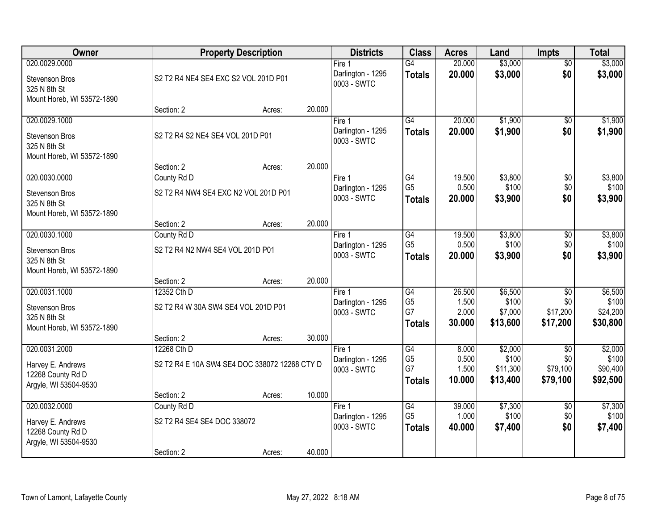| Owner                                      |                                               | <b>Property Description</b> |        | <b>Districts</b>                 | <b>Class</b>                      | <b>Acres</b>    | Land              | <b>Impts</b>           | <b>Total</b>      |
|--------------------------------------------|-----------------------------------------------|-----------------------------|--------|----------------------------------|-----------------------------------|-----------------|-------------------|------------------------|-------------------|
| 020.0029.0000                              |                                               |                             |        | Fire 1                           | $\overline{G4}$                   | 20.000          | \$3,000           | $\overline{50}$        | \$3,000           |
| Stevenson Bros                             | S2 T2 R4 NE4 SE4 EXC S2 VOL 201D P01          |                             |        | Darlington - 1295<br>0003 - SWTC | <b>Totals</b>                     | 20.000          | \$3,000           | \$0                    | \$3,000           |
| 325 N 8th St<br>Mount Horeb, WI 53572-1890 |                                               |                             |        |                                  |                                   |                 |                   |                        |                   |
|                                            | Section: 2                                    | Acres:                      | 20.000 |                                  |                                   |                 |                   |                        |                   |
| 020.0029.1000                              |                                               |                             |        | Fire 1                           | $\overline{G4}$                   | 20.000          | \$1,900           | $\overline{50}$        | \$1,900           |
| Stevenson Bros                             | S2 T2 R4 S2 NE4 SE4 VOL 201D P01              |                             |        | Darlington - 1295<br>0003 - SWTC | <b>Totals</b>                     | 20.000          | \$1,900           | \$0                    | \$1,900           |
| 325 N 8th St                               |                                               |                             |        |                                  |                                   |                 |                   |                        |                   |
| Mount Horeb, WI 53572-1890                 | Section: 2                                    | Acres:                      | 20.000 |                                  |                                   |                 |                   |                        |                   |
| 020.0030.0000                              | County Rd D                                   |                             |        | Fire 1                           | G4                                | 19.500          | \$3,800           | \$0                    | \$3,800           |
| Stevenson Bros                             | S2 T2 R4 NW4 SE4 EXC N2 VOL 201D P01          |                             |        | Darlington - 1295                | G <sub>5</sub>                    | 0.500           | \$100             | \$0                    | \$100             |
| 325 N 8th St                               |                                               |                             |        | 0003 - SWTC                      | <b>Totals</b>                     | 20.000          | \$3,900           | \$0                    | \$3,900           |
| Mount Horeb, WI 53572-1890                 | Section: 2                                    | Acres:                      | 20.000 |                                  |                                   |                 |                   |                        |                   |
| 020.0030.1000                              | County Rd D                                   |                             |        | Fire 1                           | G4                                | 19.500          | \$3,800           | \$0                    | \$3,800           |
| <b>Stevenson Bros</b>                      | S2 T2 R4 N2 NW4 SE4 VOL 201D P01              |                             |        | Darlington - 1295                | G <sub>5</sub>                    | 0.500           | \$100             | \$0                    | \$100             |
| 325 N 8th St                               |                                               |                             |        | 0003 - SWTC                      | <b>Totals</b>                     | 20.000          | \$3,900           | \$0                    | \$3,900           |
| Mount Horeb, WI 53572-1890                 |                                               |                             |        |                                  |                                   |                 |                   |                        |                   |
|                                            | Section: 2                                    | Acres:                      | 20.000 |                                  |                                   |                 |                   |                        |                   |
| 020.0031.1000                              | 12352 Cth D                                   |                             |        | Fire 1<br>Darlington - 1295      | $\overline{G4}$<br>G <sub>5</sub> | 26.500<br>1.500 | \$6,500<br>\$100  | $\overline{50}$<br>\$0 | \$6,500<br>\$100  |
| <b>Stevenson Bros</b><br>325 N 8th St      | S2 T2 R4 W 30A SW4 SE4 VOL 201D P01           |                             |        | 0003 - SWTC                      | G7                                | 2.000           | \$7,000           | \$17,200               | \$24,200          |
| Mount Horeb, WI 53572-1890                 |                                               |                             |        |                                  | <b>Totals</b>                     | 30.000          | \$13,600          | \$17,200               | \$30,800          |
|                                            | Section: 2                                    | Acres:                      | 30.000 |                                  |                                   |                 |                   |                        |                   |
| 020.0031.2000                              | 12268 Cth D                                   |                             |        | Fire 1                           | G4                                | 8.000           | \$2,000           | $\overline{50}$        | \$2,000           |
| Harvey E. Andrews                          | S2 T2 R4 E 10A SW4 SE4 DOC 338072 12268 CTY D |                             |        | Darlington - 1295<br>0003 - SWTC | G <sub>5</sub><br>G7              | 0.500<br>1.500  | \$100<br>\$11,300 | \$0<br>\$79,100        | \$100<br>\$90,400 |
| 12268 County Rd D                          |                                               |                             |        |                                  | <b>Totals</b>                     | 10.000          | \$13,400          | \$79,100               | \$92,500          |
| Argyle, WI 53504-9530                      | Section: 2                                    | Acres:                      | 10.000 |                                  |                                   |                 |                   |                        |                   |
| 020.0032.0000                              | County Rd D                                   |                             |        | Fire $1$                         | G4                                | 39.000          | \$7,300           | $\overline{50}$        | \$7,300           |
| Harvey E. Andrews                          | S2 T2 R4 SE4 SE4 DOC 338072                   |                             |        | Darlington - 1295                | G <sub>5</sub>                    | 1.000           | \$100             | \$0                    | \$100             |
| 12268 County Rd D                          |                                               |                             |        | 0003 - SWTC                      | <b>Totals</b>                     | 40.000          | \$7,400           | \$0                    | \$7,400           |
| Argyle, WI 53504-9530                      |                                               |                             |        |                                  |                                   |                 |                   |                        |                   |
|                                            | Section: 2                                    | Acres:                      | 40.000 |                                  |                                   |                 |                   |                        |                   |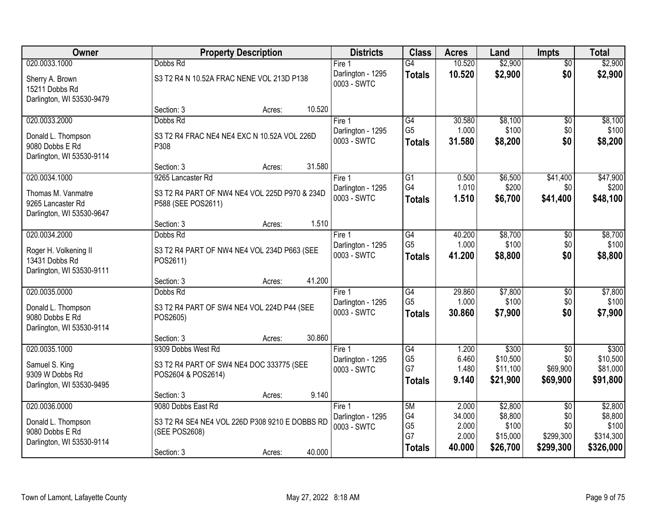| \$2,900<br>020.0033.1000<br>10.520<br>Dobbs Rd<br>Fire <sub>1</sub><br>$\overline{G4}$<br>$\overline{50}$<br>\$2,900<br>\$0<br>10.520<br>Darlington - 1295<br><b>Totals</b><br>S3 T2 R4 N 10.52A FRAC NENE VOL 213D P138<br>Sherry A. Brown<br>0003 - SWTC<br>15211 Dobbs Rd<br>Darlington, WI 53530-9479 | \$2,900<br>\$2,900<br>\$8,100<br>\$100 |
|-----------------------------------------------------------------------------------------------------------------------------------------------------------------------------------------------------------------------------------------------------------------------------------------------------------|----------------------------------------|
|                                                                                                                                                                                                                                                                                                           |                                        |
|                                                                                                                                                                                                                                                                                                           |                                        |
| 10.520<br>Section: 3<br>Acres:                                                                                                                                                                                                                                                                            |                                        |
| \$8,100<br>020.0033.2000<br>G4<br>30.580<br>Dobbs Rd<br>Fire 1<br>\$0                                                                                                                                                                                                                                     |                                        |
| G <sub>5</sub><br>1.000<br>\$100<br>\$0<br>Darlington - 1295<br>S3 T2 R4 FRAC NE4 NE4 EXC N 10.52A VOL 226D<br>Donald L. Thompson                                                                                                                                                                         |                                        |
| \$0<br>0003 - SWTC<br>31.580<br>\$8,200<br><b>Totals</b><br>9080 Dobbs E Rd<br>P308                                                                                                                                                                                                                       | \$8,200                                |
| Darlington, WI 53530-9114                                                                                                                                                                                                                                                                                 |                                        |
| 31.580<br>Section: 3<br>Acres:                                                                                                                                                                                                                                                                            |                                        |
| 020.0034.1000<br>$\overline{G1}$<br>\$6,500<br>\$41,400<br>9265 Lancaster Rd<br>0.500<br>Fire 1                                                                                                                                                                                                           | \$47,900                               |
| G4<br>1.010<br>\$200<br>\$0<br>Darlington - 1295<br>S3 T2 R4 PART OF NW4 NE4 VOL 225D P970 & 234D<br>Thomas M. Vanmatre<br>0003 - SWTC<br>\$6,700<br>1.510<br>\$41,400<br><b>Totals</b>                                                                                                                   | \$200<br>\$48,100                      |
| P588 (SEE POS2611)<br>9265 Lancaster Rd                                                                                                                                                                                                                                                                   |                                        |
| Darlington, WI 53530-9647                                                                                                                                                                                                                                                                                 |                                        |
| 1.510<br>Section: 3<br>Acres:                                                                                                                                                                                                                                                                             |                                        |
| 020.0034.2000<br>\$8,700<br>Dobbs Rd<br>G4<br>40.200<br>Fire 1<br>\$0<br>G <sub>5</sub><br>1.000<br>\$100<br>\$0<br>Darlington - 1295                                                                                                                                                                     | \$8,700<br>\$100                       |
| Roger H. Volkening II<br>S3 T2 R4 PART OF NW4 NE4 VOL 234D P663 (SEE<br>\$0<br>0003 - SWTC<br>41.200<br>\$8,800<br><b>Totals</b>                                                                                                                                                                          | \$8,800                                |
| 13431 Dobbs Rd<br>POS2611)                                                                                                                                                                                                                                                                                |                                        |
| Darlington, WI 53530-9111<br>41.200                                                                                                                                                                                                                                                                       |                                        |
| Section: 3<br>Acres:<br>29.860<br>\$7,800<br>020.0035.0000<br>$\overline{G4}$<br>$\overline{50}$<br>Dobbs Rd<br>Fire 1                                                                                                                                                                                    | \$7,800                                |
| G <sub>5</sub><br>1.000<br>\$100<br>\$0<br>Darlington - 1295                                                                                                                                                                                                                                              | \$100                                  |
| Donald L. Thompson<br>S3 T2 R4 PART OF SW4 NE4 VOL 224D P44 (SEE<br>\$0<br>30.860<br>0003 - SWTC<br>\$7,900<br><b>Totals</b>                                                                                                                                                                              | \$7,900                                |
| 9080 Dobbs E Rd<br>POS2605)                                                                                                                                                                                                                                                                               |                                        |
| Darlington, WI 53530-9114<br>30.860<br>Section: 3                                                                                                                                                                                                                                                         |                                        |
| Acres:<br>020.0035.1000<br>G4<br>\$300<br>9309 Dobbs West Rd<br>1.200<br>$\sqrt{$0}$<br>Fire 1                                                                                                                                                                                                            | \$300                                  |
| G <sub>5</sub><br>\$10,500<br>6.460<br>\$0<br>Darlington - 1295                                                                                                                                                                                                                                           | \$10,500                               |
| S3 T2 R4 PART OF SW4 NE4 DOC 333775 (SEE<br>Samuel S. King<br>G7<br>\$69,900<br>1.480<br>\$11,100<br>0003 - SWTC                                                                                                                                                                                          | \$81,000                               |
| 9309 W Dobbs Rd<br>POS2604 & POS2614)<br>9.140<br>\$21,900<br>\$69,900<br><b>Totals</b>                                                                                                                                                                                                                   | \$91,800                               |
| Darlington, WI 53530-9495<br>9.140<br>Section: 3<br>Acres:                                                                                                                                                                                                                                                |                                        |
| 020.0036.0000<br>9080 Dobbs East Rd<br>5M<br>\$2,800<br>2.000<br>Fire 1<br>$\overline{30}$                                                                                                                                                                                                                | \$2,800                                |
| G4<br>34.000<br>\$8,800<br>\$0<br>Darlington - 1295                                                                                                                                                                                                                                                       | \$8,800                                |
| S3 T2 R4 SE4 NE4 VOL 226D P308 9210 E DOBBS RD<br>Donald L. Thompson<br>G <sub>5</sub><br>2.000<br>\$100<br>\$0<br>0003 - SWTC                                                                                                                                                                            | \$100                                  |
| 9080 Dobbs E Rd<br>(SEE POS2608)<br>G7<br>2.000<br>\$15,000<br>\$299,300<br>Darlington, WI 53530-9114                                                                                                                                                                                                     | \$314,300                              |
| 40,000<br>\$26,700<br>\$299,300<br><b>Totals</b><br>40.000<br>Section: 3<br>Acres:                                                                                                                                                                                                                        | \$326,000                              |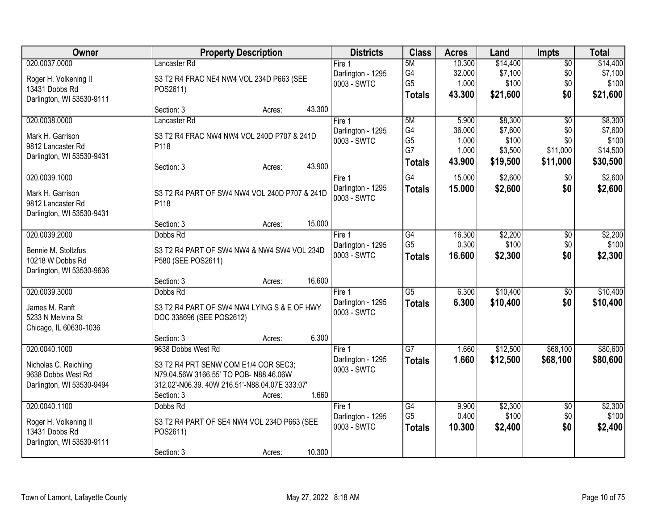| Owner                     | <b>Property Description</b>                    | <b>Districts</b>  | <b>Class</b>         | <b>Acres</b> | Land     | <b>Impts</b>    | <b>Total</b> |
|---------------------------|------------------------------------------------|-------------------|----------------------|--------------|----------|-----------------|--------------|
| 020.0037.0000             | Lancaster Rd                                   | Fire $1$          | 5M                   | 10.300       | \$14,400 | $\sqrt{$0}$     | \$14,400     |
| Roger H. Volkening II     | S3 T2 R4 FRAC NE4 NW4 VOL 234D P663 (SEE       | Darlington - 1295 | G4                   | 32.000       | \$7,100  | \$0             | \$7,100      |
| 13431 Dobbs Rd            | POS2611)                                       | 0003 - SWTC       | G <sub>5</sub>       | 1.000        | \$100    | \$0             | \$100        |
| Darlington, WI 53530-9111 |                                                |                   | <b>Totals</b>        | 43.300       | \$21,600 | \$0             | \$21,600     |
|                           | 43.300<br>Section: 3<br>Acres:                 |                   |                      |              |          |                 |              |
| 020.0038.0000             | Lancaster Rd                                   | Fire 1            | 5M                   | 5.900        | \$8,300  | $\overline{50}$ | \$8,300      |
| Mark H. Garrison          | S3 T2 R4 FRAC NW4 NW4 VOL 240D P707 & 241D     | Darlington - 1295 | G4                   | 36.000       | \$7,600  | \$0             | \$7,600      |
| 9812 Lancaster Rd         | P118                                           | 0003 - SWTC       | G <sub>5</sub><br>G7 | 1.000        | \$100    | \$0             | \$100        |
| Darlington, WI 53530-9431 |                                                |                   |                      | 1.000        | \$3,500  | \$11,000        | \$14,500     |
|                           | 43.900<br>Section: 3<br>Acres:                 |                   | <b>Totals</b>        | 43.900       | \$19,500 | \$11,000        | \$30,500     |
| 020.0039.1000             |                                                | Fire 1            | G4                   | 15.000       | \$2,600  | \$0             | \$2,600      |
| Mark H. Garrison          | S3 T2 R4 PART OF SW4 NW4 VOL 240D P707 & 241D  | Darlington - 1295 | <b>Totals</b>        | 15.000       | \$2,600  | \$0             | \$2,600      |
| 9812 Lancaster Rd         | P118                                           | 0003 - SWTC       |                      |              |          |                 |              |
| Darlington, WI 53530-9431 |                                                |                   |                      |              |          |                 |              |
|                           | 15.000<br>Section: 3<br>Acres:                 |                   |                      |              |          |                 |              |
| 020.0039.2000             | Dobbs Rd                                       | Fire 1            | $\overline{G4}$      | 16.300       | \$2,200  | \$0             | \$2,200      |
| Bennie M. Stoltzfus       | S3 T2 R4 PART OF SW4 NW4 & NW4 SW4 VOL 234D    | Darlington - 1295 | G <sub>5</sub>       | 0.300        | \$100    | \$0             | \$100        |
| 10218 W Dobbs Rd          | P580 (SEE POS2611)                             | 0003 - SWTC       | <b>Totals</b>        | 16.600       | \$2,300  | \$0             | \$2,300      |
| Darlington, WI 53530-9636 |                                                |                   |                      |              |          |                 |              |
|                           | 16.600<br>Section: 3<br>Acres:                 |                   |                      |              |          |                 |              |
| 020.0039.3000             | Dobbs Rd                                       | Fire 1            | $\overline{G5}$      | 6.300        | \$10,400 | \$0             | \$10,400     |
| James M. Ranft            | S3 T2 R4 PART OF SW4 NW4 LYING S & E OF HWY    | Darlington - 1295 | <b>Totals</b>        | 6.300        | \$10,400 | \$0             | \$10,400     |
| 5233 N Melvina St         | DOC 338696 (SEE POS2612)                       | 0003 - SWTC       |                      |              |          |                 |              |
| Chicago, IL 60630-1036    |                                                |                   |                      |              |          |                 |              |
|                           | 6.300<br>Section: 3<br>Acres:                  |                   |                      |              |          |                 |              |
| 020.0040.1000             | 9638 Dobbs West Rd                             | Fire 1            | $\overline{G7}$      | 1.660        | \$12,500 | \$68,100        | \$80,600     |
| Nicholas C. Reichling     | S3 T2 R4 PRT SENW COM E1/4 COR SEC3;           | Darlington - 1295 | <b>Totals</b>        | 1.660        | \$12,500 | \$68,100        | \$80,600     |
| 9638 Dobbs West Rd        | N79.04.56W 3166.55' TO POB- N88.46.06W         | 0003 - SWTC       |                      |              |          |                 |              |
| Darlington, WI 53530-9494 | 312.02'-N06.39. 40W 216.51'-N88.04.07E 333.07' |                   |                      |              |          |                 |              |
|                           | 1.660<br>Section: 3<br>Acres:                  |                   |                      |              |          |                 |              |
| 020.0040.1100             | Dobbs Rd                                       | Fire 1            | G4                   | 9.900        | \$2,300  | $\overline{60}$ | \$2,300      |
| Roger H. Volkening II     | S3 T2 R4 PART OF SE4 NW4 VOL 234D P663 (SEE    | Darlington - 1295 | G <sub>5</sub>       | 0.400        | \$100    | \$0             | \$100        |
| 13431 Dobbs Rd            | POS2611)                                       | 0003 - SWTC       | <b>Totals</b>        | 10.300       | \$2,400  | \$0             | \$2,400      |
| Darlington, WI 53530-9111 |                                                |                   |                      |              |          |                 |              |
|                           | 10.300<br>Section: 3<br>Acres:                 |                   |                      |              |          |                 |              |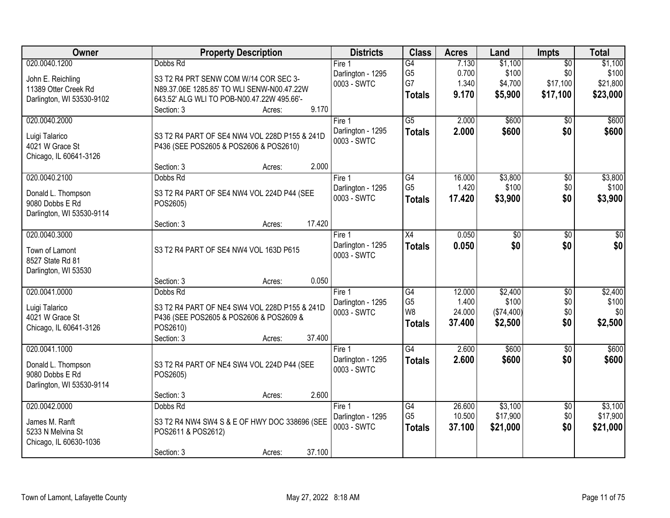| <b>Owner</b>                                                                        | <b>Property Description</b>                                                                                                                        | <b>Districts</b>                           | <b>Class</b>                                                         | <b>Acres</b>                        | Land                                      | <b>Impts</b>                         | <b>Total</b>                       |
|-------------------------------------------------------------------------------------|----------------------------------------------------------------------------------------------------------------------------------------------------|--------------------------------------------|----------------------------------------------------------------------|-------------------------------------|-------------------------------------------|--------------------------------------|------------------------------------|
| 020.0040.1200<br>John E. Reichling                                                  | Dobbs Rd<br>S3 T2 R4 PRT SENW COM W/14 COR SEC 3-                                                                                                  | Fire 1<br>Darlington - 1295<br>0003 - SWTC | G4<br>G <sub>5</sub><br>G7                                           | 7.130<br>0.700<br>1.340             | \$1,100<br>\$100<br>\$4,700               | $\overline{50}$<br>\$0<br>\$17,100   | \$1,100<br>\$100<br>\$21,800       |
| 11389 Otter Creek Rd<br>Darlington, WI 53530-9102                                   | N89.37.06E 1285.85' TO WLI SENW-N00.47.22W<br>643.52' ALG WLI TO POB-N00.47.22W 495.66'-<br>9.170<br>Section: 3<br>Acres:                          |                                            | <b>Totals</b>                                                        | 9.170                               | \$5,900                                   | \$17,100                             | \$23,000                           |
| 020.0040.2000<br>Luigi Talarico<br>4021 W Grace St<br>Chicago, IL 60641-3126        | S3 T2 R4 PART OF SE4 NW4 VOL 228D P155 & 241D<br>P436 (SEE POS2605 & POS2606 & POS2610)<br>2.000<br>Section: 3<br>Acres:                           | Fire 1<br>Darlington - 1295<br>0003 - SWTC | $\overline{G5}$<br><b>Totals</b>                                     | 2.000<br>2.000                      | \$600<br>\$600                            | $\overline{50}$<br>\$0               | \$600<br>\$600                     |
| 020.0040.2100<br>Donald L. Thompson<br>9080 Dobbs E Rd<br>Darlington, WI 53530-9114 | Dobbs Rd<br>S3 T2 R4 PART OF SE4 NW4 VOL 224D P44 (SEE<br>POS2605)<br>17.420<br>Section: 3<br>Acres:                                               | Fire 1<br>Darlington - 1295<br>0003 - SWTC | G4<br>G <sub>5</sub><br><b>Totals</b>                                | 16.000<br>1.420<br>17.420           | \$3,800<br>\$100<br>\$3,900               | $\overline{50}$<br>\$0<br>\$0        | \$3,800<br>\$100<br>\$3,900        |
| 020.0040.3000<br>Town of Lamont<br>8527 State Rd 81<br>Darlington, WI 53530         | S3 T2 R4 PART OF SE4 NW4 VOL 163D P615<br>0.050<br>Section: 3<br>Acres:                                                                            | Fire 1<br>Darlington - 1295<br>0003 - SWTC | X4<br><b>Totals</b>                                                  | 0.050<br>0.050                      | \$0<br>\$0                                | $\sqrt[6]{}$<br>\$0                  | \$0<br>\$0                         |
| 020.0041.0000<br>Luigi Talarico<br>4021 W Grace St<br>Chicago, IL 60641-3126        | Dobbs Rd<br>S3 T2 R4 PART OF NE4 SW4 VOL 228D P155 & 241D<br>P436 (SEE POS2605 & POS2606 & POS2609 &<br>POS2610)<br>37.400<br>Section: 3<br>Acres: | Fire 1<br>Darlington - 1295<br>0003 - SWTC | $\overline{G4}$<br>G <sub>5</sub><br>W <sub>8</sub><br><b>Totals</b> | 12.000<br>1.400<br>24.000<br>37.400 | \$2,400<br>\$100<br>(\$74,400)<br>\$2,500 | $\overline{30}$<br>\$0<br>\$0<br>\$0 | \$2,400<br>\$100<br>\$0<br>\$2,500 |
| 020.0041.1000<br>Donald L. Thompson<br>9080 Dobbs E Rd<br>Darlington, WI 53530-9114 | S3 T2 R4 PART OF NE4 SW4 VOL 224D P44 (SEE<br>POS2605)<br>2.600<br>Section: 3<br>Acres:                                                            | Fire 1<br>Darlington - 1295<br>0003 - SWTC | $\overline{G4}$<br><b>Totals</b>                                     | 2.600<br>2.600                      | \$600<br>\$600                            | $\sqrt{6}$<br>\$0                    | \$600<br>\$600                     |
| 020.0042.0000<br>James M. Ranft<br>5233 N Melvina St<br>Chicago, IL 60630-1036      | Dobbs Rd<br>S3 T2 R4 NW4 SW4 S & E OF HWY DOC 338696 (SEE<br>POS2611 & POS2612)<br>37.100<br>Section: 3<br>Acres:                                  | Fire 1<br>Darlington - 1295<br>0003 - SWTC | G4<br>G <sub>5</sub><br><b>Totals</b>                                | 26.600<br>10.500<br>37.100          | \$3,100<br>\$17,900<br>\$21,000           | $\overline{30}$<br>\$0<br>\$0        | \$3,100<br>\$17,900<br>\$21,000    |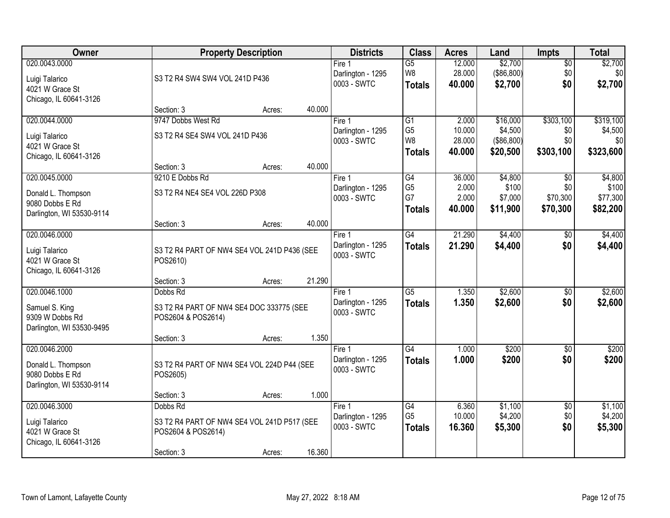| <b>Owner</b>                                                                    | <b>Property Description</b>                                                                 |        |        | <b>Districts</b>                                      | <b>Class</b>                                                         | <b>Acres</b>                        | Land                                          | <b>Impts</b>                         | <b>Total</b>                             |
|---------------------------------------------------------------------------------|---------------------------------------------------------------------------------------------|--------|--------|-------------------------------------------------------|----------------------------------------------------------------------|-------------------------------------|-----------------------------------------------|--------------------------------------|------------------------------------------|
| 020.0043.0000<br>Luigi Talarico<br>4021 W Grace St<br>Chicago, IL 60641-3126    | S3 T2 R4 SW4 SW4 VOL 241D P436                                                              |        |        | Fire <sub>1</sub><br>Darlington - 1295<br>0003 - SWTC | $\overline{G5}$<br>W8<br><b>Totals</b>                               | 12.000<br>28.000<br>40.000          | \$2,700<br>(\$86,800)<br>\$2,700              | $\sqrt{$0}$<br>\$0<br>\$0            | \$2,700<br>\$0<br>\$2,700                |
|                                                                                 | Section: 3                                                                                  | Acres: | 40.000 |                                                       |                                                                      |                                     |                                               |                                      |                                          |
| 020.0044.0000<br>Luigi Talarico<br>4021 W Grace St<br>Chicago, IL 60641-3126    | 9747 Dobbs West Rd<br>S3 T2 R4 SE4 SW4 VOL 241D P436                                        |        |        | Fire 1<br>Darlington - 1295<br>0003 - SWTC            | $\overline{G1}$<br>G <sub>5</sub><br>W <sub>8</sub><br><b>Totals</b> | 2.000<br>10.000<br>28.000<br>40.000 | \$16,000<br>\$4,500<br>(\$86,800)<br>\$20,500 | \$303,100<br>\$0<br>\$0<br>\$303,100 | \$319,100<br>\$4,500<br>\$0<br>\$323,600 |
| 020.0045.0000                                                                   | Section: 3<br>9210 E Dobbs Rd                                                               | Acres: | 40.000 |                                                       | G4                                                                   |                                     | \$4,800                                       |                                      | \$4,800                                  |
| Donald L. Thompson<br>9080 Dobbs E Rd<br>Darlington, WI 53530-9114              | S3 T2 R4 NE4 SE4 VOL 226D P308                                                              |        |        | Fire 1<br>Darlington - 1295<br>0003 - SWTC            | G <sub>5</sub><br>G7<br><b>Totals</b>                                | 36.000<br>2.000<br>2.000<br>40.000  | \$100<br>\$7,000<br>\$11,900                  | \$0<br>\$0<br>\$70,300<br>\$70,300   | \$100<br>\$77,300<br>\$82,200            |
|                                                                                 | Section: 3                                                                                  | Acres: | 40.000 |                                                       |                                                                      |                                     |                                               |                                      |                                          |
| 020.0046.0000<br>Luigi Talarico<br>4021 W Grace St<br>Chicago, IL 60641-3126    | S3 T2 R4 PART OF NW4 SE4 VOL 241D P436 (SEE<br>POS2610)                                     |        |        | Fire 1<br>Darlington - 1295<br>0003 - SWTC            | G4<br><b>Totals</b>                                                  | 21.290<br>21.290                    | \$4,400<br>\$4,400                            | $\sqrt[6]{}$<br>\$0                  | \$4,400<br>\$4,400                       |
|                                                                                 | Section: 3                                                                                  | Acres: | 21.290 |                                                       |                                                                      |                                     |                                               |                                      |                                          |
| 020.0046.1000<br>Samuel S. King<br>9309 W Dobbs Rd<br>Darlington, WI 53530-9495 | Dobbs Rd<br>S3 T2 R4 PART OF NW4 SE4 DOC 333775 (SEE<br>POS2604 & POS2614)<br>Section: 3    | Acres: | 1.350  | Fire 1<br>Darlington - 1295<br>0003 - SWTC            | $\overline{G5}$<br><b>Totals</b>                                     | 1.350<br>1.350                      | \$2,600<br>\$2,600                            | \$0<br>\$0                           | \$2,600<br>\$2,600                       |
| 020.0046.2000                                                                   |                                                                                             |        |        | Fire 1                                                | G4                                                                   | 1.000                               | \$200                                         | \$0                                  | \$200                                    |
| Donald L. Thompson<br>9080 Dobbs E Rd<br>Darlington, WI 53530-9114              | S3 T2 R4 PART OF NW4 SE4 VOL 224D P44 (SEE<br>POS2605)                                      |        |        | Darlington - 1295<br>0003 - SWTC                      | <b>Totals</b>                                                        | 1.000                               | \$200                                         | \$0                                  | \$200                                    |
|                                                                                 | Section: 3                                                                                  | Acres: | 1.000  |                                                       |                                                                      |                                     |                                               |                                      |                                          |
| 020.0046.3000<br>Luigi Talarico<br>4021 W Grace St<br>Chicago, IL 60641-3126    | Dobbs Rd<br>S3 T2 R4 PART OF NW4 SE4 VOL 241D P517 (SEE<br>POS2604 & POS2614)<br>Section: 3 | Acres: | 16.360 | Fire 1<br>Darlington - 1295<br>0003 - SWTC            | G4<br>G <sub>5</sub><br><b>Totals</b>                                | 6.360<br>10.000<br>16.360           | \$1,100<br>\$4,200<br>\$5,300                 | $\overline{60}$<br>\$0<br>\$0        | \$1,100<br>\$4,200<br>\$5,300            |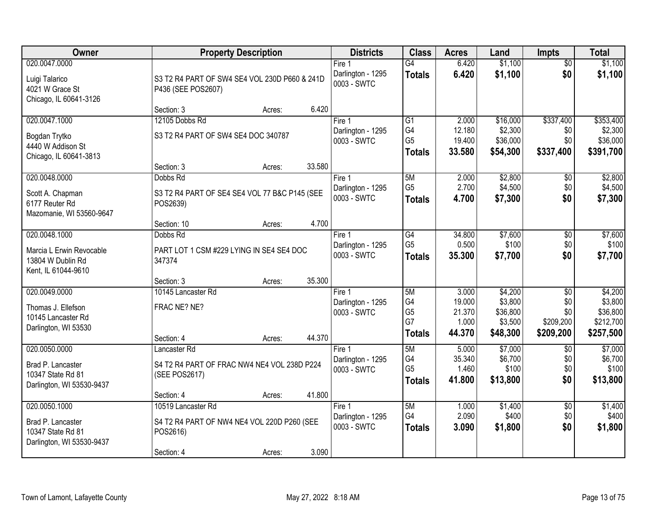| Owner                                                       | <b>Property Description</b>                                         |                  | <b>Districts</b>                 | <b>Class</b>    | <b>Acres</b>    | Land               | <b>Impts</b>         | <b>Total</b>       |
|-------------------------------------------------------------|---------------------------------------------------------------------|------------------|----------------------------------|-----------------|-----------------|--------------------|----------------------|--------------------|
| 020.0047.0000                                               |                                                                     |                  | Fire 1                           | $\overline{G4}$ | 6.420           | \$1,100            | $\overline{50}$      | \$1,100            |
| Luigi Talarico<br>4021 W Grace St<br>Chicago, IL 60641-3126 | S3 T2 R4 PART OF SW4 SE4 VOL 230D P660 & 241D<br>P436 (SEE POS2607) |                  | Darlington - 1295<br>0003 - SWTC | <b>Totals</b>   | 6.420           | \$1,100            | \$0                  | \$1,100            |
|                                                             | Section: 3                                                          | 6.420<br>Acres:  |                                  |                 |                 |                    |                      |                    |
| 020.0047.1000                                               | 12105 Dobbs Rd                                                      |                  | Fire 1                           | $\overline{G1}$ | 2.000           | \$16,000           | \$337,400            | \$353,400          |
| Bogdan Trytko                                               | S3 T2 R4 PART OF SW4 SE4 DOC 340787                                 |                  | Darlington - 1295                | G4              | 12.180          | \$2,300            | \$0                  | \$2,300            |
| 4440 W Addison St                                           |                                                                     |                  | 0003 - SWTC                      | G <sub>5</sub>  | 19.400          | \$36,000           | \$0                  | \$36,000           |
| Chicago, IL 60641-3813                                      |                                                                     |                  |                                  | <b>Totals</b>   | 33.580          | \$54,300           | \$337,400            | \$391,700          |
|                                                             | Section: 3                                                          | 33.580<br>Acres: |                                  |                 |                 |                    |                      |                    |
| 020.0048.0000                                               | Dobbs Rd                                                            |                  | Fire 1                           | 5M              | 2.000           | \$2,800            | \$0                  | \$2,800            |
| Scott A. Chapman                                            | S3 T2 R4 PART OF SE4 SE4 VOL 77 B&C P145 (SEE                       |                  | Darlington - 1295<br>0003 - SWTC | G <sub>5</sub>  | 2.700<br>4.700  | \$4,500<br>\$7,300 | \$0<br>\$0           | \$4,500<br>\$7,300 |
| 6177 Reuter Rd                                              | POS2639)                                                            |                  |                                  | <b>Totals</b>   |                 |                    |                      |                    |
| Mazomanie, WI 53560-9647                                    |                                                                     |                  |                                  |                 |                 |                    |                      |                    |
| 020.0048.1000                                               | Section: 10<br>Dobbs Rd                                             | 4.700<br>Acres:  | Fire 1                           | G4              | 34.800          | \$7,600            |                      | \$7,600            |
|                                                             |                                                                     |                  | Darlington - 1295                | G <sub>5</sub>  | 0.500           | \$100              | $\sqrt[6]{3}$<br>\$0 | \$100              |
| Marcia L Erwin Revocable                                    | PART LOT 1 CSM #229 LYING IN SE4 SE4 DOC                            |                  | 0003 - SWTC                      | <b>Totals</b>   | 35.300          | \$7,700            | \$0                  | \$7,700            |
| 13804 W Dublin Rd                                           | 347374                                                              |                  |                                  |                 |                 |                    |                      |                    |
| Kent, IL 61044-9610                                         | Section: 3                                                          | 35.300<br>Acres: |                                  |                 |                 |                    |                      |                    |
| 020.0049.0000                                               | 10145 Lancaster Rd                                                  |                  | Fire 1                           | 5M              | 3.000           | \$4,200            | $\overline{50}$      | \$4,200            |
|                                                             |                                                                     |                  | Darlington - 1295                | G4              | 19.000          | \$3,800            | \$0                  | \$3,800            |
| Thomas J. Ellefson<br>10145 Lancaster Rd                    | FRAC NE? NE?                                                        |                  | 0003 - SWTC                      | G <sub>5</sub>  | 21.370          | \$36,800           | \$0                  | \$36,800           |
| Darlington, WI 53530                                        |                                                                     |                  |                                  | G7              | 1.000           | \$3,500            | \$209,200            | \$212,700          |
|                                                             | Section: 4                                                          | 44.370<br>Acres: |                                  | <b>Totals</b>   | 44.370          | \$48,300           | \$209,200            | \$257,500          |
| 020.0050.0000                                               | Lancaster Rd                                                        |                  | Fire 1                           | 5M              | 5.000           | \$7,000            | \$0                  | \$7,000            |
| Brad P. Lancaster                                           | S4 T2 R4 PART OF FRAC NW4 NE4 VOL 238D P224                         |                  | Darlington - 1295                | G4              | 35.340          | \$6,700            | \$0                  | \$6,700            |
| 10347 State Rd 81                                           | (SEE POS2617)                                                       |                  | 0003 - SWTC                      | G <sub>5</sub>  | 1.460<br>41.800 | \$100              | \$0<br>\$0           | \$100              |
| Darlington, WI 53530-9437                                   |                                                                     |                  |                                  | <b>Totals</b>   |                 | \$13,800           |                      | \$13,800           |
|                                                             | Section: 4                                                          | 41.800<br>Acres: |                                  |                 |                 |                    |                      |                    |
| 020.0050.1000                                               | 10519 Lancaster Rd                                                  |                  | Fire 1                           | 5M<br>G4        | 1.000<br>2.090  | \$1,400            | $\overline{60}$      | \$1,400            |
| Brad P. Lancaster                                           | S4 T2 R4 PART OF NW4 NE4 VOL 220D P260 (SEE                         |                  | Darlington - 1295<br>0003 - SWTC |                 | 3.090           | \$400              | \$0<br>\$0           | \$400              |
| 10347 State Rd 81                                           | POS2616)                                                            |                  |                                  | <b>Totals</b>   |                 | \$1,800            |                      | \$1,800            |
| Darlington, WI 53530-9437                                   |                                                                     |                  |                                  |                 |                 |                    |                      |                    |
|                                                             | Section: 4                                                          | 3.090<br>Acres:  |                                  |                 |                 |                    |                      |                    |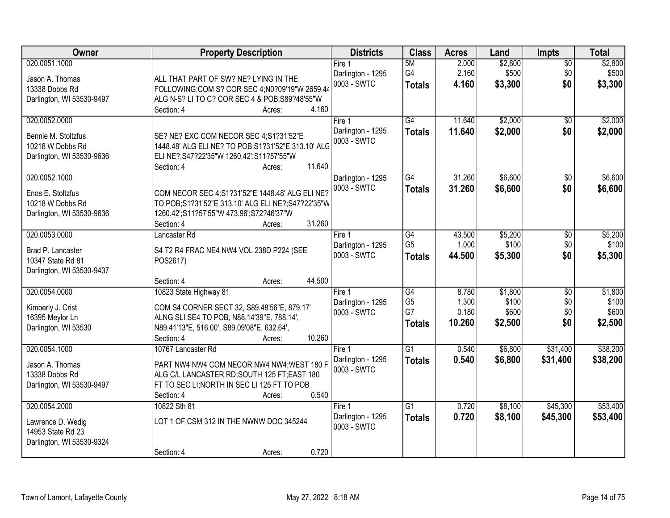| Owner                                                                                 | <b>Property Description</b>                                                                                                                                                                          | <b>Districts</b>                             | <b>Class</b>                                             | <b>Acres</b>                      | Land                                 | <b>Impts</b>                         | <b>Total</b>                         |
|---------------------------------------------------------------------------------------|------------------------------------------------------------------------------------------------------------------------------------------------------------------------------------------------------|----------------------------------------------|----------------------------------------------------------|-----------------------------------|--------------------------------------|--------------------------------------|--------------------------------------|
| 020.0051.1000<br>Jason A. Thomas<br>13338 Dobbs Rd<br>Darlington, WI 53530-9497       | ALL THAT PART OF SW? NE? LYING IN THE<br>FOLLOWING:COM S? COR SEC 4;N0?09'19"W 2659.44<br>ALG N-S? LI TO C? COR SEC 4 & POB;S89?48'55"W<br>4.160<br>Section: 4<br>Acres:                             | Fire 1<br>Darlington - 1295<br>0003 - SWTC   | 5M<br>G4<br><b>Totals</b>                                | 2.000<br>2.160<br>4.160           | \$2,800<br>\$500<br>\$3,300          | $\sqrt{$0}$<br>\$0<br>\$0            | \$2,800<br>\$500<br>\$3,300          |
| 020.0052.0000<br>Bennie M. Stoltzfus<br>10218 W Dobbs Rd<br>Darlington, WI 53530-9636 | SE? NE? EXC COM NECOR SEC 4;S1?31'52"E<br>1448.48' ALG ELI NE? TO POB; S1?31'52"E 313.10' ALG<br>ELI NE?;S47?22'35"W 1260.42';S11?57'55"W<br>11.640<br>Section: 4<br>Acres:                          | Fire $1$<br>Darlington - 1295<br>0003 - SWTC | $\overline{G4}$<br><b>Totals</b>                         | 11.640<br>11.640                  | \$2,000<br>\$2,000                   | \$0<br>\$0                           | \$2,000<br>\$2,000                   |
| 020.0052.1000<br>Enos E. Stoltzfus<br>10218 W Dobbs Rd<br>Darlington, WI 53530-9636   | COM NECOR SEC 4;S1?31'52"E 1448.48' ALG ELI NE?<br>TO POB; S1?31'52"E 313.10' ALG ELI NE?; S47?22'35"W<br>1260.42";S11?57'55"W 473.96";S72?46'37"W<br>31.260<br>Section: 4<br>Acres:                 | Darlington - 1295<br>0003 - SWTC             | G4<br><b>Totals</b>                                      | 31.260<br>31.260                  | \$6,600<br>\$6,600                   | $\sqrt[6]{3}$<br>\$0                 | \$6,600<br>\$6,600                   |
| 020.0053.0000<br>Brad P. Lancaster<br>10347 State Rd 81<br>Darlington, WI 53530-9437  | Lancaster Rd<br>S4 T2 R4 FRAC NE4 NW4 VOL 238D P224 (SEE<br>POS2617)<br>44.500<br>Section: 4<br>Acres:                                                                                               | Fire 1<br>Darlington - 1295<br>0003 - SWTC   | G4<br>G <sub>5</sub><br><b>Totals</b>                    | 43.500<br>1.000<br>44.500         | \$5,200<br>\$100<br>\$5,300          | $\sqrt[6]{3}$<br>\$0<br>\$0          | \$5,200<br>\$100<br>\$5,300          |
| 020.0054.0000<br>Kimberly J. Crist<br>16395 Meylor Ln<br>Darlington, WI 53530         | 10823 State Highway 81<br>COM S4 CORNER SECT 32, S89.48'56"E, 879.17'<br>ALNG SLI SE4 TO POB, N88.14'39"E, 788.14',<br>N89.41'13"E, 516.00', S89.09'08"E, 632.64',<br>10.260<br>Section: 4<br>Acres: | Fire 1<br>Darlington - 1295<br>0003 - SWTC   | $\overline{G4}$<br>G <sub>5</sub><br>G7<br><b>Totals</b> | 8.780<br>1.300<br>0.180<br>10.260 | \$1,800<br>\$100<br>\$600<br>\$2,500 | $\overline{50}$<br>\$0<br>\$0<br>\$0 | \$1,800<br>\$100<br>\$600<br>\$2,500 |
| 020.0054.1000<br>Jason A. Thomas<br>13338 Dobbs Rd<br>Darlington, WI 53530-9497       | 10767 Lancaster Rd<br>PART NW4 NW4 COM NECOR NW4 NW4; WEST 180 F<br>ALG C/L LANCASTER RD; SOUTH 125 FT; EAST 180<br>FT TO SEC LI; NORTH IN SEC LI 125 FT TO POB<br>0.540<br>Section: 4<br>Acres:     | Fire 1<br>Darlington - 1295<br>0003 - SWTC   | $\overline{G1}$<br><b>Totals</b>                         | 0.540<br>0.540                    | \$6,800<br>\$6,800                   | \$31,400<br>\$31,400                 | \$38,200<br>\$38,200                 |
| 020.0054.2000<br>Lawrence D. Wedig<br>14953 State Rd 23<br>Darlington, WI 53530-9324  | 10822 Sth 81<br>LOT 1 OF CSM 312 IN THE NWNW DOC 345244<br>0.720<br>Section: 4<br>Acres:                                                                                                             | Fire 1<br>Darlington - 1295<br>0003 - SWTC   | $\overline{G1}$<br><b>Totals</b>                         | 0.720<br>0.720                    | \$8,100<br>\$8,100                   | \$45,300<br>\$45,300                 | \$53,400<br>\$53,400                 |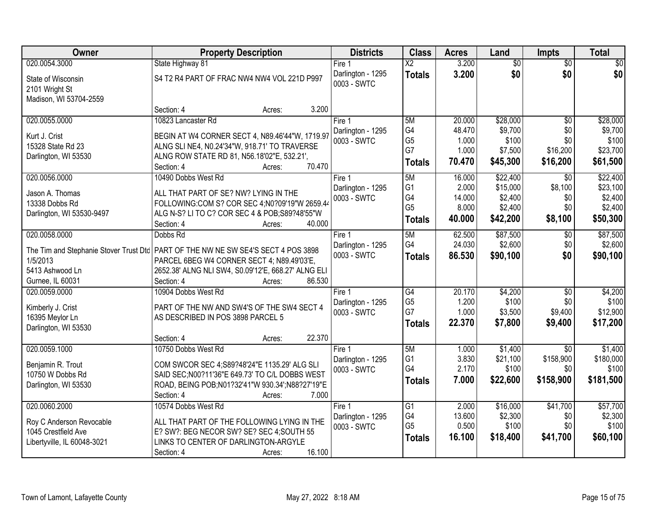| Owner                                                                                           | <b>Property Description</b>                                                                                                                                                                                                            | <b>Districts</b>                           | <b>Class</b>                                                  | <b>Acres</b>                                 | Land                                                   | <b>Impts</b>                                     | <b>Total</b>                                           |
|-------------------------------------------------------------------------------------------------|----------------------------------------------------------------------------------------------------------------------------------------------------------------------------------------------------------------------------------------|--------------------------------------------|---------------------------------------------------------------|----------------------------------------------|--------------------------------------------------------|--------------------------------------------------|--------------------------------------------------------|
| 020.0054.3000                                                                                   | State Highway 81                                                                                                                                                                                                                       | Fire $1$                                   | $\overline{\text{X2}}$                                        | 3.200                                        | $\overline{50}$                                        | $\overline{50}$                                  | $\overline{30}$                                        |
| State of Wisconsin<br>2101 Wright St<br>Madison, WI 53704-2559                                  | S4 T2 R4 PART OF FRAC NW4 NW4 VOL 221D P997                                                                                                                                                                                            | Darlington - 1295<br>0003 - SWTC           | <b>Totals</b>                                                 | 3.200                                        | \$0                                                    | \$0                                              | \$0                                                    |
|                                                                                                 | Section: 4<br>3.200<br>Acres:                                                                                                                                                                                                          |                                            |                                                               |                                              |                                                        |                                                  |                                                        |
| 020.0055.0000<br>Kurt J. Crist<br>15328 State Rd 23                                             | 10823 Lancaster Rd<br>BEGIN AT W4 CORNER SECT 4, N89.46'44"W, 1719.97<br>ALNG SLI NE4, N0.24'34"W, 918.71' TO TRAVERSE                                                                                                                 | Fire 1<br>Darlington - 1295<br>0003 - SWTC | 5M<br>G4<br>G <sub>5</sub><br>G7                              | 20.000<br>48.470<br>1.000<br>1.000           | \$28,000<br>\$9,700<br>\$100<br>\$7,500                | $\overline{50}$<br>\$0<br>\$0<br>\$16,200        | \$28,000<br>\$9,700<br>\$100<br>\$23,700               |
| Darlington, WI 53530                                                                            | ALNG ROW STATE RD 81, N56.18'02"E, 532.21',<br>70.470<br>Section: 4<br>Acres:                                                                                                                                                          |                                            | <b>Totals</b>                                                 | 70.470                                       | \$45,300                                               | \$16,200                                         | \$61,500                                               |
| 020.0056.0000<br>Jason A. Thomas<br>13338 Dobbs Rd<br>Darlington, WI 53530-9497                 | 10490 Dobbs West Rd<br>ALL THAT PART OF SE? NW? LYING IN THE<br>FOLLOWING:COM S? COR SEC 4;N0?09'19"W 2659.44<br>ALG N-S? LI TO C? COR SEC 4 & POB; S89?48'55"W<br>Section: 4<br>40.000<br>Acres:                                      | Fire 1<br>Darlington - 1295<br>0003 - SWTC | 5M<br>G <sub>1</sub><br>G4<br>G <sub>5</sub><br><b>Totals</b> | 16.000<br>2.000<br>14.000<br>8.000<br>40.000 | \$22,400<br>\$15,000<br>\$2,400<br>\$2,400<br>\$42,200 | \$0<br>\$8,100<br>\$0<br>\$0<br>\$8,100          | \$22,400<br>\$23,100<br>\$2,400<br>\$2,400<br>\$50,300 |
| 020.0058.0000<br>1/5/2013<br>5413 Ashwood Ln<br>Gurnee, IL 60031                                | Dobbs Rd<br>The Tim and Stephanie Stover Trust Dtc   PART OF THE NW NE SW SE4'S SECT 4 POS 3898<br>PARCEL 6BEG W4 CORNER SECT 4; N89.49'03'E,<br>2652.38' ALNG NLI SW4, S0.09'12'E, 668.27' ALNG ELI<br>86.530<br>Section: 4<br>Acres: | Fire 1<br>Darlington - 1295<br>0003 - SWTC | 5M<br>G4<br><b>Totals</b>                                     | 62.500<br>24.030<br>86.530                   | \$87,500<br>\$2,600<br>\$90,100                        | \$0<br>\$0<br>\$0                                | \$87,500<br>\$2,600<br>\$90,100                        |
| 020.0059.0000<br>Kimberly J. Crist<br>16395 Meylor Ln<br>Darlington, WI 53530                   | 10904 Dobbs West Rd<br>PART OF THE NW AND SW4'S OF THE SW4 SECT 4<br>AS DESCRIBED IN POS 3898 PARCEL 5<br>22.370<br>Section: 4<br>Acres:                                                                                               | Fire 1<br>Darlington - 1295<br>0003 - SWTC | G4<br>G <sub>5</sub><br>G7<br><b>Totals</b>                   | 20.170<br>1.200<br>1.000<br>22.370           | \$4,200<br>\$100<br>\$3,500<br>\$7,800                 | $\overline{50}$<br>\$0<br>\$9,400<br>\$9,400     | \$4,200<br>\$100<br>\$12,900<br>\$17,200               |
| 020.0059.1000<br>Benjamin R. Trout<br>10750 W Dobbs Rd<br>Darlington, WI 53530                  | 10750 Dobbs West Rd<br>COM SWCOR SEC 4;S89?48'24"E 1135.29' ALG SLI<br>SAID SEC; N00?11'36" E 649.73' TO C/L DOBBS WEST<br>ROAD, BEING POB;N01?32'41"W 930.34';N88?27'19"E<br>7.000<br>Section: 4<br>Acres:                            | Fire 1<br>Darlington - 1295<br>0003 - SWTC | 5M<br>G <sub>1</sub><br>G4<br><b>Totals</b>                   | 1.000<br>3.830<br>2.170<br>7.000             | \$1,400<br>\$21,100<br>\$100<br>\$22,600               | $\overline{50}$<br>\$158,900<br>\$0<br>\$158,900 | \$1,400<br>\$180,000<br>\$100<br>\$181,500             |
| 020.0060.2000<br>Roy C Anderson Revocable<br>1045 Crestfield Ave<br>Libertyville, IL 60048-3021 | 10574 Dobbs West Rd<br>ALL THAT PART OF THE FOLLOWING LYING IN THE<br>E? SW?: BEG NECOR SW? SE? SEC 4; SOUTH 55<br>LINKS TO CENTER OF DARLINGTON-ARGYLE<br>16.100<br>Section: 4<br>Acres:                                              | Fire 1<br>Darlington - 1295<br>0003 - SWTC | G1<br>G4<br>G <sub>5</sub><br><b>Totals</b>                   | 2.000<br>13.600<br>0.500<br>16.100           | \$16,000<br>\$2,300<br>\$100<br>\$18,400               | \$41,700<br>\$0<br>\$0<br>\$41,700               | \$57,700<br>\$2,300<br>\$100<br>\$60,100               |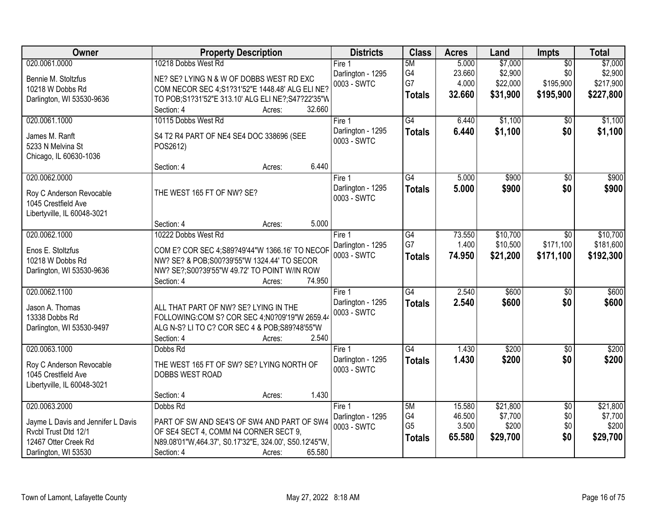| Owner                                              | <b>Property Description</b>                            | <b>Districts</b>  | <b>Class</b>    | <b>Acres</b> | Land     | <b>Impts</b>    | <b>Total</b> |
|----------------------------------------------------|--------------------------------------------------------|-------------------|-----------------|--------------|----------|-----------------|--------------|
| 020.0061.0000                                      | 10218 Dobbs West Rd                                    | Fire 1            | 5M              | 5.000        | \$7,000  | $\overline{30}$ | \$7,000      |
| Bennie M. Stoltzfus                                | NE? SE? LYING N & W OF DOBBS WEST RD EXC               | Darlington - 1295 | G4              | 23.660       | \$2,900  | \$0             | \$2,900      |
| 10218 W Dobbs Rd                                   | COM NECOR SEC 4;S1?31'52"E 1448.48' ALG ELI NE?        | 0003 - SWTC       | G7              | 4.000        | \$22,000 | \$195,900       | \$217,900    |
| Darlington, WI 53530-9636                          | TO POB; S1?31'52"E 313.10' ALG ELI NE?; S47?22'35"W    |                   | <b>Totals</b>   | 32.660       | \$31,900 | \$195,900       | \$227,800    |
|                                                    | 32.660<br>Section: 4<br>Acres:                         |                   |                 |              |          |                 |              |
| 020.0061.1000                                      | 10115 Dobbs West Rd                                    | Fire 1            | G4              | 6.440        | \$1,100  | $\overline{50}$ | \$1,100      |
| James M. Ranft                                     | S4 T2 R4 PART OF NE4 SE4 DOC 338696 (SEE               | Darlington - 1295 | <b>Totals</b>   | 6.440        | \$1,100  | \$0             | \$1,100      |
| 5233 N Melvina St                                  | POS2612)                                               | 0003 - SWTC       |                 |              |          |                 |              |
| Chicago, IL 60630-1036                             |                                                        |                   |                 |              |          |                 |              |
|                                                    | 6.440<br>Section: 4<br>Acres:                          |                   |                 |              |          |                 |              |
| 020.0062.0000                                      |                                                        | Fire 1            | $\overline{G4}$ | 5.000        | \$900    | \$0             | \$900        |
| Roy C Anderson Revocable                           | THE WEST 165 FT OF NW? SE?                             | Darlington - 1295 | <b>Totals</b>   | 5.000        | \$900    | \$0             | \$900        |
| 1045 Crestfield Ave                                |                                                        | 0003 - SWTC       |                 |              |          |                 |              |
| Libertyville, IL 60048-3021                        |                                                        |                   |                 |              |          |                 |              |
|                                                    | 5.000<br>Section: 4<br>Acres:                          |                   |                 |              |          |                 |              |
| 020.0062.1000                                      | 10222 Dobbs West Rd                                    | Fire 1            | $\overline{G4}$ | 73.550       | \$10,700 | \$0             | \$10,700     |
| Enos E. Stoltzfus                                  | COM E? COR SEC 4;S89?49'44"W 1366.16' TO NECOF         | Darlington - 1295 | G7              | 1.400        | \$10,500 | \$171,100       | \$181,600    |
| 10218 W Dobbs Rd                                   | NW? SE? & POB; S00?39'55"W 1324.44' TO SECOR           | 0003 - SWTC       | <b>Totals</b>   | 74.950       | \$21,200 | \$171,100       | \$192,300    |
| Darlington, WI 53530-9636                          | NW? SE?;S00?39'55"W 49.72' TO POINT W/IN ROW           |                   |                 |              |          |                 |              |
|                                                    | 74.950<br>Section: 4<br>Acres:                         |                   |                 |              |          |                 |              |
| 020.0062.1100                                      |                                                        | Fire 1            | $\overline{G4}$ | 2.540        | \$600    | $\overline{30}$ | \$600        |
| Jason A. Thomas                                    | ALL THAT PART OF NW? SE? LYING IN THE                  | Darlington - 1295 | <b>Totals</b>   | 2.540        | \$600    | \$0             | \$600        |
| 13338 Dobbs Rd                                     | FOLLOWING:COM S? COR SEC 4;N0?09'19"W 2659.44          | 0003 - SWTC       |                 |              |          |                 |              |
| Darlington, WI 53530-9497                          | ALG N-S? LI TO C? COR SEC 4 & POB;S89?48'55"W          |                   |                 |              |          |                 |              |
|                                                    | 2.540<br>Section: 4<br>Acres:                          |                   |                 |              |          |                 |              |
| 020.0063.1000                                      | Dobbs Rd                                               | Fire 1            | $\overline{G4}$ | 1.430        | \$200    | $\overline{60}$ | \$200        |
|                                                    |                                                        | Darlington - 1295 | <b>Totals</b>   | 1.430        | \$200    | \$0             | \$200        |
| Roy C Anderson Revocable                           | THE WEST 165 FT OF SW? SE? LYING NORTH OF              | 0003 - SWTC       |                 |              |          |                 |              |
| 1045 Crestfield Ave<br>Libertyville, IL 60048-3021 | DOBBS WEST ROAD                                        |                   |                 |              |          |                 |              |
|                                                    | 1.430<br>Section: 4<br>Acres:                          |                   |                 |              |          |                 |              |
| 020.0063.2000                                      | Dobbs Rd                                               | Fire 1            | 5M              | 15.580       | \$21,800 | $\overline{50}$ | \$21,800     |
|                                                    |                                                        | Darlington - 1295 | G4              | 46.500       | \$7,700  | \$0             | \$7,700      |
| Jayme L Davis and Jennifer L Davis                 | PART OF SW AND SE4'S OF SW4 AND PART OF SW4            | 0003 - SWTC       | G <sub>5</sub>  | 3.500        | \$200    | \$0             | \$200        |
| Rvcbl Trust Dtd 12/1                               | OF SE4 SECT 4, COMM N4 CORNER SECT 9,                  |                   | <b>Totals</b>   | 65.580       | \$29,700 | \$0             | \$29,700     |
| 12467 Otter Creek Rd                               | N89.08'01"W,464.37', S0.17'32"E, 324.00', S50.12'45"W, |                   |                 |              |          |                 |              |
| Darlington, WI 53530                               | 65.580<br>Section: 4<br>Acres:                         |                   |                 |              |          |                 |              |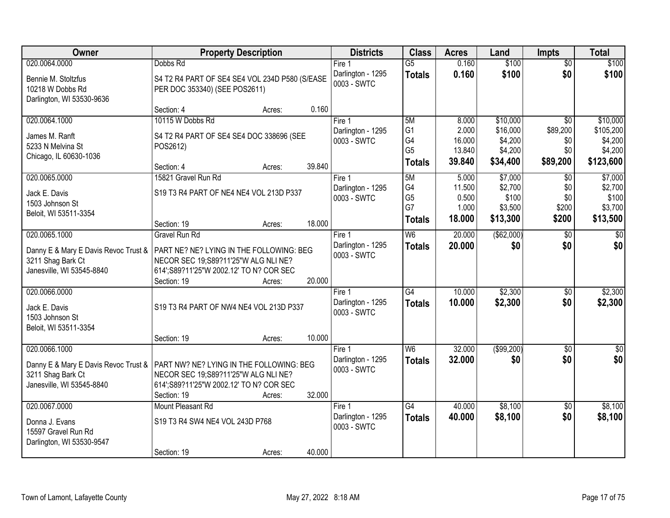| <b>Owner</b>                                                         | <b>Property Description</b>                                                      |        | <b>Districts</b>                 | <b>Class</b>         | <b>Acres</b>     | Land               | <b>Impts</b>    | <b>Total</b>       |
|----------------------------------------------------------------------|----------------------------------------------------------------------------------|--------|----------------------------------|----------------------|------------------|--------------------|-----------------|--------------------|
| 020.0064.0000                                                        | Dobbs Rd                                                                         |        | Fire $1$                         | $\overline{G5}$      | 0.160            | \$100              | $\overline{50}$ | \$100              |
| Bennie M. Stoltzfus<br>10218 W Dobbs Rd<br>Darlington, WI 53530-9636 | S4 T2 R4 PART OF SE4 SE4 VOL 234D P580 (S/EASE<br>PER DOC 353340) (SEE POS2611)  |        | Darlington - 1295<br>0003 - SWTC | <b>Totals</b>        | 0.160            | \$100              | \$0             | \$100              |
|                                                                      | Section: 4<br>Acres:                                                             | 0.160  |                                  |                      |                  |                    |                 |                    |
| 020.0064.1000                                                        | 10115 W Dobbs Rd                                                                 |        | Fire 1                           | 5M                   | 8.000            | \$10,000           | $\overline{50}$ | \$10,000           |
| James M. Ranft                                                       | S4 T2 R4 PART OF SE4 SE4 DOC 338696 (SEE                                         |        | Darlington - 1295                | G <sub>1</sub>       | 2.000            | \$16,000           | \$89,200        | \$105,200          |
| 5233 N Melvina St                                                    | POS2612)                                                                         |        | 0003 - SWTC                      | G4<br>G <sub>5</sub> | 16.000<br>13.840 | \$4,200<br>\$4,200 | \$0<br>\$0      | \$4,200<br>\$4,200 |
| Chicago, IL 60630-1036                                               |                                                                                  |        |                                  | <b>Totals</b>        | 39.840           | \$34,400           | \$89,200        | \$123,600          |
|                                                                      | Section: 4<br>Acres:                                                             | 39.840 |                                  |                      |                  |                    |                 |                    |
| 020.0065.0000                                                        | 15821 Gravel Run Rd                                                              |        | Fire 1                           | 5M                   | 5.000            | \$7,000            | $\sqrt{6}$      | \$7,000            |
| Jack E. Davis                                                        | S19 T3 R4 PART OF NE4 NE4 VOL 213D P337                                          |        | Darlington - 1295                | G4<br>G <sub>5</sub> | 11.500<br>0.500  | \$2,700<br>\$100   | \$0<br>\$0      | \$2,700<br>\$100   |
| 1503 Johnson St                                                      |                                                                                  |        | 0003 - SWTC                      | G7                   | 1.000            | \$3,500            | \$200           | \$3,700            |
| Beloit, WI 53511-3354                                                |                                                                                  |        |                                  | <b>Totals</b>        | 18.000           | \$13,300           | \$200           | \$13,500           |
|                                                                      | Section: 19<br>Acres:                                                            | 18.000 |                                  |                      |                  |                    |                 |                    |
| 020.0065.1000                                                        | <b>Gravel Run Rd</b>                                                             |        | Fire 1                           | W <sub>6</sub>       | 20.000           | ( \$62,000)        | $\sqrt[6]{3}$   | $\sqrt{50}$        |
| Danny E & Mary E Davis Revoc Trust &<br>3211 Shag Bark Ct            | PART NE? NE? LYING IN THE FOLLOWING: BEG<br>NECOR SEC 19;S89?11'25"W ALG NLI NE? |        | Darlington - 1295<br>0003 - SWTC | <b>Totals</b>        | 20,000           | \$0                | \$0             | \$0                |
| Janesville, WI 53545-8840                                            | 614';S89?11'25"W 2002.12' TO N? COR SEC<br>Section: 19<br>Acres:                 | 20.000 |                                  |                      |                  |                    |                 |                    |
| 020.0066.0000                                                        |                                                                                  |        | Fire 1                           | $\overline{G4}$      | 10.000           | \$2,300            | \$0             | \$2,300            |
|                                                                      |                                                                                  |        | Darlington - 1295                | <b>Totals</b>        | 10.000           | \$2,300            | \$0             | \$2,300            |
| Jack E. Davis                                                        | S19 T3 R4 PART OF NW4 NE4 VOL 213D P337                                          |        | 0003 - SWTC                      |                      |                  |                    |                 |                    |
| 1503 Johnson St                                                      |                                                                                  |        |                                  |                      |                  |                    |                 |                    |
| Beloit, WI 53511-3354                                                | Section: 19<br>Acres:                                                            | 10.000 |                                  |                      |                  |                    |                 |                    |
| 020.0066.1000                                                        |                                                                                  |        | Fire 1                           | W <sub>6</sub>       | 32.000           | ( \$99,200)        | $\overline{30}$ | $\overline{\$0}$   |
|                                                                      |                                                                                  |        | Darlington - 1295                | <b>Totals</b>        | 32.000           | \$0                | \$0             | \$0                |
|                                                                      | Danny E & Mary E Davis Revoc Trust &   PART NW? NE? LYING IN THE FOLLOWING: BEG  |        | 0003 - SWTC                      |                      |                  |                    |                 |                    |
| 3211 Shag Bark Ct<br>Janesville, WI 53545-8840                       | NECOR SEC 19;S89?11'25"W ALG NLI NE?<br>614'; S89?11'25"W 2002.12' TO N? COR SEC |        |                                  |                      |                  |                    |                 |                    |
|                                                                      | Section: 19<br>Acres:                                                            | 32.000 |                                  |                      |                  |                    |                 |                    |
| 020.0067.0000                                                        | Mount Pleasant Rd                                                                |        | Fire 1                           | G4                   | 40.000           | \$8,100            | $\overline{50}$ | \$8,100            |
| Donna J. Evans<br>15597 Gravel Run Rd                                | S19 T3 R4 SW4 NE4 VOL 243D P768                                                  |        | Darlington - 1295<br>0003 - SWTC | <b>Totals</b>        | 40.000           | \$8,100            | \$0             | \$8,100            |
| Darlington, WI 53530-9547                                            |                                                                                  |        |                                  |                      |                  |                    |                 |                    |
|                                                                      | Section: 19<br>Acres:                                                            | 40.000 |                                  |                      |                  |                    |                 |                    |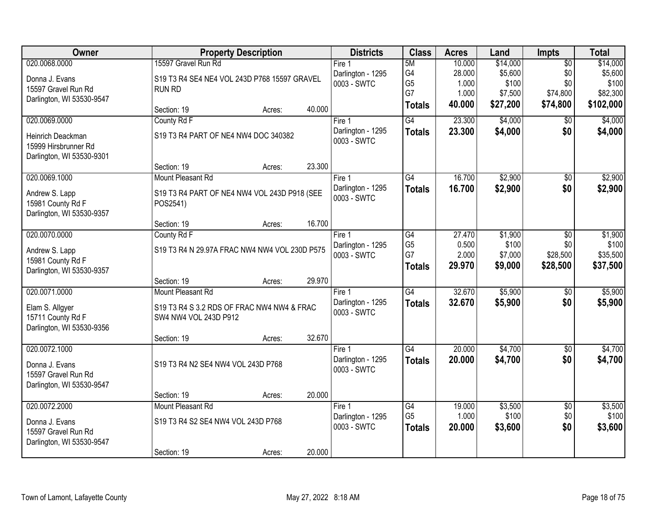| Owner                                                                  |                                                                     | <b>Property Description</b> |        | <b>Districts</b>                 | <b>Class</b>         | <b>Acres</b>   | Land             | <b>Impts</b>    | <b>Total</b>      |
|------------------------------------------------------------------------|---------------------------------------------------------------------|-----------------------------|--------|----------------------------------|----------------------|----------------|------------------|-----------------|-------------------|
| 020.0068.0000                                                          | 15597 Gravel Run Rd                                                 |                             |        | Fire 1                           | 5M                   | 10.000         | \$14,000         | $\overline{50}$ | \$14,000          |
| Donna J. Evans                                                         | S19 T3 R4 SE4 NE4 VOL 243D P768 15597 GRAVEL                        |                             |        | Darlington - 1295                | G4                   | 28.000         | \$5,600          | \$0             | \$5,600           |
| 15597 Gravel Run Rd                                                    | <b>RUN RD</b>                                                       |                             |        | 0003 - SWTC                      | G <sub>5</sub><br>G7 | 1.000<br>1.000 | \$100<br>\$7,500 | \$0<br>\$74,800 | \$100<br>\$82,300 |
| Darlington, WI 53530-9547                                              |                                                                     |                             |        |                                  | <b>Totals</b>        | 40.000         | \$27,200         | \$74,800        | \$102,000         |
|                                                                        | Section: 19                                                         | Acres:                      | 40.000 |                                  |                      |                |                  |                 |                   |
| 020.0069.0000                                                          | County Rd F                                                         |                             |        | Fire 1                           | G4                   | 23.300         | \$4,000          | $\overline{50}$ | \$4,000           |
| Heinrich Deackman<br>15999 Hirsbrunner Rd<br>Darlington, WI 53530-9301 | S19 T3 R4 PART OF NE4 NW4 DOC 340382                                |                             |        | Darlington - 1295<br>0003 - SWTC | <b>Totals</b>        | 23.300         | \$4,000          | \$0             | \$4,000           |
|                                                                        | Section: 19                                                         | Acres:                      | 23.300 |                                  |                      |                |                  |                 |                   |
| 020.0069.1000                                                          | Mount Pleasant Rd                                                   |                             |        | Fire 1                           | G4                   | 16.700         | \$2,900          | \$0             | \$2,900           |
| Andrew S. Lapp<br>15981 County Rd F<br>Darlington, WI 53530-9357       | S19 T3 R4 PART OF NE4 NW4 VOL 243D P918 (SEE<br>POS2541)            |                             |        | Darlington - 1295<br>0003 - SWTC | <b>Totals</b>        | 16.700         | \$2,900          | \$0             | \$2,900           |
|                                                                        | Section: 19                                                         | Acres:                      | 16.700 |                                  |                      |                |                  |                 |                   |
| 020.0070.0000                                                          | County Rd F                                                         |                             |        | Fire 1                           | G4                   | 27.470         | \$1,900          | \$0             | \$1,900           |
| Andrew S. Lapp                                                         | S19 T3 R4 N 29.97A FRAC NW4 NW4 VOL 230D P575                       |                             |        | Darlington - 1295                | G <sub>5</sub>       | 0.500          | \$100            | \$0             | \$100             |
| 15981 County Rd F                                                      |                                                                     |                             |        | 0003 - SWTC                      | G7                   | 2.000          | \$7,000          | \$28,500        | \$35,500          |
| Darlington, WI 53530-9357                                              |                                                                     |                             |        |                                  | <b>Totals</b>        | 29.970         | \$9,000          | \$28,500        | \$37,500          |
|                                                                        | Section: 19                                                         | Acres:                      | 29.970 |                                  |                      |                |                  |                 |                   |
| 020.0071.0000                                                          | Mount Pleasant Rd                                                   |                             |        | Fire 1                           | $\overline{G4}$      | 32.670         | \$5,900          | $\overline{50}$ | \$5,900           |
| Elam S. Allgyer<br>15711 County Rd F<br>Darlington, WI 53530-9356      | S19 T3 R4 S 3.2 RDS OF FRAC NW4 NW4 & FRAC<br>SW4 NW4 VOL 243D P912 |                             |        | Darlington - 1295<br>0003 - SWTC | <b>Totals</b>        | 32.670         | \$5,900          | \$0             | \$5,900           |
|                                                                        | Section: 19                                                         | Acres:                      | 32.670 |                                  |                      |                |                  |                 |                   |
| 020.0072.1000                                                          |                                                                     |                             |        | Fire 1                           | G4                   | 20.000         | \$4,700          | $\overline{60}$ | \$4,700           |
| Donna J. Evans<br>15597 Gravel Run Rd<br>Darlington, WI 53530-9547     | S19 T3 R4 N2 SE4 NW4 VOL 243D P768                                  |                             |        | Darlington - 1295<br>0003 - SWTC | <b>Totals</b>        | 20.000         | \$4,700          | \$0             | \$4,700           |
|                                                                        | Section: 19                                                         | Acres:                      | 20.000 |                                  |                      |                |                  |                 |                   |
| 020.0072.2000                                                          | Mount Pleasant Rd                                                   |                             |        | Fire 1                           | G4                   | 19.000         | \$3,500          | $\overline{50}$ | \$3,500           |
| Donna J. Evans                                                         | S19 T3 R4 S2 SE4 NW4 VOL 243D P768                                  |                             |        | Darlington - 1295                | G <sub>5</sub>       | 1.000          | \$100            | \$0             | \$100             |
| 15597 Gravel Run Rd                                                    |                                                                     |                             |        | 0003 - SWTC                      | <b>Totals</b>        | 20.000         | \$3,600          | \$0             | \$3,600           |
| Darlington, WI 53530-9547                                              |                                                                     |                             |        |                                  |                      |                |                  |                 |                   |
|                                                                        | Section: 19                                                         | Acres:                      | 20.000 |                                  |                      |                |                  |                 |                   |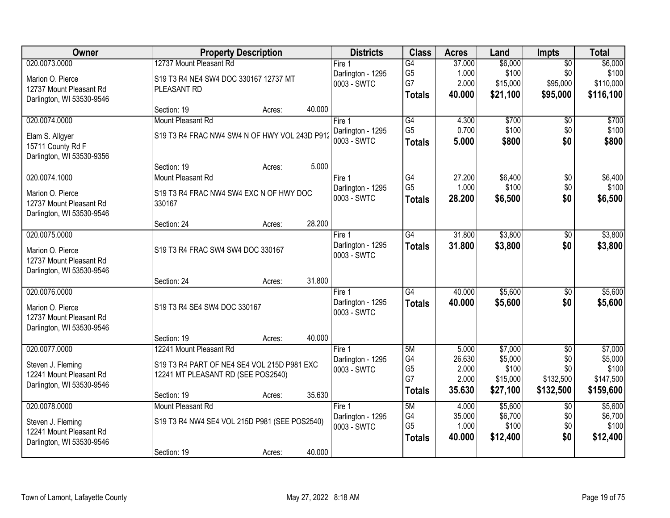| Owner                     |                                               | <b>Property Description</b> |        | <b>Districts</b>                 | <b>Class</b>    | <b>Acres</b>    | Land               | Impts                  | <b>Total</b>       |
|---------------------------|-----------------------------------------------|-----------------------------|--------|----------------------------------|-----------------|-----------------|--------------------|------------------------|--------------------|
| 020.0073.0000             | 12737 Mount Pleasant Rd                       |                             |        | Fire 1                           | G4              | 37.000          | \$6,000            | $\overline{50}$        | \$6,000            |
| Marion O. Pierce          | S19 T3 R4 NE4 SW4 DOC 330167 12737 MT         |                             |        | Darlington - 1295                | G <sub>5</sub>  | 1.000           | \$100              | \$0                    | \$100              |
| 12737 Mount Pleasant Rd   | PLEASANT RD                                   |                             |        | 0003 - SWTC                      | G7              | 2.000           | \$15,000           | \$95,000               | \$110,000          |
| Darlington, WI 53530-9546 |                                               |                             |        |                                  | <b>Totals</b>   | 40.000          | \$21,100           | \$95,000               | \$116,100          |
|                           | Section: 19                                   | Acres:                      | 40.000 |                                  |                 |                 |                    |                        |                    |
| 020.0074.0000             | Mount Pleasant Rd                             |                             |        | Fire 1                           | G4              | 4.300           | \$700              | $\overline{50}$        | \$700              |
| Elam S. Allgyer           | S19 T3 R4 FRAC NW4 SW4 N OF HWY VOL 243D P912 |                             |        | Darlington - 1295                | G <sub>5</sub>  | 0.700           | \$100              | \$0                    | \$100              |
| 15711 County Rd F         |                                               |                             |        | 0003 - SWTC                      | <b>Totals</b>   | 5.000           | \$800              | \$0                    | \$800              |
| Darlington, WI 53530-9356 |                                               |                             |        |                                  |                 |                 |                    |                        |                    |
|                           | Section: 19                                   | Acres:                      | 5.000  |                                  |                 |                 |                    |                        |                    |
| 020.0074.1000             | Mount Pleasant Rd                             |                             |        | Fire 1                           | G4              | 27.200          | \$6,400            | \$0                    | \$6,400            |
| Marion O. Pierce          | S19 T3 R4 FRAC NW4 SW4 EXC N OF HWY DOC       |                             |        | Darlington - 1295                | G <sub>5</sub>  | 1.000           | \$100              | \$0                    | \$100              |
| 12737 Mount Pleasant Rd   | 330167                                        |                             |        | 0003 - SWTC                      | <b>Totals</b>   | 28.200          | \$6,500            | \$0                    | \$6,500            |
| Darlington, WI 53530-9546 |                                               |                             |        |                                  |                 |                 |                    |                        |                    |
|                           | Section: 24                                   | Acres:                      | 28.200 |                                  |                 |                 |                    |                        |                    |
| 020.0075.0000             |                                               |                             |        | Fire 1                           | G4              | 31.800          | \$3,800            | \$0                    | \$3,800            |
| Marion O. Pierce          | S19 T3 R4 FRAC SW4 SW4 DOC 330167             |                             |        | Darlington - 1295<br>0003 - SWTC | <b>Totals</b>   | 31.800          | \$3,800            | \$0                    | \$3,800            |
| 12737 Mount Pleasant Rd   |                                               |                             |        |                                  |                 |                 |                    |                        |                    |
| Darlington, WI 53530-9546 |                                               |                             |        |                                  |                 |                 |                    |                        |                    |
|                           | Section: 24                                   | Acres:                      | 31.800 |                                  |                 |                 |                    |                        |                    |
| 020.0076.0000             |                                               |                             |        | Fire 1                           | $\overline{G4}$ | 40.000          | \$5,600            | $\overline{50}$        | \$5,600            |
| Marion O. Pierce          | S19 T3 R4 SE4 SW4 DOC 330167                  |                             |        | Darlington - 1295<br>0003 - SWTC | <b>Totals</b>   | 40.000          | \$5,600            | \$0                    | \$5,600            |
| 12737 Mount Pleasant Rd   |                                               |                             |        |                                  |                 |                 |                    |                        |                    |
| Darlington, WI 53530-9546 |                                               |                             |        |                                  |                 |                 |                    |                        |                    |
|                           | Section: 19                                   | Acres:                      | 40.000 |                                  |                 |                 |                    |                        |                    |
| 020.0077.0000             | 12241 Mount Pleasant Rd                       |                             |        | Fire 1                           | 5M<br>G4        | 5.000<br>26.630 | \$7,000<br>\$5,000 | $\overline{50}$<br>\$0 | \$7,000<br>\$5,000 |
| Steven J. Fleming         | S19 T3 R4 PART OF NE4 SE4 VOL 215D P981 EXC   |                             |        | Darlington - 1295<br>0003 - SWTC | G <sub>5</sub>  | 2.000           | \$100              | \$0                    | \$100              |
| 12241 Mount Pleasant Rd   | 12241 MT PLEASANT RD (SEE POS2540)            |                             |        |                                  | G7              | 2.000           | \$15,000           | \$132,500              | \$147,500          |
| Darlington, WI 53530-9546 |                                               |                             |        |                                  | <b>Totals</b>   | 35.630          | \$27,100           | \$132,500              | \$159,600          |
|                           | Section: 19                                   | Acres:                      | 35.630 |                                  |                 |                 |                    |                        |                    |
| 020.0078.0000             | Mount Pleasant Rd                             |                             |        | Fire 1                           | 5M<br>G4        | 4.000<br>35.000 | \$5,600<br>\$6,700 | $\overline{50}$<br>\$0 | \$5,600<br>\$6,700 |
| Steven J. Fleming         | S19 T3 R4 NW4 SE4 VOL 215D P981 (SEE POS2540) |                             |        | Darlington - 1295<br>0003 - SWTC | G <sub>5</sub>  | 1.000           | \$100              | \$0                    | \$100              |
| 12241 Mount Pleasant Rd   |                                               |                             |        |                                  | <b>Totals</b>   | 40.000          | \$12,400           | \$0                    | \$12,400           |
| Darlington, WI 53530-9546 |                                               |                             |        |                                  |                 |                 |                    |                        |                    |
|                           | Section: 19                                   | Acres:                      | 40.000 |                                  |                 |                 |                    |                        |                    |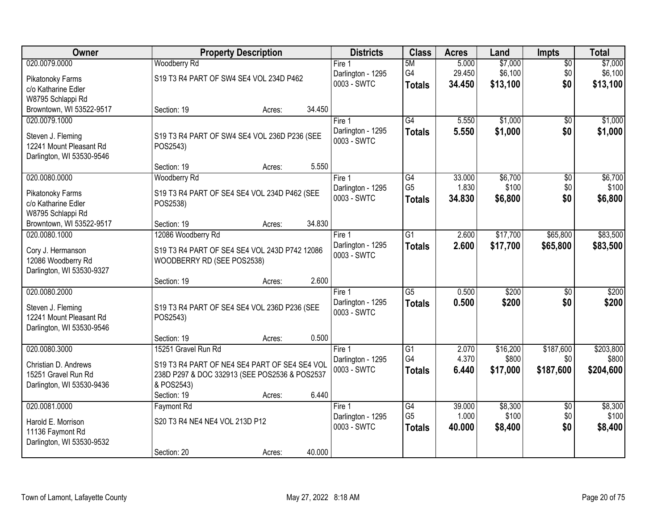| Owner                     |                                               | <b>Property Description</b> |        | <b>Districts</b>                 | <b>Class</b>    | <b>Acres</b> | Land     | Impts           | <b>Total</b> |
|---------------------------|-----------------------------------------------|-----------------------------|--------|----------------------------------|-----------------|--------------|----------|-----------------|--------------|
| 020.0079.0000             | <b>Woodberry Rd</b>                           |                             |        | Fire 1                           | 5M              | 5.000        | \$7,000  | $\overline{50}$ | \$7,000      |
| Pikatonoky Farms          | S19 T3 R4 PART OF SW4 SE4 VOL 234D P462       |                             |        | Darlington - 1295                | G4              | 29.450       | \$6,100  | \$0             | \$6,100      |
| c/o Katharine Edler       |                                               |                             |        | 0003 - SWTC                      | <b>Totals</b>   | 34.450       | \$13,100 | \$0             | \$13,100     |
| W8795 Schlappi Rd         |                                               |                             |        |                                  |                 |              |          |                 |              |
| Browntown, WI 53522-9517  | Section: 19                                   | Acres:                      | 34.450 |                                  |                 |              |          |                 |              |
| 020.0079.1000             |                                               |                             |        | Fire 1                           | G4              | 5.550        | \$1,000  | \$0             | \$1,000      |
| Steven J. Fleming         | S19 T3 R4 PART OF SW4 SE4 VOL 236D P236 (SEE  |                             |        | Darlington - 1295                | <b>Totals</b>   | 5.550        | \$1,000  | \$0             | \$1,000      |
| 12241 Mount Pleasant Rd   | POS2543)                                      |                             |        | 0003 - SWTC                      |                 |              |          |                 |              |
| Darlington, WI 53530-9546 |                                               |                             |        |                                  |                 |              |          |                 |              |
|                           | Section: 19                                   | Acres:                      | 5.550  |                                  |                 |              |          |                 |              |
| 020.0080.0000             | Woodberry Rd                                  |                             |        | Fire 1                           | G4              | 33.000       | \$6,700  | $\overline{50}$ | \$6,700      |
| Pikatonoky Farms          | S19 T3 R4 PART OF SE4 SE4 VOL 234D P462 (SEE  |                             |        | Darlington - 1295                | G <sub>5</sub>  | 1.830        | \$100    | \$0             | \$100        |
| c/o Katharine Edler       | POS2538)                                      |                             |        | 0003 - SWTC                      | <b>Totals</b>   | 34.830       | \$6,800  | \$0             | \$6,800      |
| W8795 Schlappi Rd         |                                               |                             |        |                                  |                 |              |          |                 |              |
| Browntown, WI 53522-9517  | Section: 19                                   | Acres:                      | 34.830 |                                  |                 |              |          |                 |              |
| 020.0080.1000             | 12086 Woodberry Rd                            |                             |        | Fire 1                           | $\overline{G1}$ | 2.600        | \$17,700 | \$65,800        | \$83,500     |
| Cory J. Hermanson         | S19 T3 R4 PART OF SE4 SE4 VOL 243D P742 12086 |                             |        | Darlington - 1295                | <b>Totals</b>   | 2.600        | \$17,700 | \$65,800        | \$83,500     |
| 12086 Woodberry Rd        | WOODBERRY RD (SEE POS2538)                    |                             |        | 0003 - SWTC                      |                 |              |          |                 |              |
| Darlington, WI 53530-9327 |                                               |                             |        |                                  |                 |              |          |                 |              |
|                           | Section: 19                                   | Acres:                      | 2.600  |                                  |                 |              |          |                 |              |
| 020.0080.2000             |                                               |                             |        | Fire 1                           | $\overline{G5}$ | 0.500        | \$200    | $\overline{50}$ | \$200        |
| Steven J. Fleming         | S19 T3 R4 PART OF SE4 SE4 VOL 236D P236 (SEE  |                             |        | Darlington - 1295                | <b>Totals</b>   | 0.500        | \$200    | \$0             | \$200        |
| 12241 Mount Pleasant Rd   | POS2543)                                      |                             |        | 0003 - SWTC                      |                 |              |          |                 |              |
| Darlington, WI 53530-9546 |                                               |                             |        |                                  |                 |              |          |                 |              |
|                           | Section: 19                                   | Acres:                      | 0.500  |                                  |                 |              |          |                 |              |
| 020.0080.3000             | 15251 Gravel Run Rd                           |                             |        | Fire 1                           | $\overline{G1}$ | 2.070        | \$16,200 | \$187,600       | \$203,800    |
| Christian D. Andrews      | S19 T3 R4 PART OF NE4 SE4 PART OF SE4 SE4 VOL |                             |        | Darlington - 1295<br>0003 - SWTC | G4              | 4.370        | \$800    | \$0             | \$800        |
| 15251 Gravel Run Rd       | 238D P297 & DOC 332913 (SEE POS2536 & POS2537 |                             |        |                                  | <b>Totals</b>   | 6.440        | \$17,000 | \$187,600       | \$204,600    |
| Darlington, WI 53530-9436 | & POS2543)                                    |                             |        |                                  |                 |              |          |                 |              |
|                           | Section: 19                                   | Acres:                      | 6.440  |                                  |                 |              |          |                 |              |
| 020.0081.0000             | <b>Faymont Rd</b>                             |                             |        | Fire 1                           | $\overline{G4}$ | 39.000       | \$8,300  | $\overline{50}$ | \$8,300      |
| Harold E. Morrison        | S20 T3 R4 NE4 NE4 VOL 213D P12                |                             |        | Darlington - 1295<br>0003 - SWTC | G <sub>5</sub>  | 1.000        | \$100    | \$0             | \$100        |
| 11136 Faymont Rd          |                                               |                             |        |                                  | <b>Totals</b>   | 40.000       | \$8,400  | \$0             | \$8,400      |
| Darlington, WI 53530-9532 |                                               |                             |        |                                  |                 |              |          |                 |              |
|                           | Section: 20                                   | Acres:                      | 40.000 |                                  |                 |              |          |                 |              |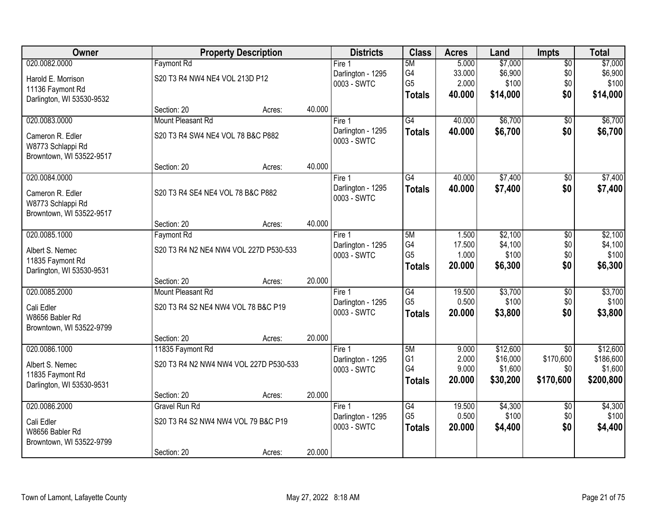| Owner                                       |                                     | <b>Property Description</b>            |        | <b>Districts</b>                 | <b>Class</b>    | <b>Acres</b> | Land     | <b>Impts</b>    | <b>Total</b> |
|---------------------------------------------|-------------------------------------|----------------------------------------|--------|----------------------------------|-----------------|--------------|----------|-----------------|--------------|
| 020.0082.0000                               | <b>Faymont Rd</b>                   |                                        |        | Fire 1                           | 5M              | 5.000        | \$7,000  | $\overline{60}$ | \$7,000      |
| Harold E. Morrison                          | S20 T3 R4 NW4 NE4 VOL 213D P12      |                                        |        | Darlington - 1295                | G4              | 33.000       | \$6,900  | \$0             | \$6,900      |
| 11136 Faymont Rd                            |                                     |                                        |        | 0003 - SWTC                      | G <sub>5</sub>  | 2.000        | \$100    | \$0             | \$100        |
| Darlington, WI 53530-9532                   |                                     |                                        |        |                                  | <b>Totals</b>   | 40.000       | \$14,000 | \$0             | \$14,000     |
|                                             | Section: 20                         | Acres:                                 | 40.000 |                                  |                 |              |          |                 |              |
| 020.0083.0000                               | Mount Pleasant Rd                   |                                        |        | Fire 1                           | $\overline{G4}$ | 40.000       | \$6,700  | $\overline{50}$ | \$6,700      |
| Cameron R. Edler                            | S20 T3 R4 SW4 NE4 VOL 78 B&C P882   |                                        |        | Darlington - 1295                | <b>Totals</b>   | 40.000       | \$6,700  | \$0             | \$6,700      |
| W8773 Schlappi Rd                           |                                     |                                        |        | 0003 - SWTC                      |                 |              |          |                 |              |
| Browntown, WI 53522-9517                    |                                     |                                        |        |                                  |                 |              |          |                 |              |
|                                             | Section: 20                         | Acres:                                 | 40.000 |                                  |                 |              |          |                 |              |
| 020.0084.0000                               |                                     |                                        |        | Fire 1                           | $\overline{G4}$ | 40.000       | \$7,400  | \$0             | \$7,400      |
| Cameron R. Edler                            | S20 T3 R4 SE4 NE4 VOL 78 B&C P882   |                                        |        | Darlington - 1295<br>0003 - SWTC | <b>Totals</b>   | 40.000       | \$7,400  | \$0             | \$7,400      |
| W8773 Schlappi Rd                           |                                     |                                        |        |                                  |                 |              |          |                 |              |
| Browntown, WI 53522-9517                    |                                     |                                        |        |                                  |                 |              |          |                 |              |
| 020.0085.1000                               | Section: 20<br><b>Faymont Rd</b>    | Acres:                                 | 40.000 | Fire 1                           | 5M              | 1.500        | \$2,100  |                 | \$2,100      |
|                                             |                                     |                                        |        | Darlington - 1295                | G4              | 17.500       | \$4,100  | \$0<br>\$0      | \$4,100      |
| Albert S. Nemec                             |                                     | S20 T3 R4 N2 NE4 NW4 VOL 227D P530-533 |        | 0003 - SWTC                      | G <sub>5</sub>  | 1.000        | \$100    | \$0             | \$100        |
| 11835 Faymont Rd                            |                                     |                                        |        |                                  | <b>Totals</b>   | 20.000       | \$6,300  | \$0             | \$6,300      |
| Darlington, WI 53530-9531                   | Section: 20                         | Acres:                                 | 20.000 |                                  |                 |              |          |                 |              |
| 020.0085.2000                               | Mount Pleasant Rd                   |                                        |        | Fire 1                           | $\overline{G4}$ | 19.500       | \$3,700  | $\overline{50}$ | \$3,700      |
|                                             |                                     |                                        |        | Darlington - 1295                | G <sub>5</sub>  | 0.500        | \$100    | \$0             | \$100        |
| Cali Edler                                  | S20 T3 R4 S2 NE4 NW4 VOL 78 B&C P19 |                                        |        | 0003 - SWTC                      | <b>Totals</b>   | 20.000       | \$3,800  | \$0             | \$3,800      |
| W8656 Babler Rd<br>Browntown, WI 53522-9799 |                                     |                                        |        |                                  |                 |              |          |                 |              |
|                                             | Section: 20                         | Acres:                                 | 20.000 |                                  |                 |              |          |                 |              |
| 020.0086.1000                               | 11835 Faymont Rd                    |                                        |        | Fire 1                           | 5M              | 9.000        | \$12,600 | $\overline{50}$ | \$12,600     |
| Albert S. Nemec                             |                                     | S20 T3 R4 N2 NW4 NW4 VOL 227D P530-533 |        | Darlington - 1295                | G <sub>1</sub>  | 2.000        | \$16,000 | \$170,600       | \$186,600    |
| 11835 Faymont Rd                            |                                     |                                        |        | 0003 - SWTC                      | G4              | 9.000        | \$1,600  | \$0             | \$1,600      |
| Darlington, WI 53530-9531                   |                                     |                                        |        |                                  | <b>Totals</b>   | 20.000       | \$30,200 | \$170,600       | \$200,800    |
|                                             | Section: 20                         | Acres:                                 | 20.000 |                                  |                 |              |          |                 |              |
| 020.0086.2000                               | <b>Gravel Run Rd</b>                |                                        |        | Fire 1                           | $\overline{G4}$ | 19.500       | \$4,300  | $\overline{30}$ | \$4,300      |
| Cali Edler                                  | S20 T3 R4 S2 NW4 NW4 VOL 79 B&C P19 |                                        |        | Darlington - 1295                | G <sub>5</sub>  | 0.500        | \$100    | \$0             | \$100        |
| W8656 Babler Rd                             |                                     |                                        |        | 0003 - SWTC                      | <b>Totals</b>   | 20.000       | \$4,400  | \$0             | \$4,400      |
| Browntown, WI 53522-9799                    |                                     |                                        |        |                                  |                 |              |          |                 |              |
|                                             | Section: 20                         | Acres:                                 | 20.000 |                                  |                 |              |          |                 |              |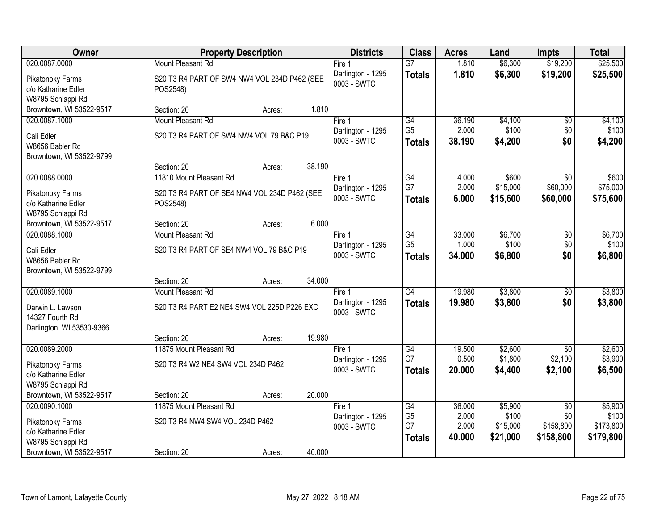| Owner                                                            | <b>Property Description</b>                              | <b>Districts</b>                 | <b>Class</b>                          | <b>Acres</b>             | Land                          | <b>Impts</b>                  | <b>Total</b>                    |
|------------------------------------------------------------------|----------------------------------------------------------|----------------------------------|---------------------------------------|--------------------------|-------------------------------|-------------------------------|---------------------------------|
| 020.0087.0000                                                    | Mount Pleasant Rd                                        | Fire 1                           | $\overline{G7}$                       | 1.810                    | \$6,300                       | \$19,200                      | \$25,500                        |
| Pikatonoky Farms<br>c/o Katharine Edler<br>W8795 Schlappi Rd     | S20 T3 R4 PART OF SW4 NW4 VOL 234D P462 (SEE<br>POS2548) | Darlington - 1295<br>0003 - SWTC | <b>Totals</b>                         | 1.810                    | \$6,300                       | \$19,200                      | \$25,500                        |
| Browntown, WI 53522-9517                                         | 1.810<br>Section: 20<br>Acres:                           |                                  |                                       |                          |                               |                               |                                 |
| 020.0087.1000                                                    | Mount Pleasant Rd                                        | Fire 1                           | $\overline{G4}$                       | 36.190                   | \$4,100                       | \$0                           | \$4,100                         |
| Cali Edler<br>W8656 Babler Rd<br>Browntown, WI 53522-9799        | S20 T3 R4 PART OF SW4 NW4 VOL 79 B&C P19                 | Darlington - 1295<br>0003 - SWTC | G <sub>5</sub><br><b>Totals</b>       | 2.000<br>38.190          | \$100<br>\$4,200              | \$0<br>\$0                    | \$100<br>\$4,200                |
|                                                                  | 38.190<br>Section: 20<br>Acres:                          |                                  |                                       |                          |                               |                               |                                 |
| 020.0088.0000                                                    | 11810 Mount Pleasant Rd                                  | Fire 1                           | G4                                    | 4.000                    | \$600                         | $\overline{50}$               | \$600                           |
| Pikatonoky Farms<br>c/o Katharine Edler<br>W8795 Schlappi Rd     | S20 T3 R4 PART OF SE4 NW4 VOL 234D P462 (SEE<br>POS2548) | Darlington - 1295<br>0003 - SWTC | G7<br><b>Totals</b>                   | 2.000<br>6.000           | \$15,000<br>\$15,600          | \$60,000<br>\$60,000          | \$75,000<br>\$75,600            |
| Browntown, WI 53522-9517                                         | 6.000<br>Section: 20<br>Acres:                           |                                  |                                       |                          |                               |                               |                                 |
| 020.0088.1000                                                    | Mount Pleasant Rd                                        | Fire 1                           | $\overline{G4}$                       | 33.000                   | \$6,700                       | \$0                           | \$6,700                         |
| Cali Edler<br>W8656 Babler Rd<br>Browntown, WI 53522-9799        | S20 T3 R4 PART OF SE4 NW4 VOL 79 B&C P19                 | Darlington - 1295<br>0003 - SWTC | G <sub>5</sub><br><b>Totals</b>       | 1.000<br>34.000          | \$100<br>\$6,800              | \$0<br>\$0                    | \$100<br>\$6,800                |
|                                                                  | 34.000<br>Section: 20<br>Acres:                          |                                  |                                       |                          |                               |                               |                                 |
| 020.0089.1000                                                    | Mount Pleasant Rd                                        | Fire 1                           | $\overline{G4}$                       | 19.980                   | \$3,800                       | \$0                           | \$3,800                         |
| Darwin L. Lawson<br>14327 Fourth Rd<br>Darlington, WI 53530-9366 | S20 T3 R4 PART E2 NE4 SW4 VOL 225D P226 EXC              | Darlington - 1295<br>0003 - SWTC | <b>Totals</b>                         | 19.980                   | \$3,800                       | \$0                           | \$3,800                         |
|                                                                  | 19.980<br>Section: 20<br>Acres:                          |                                  |                                       |                          |                               |                               |                                 |
| 020.0089.2000                                                    | 11875 Mount Pleasant Rd                                  | Fire 1                           | $\overline{G4}$                       | 19.500                   | \$2,600                       | $\overline{50}$               | \$2,600                         |
| Pikatonoky Farms<br>c/o Katharine Edler<br>W8795 Schlappi Rd     | S20 T3 R4 W2 NE4 SW4 VOL 234D P462                       | Darlington - 1295<br>0003 - SWTC | G7<br><b>Totals</b>                   | 0.500<br>20.000          | \$1,800<br>\$4,400            | \$2,100<br>\$2,100            | \$3,900<br>\$6,500              |
| Browntown, WI 53522-9517                                         | 20.000<br>Section: 20<br>Acres:                          |                                  |                                       |                          |                               |                               |                                 |
| 020.0090.1000                                                    | 11875 Mount Pleasant Rd                                  | Fire 1                           | G4                                    | 36.000                   | \$5,900                       | $\overline{30}$               | \$5,900                         |
| Pikatonoky Farms<br>c/o Katharine Edler<br>W8795 Schlappi Rd     | S20 T3 R4 NW4 SW4 VOL 234D P462                          | Darlington - 1295<br>0003 - SWTC | G <sub>5</sub><br>G7<br><b>Totals</b> | 2.000<br>2.000<br>40.000 | \$100<br>\$15,000<br>\$21,000 | \$0<br>\$158,800<br>\$158,800 | \$100<br>\$173,800<br>\$179,800 |
| Browntown, WI 53522-9517                                         | 40.000<br>Section: 20<br>Acres:                          |                                  |                                       |                          |                               |                               |                                 |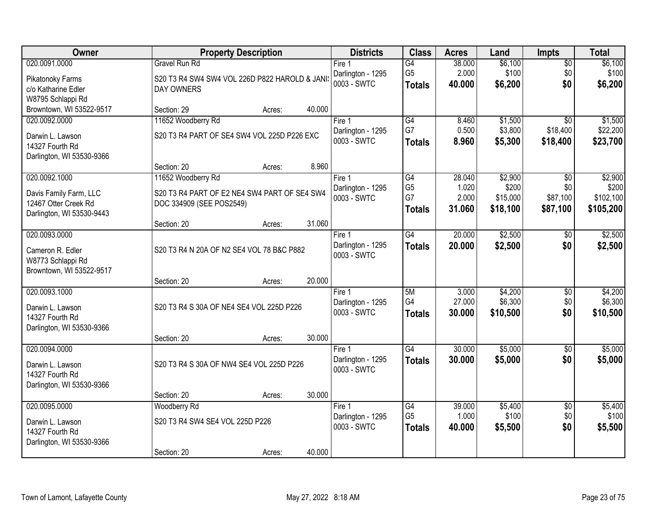| Owner                     | <b>Property Description</b>                     | <b>Districts</b>                 | <b>Class</b>         | <b>Acres</b>    | Land               | <b>Impts</b>           | <b>Total</b>       |
|---------------------------|-------------------------------------------------|----------------------------------|----------------------|-----------------|--------------------|------------------------|--------------------|
| 020.0091.0000             | <b>Gravel Run Rd</b>                            | Fire 1                           | G4                   | 38.000          | \$6,100            | $\overline{60}$        | \$6,100            |
| Pikatonoky Farms          | S20 T3 R4 SW4 SW4 VOL 226D P822 HAROLD & JANI:  | Darlington - 1295                | G <sub>5</sub>       | 2.000           | \$100              | \$0                    | \$100              |
| c/o Katharine Edler       | DAY OWNERS                                      | 0003 - SWTC                      | <b>Totals</b>        | 40.000          | \$6,200            | \$0                    | \$6,200            |
| W8795 Schlappi Rd         |                                                 |                                  |                      |                 |                    |                        |                    |
| Browntown, WI 53522-9517  | 40.000<br>Section: 29<br>Acres:                 |                                  |                      |                 |                    |                        |                    |
| 020.0092.0000             | 11652 Woodberry Rd                              | Fire 1                           | $\overline{G4}$      | 8.460           | \$1,500            | $\overline{50}$        | \$1,500            |
| Darwin L. Lawson          | S20 T3 R4 PART OF SE4 SW4 VOL 225D P226 EXC     | Darlington - 1295                | G7                   | 0.500           | \$3,800            | \$18,400               | \$22,200           |
| 14327 Fourth Rd           |                                                 | 0003 - SWTC                      | <b>Totals</b>        | 8.960           | \$5,300            | \$18,400               | \$23,700           |
| Darlington, WI 53530-9366 |                                                 |                                  |                      |                 |                    |                        |                    |
|                           | 8.960<br>Section: 20<br>Acres:                  |                                  |                      |                 |                    |                        |                    |
| 020.0092.1000             | 11652 Woodberry Rd                              | Fire 1                           | $\overline{G4}$      | 28.040          | \$2,900            | \$0                    | \$2,900            |
| Davis Family Farm, LLC    | S20 T3 R4 PART OF E2 NE4 SW4 PART OF SE4 SW4    | Darlington - 1295<br>0003 - SWTC | G <sub>5</sub><br>G7 | 1.020<br>2.000  | \$200<br>\$15,000  | \$0<br>\$87,100        | \$200<br>\$102,100 |
| 12467 Otter Creek Rd      | DOC 334909 (SEE POS2549)                        |                                  | <b>Totals</b>        | 31.060          | \$18,100           | \$87,100               | \$105,200          |
| Darlington, WI 53530-9443 |                                                 |                                  |                      |                 |                    |                        |                    |
|                           | 31.060<br>Section: 20<br>Acres:                 |                                  |                      |                 |                    |                        |                    |
| 020.0093.0000             |                                                 | Fire 1                           | $\overline{G4}$      | 20.000          | \$2,500            | $\sqrt{6}$             | \$2,500            |
| Cameron R. Edler          | S20 T3 R4 N 20A OF N2 SE4 VOL 78 B&C P882       | Darlington - 1295<br>0003 - SWTC | <b>Totals</b>        | 20,000          | \$2,500            | \$0                    | \$2,500            |
| W8773 Schlappi Rd         |                                                 |                                  |                      |                 |                    |                        |                    |
| Browntown, WI 53522-9517  |                                                 |                                  |                      |                 |                    |                        |                    |
|                           | 20.000<br>Section: 20<br>Acres:                 |                                  |                      |                 |                    |                        |                    |
| 020.0093.1000             |                                                 | Fire 1                           | 5M<br>G4             | 3.000<br>27.000 | \$4,200<br>\$6,300 | $\overline{30}$<br>\$0 | \$4,200<br>\$6,300 |
| Darwin L. Lawson          | S20 T3 R4 S 30A OF NE4 SE4 VOL 225D P226        | Darlington - 1295<br>0003 - SWTC | <b>Totals</b>        | 30.000          | \$10,500           | \$0                    | \$10,500           |
| 14327 Fourth Rd           |                                                 |                                  |                      |                 |                    |                        |                    |
| Darlington, WI 53530-9366 |                                                 |                                  |                      |                 |                    |                        |                    |
| 020.0094.0000             | 30.000<br>Section: 20<br>Acres:                 |                                  | $\overline{G4}$      | 30.000          | \$5,000            |                        | \$5,000            |
|                           |                                                 | Fire 1<br>Darlington - 1295      | <b>Totals</b>        | 30.000          | \$5,000            | $\sqrt{6}$<br>\$0      | \$5,000            |
| Darwin L. Lawson          | S20 T3 R4 S 30A OF NW4 SE4 VOL 225D P226        | 0003 - SWTC                      |                      |                 |                    |                        |                    |
| 14327 Fourth Rd           |                                                 |                                  |                      |                 |                    |                        |                    |
| Darlington, WI 53530-9366 |                                                 |                                  |                      |                 |                    |                        |                    |
| 020.0095.0000             | 30.000<br>Section: 20<br>Acres:<br>Woodberry Rd | Fire 1                           | $\overline{G4}$      | 39.000          | \$5,400            | $\overline{50}$        | \$5,400            |
|                           |                                                 | Darlington - 1295                | G <sub>5</sub>       | 1.000           | \$100              | \$0                    | \$100              |
| Darwin L. Lawson          | S20 T3 R4 SW4 SE4 VOL 225D P226                 | 0003 - SWTC                      | <b>Totals</b>        | 40.000          | \$5,500            | \$0                    | \$5,500            |
| 14327 Fourth Rd           |                                                 |                                  |                      |                 |                    |                        |                    |
| Darlington, WI 53530-9366 | 40.000<br>Section: 20                           |                                  |                      |                 |                    |                        |                    |
|                           | Acres:                                          |                                  |                      |                 |                    |                        |                    |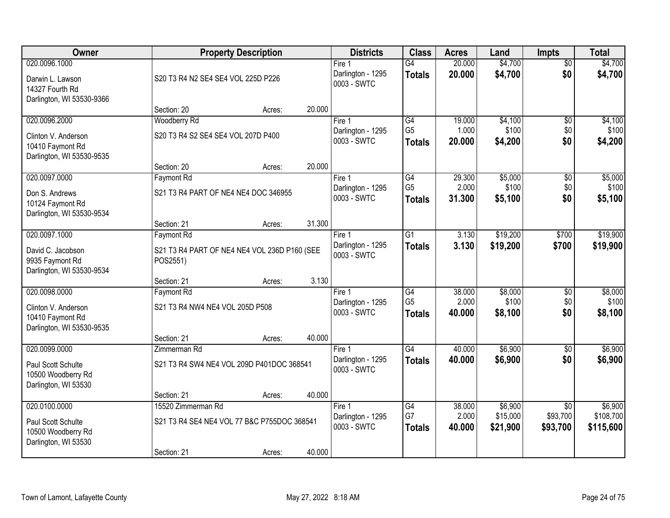| Owner                                                                                 |                                                                                  | <b>Property Description</b>        |        | <b>Districts</b>                             | <b>Class</b>                                       | <b>Acres</b>              | Land                            | <b>Impts</b>                            | <b>Total</b>                      |
|---------------------------------------------------------------------------------------|----------------------------------------------------------------------------------|------------------------------------|--------|----------------------------------------------|----------------------------------------------------|---------------------------|---------------------------------|-----------------------------------------|-----------------------------------|
| 020.0096.1000<br>Darwin L. Lawson<br>14327 Fourth Rd<br>Darlington, WI 53530-9366     |                                                                                  | S20 T3 R4 N2 SE4 SE4 VOL 225D P226 |        | Fire 1<br>Darlington - 1295<br>0003 - SWTC   | $\overline{G4}$<br><b>Totals</b>                   | 20.000<br>20.000          | \$4,700<br>\$4,700              | $\overline{50}$<br>\$0                  | \$4,700<br>\$4,700                |
|                                                                                       | Section: 20                                                                      | Acres:                             | 20.000 |                                              |                                                    |                           |                                 |                                         |                                   |
| 020.0096.2000                                                                         | Woodberry Rd                                                                     |                                    |        | Fire 1                                       | G4                                                 | 19.000                    | \$4,100                         | \$0                                     | \$4,100                           |
| Clinton V. Anderson<br>10410 Faymont Rd<br>Darlington, WI 53530-9535                  | S20 T3 R4 S2 SE4 SE4 VOL 207D P400                                               |                                    |        | Darlington - 1295<br>0003 - SWTC             | G <sub>5</sub><br><b>Totals</b>                    | 1.000<br>20.000           | \$100<br>\$4,200                | \$0<br>\$0                              | \$100<br>\$4,200                  |
|                                                                                       | Section: 20                                                                      | Acres:                             | 20.000 |                                              |                                                    |                           |                                 |                                         |                                   |
| 020.0097.0000<br>Don S. Andrews<br>10124 Faymont Rd<br>Darlington, WI 53530-9534      | <b>Faymont Rd</b><br>S21 T3 R4 PART OF NE4 NE4 DOC 346955                        |                                    |        | Fire 1<br>Darlington - 1295<br>0003 - SWTC   | $\overline{G4}$<br>G <sub>5</sub><br><b>Totals</b> | 29.300<br>2.000<br>31.300 | \$5,000<br>\$100<br>\$5,100     | \$0<br>\$0<br>\$0                       | \$5,000<br>\$100<br>\$5,100       |
|                                                                                       | Section: 21                                                                      | Acres:                             | 31.300 |                                              |                                                    |                           |                                 |                                         |                                   |
| 020.0097.1000                                                                         | Faymont Rd                                                                       |                                    |        | Fire 1                                       | G1                                                 | 3.130                     | \$19,200                        | \$700                                   | \$19,900                          |
| David C. Jacobson<br>9935 Faymont Rd<br>Darlington, WI 53530-9534                     | S21 T3 R4 PART OF NE4 NE4 VOL 236D P160 (SEE<br>POS2551)                         |                                    |        | Darlington - 1295<br>0003 - SWTC             | <b>Totals</b>                                      | 3.130                     | \$19,200                        | \$700                                   | \$19,900                          |
|                                                                                       | Section: 21                                                                      | Acres:                             | 3.130  |                                              |                                                    |                           |                                 |                                         |                                   |
| 020.0098.0000<br>Clinton V. Anderson<br>10410 Faymont Rd<br>Darlington, WI 53530-9535 | Faymont Rd<br>S21 T3 R4 NW4 NE4 VOL 205D P508                                    |                                    |        | Fire $1$<br>Darlington - 1295<br>0003 - SWTC | $\overline{G4}$<br>G <sub>5</sub><br><b>Totals</b> | 38.000<br>2.000<br>40,000 | \$8,000<br>\$100<br>\$8,100     | $\overline{50}$<br>\$0<br>\$0           | \$8,000<br>\$100<br>\$8,100       |
|                                                                                       | Section: 21                                                                      | Acres:                             | 40.000 |                                              |                                                    |                           |                                 |                                         |                                   |
| 020.0099.0000<br>Paul Scott Schulte<br>10500 Woodberry Rd<br>Darlington, WI 53530     | Zimmerman Rd<br>S21 T3 R4 SW4 NE4 VOL 209D P401DOC 368541                        |                                    |        | Fire 1<br>Darlington - 1295<br>0003 - SWTC   | $\overline{G4}$<br><b>Totals</b>                   | 40.000<br>40.000          | \$6,900<br>\$6,900              | $\sqrt{6}$<br>\$0                       | \$6,900<br>\$6,900                |
|                                                                                       | Section: 21                                                                      | Acres:                             | 40.000 |                                              |                                                    |                           |                                 |                                         |                                   |
| 020.0100.0000<br>Paul Scott Schulte<br>10500 Woodberry Rd<br>Darlington, WI 53530     | 15520 Zimmerman Rd<br>S21 T3 R4 SE4 NE4 VOL 77 B&C P755DOC 368541<br>Section: 21 | Acres:                             | 40.000 | Fire 1<br>Darlington - 1295<br>0003 - SWTC   | $\overline{G4}$<br>G7<br><b>Totals</b>             | 38.000<br>2.000<br>40.000 | \$6,900<br>\$15,000<br>\$21,900 | $\overline{50}$<br>\$93,700<br>\$93,700 | \$6,900<br>\$108,700<br>\$115,600 |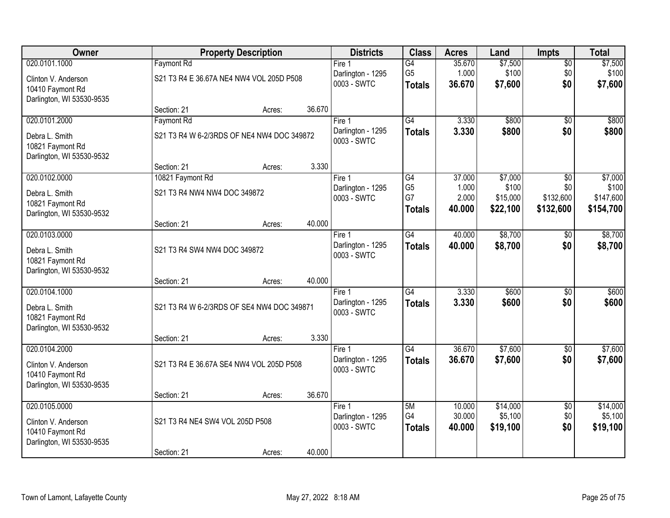| <b>Owner</b>                                  |                                 | <b>Property Description</b>                |        |                                  | <b>Class</b>         | <b>Acres</b>   | Land              | <b>Impts</b>           | <b>Total</b>       |
|-----------------------------------------------|---------------------------------|--------------------------------------------|--------|----------------------------------|----------------------|----------------|-------------------|------------------------|--------------------|
| 020.0101.1000                                 | <b>Faymont Rd</b>               |                                            |        | Fire 1                           | $\overline{G4}$      | 35.670         | \$7,500           | $\overline{50}$        | \$7,500            |
| Clinton V. Anderson                           |                                 | S21 T3 R4 E 36.67A NE4 NW4 VOL 205D P508   |        | Darlington - 1295<br>0003 - SWTC | G <sub>5</sub>       | 1.000          | \$100             | \$0                    | \$100              |
| 10410 Faymont Rd                              |                                 |                                            |        |                                  | <b>Totals</b>        | 36.670         | \$7,600           | \$0                    | \$7,600            |
| Darlington, WI 53530-9535                     | Section: 21                     |                                            | 36.670 |                                  |                      |                |                   |                        |                    |
| 020.0101.2000                                 | Faymont Rd                      | Acres:                                     |        | Fire 1                           | $\overline{G4}$      | 3.330          | \$800             | $\overline{50}$        | \$800              |
|                                               |                                 |                                            |        | Darlington - 1295                | <b>Totals</b>        | 3.330          | \$800             | \$0                    | \$800              |
| Debra L. Smith<br>10821 Faymont Rd            |                                 | S21 T3 R4 W 6-2/3RDS OF NE4 NW4 DOC 349872 |        | 0003 - SWTC                      |                      |                |                   |                        |                    |
| Darlington, WI 53530-9532                     |                                 |                                            |        |                                  |                      |                |                   |                        |                    |
|                                               | Section: 21                     | Acres:                                     | 3.330  |                                  |                      |                |                   |                        |                    |
| 020.0102.0000                                 | 10821 Faymont Rd                |                                            |        | Fire 1                           | $\overline{G4}$      | 37.000         | \$7,000           | \$0                    | \$7,000            |
| Debra L. Smith                                | S21 T3 R4 NW4 NW4 DOC 349872    |                                            |        | Darlington - 1295<br>0003 - SWTC | G <sub>5</sub><br>G7 | 1.000<br>2.000 | \$100<br>\$15,000 | \$0<br>\$132,600       | \$100<br>\$147,600 |
| 10821 Faymont Rd                              |                                 |                                            |        |                                  | <b>Totals</b>        | 40.000         | \$22,100          | \$132,600              | \$154,700          |
| Darlington, WI 53530-9532                     | Section: 21                     | Acres:                                     | 40.000 |                                  |                      |                |                   |                        |                    |
| 020.0103.0000                                 |                                 |                                            |        | Fire 1                           | $\overline{G4}$      | 40.000         | \$8,700           | $\sqrt{6}$             | \$8,700            |
| Debra L. Smith                                | S21 T3 R4 SW4 NW4 DOC 349872    |                                            |        | Darlington - 1295                | <b>Totals</b>        | 40.000         | \$8,700           | \$0                    | \$8,700            |
| 10821 Faymont Rd                              |                                 |                                            |        | 0003 - SWTC                      |                      |                |                   |                        |                    |
| Darlington, WI 53530-9532                     |                                 |                                            |        |                                  |                      |                |                   |                        |                    |
|                                               | Section: 21                     | Acres:                                     | 40.000 |                                  |                      |                |                   |                        |                    |
| 020.0104.1000                                 |                                 |                                            |        | Fire $1$<br>Darlington - 1295    | $\overline{G4}$      | 3.330<br>3.330 | \$600<br>\$600    | $\overline{30}$<br>\$0 | \$600<br>\$600     |
| Debra L. Smith                                |                                 | S21 T3 R4 W 6-2/3RDS OF SE4 NW4 DOC 349871 |        | 0003 - SWTC                      | <b>Totals</b>        |                |                   |                        |                    |
| 10821 Faymont Rd<br>Darlington, WI 53530-9532 |                                 |                                            |        |                                  |                      |                |                   |                        |                    |
|                                               | Section: 21                     | Acres:                                     | 3.330  |                                  |                      |                |                   |                        |                    |
| 020.0104.2000                                 |                                 |                                            |        | Fire 1                           | $\overline{G4}$      | 36.670         | \$7,600           | $\sqrt{6}$             | \$7,600            |
| Clinton V. Anderson                           |                                 | S21 T3 R4 E 36.67A SE4 NW4 VOL 205D P508   |        | Darlington - 1295                | <b>Totals</b>        | 36.670         | \$7,600           | \$0                    | \$7,600            |
| 10410 Faymont Rd                              |                                 |                                            |        | 0003 - SWTC                      |                      |                |                   |                        |                    |
| Darlington, WI 53530-9535                     |                                 |                                            |        |                                  |                      |                |                   |                        |                    |
| 020.0105.0000                                 | Section: 21                     | Acres:                                     | 36.670 | Fire 1                           | 5M                   | 10.000         | \$14,000          | $\overline{50}$        | \$14,000           |
|                                               |                                 |                                            |        | Darlington - 1295                | G4                   | 30.000         | \$5,100           | \$0                    | \$5,100            |
| Clinton V. Anderson<br>10410 Faymont Rd       | S21 T3 R4 NE4 SW4 VOL 205D P508 |                                            |        | 0003 - SWTC                      | <b>Totals</b>        | 40.000         | \$19,100          | \$0                    | \$19,100           |
| Darlington, WI 53530-9535                     |                                 |                                            |        |                                  |                      |                |                   |                        |                    |
|                                               | Section: 21                     | Acres:                                     | 40.000 |                                  |                      |                |                   |                        |                    |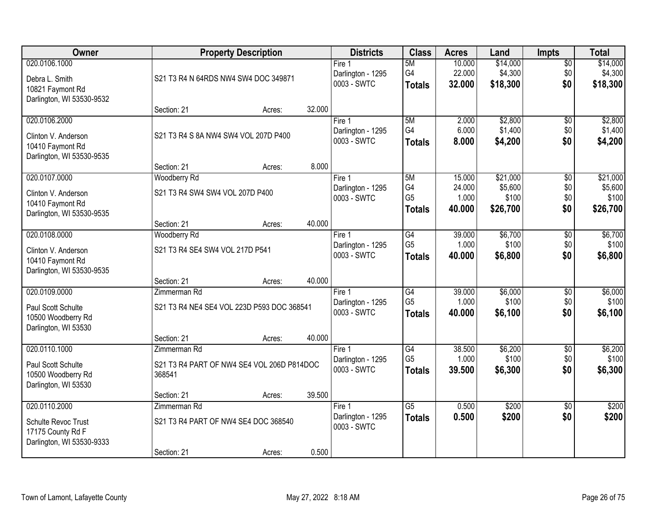| Owner                                                                                  |                                                                           | <b>Property Description</b> |        |                                              | <b>Class</b>                                       | <b>Acres</b>               | Land                            | <b>Impts</b>                  | <b>Total</b>                    |
|----------------------------------------------------------------------------------------|---------------------------------------------------------------------------|-----------------------------|--------|----------------------------------------------|----------------------------------------------------|----------------------------|---------------------------------|-------------------------------|---------------------------------|
| 020.0106.1000<br>Debra L. Smith<br>10821 Faymont Rd<br>Darlington, WI 53530-9532       | S21 T3 R4 N 64RDS NW4 SW4 DOC 349871                                      |                             |        | Fire 1<br>Darlington - 1295<br>0003 - SWTC   | 5M<br>G4<br><b>Totals</b>                          | 10.000<br>22.000<br>32.000 | \$14,000<br>\$4,300<br>\$18,300 | $\overline{50}$<br>\$0<br>\$0 | \$14,000<br>\$4,300<br>\$18,300 |
|                                                                                        | Section: 21                                                               | Acres:                      | 32.000 |                                              |                                                    |                            |                                 |                               |                                 |
| 020.0106.2000<br>Clinton V. Anderson<br>10410 Faymont Rd<br>Darlington, WI 53530-9535  | S21 T3 R4 S 8A NW4 SW4 VOL 207D P400                                      |                             |        | Fire 1<br>Darlington - 1295<br>0003 - SWTC   | 5M<br>G4<br><b>Totals</b>                          | 2.000<br>6.000<br>8.000    | \$2,800<br>\$1,400<br>\$4,200   | $\overline{50}$<br>\$0<br>\$0 | \$2,800<br>\$1,400<br>\$4,200   |
| 020.0107.0000                                                                          | Section: 21<br>Woodberry Rd                                               | Acres:                      | 8.000  | Fire 1                                       | 5M                                                 | 15.000                     | \$21,000                        | \$0                           | \$21,000                        |
| Clinton V. Anderson<br>10410 Faymont Rd<br>Darlington, WI 53530-9535                   | S21 T3 R4 SW4 SW4 VOL 207D P400                                           |                             |        | Darlington - 1295<br>0003 - SWTC             | G4<br>G <sub>5</sub><br><b>Totals</b>              | 24.000<br>1.000<br>40.000  | \$5,600<br>\$100<br>\$26,700    | \$0<br>\$0<br>\$0             | \$5,600<br>\$100<br>\$26,700    |
|                                                                                        | Section: 21                                                               | Acres:                      | 40.000 |                                              |                                                    |                            |                                 |                               |                                 |
| 020.0108.0000<br>Clinton V. Anderson<br>10410 Faymont Rd<br>Darlington, WI 53530-9535  | <b>Woodberry Rd</b><br>S21 T3 R4 SE4 SW4 VOL 217D P541                    |                             |        | Fire 1<br>Darlington - 1295<br>0003 - SWTC   | $\overline{G4}$<br>G <sub>5</sub><br><b>Totals</b> | 39.000<br>1.000<br>40.000  | \$6,700<br>\$100<br>\$6,800     | \$0<br>\$0<br>\$0             | \$6,700<br>\$100<br>\$6,800     |
|                                                                                        | Section: 21                                                               | Acres:                      | 40.000 |                                              |                                                    |                            |                                 |                               |                                 |
| 020.0109.0000<br>Paul Scott Schulte<br>10500 Woodberry Rd<br>Darlington, WI 53530      | Zimmerman Rd<br>S21 T3 R4 NE4 SE4 VOL 223D P593 DOC 368541<br>Section: 21 | Acres:                      | 40.000 | Fire $1$<br>Darlington - 1295<br>0003 - SWTC | $\overline{G4}$<br>G <sub>5</sub><br><b>Totals</b> | 39.000<br>1.000<br>40.000  | \$6,000<br>\$100<br>\$6,100     | $\overline{30}$<br>\$0<br>\$0 | \$6,000<br>\$100<br>\$6,100     |
| 020.0110.1000                                                                          | Zimmerman Rd                                                              |                             |        | Fire 1                                       | $\overline{G4}$                                    | 38.500                     | \$6,200                         | $\overline{50}$               | \$6,200                         |
| Paul Scott Schulte<br>10500 Woodberry Rd<br>Darlington, WI 53530                       | S21 T3 R4 PART OF NW4 SE4 VOL 206D P814DOC<br>368541                      |                             |        | Darlington - 1295<br>0003 - SWTC             | G <sub>5</sub><br><b>Totals</b>                    | 1.000<br>39,500            | \$100<br>\$6,300                | \$0<br>\$0                    | \$100<br>\$6,300                |
|                                                                                        | Section: 21                                                               | Acres:                      | 39.500 |                                              |                                                    |                            |                                 |                               |                                 |
| 020.0110.2000<br>Schulte Revoc Trust<br>17175 County Rd F<br>Darlington, WI 53530-9333 | Zimmerman Rd<br>S21 T3 R4 PART OF NW4 SE4 DOC 368540<br>Section: 21       | Acres:                      | 0.500  | Fire 1<br>Darlington - 1295<br>0003 - SWTC   | $\overline{G5}$<br><b>Totals</b>                   | 0.500<br>0.500             | \$200<br>\$200                  | $\overline{50}$<br>\$0        | \$200<br>\$200                  |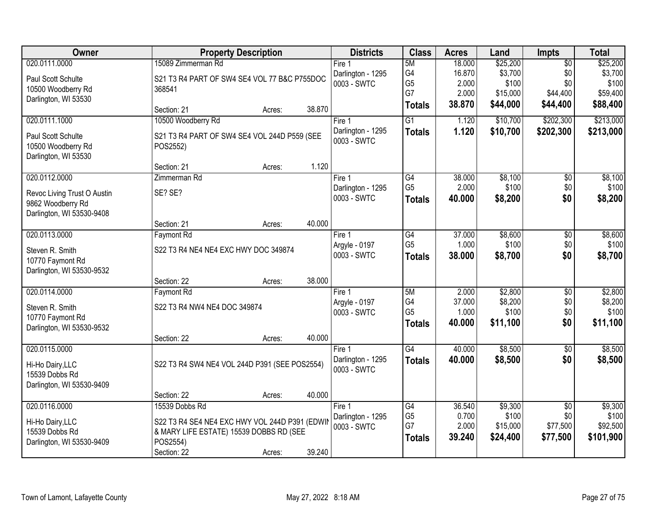| <b>Owner</b>                |                                                | <b>Property Description</b> |        | <b>Districts</b>                 | <b>Class</b>         | <b>Acres</b>    | Land              | <b>Impts</b>    | <b>Total</b>      |
|-----------------------------|------------------------------------------------|-----------------------------|--------|----------------------------------|----------------------|-----------------|-------------------|-----------------|-------------------|
| 020.0111.0000               | 15089 Zimmerman Rd                             |                             |        | Fire $1$                         | 5M                   | 18.000          | \$25,200          | $\overline{50}$ | \$25,200          |
| Paul Scott Schulte          | S21 T3 R4 PART OF SW4 SE4 VOL 77 B&C P755DOC   |                             |        | Darlington - 1295                | G4                   | 16.870          | \$3,700           | \$0             | \$3,700           |
| 10500 Woodberry Rd          | 368541                                         |                             |        | 0003 - SWTC                      | G <sub>5</sub><br>G7 | 2.000           | \$100             | \$0             | \$100             |
| Darlington, WI 53530        |                                                |                             |        |                                  |                      | 2.000<br>38.870 | \$15,000          | \$44,400        | \$59,400          |
|                             | Section: 21                                    | Acres:                      | 38.870 |                                  | <b>Totals</b>        |                 | \$44,000          | \$44,400        | \$88,400          |
| 020.0111.1000               | 10500 Woodberry Rd                             |                             |        | Fire 1                           | $\overline{G1}$      | 1.120           | \$10,700          | \$202,300       | \$213,000         |
| Paul Scott Schulte          | S21 T3 R4 PART OF SW4 SE4 VOL 244D P559 (SEE   |                             |        | Darlington - 1295                | <b>Totals</b>        | 1.120           | \$10,700          | \$202,300       | \$213,000         |
| 10500 Woodberry Rd          | POS2552)                                       |                             |        | 0003 - SWTC                      |                      |                 |                   |                 |                   |
| Darlington, WI 53530        |                                                |                             |        |                                  |                      |                 |                   |                 |                   |
|                             | Section: 21                                    | Acres:                      | 1.120  |                                  |                      |                 |                   |                 |                   |
| 020.0112.0000               | Zimmerman Rd                                   |                             |        | Fire 1                           | G4                   | 38.000          | \$8,100           | \$0             | \$8,100           |
| Revoc Living Trust O Austin | SE? SE?                                        |                             |        | Darlington - 1295                | G <sub>5</sub>       | 2.000           | \$100             | \$0             | \$100             |
| 9862 Woodberry Rd           |                                                |                             |        | 0003 - SWTC                      | <b>Totals</b>        | 40.000          | \$8,200           | \$0             | \$8,200           |
| Darlington, WI 53530-9408   |                                                |                             |        |                                  |                      |                 |                   |                 |                   |
|                             | Section: 21                                    | Acres:                      | 40.000 |                                  |                      |                 |                   |                 |                   |
| 020.0113.0000               | <b>Faymont Rd</b>                              |                             |        | Fire 1                           | G4                   | 37.000          | \$8,600           | \$0             | \$8,600           |
| Steven R. Smith             | S22 T3 R4 NE4 NE4 EXC HWY DOC 349874           |                             |        | Argyle - 0197                    | G <sub>5</sub>       | 1.000           | \$100             | \$0             | \$100             |
| 10770 Faymont Rd            |                                                |                             |        | 0003 - SWTC                      | <b>Totals</b>        | 38,000          | \$8,700           | \$0             | \$8,700           |
| Darlington, WI 53530-9532   |                                                |                             |        |                                  |                      |                 |                   |                 |                   |
|                             | Section: 22                                    | Acres:                      | 38.000 |                                  |                      |                 |                   |                 |                   |
| 020.0114.0000               | <b>Faymont Rd</b>                              |                             |        | Fire 1                           | 5M                   | 2.000           | \$2,800           | $\overline{50}$ | \$2,800           |
| Steven R. Smith             | S22 T3 R4 NW4 NE4 DOC 349874                   |                             |        | Argyle - 0197                    | G4<br>G <sub>5</sub> | 37.000<br>1.000 | \$8,200<br>\$100  | \$0<br>\$0      | \$8,200<br>\$100  |
| 10770 Faymont Rd            |                                                |                             |        | 0003 - SWTC                      | <b>Totals</b>        | 40.000          | \$11,100          | \$0             | \$11,100          |
| Darlington, WI 53530-9532   |                                                |                             |        |                                  |                      |                 |                   |                 |                   |
|                             | Section: 22                                    | Acres:                      | 40.000 |                                  |                      |                 |                   |                 |                   |
| 020.0115.0000               |                                                |                             |        | Fire 1                           | $\overline{G4}$      | 40.000          | \$8,500           | $\overline{50}$ | \$8,500           |
| Hi-Ho Dairy, LLC            | S22 T3 R4 SW4 NE4 VOL 244D P391 (SEE POS2554)  |                             |        | Darlington - 1295                | <b>Totals</b>        | 40.000          | \$8,500           | \$0             | \$8,500           |
| 15539 Dobbs Rd              |                                                |                             |        | 0003 - SWTC                      |                      |                 |                   |                 |                   |
| Darlington, WI 53530-9409   |                                                |                             |        |                                  |                      |                 |                   |                 |                   |
|                             | Section: 22                                    | Acres:                      | 40.000 |                                  |                      |                 |                   |                 |                   |
| 020.0116.0000               | 15539 Dobbs Rd                                 |                             |        | Fire 1                           | G4                   | 36.540          | \$9,300           | $\overline{50}$ | \$9,300           |
| Hi-Ho Dairy, LLC            | S22 T3 R4 SE4 NE4 EXC HWY VOL 244D P391 (EDWIN |                             |        | Darlington - 1295<br>0003 - SWTC | G <sub>5</sub><br>G7 | 0.700<br>2.000  | \$100<br>\$15,000 | \$0<br>\$77,500 | \$100<br>\$92,500 |
| 15539 Dobbs Rd              | & MARY LIFE ESTATE) 15539 DOBBS RD (SEE        |                             |        |                                  | <b>Totals</b>        | 39.240          | \$24,400          | \$77,500        | \$101,900         |
| Darlington, WI 53530-9409   | POS2554)                                       |                             |        |                                  |                      |                 |                   |                 |                   |
|                             | Section: 22                                    | Acres:                      | 39.240 |                                  |                      |                 |                   |                 |                   |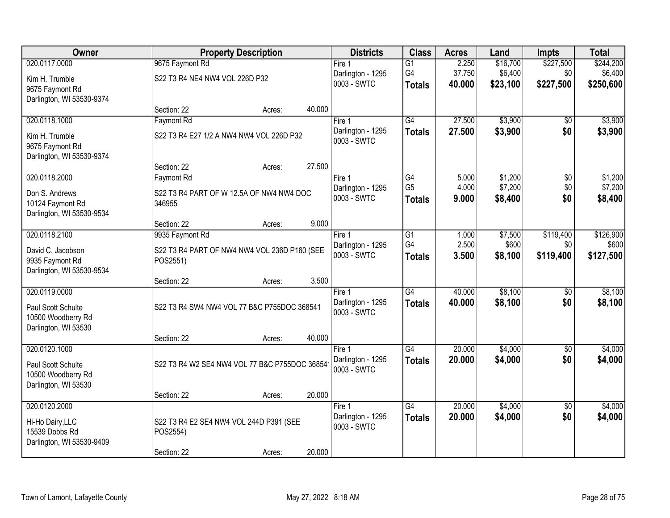| <b>Owner</b>                                                                      |                                                          | <b>Property Description</b> |                                            |                                  | <b>Acres</b>     | Land                | <b>Impts</b>           | <b>Total</b>         |
|-----------------------------------------------------------------------------------|----------------------------------------------------------|-----------------------------|--------------------------------------------|----------------------------------|------------------|---------------------|------------------------|----------------------|
| 020.0117.0000                                                                     | 9675 Faymont Rd                                          |                             | Fire $1$                                   | $\overline{G1}$                  | 2.250            | \$16,700            | \$227,500              | \$244,200            |
| Kim H. Trumble<br>9675 Faymont Rd<br>Darlington, WI 53530-9374                    | S22 T3 R4 NE4 NW4 VOL 226D P32                           |                             | Darlington - 1295<br>0003 - SWTC           | G4<br><b>Totals</b>              | 37.750<br>40.000 | \$6,400<br>\$23,100 | \$0<br>\$227,500       | \$6,400<br>\$250,600 |
|                                                                                   | Section: 22                                              | 40.000<br>Acres:            |                                            |                                  |                  |                     |                        |                      |
| 020.0118.1000                                                                     | Faymont Rd                                               |                             | Fire 1                                     | G4                               | 27.500           | \$3,900             | \$0                    | \$3,900              |
| Kim H. Trumble<br>9675 Faymont Rd<br>Darlington, WI 53530-9374                    | S22 T3 R4 E27 1/2 A NW4 NW4 VOL 226D P32                 |                             | Darlington - 1295<br>0003 - SWTC           | <b>Totals</b>                    | 27.500           | \$3,900             | \$0                    | \$3,900              |
|                                                                                   | Section: 22                                              | 27.500<br>Acres:            |                                            |                                  |                  |                     |                        |                      |
| 020.0118.2000                                                                     | <b>Faymont Rd</b>                                        |                             | Fire 1                                     | G4                               | 5.000            | \$1,200             | \$0                    | \$1,200              |
| Don S. Andrews<br>10124 Faymont Rd<br>Darlington, WI 53530-9534                   | S22 T3 R4 PART OF W 12.5A OF NW4 NW4 DOC<br>346955       |                             | Darlington - 1295<br>0003 - SWTC           | G <sub>5</sub><br><b>Totals</b>  | 4.000<br>9.000   | \$7,200<br>\$8,400  | \$0<br>\$0             | \$7,200<br>\$8,400   |
|                                                                                   | Section: 22                                              | 9.000<br>Acres:             |                                            |                                  |                  |                     |                        |                      |
| 020.0118.2100                                                                     | 9935 Faymont Rd                                          |                             | Fire 1                                     | $\overline{G1}$                  | 1.000            | \$7,500             | \$119,400              | \$126,900            |
| David C. Jacobson<br>9935 Faymont Rd<br>Darlington, WI 53530-9534                 | S22 T3 R4 PART OF NW4 NW4 VOL 236D P160 (SEE<br>POS2551) |                             | Darlington - 1295<br>0003 - SWTC           | G4<br><b>Totals</b>              | 2.500<br>3.500   | \$600<br>\$8,100    | \$0<br>\$119,400       | \$600<br>\$127,500   |
|                                                                                   | Section: 22                                              | 3.500<br>Acres:             |                                            |                                  |                  |                     |                        |                      |
| 020.0119.0000<br>Paul Scott Schulte                                               | S22 T3 R4 SW4 NW4 VOL 77 B&C P755DOC 368541              |                             | Fire 1<br>Darlington - 1295                | $\overline{G4}$<br><b>Totals</b> | 40.000<br>40.000 | \$8,100<br>\$8,100  | $\overline{50}$<br>\$0 | \$8,100<br>\$8,100   |
| 10500 Woodberry Rd<br>Darlington, WI 53530                                        |                                                          |                             | 0003 - SWTC                                |                                  |                  |                     |                        |                      |
|                                                                                   | Section: 22                                              | 40.000<br>Acres:            |                                            |                                  |                  |                     |                        |                      |
| 020.0120.1000<br>Paul Scott Schulte<br>10500 Woodberry Rd<br>Darlington, WI 53530 | S22 T3 R4 W2 SE4 NW4 VOL 77 B&C P755DOC 36854            |                             | Fire 1<br>Darlington - 1295<br>0003 - SWTC | $\overline{G4}$<br><b>Totals</b> | 20.000<br>20.000 | \$4,000<br>\$4,000  | $\overline{60}$<br>\$0 | \$4,000<br>\$4,000   |
|                                                                                   | Section: 22                                              | 20.000<br>Acres:            |                                            |                                  |                  |                     |                        |                      |
| 020.0120.2000                                                                     |                                                          |                             | Fire 1                                     | $\overline{G4}$                  | 20.000           | \$4,000             | $\overline{50}$        | \$4,000              |
| Hi-Ho Dairy, LLC<br>15539 Dobbs Rd<br>Darlington, WI 53530-9409                   | S22 T3 R4 E2 SE4 NW4 VOL 244D P391 (SEE<br>POS2554)      |                             | Darlington - 1295<br>0003 - SWTC           | <b>Totals</b>                    | 20.000           | \$4,000             | \$0                    | \$4,000              |
|                                                                                   | Section: 22                                              | 20.000<br>Acres:            |                                            |                                  |                  |                     |                        |                      |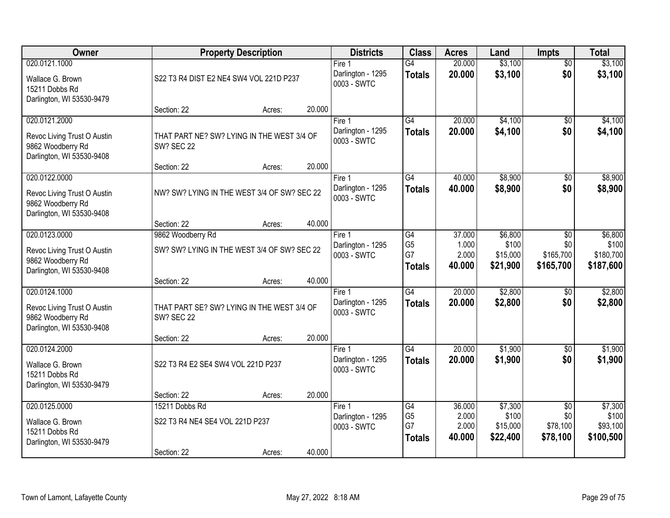| Owner                                                                                          | <b>Property Description</b>                                                    |        |        | <b>Districts</b>                           | <b>Class</b>                                | <b>Acres</b>                       | Land                                     | Impts                                          | <b>Total</b>                               |
|------------------------------------------------------------------------------------------------|--------------------------------------------------------------------------------|--------|--------|--------------------------------------------|---------------------------------------------|------------------------------------|------------------------------------------|------------------------------------------------|--------------------------------------------|
| 020.0121.1000<br>Wallace G. Brown<br>15211 Dobbs Rd<br>Darlington, WI 53530-9479               | S22 T3 R4 DIST E2 NE4 SW4 VOL 221D P237                                        |        |        | Fire 1<br>Darlington - 1295<br>0003 - SWTC | G4<br><b>Totals</b>                         | 20.000<br>20.000                   | \$3,100<br>\$3,100                       | $\overline{50}$<br>\$0                         | \$3,100<br>\$3,100                         |
|                                                                                                | Section: 22                                                                    | Acres: | 20.000 |                                            |                                             |                                    |                                          |                                                |                                            |
| 020.0121.2000<br>Revoc Living Trust O Austin<br>9862 Woodberry Rd<br>Darlington, WI 53530-9408 | THAT PART NE? SW? LYING IN THE WEST 3/4 OF<br><b>SW? SEC 22</b>                |        |        | Fire 1<br>Darlington - 1295<br>0003 - SWTC | $\overline{G4}$<br><b>Totals</b>            | 20.000<br>20.000                   | \$4,100<br>\$4,100                       | \$0<br>\$0                                     | \$4,100<br>\$4,100                         |
| 020.0122.0000                                                                                  | Section: 22                                                                    | Acres: | 20.000 | Fire 1                                     | $\overline{G4}$                             | 40.000                             | \$8,900                                  | $\overline{50}$                                | \$8,900                                    |
| Revoc Living Trust O Austin<br>9862 Woodberry Rd<br>Darlington, WI 53530-9408                  | NW? SW? LYING IN THE WEST 3/4 OF SW? SEC 22                                    |        |        | Darlington - 1295<br>0003 - SWTC           | <b>Totals</b>                               | 40.000                             | \$8,900                                  | \$0                                            | \$8,900                                    |
|                                                                                                | Section: 22                                                                    | Acres: | 40.000 |                                            |                                             |                                    |                                          |                                                |                                            |
| 020.0123.0000<br>Revoc Living Trust O Austin<br>9862 Woodberry Rd<br>Darlington, WI 53530-9408 | 9862 Woodberry Rd<br>SW? SW? LYING IN THE WEST 3/4 OF SW? SEC 22               |        |        | Fire 1<br>Darlington - 1295<br>0003 - SWTC | G4<br>G <sub>5</sub><br>G7<br><b>Totals</b> | 37.000<br>1.000<br>2.000<br>40.000 | \$6,800<br>\$100<br>\$15,000<br>\$21,900 | \$0<br>\$0<br>\$165,700<br>\$165,700           | \$6,800<br>\$100<br>\$180,700<br>\$187,600 |
|                                                                                                | Section: 22                                                                    | Acres: | 40.000 |                                            |                                             |                                    |                                          |                                                |                                            |
| 020.0124.1000<br>Revoc Living Trust O Austin<br>9862 Woodberry Rd<br>Darlington, WI 53530-9408 | THAT PART SE? SW? LYING IN THE WEST 3/4 OF<br><b>SW? SEC 22</b><br>Section: 22 | Acres: | 20.000 | Fire 1<br>Darlington - 1295<br>0003 - SWTC | G4<br><b>Totals</b>                         | 20.000<br>20.000                   | \$2,800<br>\$2,800                       | $\overline{50}$<br>\$0                         | \$2,800<br>\$2,800                         |
| 020.0124.2000                                                                                  |                                                                                |        |        | Fire 1                                     | G4                                          | 20.000                             | \$1,900                                  | $\sqrt{6}$                                     | \$1,900                                    |
| Wallace G. Brown<br>15211 Dobbs Rd<br>Darlington, WI 53530-9479                                | S22 T3 R4 E2 SE4 SW4 VOL 221D P237                                             |        |        | Darlington - 1295<br>0003 - SWTC           | <b>Totals</b>                               | 20.000                             | \$1,900                                  | \$0                                            | \$1,900                                    |
|                                                                                                | Section: 22                                                                    | Acres: | 20.000 |                                            |                                             |                                    |                                          |                                                |                                            |
| 020.0125.0000<br>Wallace G. Brown<br>15211 Dobbs Rd<br>Darlington, WI 53530-9479               | 15211 Dobbs Rd<br>S22 T3 R4 NE4 SE4 VOL 221D P237                              |        |        | Fire 1<br>Darlington - 1295<br>0003 - SWTC | G4<br>G <sub>5</sub><br>G7<br><b>Totals</b> | 36.000<br>2.000<br>2.000<br>40.000 | \$7,300<br>\$100<br>\$15,000<br>\$22,400 | $\overline{50}$<br>\$0<br>\$78,100<br>\$78,100 | \$7,300<br>\$100<br>\$93,100<br>\$100,500  |
|                                                                                                | Section: 22                                                                    | Acres: | 40.000 |                                            |                                             |                                    |                                          |                                                |                                            |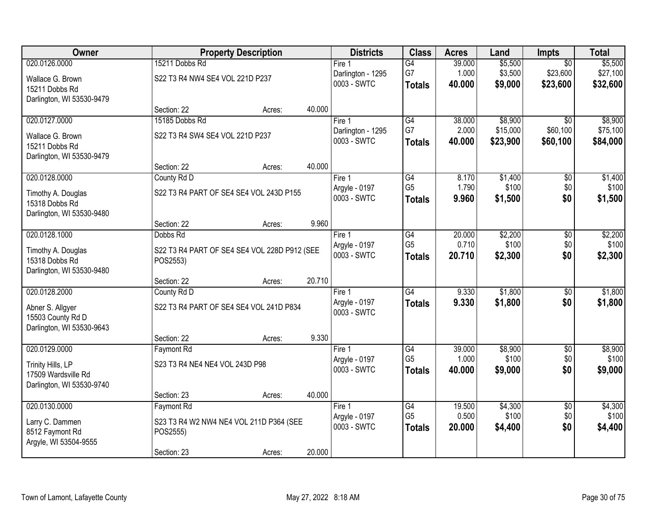| Owner                                            |                                 | <b>Property Description</b>                  |        |                                  | <b>Class</b>                      | <b>Acres</b>    | Land             | <b>Impts</b>    | <b>Total</b>     |
|--------------------------------------------------|---------------------------------|----------------------------------------------|--------|----------------------------------|-----------------------------------|-----------------|------------------|-----------------|------------------|
| 020.0126.0000                                    | 15211 Dobbs Rd                  |                                              |        | Fire <sub>1</sub>                | G4                                | 39.000          | \$5,500          | $\overline{50}$ | \$5,500          |
| Wallace G. Brown                                 | S22 T3 R4 NW4 SE4 VOL 221D P237 |                                              |        | Darlington - 1295                | G7                                | 1.000           | \$3,500          | \$23,600        | \$27,100         |
| 15211 Dobbs Rd                                   |                                 |                                              |        | 0003 - SWTC                      | <b>Totals</b>                     | 40.000          | \$9,000          | \$23,600        | \$32,600         |
| Darlington, WI 53530-9479                        |                                 |                                              |        |                                  |                                   |                 |                  |                 |                  |
|                                                  | Section: 22                     | Acres:                                       | 40.000 |                                  |                                   |                 |                  |                 |                  |
| 020.0127.0000                                    | 15185 Dobbs Rd                  |                                              |        | Fire 1                           | G4                                | 38.000          | \$8,900          | $\overline{50}$ | \$8,900          |
| Wallace G. Brown                                 | S22 T3 R4 SW4 SE4 VOL 221D P237 |                                              |        | Darlington - 1295<br>0003 - SWTC | G7                                | 2.000           | \$15,000         | \$60,100        | \$75,100         |
| 15211 Dobbs Rd                                   |                                 |                                              |        |                                  | <b>Totals</b>                     | 40.000          | \$23,900         | \$60,100        | \$84,000         |
| Darlington, WI 53530-9479                        |                                 |                                              |        |                                  |                                   |                 |                  |                 |                  |
|                                                  | Section: 22                     | Acres:                                       | 40.000 |                                  |                                   |                 |                  |                 |                  |
| 020.0128.0000                                    | County Rd D                     |                                              |        | Fire 1                           | $\overline{G4}$<br>G <sub>5</sub> | 8.170<br>1.790  | \$1,400          | \$0             | \$1,400          |
| Timothy A. Douglas                               |                                 | S22 T3 R4 PART OF SE4 SE4 VOL 243D P155      |        | Argyle - 0197<br>0003 - SWTC     | <b>Totals</b>                     | 9.960           | \$100<br>\$1,500 | \$0<br>\$0      | \$100<br>\$1,500 |
| 15318 Dobbs Rd                                   |                                 |                                              |        |                                  |                                   |                 |                  |                 |                  |
| Darlington, WI 53530-9480                        |                                 |                                              |        |                                  |                                   |                 |                  |                 |                  |
| 020.0128.1000                                    | Section: 22<br>Dobbs Rd         | Acres:                                       | 9.960  |                                  |                                   |                 |                  |                 |                  |
|                                                  |                                 |                                              |        | Fire 1<br>Argyle - 0197          | G4<br>G <sub>5</sub>              | 20.000<br>0.710 | \$2,200<br>\$100 | \$0<br>\$0      | \$2,200<br>\$100 |
| Timothy A. Douglas                               |                                 | S22 T3 R4 PART OF SE4 SE4 VOL 228D P912 (SEE |        | 0003 - SWTC                      | <b>Totals</b>                     | 20.710          | \$2,300          | \$0             | \$2,300          |
| 15318 Dobbs Rd                                   | POS2553)                        |                                              |        |                                  |                                   |                 |                  |                 |                  |
| Darlington, WI 53530-9480                        |                                 |                                              | 20.710 |                                  |                                   |                 |                  |                 |                  |
| 020.0128.2000                                    | Section: 22<br>County Rd D      | Acres:                                       |        | Fire 1                           | G4                                | 9.330           | \$1,800          | $\overline{50}$ | \$1,800          |
|                                                  |                                 |                                              |        | Argyle - 0197                    | <b>Totals</b>                     | 9.330           | \$1,800          | \$0             | \$1,800          |
| Abner S. Allgyer                                 |                                 | S22 T3 R4 PART OF SE4 SE4 VOL 241D P834      |        | 0003 - SWTC                      |                                   |                 |                  |                 |                  |
| 15503 County Rd D                                |                                 |                                              |        |                                  |                                   |                 |                  |                 |                  |
| Darlington, WI 53530-9643                        | Section: 22                     | Acres:                                       | 9.330  |                                  |                                   |                 |                  |                 |                  |
| 020.0129.0000                                    | <b>Faymont Rd</b>               |                                              |        | Fire 1                           | G4                                | 39.000          | \$8,900          | $\sqrt{6}$      | \$8,900          |
|                                                  |                                 |                                              |        | Argyle - 0197                    | G <sub>5</sub>                    | 1.000           | \$100            | \$0             | \$100            |
| Trinity Hills, LP                                | S23 T3 R4 NE4 NE4 VOL 243D P98  |                                              |        | 0003 - SWTC                      | <b>Totals</b>                     | 40.000          | \$9,000          | \$0             | \$9,000          |
| 17509 Wardsville Rd<br>Darlington, WI 53530-9740 |                                 |                                              |        |                                  |                                   |                 |                  |                 |                  |
|                                                  | Section: 23                     | Acres:                                       | 40.000 |                                  |                                   |                 |                  |                 |                  |
| 020.0130.0000                                    | <b>Faymont Rd</b>               |                                              |        | Fire 1                           | G4                                | 19.500          | \$4,300          | $\overline{60}$ | \$4,300          |
|                                                  |                                 |                                              |        | Argyle - 0197                    | G <sub>5</sub>                    | 0.500           | \$100            | \$0             | \$100            |
| Larry C. Dammen<br>8512 Faymont Rd               |                                 | S23 T3 R4 W2 NW4 NE4 VOL 211D P364 (SEE      |        | 0003 - SWTC                      | <b>Totals</b>                     | 20.000          | \$4,400          | \$0             | \$4,400          |
| Argyle, WI 53504-9555                            | POS2555)                        |                                              |        |                                  |                                   |                 |                  |                 |                  |
|                                                  | Section: 23                     | Acres:                                       | 20.000 |                                  |                                   |                 |                  |                 |                  |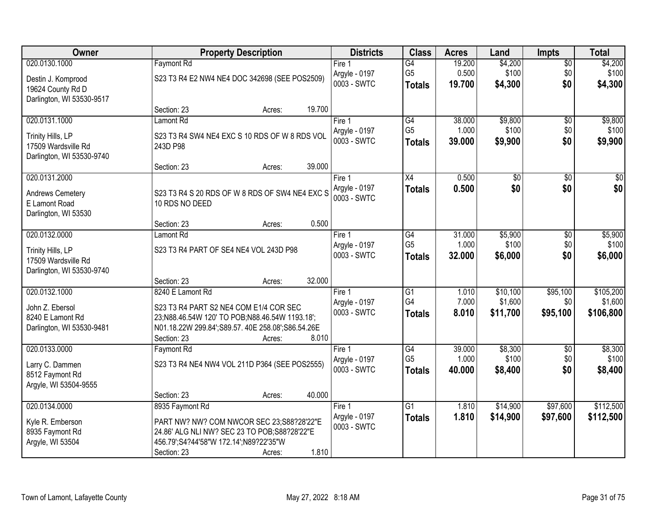| <b>Owner</b>                                     |                                                                                                     | <b>Property Description</b> |        |                              |                      | <b>Acres</b>    | Land                   | <b>Impts</b> | <b>Total</b>       |
|--------------------------------------------------|-----------------------------------------------------------------------------------------------------|-----------------------------|--------|------------------------------|----------------------|-----------------|------------------------|--------------|--------------------|
| 020.0130.1000                                    | <b>Faymont Rd</b>                                                                                   |                             |        | Fire $1$                     | $\overline{G4}$      | 19.200          | \$4,200                | \$0          | \$4,200            |
| Destin J. Komprood                               | S23 T3 R4 E2 NW4 NE4 DOC 342698 (SEE POS2509)                                                       |                             |        | Argyle - 0197                | G <sub>5</sub>       | 0.500           | \$100                  | \$0          | \$100              |
| 19624 County Rd D                                |                                                                                                     |                             |        | 0003 - SWTC                  | <b>Totals</b>        | 19.700          | \$4,300                | \$0          | \$4,300            |
| Darlington, WI 53530-9517                        |                                                                                                     |                             |        |                              |                      |                 |                        |              |                    |
|                                                  | Section: 23                                                                                         | Acres:                      | 19.700 |                              |                      |                 |                        |              |                    |
| 020.0131.1000                                    | Lamont Rd                                                                                           |                             |        | Fire 1                       | G4<br>G <sub>5</sub> | 38,000<br>1.000 | \$9,800                | \$0          | \$9,800            |
| Trinity Hills, LP                                | S23 T3 R4 SW4 NE4 EXC S 10 RDS OF W 8 RDS VOL                                                       |                             |        | Argyle - 0197<br>0003 - SWTC | <b>Totals</b>        | 39.000          | \$100<br>\$9,900       | \$0<br>\$0   | \$100<br>\$9,900   |
| 17509 Wardsville Rd                              | 243D P98                                                                                            |                             |        |                              |                      |                 |                        |              |                    |
| Darlington, WI 53530-9740                        |                                                                                                     |                             |        |                              |                      |                 |                        |              |                    |
|                                                  | Section: 23                                                                                         | Acres:                      | 39.000 |                              |                      | 0.500           |                        |              |                    |
| 020.0131.2000                                    |                                                                                                     |                             |        | Fire 1<br>Argyle - 0197      | X4                   | 0.500           | $\overline{50}$<br>\$0 | \$0<br>\$0   | $\sqrt{50}$<br>\$0 |
| Andrews Cemetery                                 | S23 T3 R4 S 20 RDS OF W 8 RDS OF SW4 NE4 EXC S                                                      |                             |        | 0003 - SWTC                  | <b>Totals</b>        |                 |                        |              |                    |
| E Lamont Road                                    | 10 RDS NO DEED                                                                                      |                             |        |                              |                      |                 |                        |              |                    |
| Darlington, WI 53530                             | Section: 23                                                                                         | Acres:                      | 0.500  |                              |                      |                 |                        |              |                    |
| 020.0132.0000                                    | Lamont Rd                                                                                           |                             |        | Fire 1                       | G4                   | 31.000          | \$5,900                | \$0          | \$5,900            |
|                                                  |                                                                                                     |                             |        | Argyle - 0197                | G <sub>5</sub>       | 1.000           | \$100                  | \$0          | \$100              |
| Trinity Hills, LP                                | S23 T3 R4 PART OF SE4 NE4 VOL 243D P98                                                              |                             |        | 0003 - SWTC                  | <b>Totals</b>        | 32.000          | \$6,000                | \$0          | \$6,000            |
| 17509 Wardsville Rd<br>Darlington, WI 53530-9740 |                                                                                                     |                             |        |                              |                      |                 |                        |              |                    |
|                                                  | Section: 23                                                                                         | Acres:                      | 32.000 |                              |                      |                 |                        |              |                    |
| 020.0132.1000                                    | 8240 E Lamont Rd                                                                                    |                             |        | Fire 1                       | $\overline{G1}$      | 1.010           | \$10,100               | \$95,100     | \$105,200          |
|                                                  |                                                                                                     |                             |        | Argyle - 0197                | G <sub>4</sub>       | 7.000           | \$1,600                | \$0          | \$1,600            |
| John Z. Ebersol<br>8240 E Lamont Rd              | S23 T3 R4 PART S2 NE4 COM E1/4 COR SEC                                                              |                             |        | 0003 - SWTC                  | <b>Totals</b>        | 8.010           | \$11,700               | \$95,100     | \$106,800          |
| Darlington, WI 53530-9481                        | 23;N88.46.54W 120' TO POB;N88.46.54W 1193.18';<br>N01.18.22W 299.84';S89.57. 40E 258.08';S86.54.26E |                             |        |                              |                      |                 |                        |              |                    |
|                                                  | Section: 23                                                                                         | Acres:                      | 8.010  |                              |                      |                 |                        |              |                    |
| 020.0133.0000                                    | <b>Faymont Rd</b>                                                                                   |                             |        | Fire 1                       | G4                   | 39.000          | \$8,300                | \$0          | \$8,300            |
| Larry C. Dammen                                  | S23 T3 R4 NE4 NW4 VOL 211D P364 (SEE POS2555)                                                       |                             |        | Argyle - 0197                | G <sub>5</sub>       | 1.000           | \$100                  | \$0          | \$100              |
| 8512 Faymont Rd                                  |                                                                                                     |                             |        | 0003 - SWTC                  | <b>Totals</b>        | 40.000          | \$8,400                | \$0          | \$8,400            |
| Argyle, WI 53504-9555                            |                                                                                                     |                             |        |                              |                      |                 |                        |              |                    |
|                                                  | Section: 23                                                                                         | Acres:                      | 40.000 |                              |                      |                 |                        |              |                    |
| 020.0134.0000                                    | 8935 Faymont Rd                                                                                     |                             |        | Fire 1                       | $\overline{G1}$      | 1.810           | \$14,900               | \$97,600     | \$112,500          |
| Kyle R. Emberson                                 | PART NW? NW? COM NWCOR SEC 23;S88?28'22"E                                                           |                             |        | Argyle - 0197                | <b>Totals</b>        | 1.810           | \$14,900               | \$97,600     | \$112,500          |
| 8935 Faymont Rd                                  | 24.86' ALG NLI NW? SEC 23 TO POB; S88? 28' 22" E                                                    |                             |        | 0003 - SWTC                  |                      |                 |                        |              |                    |
| Argyle, WI 53504                                 | 456.79';S4?44'58"W 172.14';N89?22'35"W                                                              |                             |        |                              |                      |                 |                        |              |                    |
|                                                  | Section: 23                                                                                         | Acres:                      | 1.810  |                              |                      |                 |                        |              |                    |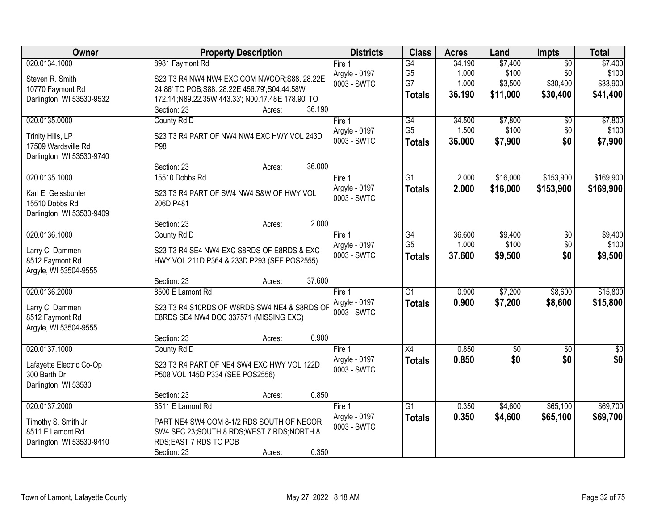| <b>Owner</b>                             | <b>Property Description</b>                                                               |        | <b>Districts</b> | <b>Class</b>    | <b>Acres</b> | Land        | <b>Impts</b>    | <b>Total</b>  |
|------------------------------------------|-------------------------------------------------------------------------------------------|--------|------------------|-----------------|--------------|-------------|-----------------|---------------|
| 020.0134.1000                            | 8981 Faymont Rd                                                                           |        | Fire 1           | G4              | 34.190       | \$7,400     | $\overline{30}$ | \$7,400       |
| Steven R. Smith                          | S23 T3 R4 NW4 NW4 EXC COM NWCOR;S88. 28.22E                                               |        | Argyle - 0197    | G <sub>5</sub>  | 1.000        | \$100       | \$0             | \$100         |
| 10770 Faymont Rd                         | 24.86' TO POB; S88. 28.22E 456.79'; S04.44.58W                                            |        | 0003 - SWTC      | G7              | 1.000        | \$3,500     | \$30,400        | \$33,900      |
| Darlington, WI 53530-9532                | 172.14'; N89.22.35W 443.33'; N00.17.48E 178.90' TO                                        |        |                  | <b>Totals</b>   | 36.190       | \$11,000    | \$30,400        | \$41,400      |
|                                          | Section: 23<br>Acres:                                                                     | 36.190 |                  |                 |              |             |                 |               |
| 020.0135.0000                            | County Rd D                                                                               |        | Fire 1           | G4              | 34.500       | \$7,800     | $\overline{50}$ | \$7,800       |
| Trinity Hills, LP                        | S23 T3 R4 PART OF NW4 NW4 EXC HWY VOL 243D                                                |        | Argyle - 0197    | G <sub>5</sub>  | 1.500        | \$100       | \$0             | \$100         |
| 17509 Wardsville Rd                      | P98                                                                                       |        | 0003 - SWTC      | <b>Totals</b>   | 36.000       | \$7,900     | \$0             | \$7,900       |
| Darlington, WI 53530-9740                |                                                                                           |        |                  |                 |              |             |                 |               |
|                                          | Section: 23<br>Acres:                                                                     | 36.000 |                  |                 |              |             |                 |               |
| 020.0135.1000                            | 15510 Dobbs Rd                                                                            |        | Fire 1           | $\overline{G1}$ | 2.000        | \$16,000    | \$153,900       | \$169,900     |
| Karl E. Geissbuhler                      | S23 T3 R4 PART OF SW4 NW4 S&W OF HWY VOL                                                  |        | Argyle - 0197    | <b>Totals</b>   | 2.000        | \$16,000    | \$153,900       | \$169,900     |
| 15510 Dobbs Rd                           | 206D P481                                                                                 |        | 0003 - SWTC      |                 |              |             |                 |               |
| Darlington, WI 53530-9409                |                                                                                           |        |                  |                 |              |             |                 |               |
|                                          | Section: 23<br>Acres:                                                                     | 2.000  |                  |                 |              |             |                 |               |
| 020.0136.1000                            | County Rd D                                                                               |        | Fire 1           | G4              | 36.600       | \$9,400     | \$0             | \$9,400       |
| Larry C. Dammen                          | S23 T3 R4 SE4 NW4 EXC S8RDS OF E8RDS & EXC                                                |        | Argyle - 0197    | G <sub>5</sub>  | 1.000        | \$100       | \$0             | \$100         |
| 8512 Faymont Rd                          | HWY VOL 211D P364 & 233D P293 (SEE POS2555)                                               |        | 0003 - SWTC      | <b>Totals</b>   | 37.600       | \$9,500     | \$0             | \$9,500       |
| Argyle, WI 53504-9555                    |                                                                                           |        |                  |                 |              |             |                 |               |
|                                          | Section: 23<br>Acres:                                                                     | 37.600 |                  |                 |              |             |                 |               |
| 020.0136.2000                            | 8500 E Lamont Rd                                                                          |        | Fire 1           | $\overline{G1}$ | 0.900        | \$7,200     | \$8,600         | \$15,800      |
|                                          | S23 T3 R4 S10RDS OF W8RDS SW4 NE4 & S8RDS OF                                              |        | Argyle - 0197    | <b>Totals</b>   | 0.900        | \$7,200     | \$8,600         | \$15,800      |
| Larry C. Dammen<br>8512 Faymont Rd       | E8RDS SE4 NW4 DOC 337571 (MISSING EXC)                                                    |        | 0003 - SWTC      |                 |              |             |                 |               |
| Argyle, WI 53504-9555                    |                                                                                           |        |                  |                 |              |             |                 |               |
|                                          | Section: 23<br>Acres:                                                                     | 0.900  |                  |                 |              |             |                 |               |
| 020.0137.1000                            | County Rd D                                                                               |        | Fire 1           | X4              | 0.850        | $\sqrt{$0}$ | $\sqrt{6}$      | $\frac{1}{6}$ |
|                                          | S23 T3 R4 PART OF NE4 SW4 EXC HWY VOL 122D                                                |        | Argyle - 0197    | <b>Totals</b>   | 0.850        | \$0         | \$0             | \$0           |
| Lafayette Electric Co-Op<br>300 Barth Dr | P508 VOL 145D P334 (SEE POS2556)                                                          |        | 0003 - SWTC      |                 |              |             |                 |               |
| Darlington, WI 53530                     |                                                                                           |        |                  |                 |              |             |                 |               |
|                                          | Section: 23<br>Acres:                                                                     | 0.850  |                  |                 |              |             |                 |               |
| 020.0137.2000                            | 8511 E Lamont Rd                                                                          |        | Fire 1           | G1              | 0.350        | \$4,600     | \$65,100        | \$69,700      |
|                                          |                                                                                           |        | Argyle - 0197    | <b>Totals</b>   | 0.350        | \$4,600     | \$65,100        | \$69,700      |
| Timothy S. Smith Jr<br>8511 E Lamont Rd  | PART NE4 SW4 COM 8-1/2 RDS SOUTH OF NECOR<br>SW4 SEC 23; SOUTH 8 RDS; WEST 7 RDS; NORTH 8 |        | 0003 - SWTC      |                 |              |             |                 |               |
| Darlington, WI 53530-9410                | RDS; EAST 7 RDS TO POB                                                                    |        |                  |                 |              |             |                 |               |
|                                          | Section: 23<br>Acres:                                                                     | 0.350  |                  |                 |              |             |                 |               |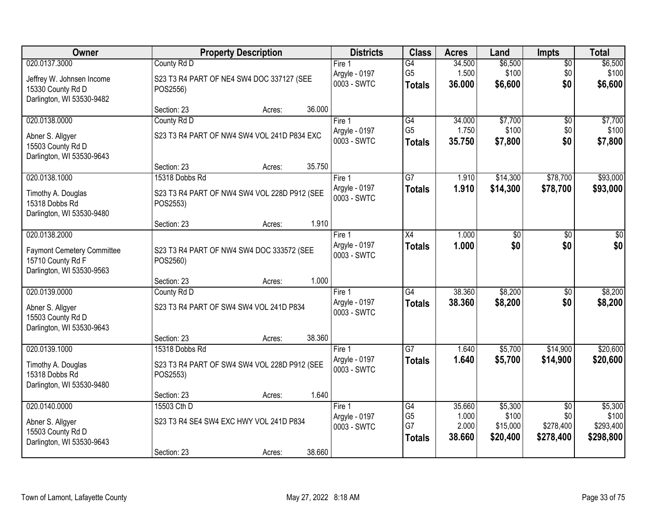| Owner                                                                               | <b>Property Description</b>                              | <b>Districts</b>             | <b>Class</b>                          | <b>Acres</b>             | Land                          | <b>Impts</b>                  | <b>Total</b>                    |
|-------------------------------------------------------------------------------------|----------------------------------------------------------|------------------------------|---------------------------------------|--------------------------|-------------------------------|-------------------------------|---------------------------------|
| 020.0137.3000                                                                       | County Rd D                                              | Fire $1$                     | $\overline{G4}$                       | 34.500                   | \$6,500                       | $\overline{60}$               | \$6,500                         |
| Jeffrey W. Johnsen Income<br>15330 County Rd D                                      | S23 T3 R4 PART OF NE4 SW4 DOC 337127 (SEE<br>POS2556)    | Argyle - 0197<br>0003 - SWTC | G <sub>5</sub><br><b>Totals</b>       | 1.500<br>36.000          | \$100<br>\$6,600              | \$0<br>\$0                    | \$100<br>\$6,600                |
| Darlington, WI 53530-9482                                                           | 36.000<br>Section: 23<br>Acres:                          |                              |                                       |                          |                               |                               |                                 |
| 020.0138.0000                                                                       | County Rd D                                              | Fire 1                       | G4                                    | 34.000                   | \$7,700                       | $\overline{50}$               | \$7,700                         |
|                                                                                     |                                                          | Argyle - 0197                | G <sub>5</sub>                        | 1.750                    | \$100                         | \$0                           | \$100                           |
| Abner S. Allgyer<br>15503 County Rd D<br>Darlington, WI 53530-9643                  | S23 T3 R4 PART OF NW4 SW4 VOL 241D P834 EXC              | 0003 - SWTC                  | Totals                                | 35.750                   | \$7,800                       | \$0                           | \$7,800                         |
|                                                                                     | 35.750<br>Section: 23<br>Acres:                          |                              |                                       |                          |                               |                               |                                 |
| 020.0138.1000                                                                       | 15318 Dobbs Rd                                           | Fire 1                       | $\overline{G7}$                       | 1.910                    | \$14,300                      | \$78,700                      | \$93,000                        |
| Timothy A. Douglas<br>15318 Dobbs Rd<br>Darlington, WI 53530-9480                   | S23 T3 R4 PART OF NW4 SW4 VOL 228D P912 (SEE<br>POS2553) | Argyle - 0197<br>0003 - SWTC | <b>Totals</b>                         | 1.910                    | \$14,300                      | \$78,700                      | \$93,000                        |
|                                                                                     | 1.910<br>Section: 23<br>Acres:                           |                              |                                       |                          |                               |                               |                                 |
| 020.0138.2000                                                                       |                                                          | Fire 1                       | X4                                    | 1.000                    | \$0                           | \$0                           | \$0                             |
| <b>Faymont Cemetery Committee</b><br>15710 County Rd F<br>Darlington, WI 53530-9563 | S23 T3 R4 PART OF NW4 SW4 DOC 333572 (SEE<br>POS2560)    | Argyle - 0197<br>0003 - SWTC | <b>Totals</b>                         | 1.000                    | \$0                           | \$0                           | \$0                             |
|                                                                                     | 1.000<br>Section: 23<br>Acres:                           |                              |                                       |                          |                               |                               |                                 |
| 020.0139.0000                                                                       | County Rd D                                              | Fire $1$                     | $\overline{G4}$                       | 38.360                   | \$8,200                       | $\overline{30}$               | \$8,200                         |
| Abner S. Allgyer<br>15503 County Rd D<br>Darlington, WI 53530-9643                  | S23 T3 R4 PART OF SW4 SW4 VOL 241D P834                  | Argyle - 0197<br>0003 - SWTC | <b>Totals</b>                         | 38.360                   | \$8,200                       | \$0                           | \$8,200                         |
|                                                                                     | 38.360<br>Section: 23<br>Acres:                          |                              |                                       |                          |                               |                               |                                 |
| 020.0139.1000                                                                       | 15318 Dobbs Rd                                           | Fire 1                       | $\overline{G7}$                       | 1.640                    | \$5,700                       | \$14,900                      | \$20,600                        |
| Timothy A. Douglas<br>15318 Dobbs Rd<br>Darlington, WI 53530-9480                   | S23 T3 R4 PART OF SW4 SW4 VOL 228D P912 (SEE<br>POS2553) | Argyle - 0197<br>0003 - SWTC | <b>Totals</b>                         | 1.640                    | \$5,700                       | \$14,900                      | \$20,600                        |
|                                                                                     | 1.640<br>Section: 23<br>Acres:                           |                              |                                       |                          |                               |                               |                                 |
| 020.0140.0000                                                                       | 15503 Cth D                                              | Fire 1                       | G4                                    | 35.660                   | \$5,300                       | $\overline{50}$               | \$5,300                         |
| Abner S. Allgyer<br>15503 County Rd D<br>Darlington, WI 53530-9643                  | S23 T3 R4 SE4 SW4 EXC HWY VOL 241D P834                  | Argyle - 0197<br>0003 - SWTC | G <sub>5</sub><br>G7<br><b>Totals</b> | 1.000<br>2.000<br>38.660 | \$100<br>\$15,000<br>\$20,400 | \$0<br>\$278,400<br>\$278,400 | \$100<br>\$293,400<br>\$298,800 |
|                                                                                     | 38.660<br>Section: 23<br>Acres:                          |                              |                                       |                          |                               |                               |                                 |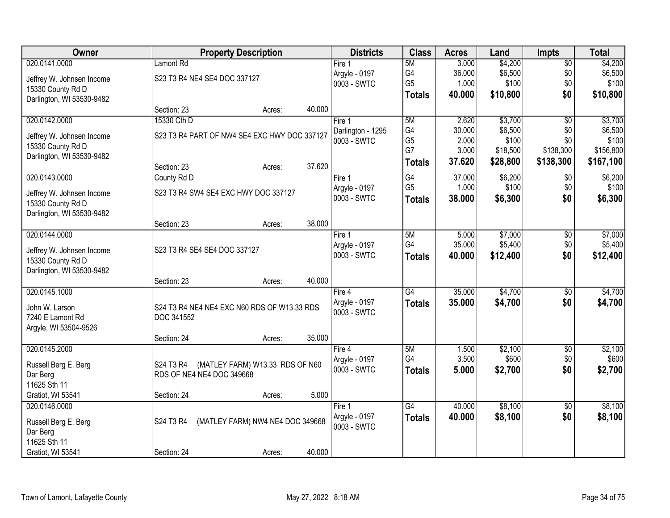| Owner                     |                                             | <b>Property Description</b>                  |        |                              | <b>Class</b>         | <b>Acres</b>   | Land              | <b>Impts</b>     | <b>Total</b>       |
|---------------------------|---------------------------------------------|----------------------------------------------|--------|------------------------------|----------------------|----------------|-------------------|------------------|--------------------|
| 020.0141.0000             | <b>Lamont Rd</b>                            |                                              |        | Fire 1                       | 5M                   | 3.000          | \$4,200           | $\sqrt{$0}$      | \$4,200            |
| Jeffrey W. Johnsen Income | S23 T3 R4 NE4 SE4 DOC 337127                |                                              |        | Argyle - 0197                | G4                   | 36.000         | \$6,500           | \$0              | \$6,500            |
| 15330 County Rd D         |                                             |                                              |        | 0003 - SWTC                  | G <sub>5</sub>       | 1.000          | \$100             | \$0              | \$100              |
| Darlington, WI 53530-9482 |                                             |                                              |        |                              | <b>Totals</b>        | 40.000         | \$10,800          | \$0              | \$10,800           |
|                           | Section: 23                                 | Acres:                                       | 40.000 |                              |                      |                |                   |                  |                    |
| 020.0142.0000             | 15330 Cth D                                 |                                              |        | Fire 1                       | 5M                   | 2.620          | \$3,700           | $\overline{50}$  | \$3,700            |
| Jeffrey W. Johnsen Income |                                             | S23 T3 R4 PART OF NW4 SE4 EXC HWY DOC 337127 |        | Darlington - 1295            | G4                   | 30.000         | \$6,500           | \$0              | \$6,500            |
| 15330 County Rd D         |                                             |                                              |        | 0003 - SWTC                  | G <sub>5</sub><br>G7 | 2.000<br>3.000 | \$100<br>\$18,500 | \$0<br>\$138,300 | \$100<br>\$156,800 |
| Darlington, WI 53530-9482 |                                             |                                              |        |                              |                      | 37.620         | \$28,800          | \$138,300        | \$167,100          |
|                           | Section: 23                                 | Acres:                                       | 37.620 |                              | <b>Totals</b>        |                |                   |                  |                    |
| 020.0143.0000             | County Rd D                                 |                                              |        | Fire 1                       | G4                   | 37.000         | \$6,200           | \$0              | \$6,200            |
| Jeffrey W. Johnsen Income |                                             | S23 T3 R4 SW4 SE4 EXC HWY DOC 337127         |        | Argyle - 0197                | G <sub>5</sub>       | 1.000          | \$100             | \$0              | \$100              |
| 15330 County Rd D         |                                             |                                              |        | 0003 - SWTC                  | <b>Totals</b>        | 38.000         | \$6,300           | \$0              | \$6,300            |
| Darlington, WI 53530-9482 |                                             |                                              |        |                              |                      |                |                   |                  |                    |
|                           | Section: 23                                 | Acres:                                       | 38.000 |                              |                      |                |                   |                  |                    |
| 020.0144.0000             |                                             |                                              |        | Fire 1                       | 5M                   | 5.000          | \$7,000           | \$0              | \$7,000            |
| Jeffrey W. Johnsen Income | S23 T3 R4 SE4 SE4 DOC 337127                |                                              |        | Argyle - 0197                | G4                   | 35.000         | \$5,400           | \$0              | \$5,400            |
| 15330 County Rd D         |                                             |                                              |        | 0003 - SWTC                  | <b>Totals</b>        | 40.000         | \$12,400          | \$0              | \$12,400           |
| Darlington, WI 53530-9482 |                                             |                                              |        |                              |                      |                |                   |                  |                    |
|                           | Section: 23                                 | Acres:                                       | 40.000 |                              |                      |                |                   |                  |                    |
| 020.0145.1000             |                                             |                                              |        | Fire $4$                     | $\overline{G4}$      | 35.000         | \$4,700           | \$0              | \$4,700            |
| John W. Larson            | S24 T3 R4 NE4 NE4 EXC N60 RDS OF W13.33 RDS |                                              |        | Argyle - 0197                | <b>Totals</b>        | 35,000         | \$4,700           | \$0              | \$4,700            |
| 7240 E Lamont Rd          | DOC 341552                                  |                                              |        | 0003 - SWTC                  |                      |                |                   |                  |                    |
| Argyle, WI 53504-9526     |                                             |                                              |        |                              |                      |                |                   |                  |                    |
|                           | Section: 24                                 | Acres:                                       | 35.000 |                              |                      |                |                   |                  |                    |
| 020.0145.2000             |                                             |                                              |        | Fire 4                       | 5M                   | 1.500          | \$2,100           | $\overline{$0}$  | \$2,100            |
| Russell Berg E. Berg      | S24 T3 R4                                   | (MATLEY FARM) W13.33 RDS OF N60              |        | Argyle - 0197<br>0003 - SWTC | G4                   | 3.500          | \$600             | \$0              | \$600              |
| Dar Berg                  | RDS OF NE4 NE4 DOC 349668                   |                                              |        |                              | <b>Totals</b>        | 5.000          | \$2,700           | \$0              | \$2,700            |
| 11625 Sth 11              |                                             |                                              |        |                              |                      |                |                   |                  |                    |
| Gratiot, WI 53541         | Section: 24                                 | Acres:                                       | 5.000  |                              |                      |                |                   |                  |                    |
| 020.0146.0000             |                                             |                                              |        | Fire 1                       | G4                   | 40.000         | \$8,100           | \$0              | \$8,100            |
| Russell Berg E. Berg      | S24 T3 R4                                   | (MATLEY FARM) NW4 NE4 DOC 349668             |        | Argyle - 0197                | <b>Totals</b>        | 40.000         | \$8,100           | \$0              | \$8,100            |
| Dar Berg                  |                                             |                                              |        | 0003 - SWTC                  |                      |                |                   |                  |                    |
| 11625 Sth 11              |                                             |                                              |        |                              |                      |                |                   |                  |                    |
| Gratiot, WI 53541         | Section: 24                                 | Acres:                                       | 40.000 |                              |                      |                |                   |                  |                    |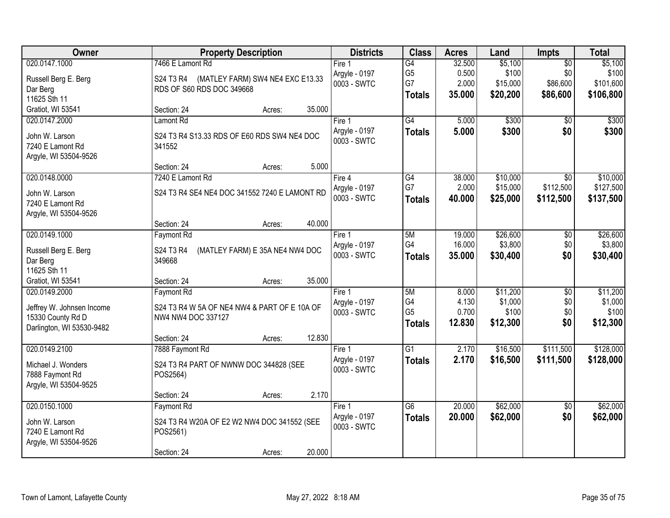| Owner                     | <b>Property Description</b>                   | <b>Districts</b> | <b>Class</b>    | <b>Acres</b> | Land     | Impts           | <b>Total</b> |
|---------------------------|-----------------------------------------------|------------------|-----------------|--------------|----------|-----------------|--------------|
| 020.0147.1000             | 7466 E Lamont Rd                              | Fire 1           | G4              | 32.500       | \$5,100  | $\overline{50}$ | \$5,100      |
| Russell Berg E. Berg      | (MATLEY FARM) SW4 NE4 EXC E13.33<br>S24 T3 R4 | Argyle - 0197    | G <sub>5</sub>  | 0.500        | \$100    | \$0             | \$100        |
| Dar Berg                  | RDS OF S60 RDS DOC 349668                     | 0003 - SWTC      | G7              | 2.000        | \$15,000 | \$86,600        | \$101,600    |
| 11625 Sth 11              |                                               |                  | <b>Totals</b>   | 35.000       | \$20,200 | \$86,600        | \$106,800    |
| Gratiot, WI 53541         | Section: 24<br>Acres:                         | 35.000           |                 |              |          |                 |              |
| 020.0147.2000             | Lamont Rd                                     | Fire 1           | $\overline{G4}$ | 5.000        | \$300    | \$0             | \$300        |
| John W. Larson            | S24 T3 R4 S13.33 RDS OF E60 RDS SW4 NE4 DOC   | Argyle - 0197    | <b>Totals</b>   | 5.000        | \$300    | \$0             | \$300        |
| 7240 E Lamont Rd          | 341552                                        | 0003 - SWTC      |                 |              |          |                 |              |
| Argyle, WI 53504-9526     |                                               |                  |                 |              |          |                 |              |
|                           | Section: 24<br>Acres:                         | 5.000            |                 |              |          |                 |              |
| 020.0148.0000             | 7240 E Lamont Rd                              | Fire 4           | G4              | 38.000       | \$10,000 | $\overline{50}$ | \$10,000     |
| John W. Larson            | S24 T3 R4 SE4 NE4 DOC 341552 7240 E LAMONT RD | Argyle - 0197    | G7              | 2.000        | \$15,000 | \$112,500       | \$127,500    |
| 7240 E Lamont Rd          |                                               | 0003 - SWTC      | <b>Totals</b>   | 40.000       | \$25,000 | \$112,500       | \$137,500    |
| Argyle, WI 53504-9526     |                                               |                  |                 |              |          |                 |              |
|                           | Section: 24<br>Acres:                         | 40.000           |                 |              |          |                 |              |
| 020.0149.1000             | <b>Faymont Rd</b>                             | Fire 1           | 5M              | 19.000       | \$26,600 | \$0             | \$26,600     |
| Russell Berg E. Berg      | (MATLEY FARM) E 35A NE4 NW4 DOC<br>S24 T3 R4  | Argyle - 0197    | G4              | 16.000       | \$3,800  | \$0             | \$3,800      |
| Dar Berg                  | 349668                                        | 0003 - SWTC      | <b>Totals</b>   | 35.000       | \$30,400 | \$0             | \$30,400     |
| 11625 Sth 11              |                                               |                  |                 |              |          |                 |              |
| Gratiot, WI 53541         | Section: 24<br>Acres:                         | 35.000           |                 |              |          |                 |              |
| 020.0149.2000             | <b>Faymont Rd</b>                             | Fire 1           | 5M              | 8.000        | \$11,200 | $\overline{50}$ | \$11,200     |
| Jeffrey W. Johnsen Income | S24 T3 R4 W 5A OF NE4 NW4 & PART OF E 10A OF  | Argyle - 0197    | G4              | 4.130        | \$1,000  | \$0             | \$1,000      |
| 15330 County Rd D         | NW4 NW4 DOC 337127                            | 0003 - SWTC      | G <sub>5</sub>  | 0.700        | \$100    | \$0             | \$100        |
| Darlington, WI 53530-9482 |                                               |                  | <b>Totals</b>   | 12.830       | \$12,300 | \$0             | \$12,300     |
|                           | Section: 24<br>Acres:                         | 12.830           |                 |              |          |                 |              |
| 020.0149.2100             | 7888 Faymont Rd                               | Fire 1           | G1              | 2.170        | \$16,500 | \$111,500       | \$128,000    |
| Michael J. Wonders        | S24 T3 R4 PART OF NWNW DOC 344828 (SEE        | Argyle - 0197    | <b>Totals</b>   | 2.170        | \$16,500 | \$111,500       | \$128,000    |
| 7888 Faymont Rd           | POS2564)                                      | 0003 - SWTC      |                 |              |          |                 |              |
| Argyle, WI 53504-9525     |                                               |                  |                 |              |          |                 |              |
|                           | Section: 24<br>Acres:                         | 2.170            |                 |              |          |                 |              |
| 020.0150.1000             | Faymont Rd                                    | Fire 1           | G6              | 20.000       | \$62,000 | $\overline{50}$ | \$62,000     |
| John W. Larson            | S24 T3 R4 W20A OF E2 W2 NW4 DOC 341552 (SEE   | Argyle - 0197    | <b>Totals</b>   | 20.000       | \$62,000 | \$0             | \$62,000     |
| 7240 E Lamont Rd          | POS2561)                                      | 0003 - SWTC      |                 |              |          |                 |              |
| Argyle, WI 53504-9526     |                                               |                  |                 |              |          |                 |              |
|                           | Section: 24<br>Acres:                         | 20.000           |                 |              |          |                 |              |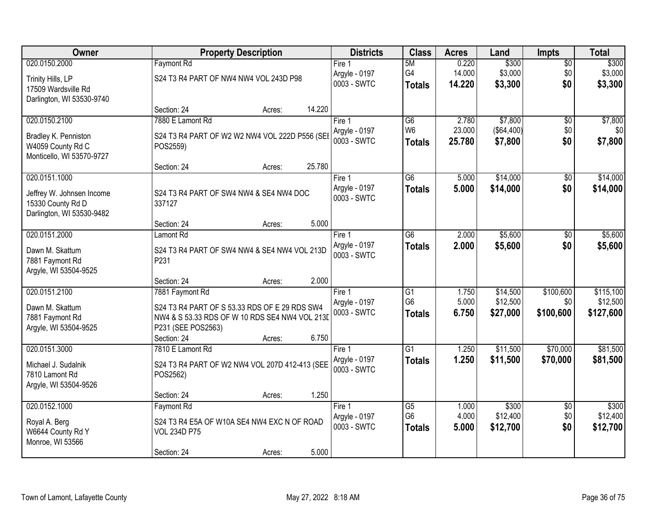| <b>Owner</b>                             |                                         | <b>Property Description</b>                    |                              |                 | <b>Acres</b>     | Land                  | <b>Impts</b>    | <b>Total</b>   |
|------------------------------------------|-----------------------------------------|------------------------------------------------|------------------------------|-----------------|------------------|-----------------------|-----------------|----------------|
| 020.0150.2000                            | <b>Faymont Rd</b>                       |                                                | Fire 1                       | 5M              | 0.220            | \$300                 | $\overline{50}$ | \$300          |
| Trinity Hills, LP                        | S24 T3 R4 PART OF NW4 NW4 VOL 243D P98  |                                                | Argyle - 0197                | G4              | 14.000           | \$3,000               | \$0             | \$3,000        |
| 17509 Wardsville Rd                      |                                         |                                                | 0003 - SWTC                  | <b>Totals</b>   | 14.220           | \$3,300               | \$0             | \$3,300        |
| Darlington, WI 53530-9740                |                                         |                                                |                              |                 |                  |                       |                 |                |
|                                          | Section: 24                             | 14.220<br>Acres:                               |                              |                 |                  |                       |                 |                |
| 020.0150.2100                            | 7880 E Lamont Rd                        |                                                | Fire 1                       | $\overline{G6}$ | 2.780            | \$7,800               | \$0             | \$7,800        |
| Bradley K. Penniston                     |                                         | S24 T3 R4 PART OF W2 W2 NW4 VOL 222D P556 (SEI | Argyle - 0197<br>0003 - SWTC | W <sub>6</sub>  | 23.000<br>25.780 | (\$64,400)<br>\$7,800 | \$0<br>\$0      | \$0<br>\$7,800 |
| W4059 County Rd C                        | POS2559)                                |                                                |                              | <b>Totals</b>   |                  |                       |                 |                |
| Monticello, WI 53570-9727                |                                         |                                                |                              |                 |                  |                       |                 |                |
|                                          | Section: 24                             | 25.780<br>Acres:                               |                              |                 |                  |                       |                 |                |
| 020.0151.1000                            |                                         |                                                | Fire 1<br>Argyle - 0197      | $\overline{G6}$ | 5.000            | \$14,000              | \$0             | \$14,000       |
| Jeffrey W. Johnsen Income                | S24 T3 R4 PART OF SW4 NW4 & SE4 NW4 DOC |                                                | 0003 - SWTC                  | <b>Totals</b>   | 5.000            | \$14,000              | \$0             | \$14,000       |
| 15330 County Rd D                        | 337127                                  |                                                |                              |                 |                  |                       |                 |                |
| Darlington, WI 53530-9482                | Section: 24                             | 5.000                                          |                              |                 |                  |                       |                 |                |
| 020.0151.2000                            | Lamont Rd                               | Acres:                                         | Fire 1                       | G6              | 2.000            | \$5,600               | \$0             | \$5,600        |
|                                          |                                         |                                                | Argyle - 0197                | <b>Totals</b>   | 2.000            | \$5,600               | \$0             | \$5,600        |
| Dawn M. Skattum                          |                                         | S24 T3 R4 PART OF SW4 NW4 & SE4 NW4 VOL 213D   | 0003 - SWTC                  |                 |                  |                       |                 |                |
| 7881 Faymont Rd                          | P231                                    |                                                |                              |                 |                  |                       |                 |                |
| Argyle, WI 53504-9525                    | Section: 24                             | 2.000<br>Acres:                                |                              |                 |                  |                       |                 |                |
| 020.0151.2100                            | 7881 Faymont Rd                         |                                                | Fire 1                       | $\overline{G1}$ | 1.750            | \$14,500              | \$100,600       | \$115,100      |
|                                          |                                         |                                                | Argyle - 0197                | G <sub>6</sub>  | 5.000            | \$12,500              | \$0             | \$12,500       |
| Dawn M. Skattum                          |                                         | S24 T3 R4 PART OF S 53.33 RDS OF E 29 RDS SW4  | 0003 - SWTC                  | <b>Totals</b>   | 6.750            | \$27,000              | \$100,600       | \$127,600      |
| 7881 Faymont Rd<br>Argyle, WI 53504-9525 | P231 (SEE POS2563)                      | NW4 & S 53.33 RDS OF W 10 RDS SE4 NW4 VOL 213D |                              |                 |                  |                       |                 |                |
|                                          | Section: 24                             | 6.750<br>Acres:                                |                              |                 |                  |                       |                 |                |
| 020.0151.3000                            | 7810 E Lamont Rd                        |                                                | Fire 1                       | $\overline{G1}$ | 1.250            | \$11,500              | \$70,000        | \$81,500       |
|                                          |                                         |                                                | Argyle - 0197                | <b>Totals</b>   | 1.250            | \$11,500              | \$70,000        | \$81,500       |
| Michael J. Sudalnik<br>7810 Lamont Rd    | POS2562)                                | S24 T3 R4 PART OF W2 NW4 VOL 207D 412-413 (SEE | 0003 - SWTC                  |                 |                  |                       |                 |                |
| Argyle, WI 53504-9526                    |                                         |                                                |                              |                 |                  |                       |                 |                |
|                                          | Section: 24                             | 1.250<br>Acres:                                |                              |                 |                  |                       |                 |                |
| 020.0152.1000                            | <b>Faymont Rd</b>                       |                                                | Fire 1                       | G5              | 1.000            | \$300                 | $\overline{30}$ | \$300          |
| Royal A. Berg                            |                                         | S24 T3 R4 E5A OF W10A SE4 NW4 EXC N OF ROAD    | Argyle - 0197                | G <sub>6</sub>  | 4.000            | \$12,400              | \$0             | \$12,400       |
| W6644 County Rd Y                        | <b>VOL 234D P75</b>                     |                                                | 0003 - SWTC                  | <b>Totals</b>   | 5.000            | \$12,700              | \$0             | \$12,700       |
| Monroe, WI 53566                         |                                         |                                                |                              |                 |                  |                       |                 |                |
|                                          | Section: 24                             | 5.000<br>Acres:                                |                              |                 |                  |                       |                 |                |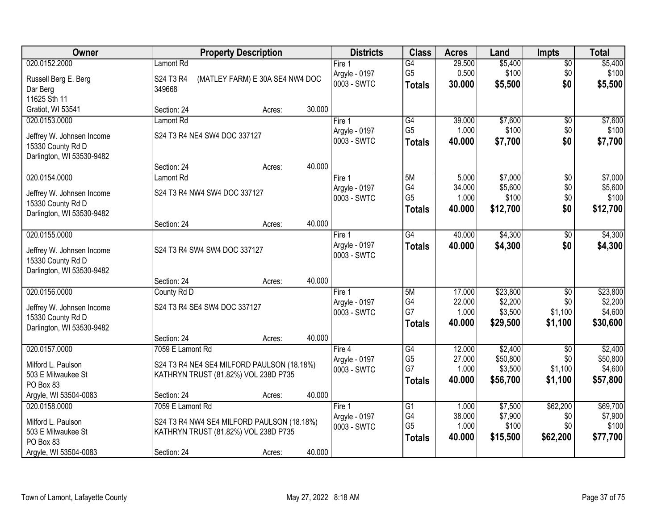| <b>Owner</b>              | <b>Property Description</b>                |                                 |        | <b>Districts</b>             | <b>Class</b>         | <b>Acres</b>     | Land                | <b>Impts</b>           | <b>Total</b>        |
|---------------------------|--------------------------------------------|---------------------------------|--------|------------------------------|----------------------|------------------|---------------------|------------------------|---------------------|
| 020.0152.2000             | Lamont Rd                                  |                                 |        | Fire 1                       | $\overline{G4}$      | 29.500           | \$5,400             | \$0                    | \$5,400             |
| Russell Berg E. Berg      | S24 T3 R4                                  | (MATLEY FARM) E 30A SE4 NW4 DOC |        | Argyle - 0197                | G <sub>5</sub>       | 0.500            | \$100               | \$0                    | \$100               |
| Dar Berg                  | 349668                                     |                                 |        | 0003 - SWTC                  | <b>Totals</b>        | 30.000           | \$5,500             | \$0                    | \$5,500             |
| 11625 Sth 11              |                                            |                                 |        |                              |                      |                  |                     |                        |                     |
| Gratiot, WI 53541         | Section: 24                                | Acres:                          | 30.000 |                              |                      |                  |                     |                        |                     |
| 020.0153.0000             | Lamont Rd                                  |                                 |        | Fire 1                       | G4                   | 39.000           | \$7,600             | \$0                    | \$7,600             |
| Jeffrey W. Johnsen Income | S24 T3 R4 NE4 SW4 DOC 337127               |                                 |        | Argyle - 0197                | G <sub>5</sub>       | 1.000            | \$100               | \$0                    | \$100               |
| 15330 County Rd D         |                                            |                                 |        | 0003 - SWTC                  | <b>Totals</b>        | 40.000           | \$7,700             | \$0                    | \$7,700             |
| Darlington, WI 53530-9482 |                                            |                                 |        |                              |                      |                  |                     |                        |                     |
|                           | Section: 24                                | Acres:                          | 40.000 |                              |                      |                  |                     |                        |                     |
| 020.0154.0000             | Lamont Rd                                  |                                 |        | Fire 1                       | 5M                   | 5.000            | \$7,000             | \$0                    | \$7,000             |
| Jeffrey W. Johnsen Income | S24 T3 R4 NW4 SW4 DOC 337127               |                                 |        | Argyle - 0197<br>0003 - SWTC | G4<br>G <sub>5</sub> | 34.000<br>1.000  | \$5,600<br>\$100    | \$0<br>\$0             | \$5,600<br>\$100    |
| 15330 County Rd D         |                                            |                                 |        |                              | <b>Totals</b>        | 40.000           | \$12,700            | \$0                    | \$12,700            |
| Darlington, WI 53530-9482 |                                            |                                 |        |                              |                      |                  |                     |                        |                     |
|                           | Section: 24                                | Acres:                          | 40.000 |                              |                      |                  |                     |                        |                     |
| 020.0155.0000             |                                            |                                 |        | Fire 1                       | G4                   | 40.000           | \$4,300             | $\frac{1}{20}$         | \$4,300             |
| Jeffrey W. Johnsen Income | S24 T3 R4 SW4 SW4 DOC 337127               |                                 |        | Argyle - 0197<br>0003 - SWTC | <b>Totals</b>        | 40.000           | \$4,300             | \$0                    | \$4,300             |
| 15330 County Rd D         |                                            |                                 |        |                              |                      |                  |                     |                        |                     |
| Darlington, WI 53530-9482 |                                            |                                 |        |                              |                      |                  |                     |                        |                     |
|                           | Section: 24                                | Acres:                          | 40.000 |                              |                      |                  |                     |                        |                     |
| 020.0156.0000             | County Rd D                                |                                 |        | Fire 1                       | 5M                   | 17.000           | \$23,800            | $\overline{50}$        | \$23,800            |
| Jeffrey W. Johnsen Income | S24 T3 R4 SE4 SW4 DOC 337127               |                                 |        | Argyle - 0197<br>0003 - SWTC | G4<br>G7             | 22.000<br>1.000  | \$2,200<br>\$3,500  | \$0<br>\$1,100         | \$2,200<br>\$4,600  |
| 15330 County Rd D         |                                            |                                 |        |                              | <b>Totals</b>        | 40.000           | \$29,500            | \$1,100                | \$30,600            |
| Darlington, WI 53530-9482 |                                            |                                 |        |                              |                      |                  |                     |                        |                     |
|                           | Section: 24                                | Acres:                          | 40.000 |                              |                      |                  |                     |                        |                     |
| 020.0157.0000             | 7059 E Lamont Rd                           |                                 |        | Fire 4                       | G4<br>G <sub>5</sub> | 12.000<br>27.000 | \$2,400<br>\$50,800 | $\overline{50}$<br>\$0 | \$2,400<br>\$50,800 |
| Milford L. Paulson        | S24 T3 R4 NE4 SE4 MILFORD PAULSON (18.18%) |                                 |        | Argyle - 0197<br>0003 - SWTC | G7                   | 1.000            | \$3,500             | \$1,100                | \$4,600             |
| 503 E Milwaukee St        | KATHRYN TRUST (81.82%) VOL 238D P735       |                                 |        |                              | <b>Totals</b>        | 40,000           | \$56,700            | \$1,100                | \$57,800            |
| PO Box 83                 |                                            |                                 |        |                              |                      |                  |                     |                        |                     |
| Argyle, WI 53504-0083     | Section: 24                                | Acres:                          | 40.000 |                              |                      |                  |                     |                        |                     |
| 020.0158.0000             | 7059 E Lamont Rd                           |                                 |        | Fire 1                       | G1<br>G4             | 1.000<br>38.000  | \$7,500<br>\$7,900  | \$62,200               | \$69,700<br>\$7,900 |
| Milford L. Paulson        | S24 T3 R4 NW4 SE4 MILFORD PAULSON (18.18%) |                                 |        | Argyle - 0197<br>0003 - SWTC | G <sub>5</sub>       | 1.000            | \$100               | \$0<br>\$0             | \$100               |
| 503 E Milwaukee St        | KATHRYN TRUST (81.82%) VOL 238D P735       |                                 |        |                              | <b>Totals</b>        | 40.000           | \$15,500            | \$62,200               | \$77,700            |
| PO Box 83                 |                                            |                                 |        |                              |                      |                  |                     |                        |                     |
| Argyle, WI 53504-0083     | Section: 24                                | Acres:                          | 40.000 |                              |                      |                  |                     |                        |                     |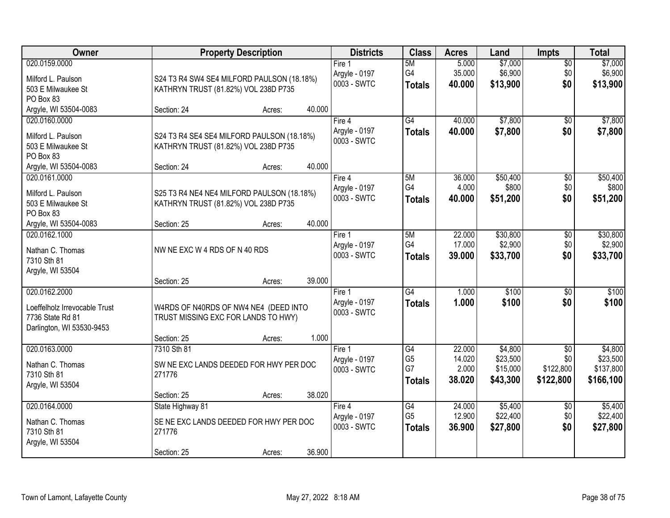| Owner                                                                          |                                                                                             | <b>Property Description</b> |                                        |                                       | <b>Acres</b>               | Land                             | <b>Impts</b>                  | <b>Total</b>                       |
|--------------------------------------------------------------------------------|---------------------------------------------------------------------------------------------|-----------------------------|----------------------------------------|---------------------------------------|----------------------------|----------------------------------|-------------------------------|------------------------------------|
| 020.0159.0000<br>Milford L. Paulson<br>503 E Milwaukee St<br>PO Box 83         | S24 T3 R4 SW4 SE4 MILFORD PAULSON (18.18%)<br>KATHRYN TRUST (81.82%) VOL 238D P735          |                             | Fire 1<br>Argyle - 0197<br>0003 - SWTC | 5M<br>G4<br><b>Totals</b>             | 5.000<br>35.000<br>40.000  | \$7,000<br>\$6,900<br>\$13,900   | $\sqrt{$0}$<br>\$0<br>\$0     | \$7,000<br>\$6,900<br>\$13,900     |
| Argyle, WI 53504-0083                                                          | Section: 24                                                                                 | 40.000<br>Acres:            |                                        |                                       |                            |                                  |                               |                                    |
| 020.0160.0000<br>Milford L. Paulson<br>503 E Milwaukee St<br>PO Box 83         | S24 T3 R4 SE4 SE4 MILFORD PAULSON (18.18%)<br>KATHRYN TRUST (81.82%) VOL 238D P735          |                             | Fire 4<br>Argyle - 0197<br>0003 - SWTC | $\overline{G4}$<br><b>Totals</b>      | 40.000<br>40.000           | \$7,800<br>\$7,800               | \$0<br>\$0                    | \$7,800<br>\$7,800                 |
| Argyle, WI 53504-0083<br>020.0161.0000                                         | Section: 24                                                                                 | 40.000<br>Acres:            | Fire 4                                 | 5M                                    | 36.000                     | \$50,400                         | \$0                           | \$50,400                           |
| Milford L. Paulson<br>503 E Milwaukee St<br>PO Box 83                          | S25 T3 R4 NE4 NE4 MILFORD PAULSON (18.18%)<br>KATHRYN TRUST (81.82%) VOL 238D P735          |                             | Argyle - 0197<br>0003 - SWTC           | G4<br><b>Totals</b>                   | 4.000<br>40.000            | \$800<br>\$51,200                | \$0<br>\$0                    | \$800<br>\$51,200                  |
| Argyle, WI 53504-0083                                                          | Section: 25                                                                                 | 40.000<br>Acres:            |                                        |                                       |                            |                                  |                               |                                    |
| 020.0162.1000<br>Nathan C. Thomas<br>7310 Sth 81<br>Argyle, WI 53504           | NW NE EXC W 4 RDS OF N 40 RDS                                                               | 39.000                      | Fire 1<br>Argyle - 0197<br>0003 - SWTC | 5M<br>G4<br><b>Totals</b>             | 22.000<br>17.000<br>39.000 | \$30,800<br>\$2,900<br>\$33,700  | \$0<br>\$0<br>\$0             | \$30,800<br>\$2,900<br>\$33,700    |
| 020.0162.2000                                                                  | Section: 25                                                                                 | Acres:                      | Fire 1                                 | G4                                    | 1.000                      | \$100                            | $\overline{50}$               | \$100                              |
| Loeffelholz Irrevocable Trust<br>7736 State Rd 81<br>Darlington, WI 53530-9453 | W4RDS OF N40RDS OF NW4 NE4 (DEED INTO<br>TRUST MISSING EXC FOR LANDS TO HWY)<br>Section: 25 | 1.000<br>Acres:             | Argyle - 0197<br>0003 - SWTC           | <b>Totals</b>                         | 1.000                      | \$100                            | \$0                           | \$100                              |
| 020.0163.0000                                                                  | 7310 Sth 81                                                                                 |                             | Fire 1                                 | G4                                    | 22.000                     | \$4,800                          | $\sqrt{$0}$                   | \$4,800                            |
| Nathan C. Thomas<br>7310 Sth 81<br>Argyle, WI 53504                            | SW NE EXC LANDS DEEDED FOR HWY PER DOC<br>271776                                            |                             | Argyle - 0197<br>0003 - SWTC           | G <sub>5</sub><br>G7<br><b>Totals</b> | 14.020<br>2.000<br>38.020  | \$23,500<br>\$15,000<br>\$43,300 | \$0<br>\$122,800<br>\$122,800 | \$23,500<br>\$137,800<br>\$166,100 |
| 020.0164.0000                                                                  | Section: 25<br>State Highway 81                                                             | 38.020<br>Acres:            | Fire 4                                 | G4                                    | 24.000                     | \$5,400                          | $\overline{60}$               | \$5,400                            |
| Nathan C. Thomas<br>7310 Sth 81<br>Argyle, WI 53504                            | SE NE EXC LANDS DEEDED FOR HWY PER DOC<br>271776<br>Section: 25                             | 36.900<br>Acres:            | Argyle - 0197<br>0003 - SWTC           | G <sub>5</sub><br><b>Totals</b>       | 12.900<br>36.900           | \$22,400<br>\$27,800             | \$0<br>\$0                    | \$22,400<br>\$27,800               |
|                                                                                |                                                                                             |                             |                                        |                                       |                            |                                  |                               |                                    |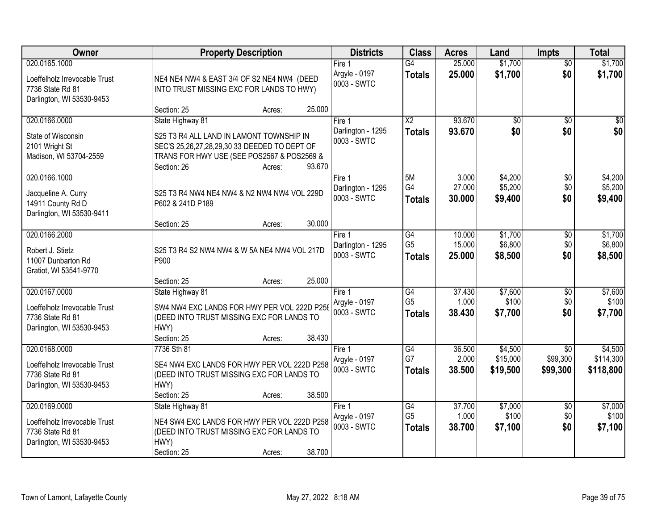| <b>Owner</b>                                                                                    | <b>Property Description</b>                                                                                                                                                                   | <b>Districts</b>                           | <b>Class</b>                                       | <b>Acres</b>               | Land                            | <b>Impts</b>                  | <b>Total</b>                      |
|-------------------------------------------------------------------------------------------------|-----------------------------------------------------------------------------------------------------------------------------------------------------------------------------------------------|--------------------------------------------|----------------------------------------------------|----------------------------|---------------------------------|-------------------------------|-----------------------------------|
| 020.0165.1000<br>Loeffelholz Irrevocable Trust<br>7736 State Rd 81<br>Darlington, WI 53530-9453 | NE4 NE4 NW4 & EAST 3/4 OF S2 NE4 NW4 (DEED<br>INTO TRUST MISSING EXC FOR LANDS TO HWY)                                                                                                        | Fire 1<br>Argyle - 0197<br>0003 - SWTC     | $\overline{G4}$<br><b>Totals</b>                   | 25.000<br>25.000           | \$1,700<br>\$1,700              | $\overline{50}$<br>\$0        | \$1,700<br>\$1,700                |
|                                                                                                 | 25.000<br>Section: 25<br>Acres:                                                                                                                                                               |                                            |                                                    |                            |                                 |                               |                                   |
| 020.0166.0000<br>State of Wisconsin<br>2101 Wright St<br>Madison, WI 53704-2559                 | State Highway 81<br>S25 T3 R4 ALL LAND IN LAMONT TOWNSHIP IN<br>SEC'S 25,26,27,28,29,30 33 DEEDED TO DEPT OF<br>TRANS FOR HWY USE (SEE POS2567 & POS2569 &<br>93.670<br>Section: 26<br>Acres: | Fire 1<br>Darlington - 1295<br>0003 - SWTC | $\overline{X2}$<br><b>Totals</b>                   | 93.670<br>93.670           | $\overline{50}$<br>\$0          | $\overline{50}$<br>\$0        | \$0<br>\$0                        |
| 020.0166.1000<br>Jacqueline A. Curry<br>14911 County Rd D<br>Darlington, WI 53530-9411          | S25 T3 R4 NW4 NE4 NW4 & N2 NW4 NW4 VOL 229D<br>P602 & 241D P189                                                                                                                               | Fire 1<br>Darlington - 1295<br>0003 - SWTC | 5M<br>G4<br><b>Totals</b>                          | 3.000<br>27.000<br>30.000  | \$4,200<br>\$5,200<br>\$9,400   | \$0<br>\$0<br>\$0             | \$4,200<br>\$5,200<br>\$9,400     |
|                                                                                                 | 30.000<br>Section: 25<br>Acres:                                                                                                                                                               |                                            |                                                    |                            |                                 |                               |                                   |
| 020.0166.2000<br>Robert J. Stietz<br>11007 Dunbarton Rd<br>Gratiot, WI 53541-9770               | S25 T3 R4 S2 NW4 NW4 & W 5A NE4 NW4 VOL 217D<br>P900                                                                                                                                          | Fire 1<br>Darlington - 1295<br>0003 - SWTC | $\overline{G4}$<br>G <sub>5</sub><br><b>Totals</b> | 10.000<br>15.000<br>25.000 | \$1,700<br>\$6,800<br>\$8,500   | \$0<br>\$0<br>\$0             | \$1,700<br>\$6,800<br>\$8,500     |
|                                                                                                 | 25.000<br>Section: 25<br>Acres:                                                                                                                                                               |                                            |                                                    |                            |                                 |                               |                                   |
| 020.0167.0000<br>Loeffelholz Irrevocable Trust<br>7736 State Rd 81<br>Darlington, WI 53530-9453 | State Highway 81<br>SW4 NW4 EXC LANDS FOR HWY PER VOL 222D P258<br>(DEED INTO TRUST MISSING EXC FOR LANDS TO<br>HWY)<br>38.430<br>Section: 25<br>Acres:                                       | Fire 1<br>Argyle - 0197<br>0003 - SWTC     | G4<br>G <sub>5</sub><br><b>Totals</b>              | 37.430<br>1.000<br>38.430  | \$7,600<br>\$100<br>\$7,700     | \$0<br>\$0<br>\$0             | \$7,600<br>\$100<br>\$7,700       |
| 020.0168.0000<br>Loeffelholz Irrevocable Trust<br>7736 State Rd 81<br>Darlington, WI 53530-9453 | 7736 Sth 81<br>SE4 NW4 EXC LANDS FOR HWY PER VOL 222D P258<br>(DEED INTO TRUST MISSING EXC FOR LANDS TO<br>HWY)<br>38.500<br>Section: 25<br>Acres:                                            | Fire 1<br>Argyle - 0197<br>0003 - SWTC     | G4<br>G7<br><b>Totals</b>                          | 36.500<br>2.000<br>38.500  | \$4,500<br>\$15,000<br>\$19,500 | \$0<br>\$99,300<br>\$99,300   | \$4,500<br>\$114,300<br>\$118,800 |
| 020.0169.0000<br>Loeffelholz Irrevocable Trust<br>7736 State Rd 81<br>Darlington, WI 53530-9453 | State Highway 81<br>NE4 SW4 EXC LANDS FOR HWY PER VOL 222D P258<br>(DEED INTO TRUST MISSING EXC FOR LANDS TO<br>HWY)<br>38.700<br>Section: 25<br>Acres:                                       | Fire 1<br>Argyle - 0197<br>0003 - SWTC     | G4<br>G <sub>5</sub><br><b>Totals</b>              | 37.700<br>1.000<br>38.700  | \$7,000<br>\$100<br>\$7,100     | $\overline{50}$<br>\$0<br>\$0 | \$7,000<br>\$100<br>\$7,100       |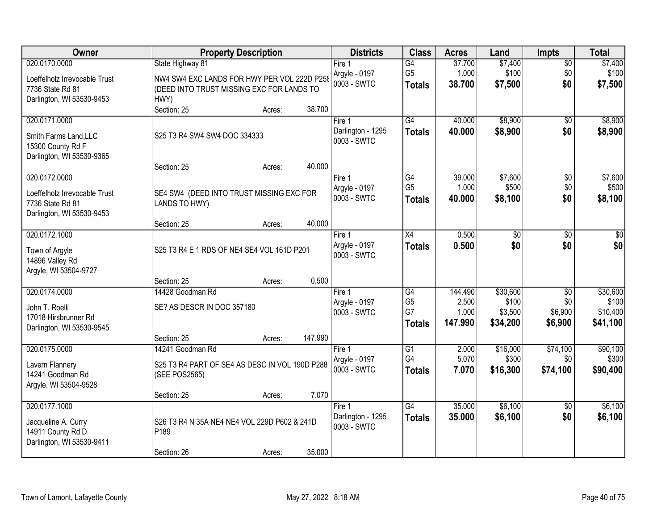| Owner                                                                                           | <b>Property Description</b>                                                                      | <b>Districts</b>                           | <b>Class</b>                                | <b>Acres</b>                         | Land                                     | <b>Impts</b>                                 | <b>Total</b>                              |
|-------------------------------------------------------------------------------------------------|--------------------------------------------------------------------------------------------------|--------------------------------------------|---------------------------------------------|--------------------------------------|------------------------------------------|----------------------------------------------|-------------------------------------------|
| 020.0170.0000                                                                                   | State Highway 81                                                                                 | Fire 1                                     | G4                                          | 37.700                               | \$7,400                                  | $\sqrt{$0}$                                  | \$7,400                                   |
| Loeffelholz Irrevocable Trust<br>7736 State Rd 81<br>Darlington, WI 53530-9453                  | NW4 SW4 EXC LANDS FOR HWY PER VOL 222D P258<br>(DEED INTO TRUST MISSING EXC FOR LANDS TO<br>HWY) | Argyle - 0197<br>0003 - SWTC               | G <sub>5</sub><br><b>Totals</b>             | 1.000<br>38.700                      | \$100<br>\$7,500                         | \$0<br>\$0                                   | \$100<br>\$7,500                          |
|                                                                                                 | 38.700<br>Section: 25<br>Acres:                                                                  |                                            |                                             |                                      |                                          |                                              |                                           |
| 020.0171.0000<br>Smith Farms Land, LLC<br>15300 County Rd F<br>Darlington, WI 53530-9365        | S25 T3 R4 SW4 SW4 DOC 334333                                                                     | Fire 1<br>Darlington - 1295<br>0003 - SWTC | G4<br><b>Totals</b>                         | 40.000<br>40.000                     | \$8,900<br>\$8,900                       | $\overline{50}$<br>\$0                       | \$8,900<br>\$8,900                        |
|                                                                                                 | 40.000<br>Section: 25<br>Acres:                                                                  |                                            |                                             |                                      |                                          |                                              |                                           |
| 020.0172.0000<br>Loeffelholz Irrevocable Trust<br>7736 State Rd 81<br>Darlington, WI 53530-9453 | SE4 SW4 (DEED INTO TRUST MISSING EXC FOR<br>LANDS TO HWY)                                        | Fire 1<br>Argyle - 0197<br>0003 - SWTC     | G4<br>G <sub>5</sub><br><b>Totals</b>       | 39.000<br>1.000<br>40.000            | \$7,600<br>\$500<br>\$8,100              | \$0<br>\$0<br>\$0                            | \$7,600<br>\$500<br>\$8,100               |
|                                                                                                 | 40.000<br>Section: 25<br>Acres:                                                                  |                                            |                                             |                                      |                                          |                                              |                                           |
| 020.0172.1000<br>Town of Argyle<br>14896 Valley Rd<br>Argyle, WI 53504-9727                     | S25 T3 R4 E 1 RDS OF NE4 SE4 VOL 161D P201                                                       | Fire 1<br>Argyle - 0197<br>0003 - SWTC     | X4<br><b>Totals</b>                         | 0.500<br>0.500                       | $\overline{50}$<br>\$0                   | \$0<br>\$0                                   | $\sqrt{50}$<br>\$0                        |
|                                                                                                 | 0.500<br>Section: 25<br>Acres:                                                                   |                                            |                                             |                                      |                                          |                                              |                                           |
| 020.0174.0000<br>John T. Roelli<br>17018 Hirsbrunner Rd<br>Darlington, WI 53530-9545            | 14428 Goodman Rd<br>SE? AS DESCR IN DOC 357180                                                   | Fire 1<br>Argyle - 0197<br>0003 - SWTC     | G4<br>G <sub>5</sub><br>G7<br><b>Totals</b> | 144.490<br>2.500<br>1.000<br>147.990 | \$30,600<br>\$100<br>\$3,500<br>\$34,200 | $\overline{50}$<br>\$0<br>\$6,900<br>\$6,900 | \$30,600<br>\$100<br>\$10,400<br>\$41,100 |
|                                                                                                 | 147.990<br>Section: 25<br>Acres:                                                                 |                                            | $\overline{G1}$                             |                                      |                                          |                                              |                                           |
| 020.0175.0000<br>Lavern Flannery<br>14241 Goodman Rd<br>Argyle, WI 53504-9528                   | 14241 Goodman Rd<br>S25 T3 R4 PART OF SE4 AS DESC IN VOL 190D P288<br>(SEE POS2565)              | Fire 1<br>Argyle - 0197<br>0003 - SWTC     | G4<br><b>Totals</b>                         | 2.000<br>5.070<br>7.070              | \$16,000<br>\$300<br>\$16,300            | \$74,100<br>\$0<br>\$74,100                  | \$90,100<br>\$300<br>\$90,400             |
|                                                                                                 | 7.070<br>Section: 25<br>Acres:                                                                   |                                            |                                             |                                      |                                          |                                              |                                           |
| 020.0177.1000<br>Jacqueline A. Curry<br>14911 County Rd D<br>Darlington, WI 53530-9411          | S26 T3 R4 N 35A NE4 NE4 VOL 229D P602 & 241D<br>P189<br>35.000<br>Section: 26<br>Acres:          | Fire 1<br>Darlington - 1295<br>0003 - SWTC | G4<br><b>Totals</b>                         | 35.000<br>35.000                     | \$6,100<br>\$6,100                       | $\overline{30}$<br>\$0                       | \$6,100<br>\$6,100                        |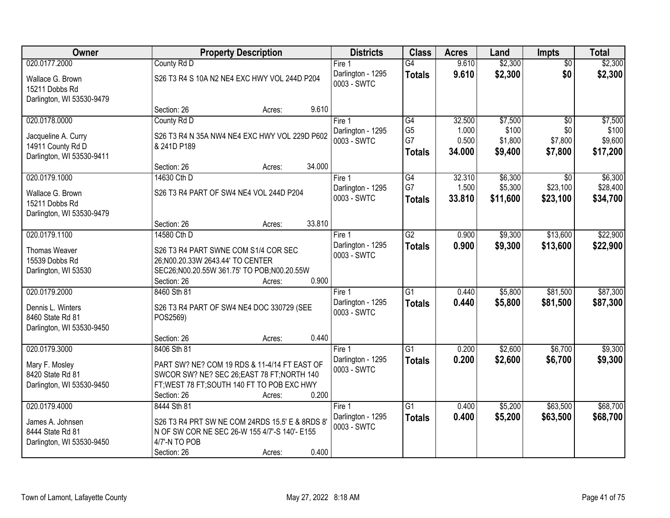| Owner                                                                            |                                                                                                                                                                          | <b>Property Description</b> |                                            |                                       | <b>Acres</b>              | Land                           | <b>Impts</b>                       | <b>Total</b>                    |
|----------------------------------------------------------------------------------|--------------------------------------------------------------------------------------------------------------------------------------------------------------------------|-----------------------------|--------------------------------------------|---------------------------------------|---------------------------|--------------------------------|------------------------------------|---------------------------------|
| 020.0177.2000                                                                    | County Rd D                                                                                                                                                              |                             | Fire $1$                                   | $\overline{G4}$                       | 9.610                     | \$2,300                        | $\overline{60}$                    | \$2,300                         |
| Wallace G. Brown<br>15211 Dobbs Rd<br>Darlington, WI 53530-9479                  | S26 T3 R4 S 10A N2 NE4 EXC HWY VOL 244D P204                                                                                                                             |                             | Darlington - 1295<br>0003 - SWTC           | <b>Totals</b>                         | 9.610                     | \$2,300                        | \$0                                | \$2,300                         |
|                                                                                  | Section: 26                                                                                                                                                              | 9.610<br>Acres:             |                                            |                                       |                           |                                |                                    |                                 |
| 020.0178.0000                                                                    | County Rd D                                                                                                                                                              |                             | Fire 1                                     | G4                                    | 32.500                    | \$7,500                        | $\overline{50}$                    | \$7,500                         |
| Jacqueline A. Curry<br>14911 County Rd D<br>Darlington, WI 53530-9411            | S26 T3 R4 N 35A NW4 NE4 EXC HWY VOL 229D P602<br>& 241D P189                                                                                                             |                             | Darlington - 1295<br>0003 - SWTC           | G <sub>5</sub><br>G7<br><b>Totals</b> | 1.000<br>0.500<br>34.000  | \$100<br>\$1,800<br>\$9,400    | \$0<br>\$7,800<br>\$7,800          | \$100<br>\$9,600<br>\$17,200    |
|                                                                                  | Section: 26                                                                                                                                                              | 34.000<br>Acres:            |                                            |                                       |                           |                                |                                    |                                 |
| 020.0179.1000<br>Wallace G. Brown<br>15211 Dobbs Rd                              | 14630 Cth D<br>S26 T3 R4 PART OF SW4 NE4 VOL 244D P204                                                                                                                   |                             | Fire 1<br>Darlington - 1295<br>0003 - SWTC | G4<br>G7<br><b>Totals</b>             | 32.310<br>1.500<br>33.810 | \$6,300<br>\$5,300<br>\$11,600 | $\sqrt{6}$<br>\$23,100<br>\$23,100 | \$6,300<br>\$28,400<br>\$34,700 |
| Darlington, WI 53530-9479                                                        |                                                                                                                                                                          |                             |                                            |                                       |                           |                                |                                    |                                 |
|                                                                                  | Section: 26                                                                                                                                                              | 33.810<br>Acres:            |                                            |                                       |                           |                                |                                    |                                 |
| 020.0179.1100                                                                    | 14580 Cth D                                                                                                                                                              |                             | Fire 1<br>Darlington - 1295                | $\overline{G2}$                       | 0.900                     | \$9,300                        | \$13,600                           | \$22,900                        |
| Thomas Weaver<br>15539 Dobbs Rd<br>Darlington, WI 53530                          | S26 T3 R4 PART SWNE COM S1/4 COR SEC<br>26;N00.20.33W 2643.44' TO CENTER<br>SEC26;N00.20.55W 361.75' TO POB;N00.20.55W<br>Section: 26                                    | 0.900<br>Acres:             | 0003 - SWTC                                | <b>Totals</b>                         | 0.900                     | \$9,300                        | \$13,600                           | \$22,900                        |
| 020.0179.2000                                                                    | 8460 Sth 81                                                                                                                                                              |                             | Fire 1                                     | $\overline{G1}$                       | 0.440                     | \$5,800                        | \$81,500                           | \$87,300                        |
| Dennis L. Winters<br>8460 State Rd 81<br>Darlington, WI 53530-9450               | S26 T3 R4 PART OF SW4 NE4 DOC 330729 (SEE<br>POS2569)                                                                                                                    |                             | Darlington - 1295<br>0003 - SWTC           | <b>Totals</b>                         | 0.440                     | \$5,800                        | \$81,500                           | \$87,300                        |
|                                                                                  | Section: 26                                                                                                                                                              | 0.440<br>Acres:             |                                            |                                       |                           |                                |                                    |                                 |
| 020.0179.3000<br>Mary F. Mosley<br>8420 State Rd 81<br>Darlington, WI 53530-9450 | 8406 Sth 81<br>PART SW? NE? COM 19 RDS & 11-4/14 FT EAST OF<br>SWCOR SW? NE? SEC 26; EAST 78 FT; NORTH 140<br>FT; WEST 78 FT; SOUTH 140 FT TO POB EXC HWY<br>Section: 26 | 0.200<br>Acres:             | Fire 1<br>Darlington - 1295<br>0003 - SWTC | $\overline{G1}$<br><b>Totals</b>      | 0.200<br>0.200            | \$2,600<br>\$2,600             | \$6,700<br>\$6,700                 | \$9,300<br>\$9,300              |
| 020.0179.4000                                                                    | 8444 Sth 81                                                                                                                                                              |                             | Fire 1                                     | $\overline{G1}$                       | 0.400                     | \$5,200                        | \$63,500                           | \$68,700                        |
| James A. Johnsen<br>8444 State Rd 81<br>Darlington, WI 53530-9450                | S26 T3 R4 PRT SW NE COM 24RDS 15.5' E & 8RDS 8'<br>N OF SW COR NE SEC 26-W 155 4/7'-S 140'- E155<br>4/7'-N TO POB<br>Section: 26                                         | 0.400<br>Acres:             | Darlington - 1295<br>0003 - SWTC           | <b>Totals</b>                         | 0.400                     | \$5,200                        | \$63,500                           | \$68,700                        |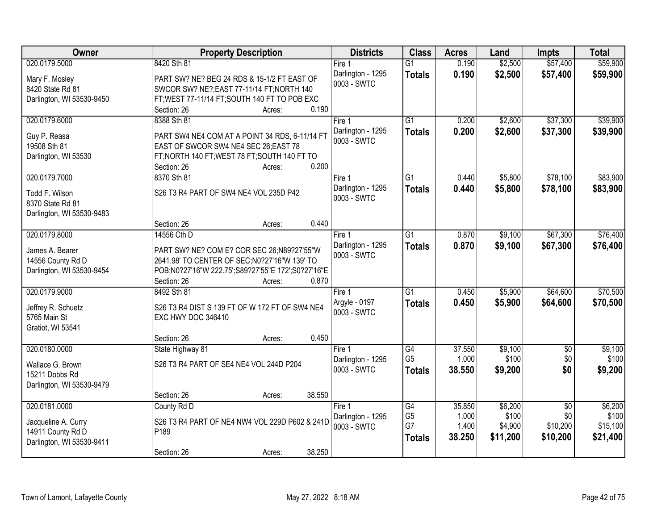| Owner                     | <b>Property Description</b>                        | <b>Districts</b>                 | <b>Class</b>    | <b>Acres</b> | Land     | <b>Impts</b>    | <b>Total</b> |
|---------------------------|----------------------------------------------------|----------------------------------|-----------------|--------------|----------|-----------------|--------------|
| 020.0179.5000             | 8420 Sth 81                                        | Fire 1                           | $\overline{G1}$ | 0.190        | \$2,500  | \$57,400        | \$59,900     |
| Mary F. Mosley            | PART SW? NE? BEG 24 RDS & 15-1/2 FT EAST OF        | Darlington - 1295                | <b>Totals</b>   | 0.190        | \$2,500  | \$57,400        | \$59,900     |
| 8420 State Rd 81          | SWCOR SW? NE?; EAST 77-11/14 FT; NORTH 140         | 0003 - SWTC                      |                 |              |          |                 |              |
| Darlington, WI 53530-9450 | FT; WEST 77-11/14 FT; SOUTH 140 FT TO POB EXC      |                                  |                 |              |          |                 |              |
|                           | 0.190<br>Section: 26<br>Acres:                     |                                  |                 |              |          |                 |              |
| 020.0179.6000             | 8388 Sth 81                                        | Fire 1                           | $\overline{G1}$ | 0.200        | \$2,600  | \$37,300        | \$39,900     |
|                           |                                                    | Darlington - 1295                | <b>Totals</b>   | 0.200        | \$2,600  | \$37,300        | \$39,900     |
| Guy P. Reasa              | PART SW4 NE4 COM AT A POINT 34 RDS, 6-11/14 FT     | 0003 - SWTC                      |                 |              |          |                 |              |
| 19508 Sth 81              | EAST OF SWCOR SW4 NE4 SEC 26; EAST 78              |                                  |                 |              |          |                 |              |
| Darlington, WI 53530      | FT;NORTH 140 FT;WEST 78 FT;SOUTH 140 FT TO         |                                  |                 |              |          |                 |              |
|                           | 0.200<br>Section: 26<br>Acres:                     |                                  |                 |              |          |                 |              |
| 020.0179.7000             | 8370 Sth 81                                        | Fire 1                           | G1              | 0.440        | \$5,800  | \$78,100        | \$83,900     |
| Todd F. Wilson            | S26 T3 R4 PART OF SW4 NE4 VOL 235D P42             | Darlington - 1295                | <b>Totals</b>   | 0.440        | \$5,800  | \$78,100        | \$83,900     |
| 8370 State Rd 81          |                                                    | 0003 - SWTC                      |                 |              |          |                 |              |
| Darlington, WI 53530-9483 |                                                    |                                  |                 |              |          |                 |              |
|                           | 0.440<br>Section: 26<br>Acres:                     |                                  |                 |              |          |                 |              |
| 020.0179.8000             | 14556 Cth D                                        | Fire 1                           | $\overline{G1}$ | 0.870        | \$9,100  | \$67,300        | \$76,400     |
|                           |                                                    |                                  |                 |              |          |                 |              |
| James A. Bearer           | PART SW? NE? COM E? COR SEC 26;N89?27'55"W         | Darlington - 1295<br>0003 - SWTC | <b>Totals</b>   | 0.870        | \$9,100  | \$67,300        | \$76,400     |
| 14556 County Rd D         | 2641.98' TO CENTER OF SEC; N0?27'16"W 139' TO      |                                  |                 |              |          |                 |              |
| Darlington, WI 53530-9454 | POB;N0?27'16"W 222.75';S89?27'55"E 172';S0?27'16"E |                                  |                 |              |          |                 |              |
|                           | 0.870<br>Section: 26<br>Acres:                     |                                  |                 |              |          |                 |              |
| 020.0179.9000             | 8492 Sth 81                                        | Fire 1                           | $\overline{G1}$ | 0.450        | \$5,900  | \$64,600        | \$70,500     |
|                           |                                                    | Argyle - 0197                    | <b>Totals</b>   | 0.450        | \$5,900  | \$64,600        | \$70,500     |
| Jeffrey R. Schuetz        | S26 T3 R4 DIST S 139 FT OF W 172 FT OF SW4 NE4     | 0003 - SWTC                      |                 |              |          |                 |              |
| 5765 Main St              | EXC HWY DOC 346410                                 |                                  |                 |              |          |                 |              |
| Gratiot, WI 53541         |                                                    |                                  |                 |              |          |                 |              |
|                           | 0.450<br>Section: 26<br>Acres:                     |                                  |                 |              |          |                 |              |
| 020.0180.0000             | State Highway 81                                   | Fire 1                           | G4              | 37.550       | \$9,100  | $\overline{50}$ | \$9,100      |
| Wallace G. Brown          | S26 T3 R4 PART OF SE4 NE4 VOL 244D P204            | Darlington - 1295                | G <sub>5</sub>  | 1.000        | \$100    | \$0             | \$100        |
| 15211 Dobbs Rd            |                                                    | 0003 - SWTC                      | <b>Totals</b>   | 38,550       | \$9,200  | \$0             | \$9,200      |
| Darlington, WI 53530-9479 |                                                    |                                  |                 |              |          |                 |              |
|                           | 38.550<br>Section: 26<br>Acres:                    |                                  |                 |              |          |                 |              |
| 020.0181.0000             | County Rd D                                        | Fire 1                           | $\overline{G4}$ | 35.850       | \$6,200  | $\overline{50}$ | \$6,200      |
|                           |                                                    | Darlington - 1295                | G <sub>5</sub>  | 1.000        | \$100    | \$0             | \$100        |
| Jacqueline A. Curry       | S26 T3 R4 PART OF NE4 NW4 VOL 229D P602 & 241D     | 0003 - SWTC                      | G7              | 1.400        | \$4,900  | \$10,200        | \$15,100     |
| 14911 County Rd D         | P189                                               |                                  | <b>Totals</b>   | 38.250       | \$11,200 | \$10,200        | \$21,400     |
| Darlington, WI 53530-9411 |                                                    |                                  |                 |              |          |                 |              |
|                           | 38.250<br>Section: 26<br>Acres:                    |                                  |                 |              |          |                 |              |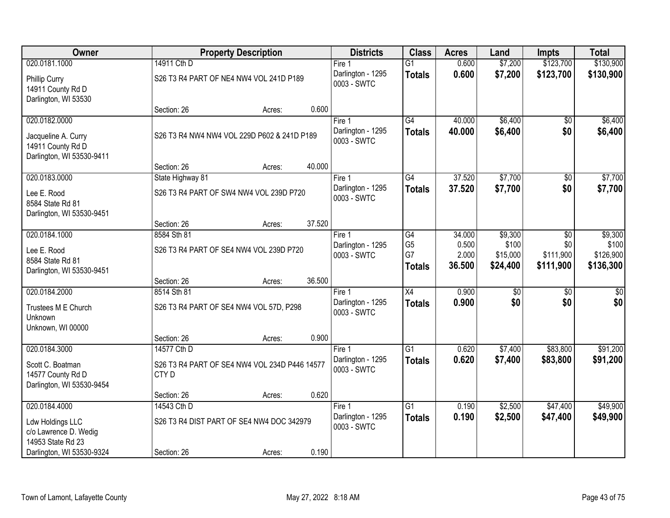| Owner                                                                 |                  | <b>Property Description</b>                                                 |        |                                  | <b>Class</b>    | <b>Acres</b> | Land     | <b>Impts</b>    | <b>Total</b> |
|-----------------------------------------------------------------------|------------------|-----------------------------------------------------------------------------|--------|----------------------------------|-----------------|--------------|----------|-----------------|--------------|
| 020.0181.1000                                                         | 14911 Cth D      |                                                                             |        | Fire 1                           | $\overline{G1}$ | 0.600        | \$7,200  | \$123,700       | \$130,900    |
| Phillip Curry<br>14911 County Rd D<br>Darlington, WI 53530            |                  | Darlington - 1295<br>S26 T3 R4 PART OF NE4 NW4 VOL 241D P189<br>0003 - SWTC |        |                                  | <b>Totals</b>   | 0.600        | \$7,200  | \$123,700       | \$130,900    |
|                                                                       | Section: 26      | Acres:                                                                      | 0.600  |                                  |                 |              |          |                 |              |
| 020.0182.0000                                                         |                  |                                                                             |        | Fire 1                           | $\overline{G4}$ | 40.000       | \$6,400  | $\overline{50}$ | \$6,400      |
| Jacqueline A. Curry<br>14911 County Rd D<br>Darlington, WI 53530-9411 |                  | S26 T3 R4 NW4 NW4 VOL 229D P602 & 241D P189                                 |        | Darlington - 1295<br>0003 - SWTC | <b>Totals</b>   | 40.000       | \$6,400  | \$0             | \$6,400      |
|                                                                       | Section: 26      | Acres:                                                                      | 40.000 |                                  |                 |              |          |                 |              |
| 020.0183.0000                                                         | State Highway 81 |                                                                             |        | Fire 1                           | G4              | 37.520       | \$7,700  | \$0             | \$7,700      |
| Lee E. Rood<br>8584 State Rd 81<br>Darlington, WI 53530-9451          |                  | S26 T3 R4 PART OF SW4 NW4 VOL 239D P720                                     |        | Darlington - 1295<br>0003 - SWTC | <b>Totals</b>   | 37.520       | \$7,700  | \$0             | \$7,700      |
|                                                                       | Section: 26      | Acres:                                                                      | 37.520 |                                  |                 |              |          |                 |              |
| 020.0184.1000                                                         | 8584 Sth 81      |                                                                             |        | Fire 1                           | G4              | 34.000       | \$9,300  | \$0             | \$9,300      |
| Lee E. Rood                                                           |                  | S26 T3 R4 PART OF SE4 NW4 VOL 239D P720                                     |        | Darlington - 1295                | G <sub>5</sub>  | 0.500        | \$100    | \$0             | \$100        |
| 8584 State Rd 81                                                      |                  |                                                                             |        | 0003 - SWTC                      | G7              | 2.000        | \$15,000 | \$111,900       | \$126,900    |
| Darlington, WI 53530-9451                                             |                  |                                                                             |        |                                  | <b>Totals</b>   | 36.500       | \$24,400 | \$111,900       | \$136,300    |
|                                                                       | Section: 26      | Acres:                                                                      | 36.500 |                                  |                 |              |          |                 |              |
| 020.0184.2000                                                         | 8514 Sth 81      |                                                                             |        | Fire 1                           | $\overline{X4}$ | 0.900        | \$0      | \$0             | \$0          |
| Trustees M E Church<br>Unknown                                        |                  | S26 T3 R4 PART OF SE4 NW4 VOL 57D, P298                                     |        | Darlington - 1295<br>0003 - SWTC | <b>Totals</b>   | 0.900        | \$0      | \$0             | \$0          |
| Unknown, WI 00000                                                     |                  |                                                                             |        |                                  |                 |              |          |                 |              |
|                                                                       | Section: 26      | Acres:                                                                      | 0.900  |                                  |                 |              |          |                 |              |
| 020.0184.3000                                                         | 14577 Cth D      |                                                                             |        | Fire 1                           | $\overline{G1}$ | 0.620        | \$7,400  | \$83,800        | \$91,200     |
| Scott C. Boatman<br>14577 County Rd D<br>Darlington, WI 53530-9454    | CTY <sub>D</sub> | S26 T3 R4 PART OF SE4 NW4 VOL 234D P446 14577                               |        | Darlington - 1295<br>0003 - SWTC | <b>Totals</b>   | 0.620        | \$7,400  | \$83,800        | \$91,200     |
|                                                                       | Section: 26      | Acres:                                                                      | 0.620  |                                  |                 |              |          |                 |              |
| 020.0184.4000                                                         | 14543 Cth D      |                                                                             |        | Fire 1                           | $\overline{G1}$ | 0.190        | \$2,500  | \$47,400        | \$49,900     |
| Ldw Holdings LLC<br>c/o Lawrence D. Wedig<br>14953 State Rd 23        |                  | S26 T3 R4 DIST PART OF SE4 NW4 DOC 342979                                   |        | Darlington - 1295<br>0003 - SWTC | <b>Totals</b>   | 0.190        | \$2,500  | \$47,400        | \$49,900     |
| Darlington, WI 53530-9324                                             | Section: 26      | Acres:                                                                      | 0.190  |                                  |                 |              |          |                 |              |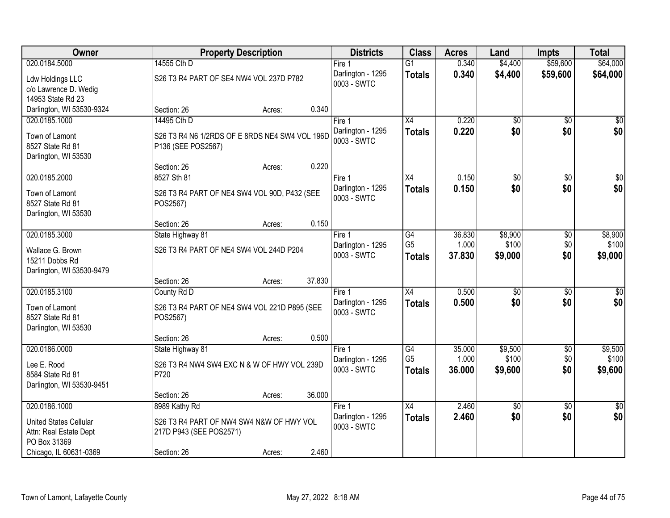| Owner                     |                                                | <b>Property Description</b> |        |                   | <b>Class</b>    | <b>Acres</b> | Land            | <b>Impts</b>    | <b>Total</b>    |
|---------------------------|------------------------------------------------|-----------------------------|--------|-------------------|-----------------|--------------|-----------------|-----------------|-----------------|
| 020.0184.5000             | 14555 Cth D                                    |                             |        | Fire 1            | $\overline{G1}$ | 0.340        | \$4,400         | \$59,600        | \$64,000        |
| Ldw Holdings LLC          | S26 T3 R4 PART OF SE4 NW4 VOL 237D P782        |                             |        | Darlington - 1295 | <b>Totals</b>   | 0.340        | \$4,400         | \$59,600        | \$64,000        |
| c/o Lawrence D. Wedig     |                                                |                             |        | 0003 - SWTC       |                 |              |                 |                 |                 |
| 14953 State Rd 23         |                                                |                             |        |                   |                 |              |                 |                 |                 |
| Darlington, WI 53530-9324 | Section: 26                                    | Acres:                      | 0.340  |                   |                 |              |                 |                 |                 |
| 020.0185.1000             | 14495 Cth D                                    |                             |        | Fire 1            | $\overline{X4}$ | 0.220        | \$0             | $\overline{50}$ | \$0             |
| Town of Lamont            | S26 T3 R4 N6 1/2RDS OF E 8RDS NE4 SW4 VOL 196D |                             |        | Darlington - 1295 | <b>Totals</b>   | 0.220        | \$0             | \$0             | \$0             |
| 8527 State Rd 81          | P136 (SEE POS2567)                             |                             |        | 0003 - SWTC       |                 |              |                 |                 |                 |
| Darlington, WI 53530      |                                                |                             |        |                   |                 |              |                 |                 |                 |
|                           | Section: 26                                    | Acres:                      | 0.220  |                   |                 |              |                 |                 |                 |
| 020.0185.2000             | 8527 Sth 81                                    |                             |        | Fire 1            | X4              | 0.150        | \$0             | \$0             | $\overline{50}$ |
| Town of Lamont            | S26 T3 R4 PART OF NE4 SW4 VOL 90D, P432 (SEE   |                             |        | Darlington - 1295 | <b>Totals</b>   | 0.150        | \$0             | \$0             | \$0             |
| 8527 State Rd 81          | POS2567)                                       |                             |        | 0003 - SWTC       |                 |              |                 |                 |                 |
| Darlington, WI 53530      |                                                |                             |        |                   |                 |              |                 |                 |                 |
|                           | Section: 26                                    | Acres:                      | 0.150  |                   |                 |              |                 |                 |                 |
| 020.0185.3000             | State Highway 81                               |                             |        | Fire 1            | $\overline{G4}$ | 36.830       | \$8,900         | \$0             | \$8,900         |
| Wallace G. Brown          | S26 T3 R4 PART OF NE4 SW4 VOL 244D P204        |                             |        | Darlington - 1295 | G <sub>5</sub>  | 1.000        | \$100           | \$0             | \$100           |
| 15211 Dobbs Rd            |                                                |                             |        | 0003 - SWTC       | <b>Totals</b>   | 37.830       | \$9,000         | \$0             | \$9,000         |
| Darlington, WI 53530-9479 |                                                |                             |        |                   |                 |              |                 |                 |                 |
|                           | Section: 26                                    | Acres:                      | 37.830 |                   |                 |              |                 |                 |                 |
| 020.0185.3100             | County Rd D                                    |                             |        | Fire 1            | $\overline{X4}$ | 0.500        | $\overline{50}$ | \$0             | $\sqrt{50}$     |
| Town of Lamont            | S26 T3 R4 PART OF NE4 SW4 VOL 221D P895 (SEE   |                             |        | Darlington - 1295 | <b>Totals</b>   | 0.500        | \$0             | \$0             | \$0             |
| 8527 State Rd 81          | POS2567)                                       |                             |        | 0003 - SWTC       |                 |              |                 |                 |                 |
| Darlington, WI 53530      |                                                |                             |        |                   |                 |              |                 |                 |                 |
|                           | Section: 26                                    | Acres:                      | 0.500  |                   |                 |              |                 |                 |                 |
| 020.0186.0000             | State Highway 81                               |                             |        | Fire 1            | $\overline{G4}$ | 35.000       | \$9,500         | $\overline{$0}$ | \$9,500         |
| Lee E. Rood               | S26 T3 R4 NW4 SW4 EXC N & W OF HWY VOL 239D    |                             |        | Darlington - 1295 | G <sub>5</sub>  | 1.000        | \$100           | \$0             | \$100           |
| 8584 State Rd 81          | P720                                           |                             |        | 0003 - SWTC       | <b>Totals</b>   | 36.000       | \$9,600         | \$0             | \$9,600         |
| Darlington, WI 53530-9451 |                                                |                             |        |                   |                 |              |                 |                 |                 |
|                           | Section: 26                                    | Acres:                      | 36.000 |                   |                 |              |                 |                 |                 |
| 020.0186.1000             | 8989 Kathy Rd                                  |                             |        | Fire 1            | $\overline{X4}$ | 2.460        | $\overline{50}$ | $\overline{30}$ | $\sqrt{50}$     |
| United States Cellular    | S26 T3 R4 PART OF NW4 SW4 N&W OF HWY VOL       |                             |        | Darlington - 1295 | <b>Totals</b>   | 2.460        | \$0             | \$0             | \$0             |
| Attn: Real Estate Dept    | 217D P943 (SEE POS2571)                        |                             |        | 0003 - SWTC       |                 |              |                 |                 |                 |
| PO Box 31369              |                                                |                             |        |                   |                 |              |                 |                 |                 |
| Chicago, IL 60631-0369    | Section: 26                                    | Acres:                      | 2.460  |                   |                 |              |                 |                 |                 |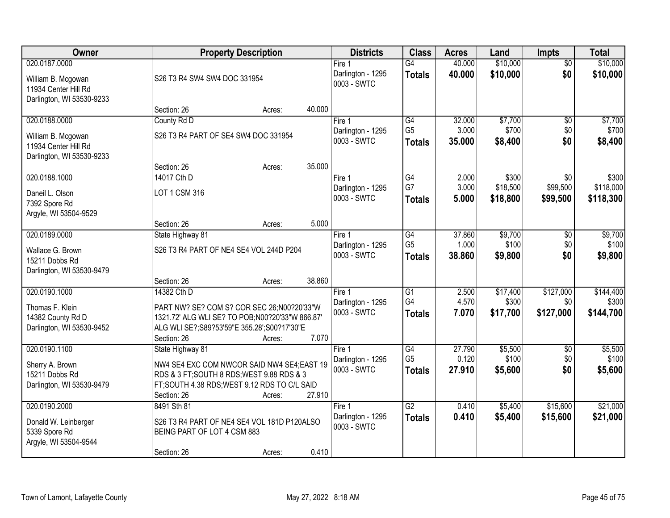| <b>Owner</b>                                                                    |                                                                                                                                                                            | <b>Property Description</b> |        | <b>Districts</b>                           | <b>Class</b>                                       | <b>Acres</b>              | Land                          | <b>Impts</b>                  | <b>Total</b>                    |
|---------------------------------------------------------------------------------|----------------------------------------------------------------------------------------------------------------------------------------------------------------------------|-----------------------------|--------|--------------------------------------------|----------------------------------------------------|---------------------------|-------------------------------|-------------------------------|---------------------------------|
| 020.0187.0000<br>William B. Mcgowan<br>11934 Center Hill Rd                     | S26 T3 R4 SW4 SW4 DOC 331954                                                                                                                                               |                             |        | Fire 1<br>Darlington - 1295<br>0003 - SWTC | G4<br><b>Totals</b>                                | 40.000<br>40.000          | \$10,000<br>\$10,000          | $\overline{50}$<br>\$0        | \$10,000<br>\$10,000            |
| Darlington, WI 53530-9233                                                       | Section: 26                                                                                                                                                                | Acres:                      | 40.000 |                                            |                                                    |                           |                               |                               |                                 |
| 020.0188.0000                                                                   | County Rd D                                                                                                                                                                |                             |        | Fire $1$                                   | G4                                                 | 32.000                    | \$7,700                       | $\overline{50}$               | \$7,700                         |
| William B. Mcgowan<br>11934 Center Hill Rd<br>Darlington, WI 53530-9233         | S26 T3 R4 PART OF SE4 SW4 DOC 331954                                                                                                                                       |                             |        | Darlington - 1295<br>0003 - SWTC           | G <sub>5</sub><br><b>Totals</b>                    | 3.000<br>35.000           | \$700<br>\$8,400              | \$0<br>\$0                    | \$700<br>\$8,400                |
|                                                                                 | Section: 26                                                                                                                                                                | Acres:                      | 35.000 |                                            |                                                    |                           |                               |                               |                                 |
| 020.0188.1000                                                                   | 14017 Cth D                                                                                                                                                                |                             |        | Fire 1                                     | G4                                                 | 2.000                     | \$300                         | \$0                           | \$300                           |
| Daneil L. Olson<br>7392 Spore Rd<br>Argyle, WI 53504-9529                       | LOT 1 CSM 316                                                                                                                                                              |                             |        | Darlington - 1295<br>0003 - SWTC           | G7<br><b>Totals</b>                                | 3.000<br>5.000            | \$18,500<br>\$18,800          | \$99,500<br>\$99,500          | \$118,000<br>\$118,300          |
|                                                                                 | Section: 26                                                                                                                                                                | Acres:                      | 5.000  |                                            |                                                    |                           |                               |                               |                                 |
| 020.0189.0000                                                                   | State Highway 81                                                                                                                                                           |                             |        | Fire 1                                     | G4                                                 | 37.860                    | \$9,700                       | \$0                           | \$9,700                         |
| Wallace G. Brown<br>15211 Dobbs Rd<br>Darlington, WI 53530-9479                 | S26 T3 R4 PART OF NE4 SE4 VOL 244D P204                                                                                                                                    |                             |        | Darlington - 1295<br>0003 - SWTC           | G <sub>5</sub><br><b>Totals</b>                    | 1.000<br>38.860           | \$100<br>\$9,800              | \$0<br>\$0                    | \$100<br>\$9,800                |
|                                                                                 | Section: 26                                                                                                                                                                | Acres:                      | 38.860 |                                            |                                                    |                           |                               |                               |                                 |
| 020.0190.1000<br>Thomas F. Klein<br>14382 County Rd D                           | 14382 Cth D<br>PART NW? SE? COM S? COR SEC 26;N00?20'33"W<br>1321.72' ALG WLI SE? TO POB;N00?20'33"W 866.87'                                                               |                             |        | Fire 1<br>Darlington - 1295<br>0003 - SWTC | $\overline{G1}$<br>G4<br><b>Totals</b>             | 2.500<br>4.570<br>7.070   | \$17,400<br>\$300<br>\$17,700 | \$127,000<br>\$0<br>\$127,000 | \$144,400<br>\$300<br>\$144,700 |
| Darlington, WI 53530-9452                                                       | ALG WLI SE?; S89?53'59"E 355.28'; S00?17'30"E                                                                                                                              |                             |        |                                            |                                                    |                           |                               |                               |                                 |
|                                                                                 | Section: 26                                                                                                                                                                | Acres:                      | 7.070  |                                            |                                                    |                           |                               |                               |                                 |
| 020.0190.1100<br>Sherry A. Brown<br>15211 Dobbs Rd<br>Darlington, WI 53530-9479 | State Highway 81<br>NW4 SE4 EXC COM NWCOR SAID NW4 SE4;EAST 19<br>RDS & 3 FT; SOUTH 8 RDS; WEST 9.88 RDS & 3<br>FT;SOUTH 4.38 RDS;WEST 9.12 RDS TO C/L SAID<br>Section: 26 | Acres:                      | 27.910 | Fire 1<br>Darlington - 1295<br>0003 - SWTC | $\overline{G4}$<br>G <sub>5</sub><br><b>Totals</b> | 27.790<br>0.120<br>27.910 | \$5,500<br>\$100<br>\$5,600   | $\overline{50}$<br>\$0<br>\$0 | \$5,500<br>\$100<br>\$5,600     |
| 020.0190.2000                                                                   | 8491 Sth 81                                                                                                                                                                |                             |        | Fire 1                                     | $\overline{G2}$                                    | 0.410                     | \$5,400                       | \$15,600                      | \$21,000                        |
| Donald W. Leinberger<br>5339 Spore Rd<br>Argyle, WI 53504-9544                  | S26 T3 R4 PART OF NE4 SE4 VOL 181D P120ALSO<br>BEING PART OF LOT 4 CSM 883                                                                                                 |                             |        | Darlington - 1295<br>0003 - SWTC           | <b>Totals</b>                                      | 0.410                     | \$5,400                       | \$15,600                      | \$21,000                        |
|                                                                                 | Section: 26                                                                                                                                                                | Acres:                      | 0.410  |                                            |                                                    |                           |                               |                               |                                 |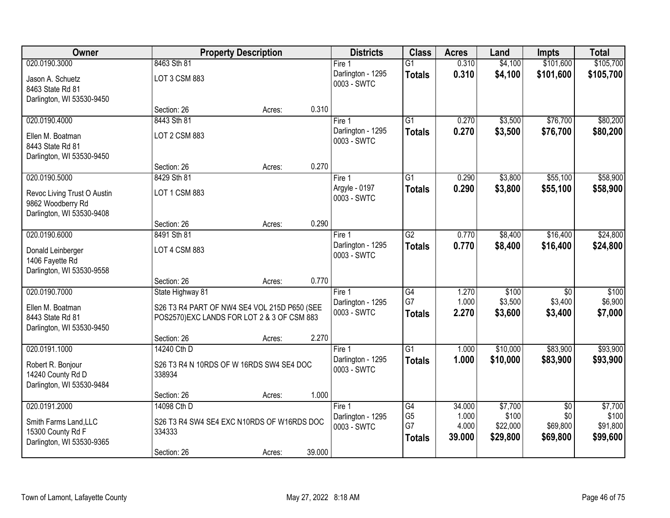| <b>Owner</b>                                                                  |                                                                                            | <b>Property Description</b> |        | <b>Districts</b>                 | <b>Class</b>          | <b>Acres</b>   | Land              | <b>Impts</b>               | <b>Total</b>      |
|-------------------------------------------------------------------------------|--------------------------------------------------------------------------------------------|-----------------------------|--------|----------------------------------|-----------------------|----------------|-------------------|----------------------------|-------------------|
| 020.0190.3000                                                                 | 8463 Sth 81                                                                                |                             |        | Fire 1                           | $\overline{G1}$       | 0.310          | \$4,100           | \$101,600                  | \$105,700         |
| Jason A. Schuetz<br>8463 State Rd 81<br>Darlington, WI 53530-9450             | LOT 3 CSM 883                                                                              |                             |        | Darlington - 1295<br>0003 - SWTC | <b>Totals</b>         | 0.310          | \$4,100           | \$101,600                  | \$105,700         |
|                                                                               | Section: 26                                                                                | Acres:                      | 0.310  |                                  |                       |                |                   |                            |                   |
| 020.0190.4000                                                                 | 8443 Sth 81                                                                                |                             |        | Fire 1                           | $\overline{G1}$       | 0.270          | \$3,500           | \$76,700                   | \$80,200          |
| Ellen M. Boatman<br>8443 State Rd 81<br>Darlington, WI 53530-9450             | <b>LOT 2 CSM 883</b>                                                                       |                             |        | Darlington - 1295<br>0003 - SWTC | <b>Totals</b>         | 0.270          | \$3,500           | \$76,700                   | \$80,200          |
|                                                                               | Section: 26                                                                                | Acres:                      | 0.270  |                                  |                       |                |                   |                            |                   |
| 020.0190.5000                                                                 | 8429 Sth 81                                                                                |                             |        | Fire 1                           | $\overline{G1}$       | 0.290          | \$3,800           | \$55,100                   | \$58,900          |
| Revoc Living Trust O Austin<br>9862 Woodberry Rd<br>Darlington, WI 53530-9408 | LOT 1 CSM 883                                                                              |                             |        | Argyle - 0197<br>0003 - SWTC     | <b>Totals</b>         | 0.290          | \$3,800           | \$55,100                   | \$58,900          |
|                                                                               | Section: 26                                                                                | Acres:                      | 0.290  |                                  |                       |                |                   |                            |                   |
| 020.0190.6000                                                                 | 8491 Sth 81                                                                                |                             |        | Fire 1                           | $\overline{G2}$       | 0.770          | \$8,400           | \$16,400                   | \$24,800          |
| Donald Leinberger<br>1406 Fayette Rd<br>Darlington, WI 53530-9558             | LOT 4 CSM 883                                                                              |                             |        | Darlington - 1295<br>0003 - SWTC | <b>Totals</b>         | 0.770          | \$8,400           | \$16,400                   | \$24,800          |
|                                                                               | Section: 26                                                                                | Acres:                      | 0.770  |                                  |                       |                |                   |                            |                   |
| 020.0190.7000                                                                 | State Highway 81                                                                           |                             |        | Fire 1<br>Darlington - 1295      | $\overline{G4}$<br>G7 | 1.270<br>1.000 | \$100<br>\$3,500  | $\overline{50}$<br>\$3,400 | \$100<br>\$6,900  |
| Ellen M. Boatman<br>8443 State Rd 81<br>Darlington, WI 53530-9450             | S26 T3 R4 PART OF NW4 SE4 VOL 215D P650 (SEE<br>POS2570)EXC LANDS FOR LOT 2 & 3 OF CSM 883 |                             |        | 0003 - SWTC                      | <b>Totals</b>         | 2.270          | \$3,600           | \$3,400                    | \$7,000           |
|                                                                               | Section: 26                                                                                | Acres:                      | 2.270  |                                  |                       |                |                   |                            |                   |
| 020.0191.1000                                                                 | 14240 Cth D                                                                                |                             |        | Fire 1                           | $\overline{G1}$       | 1.000          | \$10,000          | \$83,900                   | \$93,900          |
| Robert R. Bonjour<br>14240 County Rd D<br>Darlington, WI 53530-9484           | S26 T3 R4 N 10RDS OF W 16RDS SW4 SE4 DOC<br>338934                                         |                             |        | Darlington - 1295<br>0003 - SWTC | <b>Totals</b>         | 1.000          | \$10,000          | \$83,900                   | \$93,900          |
|                                                                               | Section: 26                                                                                | Acres:                      | 1.000  |                                  |                       |                |                   |                            |                   |
| 020.0191.2000                                                                 | 14098 Cth D                                                                                |                             |        | Fire 1                           | G4                    | 34.000         | \$7,700           | $\overline{30}$            | \$7,700           |
| Smith Farms Land, LLC                                                         | S26 T3 R4 SW4 SE4 EXC N10RDS OF W16RDS DOC                                                 |                             |        | Darlington - 1295<br>0003 - SWTC | G <sub>5</sub><br>G7  | 1.000<br>4.000 | \$100<br>\$22,000 | \$0<br>\$69,800            | \$100<br>\$91,800 |
| 15300 County Rd F<br>Darlington, WI 53530-9365                                | 334333                                                                                     |                             |        |                                  | <b>Totals</b>         | 39.000         | \$29,800          | \$69,800                   | \$99,600          |
|                                                                               | Section: 26                                                                                | Acres:                      | 39.000 |                                  |                       |                |                   |                            |                   |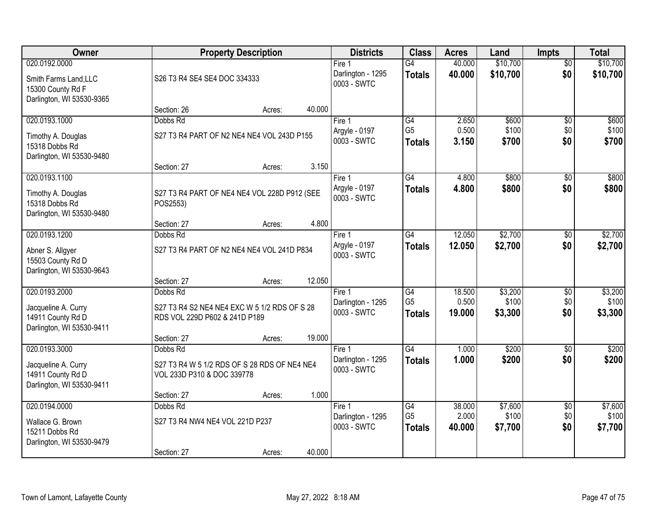| Owner                                                                                    | <b>Property Description</b>                                                                           | <b>Districts</b> | <b>Class</b>                               | <b>Acres</b>                                       | Land                      | <b>Impts</b>                | <b>Total</b>                  |                             |
|------------------------------------------------------------------------------------------|-------------------------------------------------------------------------------------------------------|------------------|--------------------------------------------|----------------------------------------------------|---------------------------|-----------------------------|-------------------------------|-----------------------------|
| 020.0192.0000<br>Smith Farms Land, LLC<br>15300 County Rd F<br>Darlington, WI 53530-9365 | S26 T3 R4 SE4 SE4 DOC 334333                                                                          |                  | Fire 1<br>Darlington - 1295<br>0003 - SWTC | $\overline{G4}$<br><b>Totals</b>                   | 40.000<br>40.000          | \$10,700<br>\$10,700        | $\overline{50}$<br>\$0        | \$10,700<br>\$10,700        |
|                                                                                          | Section: 26<br>Acres:                                                                                 | 40.000           |                                            |                                                    |                           |                             |                               |                             |
| 020.0193.1000<br>Timothy A. Douglas<br>15318 Dobbs Rd<br>Darlington, WI 53530-9480       | Dobbs Rd<br>S27 T3 R4 PART OF N2 NE4 NE4 VOL 243D P155                                                |                  | Fire 1<br>Argyle - 0197<br>0003 - SWTC     | G4<br>G <sub>5</sub><br><b>Totals</b>              | 2.650<br>0.500<br>3.150   | \$600<br>\$100<br>\$700     | $\overline{50}$<br>\$0<br>\$0 | \$600<br>\$100<br>\$700     |
| 020.0193.1100                                                                            | Section: 27<br>Acres:                                                                                 | 3.150            | Fire 1                                     | G4                                                 | 4.800                     | \$800                       | \$0                           | \$800                       |
| Timothy A. Douglas<br>15318 Dobbs Rd<br>Darlington, WI 53530-9480                        | S27 T3 R4 PART OF NE4 NE4 VOL 228D P912 (SEE<br>POS2553)                                              |                  | Argyle - 0197<br>0003 - SWTC               | <b>Totals</b>                                      | 4.800                     | \$800                       | \$0                           | \$800                       |
|                                                                                          | Section: 27<br>Acres:                                                                                 | 4.800            |                                            |                                                    |                           |                             |                               |                             |
| 020.0193.1200<br>Abner S. Allgyer<br>15503 County Rd D<br>Darlington, WI 53530-9643      | Dobbs Rd<br>S27 T3 R4 PART OF N2 NE4 NE4 VOL 241D P834                                                |                  | Fire 1<br>Argyle - 0197<br>0003 - SWTC     | G4<br><b>Totals</b>                                | 12.050<br>12.050          | \$2,700<br>\$2,700          | $\sqrt[6]{}$<br>\$0           | \$2,700<br>\$2,700          |
|                                                                                          | Section: 27<br>Acres:                                                                                 | 12.050           |                                            |                                                    |                           |                             |                               |                             |
| 020.0193.2000<br>Jacqueline A. Curry<br>14911 County Rd D<br>Darlington, WI 53530-9411   | Dobbs Rd<br>S27 T3 R4 S2 NE4 NE4 EXC W 5 1/2 RDS OF S 28<br>RDS VOL 229D P602 & 241D P189             |                  | Fire 1<br>Darlington - 1295<br>0003 - SWTC | $\overline{G4}$<br>G <sub>5</sub><br><b>Totals</b> | 18.500<br>0.500<br>19.000 | \$3,200<br>\$100<br>\$3,300 | $\overline{50}$<br>\$0<br>\$0 | \$3,200<br>\$100<br>\$3,300 |
|                                                                                          | Section: 27<br>Acres:                                                                                 | 19.000           |                                            |                                                    |                           |                             |                               |                             |
| 020.0193.3000<br>Jacqueline A. Curry<br>14911 County Rd D<br>Darlington, WI 53530-9411   | Dobbs Rd<br>S27 T3 R4 W 5 1/2 RDS OF S 28 RDS OF NE4 NE4<br>VOL 233D P310 & DOC 339778<br>Section: 27 | 1.000            | Fire 1<br>Darlington - 1295<br>0003 - SWTC | G4<br><b>Totals</b>                                | 1.000<br>1.000            | \$200<br>\$200              | $\overline{50}$<br>\$0        | \$200<br>\$200              |
| 020.0194.0000                                                                            | Acres:<br>Dobbs Rd                                                                                    |                  | Fire 1                                     | G4                                                 | 38,000                    | \$7,600                     | $\overline{50}$               | \$7,600                     |
| Wallace G. Brown<br>15211 Dobbs Rd<br>Darlington, WI 53530-9479                          | S27 T3 R4 NW4 NE4 VOL 221D P237                                                                       |                  | Darlington - 1295<br>0003 - SWTC           | G <sub>5</sub><br><b>Totals</b>                    | 2.000<br>40.000           | \$100<br>\$7,700            | \$0<br>\$0                    | \$100<br>\$7,700            |
|                                                                                          | Section: 27<br>Acres:                                                                                 | 40.000           |                                            |                                                    |                           |                             |                               |                             |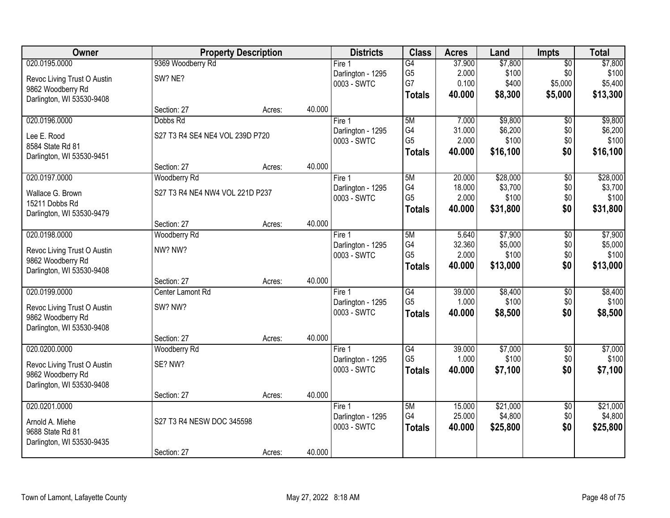| Owner                       | <b>Property Description</b>     |        |        | <b>Districts</b>  | <b>Class</b>    | <b>Acres</b> | Land     | <b>Impts</b>    | <b>Total</b> |
|-----------------------------|---------------------------------|--------|--------|-------------------|-----------------|--------------|----------|-----------------|--------------|
| 020.0195.0000               | 9369 Woodberry Rd               |        |        | Fire 1            | G4              | 37.900       | \$7,800  | $\overline{$0}$ | \$7,800      |
| Revoc Living Trust O Austin | SW? NE?                         |        |        | Darlington - 1295 | G <sub>5</sub>  | 2.000        | \$100    | \$0             | \$100        |
| 9862 Woodberry Rd           |                                 |        |        | 0003 - SWTC       | G7              | 0.100        | \$400    | \$5,000         | \$5,400      |
| Darlington, WI 53530-9408   |                                 |        |        |                   | <b>Totals</b>   | 40.000       | \$8,300  | \$5,000         | \$13,300     |
|                             | Section: 27                     | Acres: | 40.000 |                   |                 |              |          |                 |              |
| 020.0196.0000               | Dobbs Rd                        |        |        | Fire 1            | 5M              | 7.000        | \$9,800  | $\overline{50}$ | \$9,800      |
| Lee E. Rood                 | S27 T3 R4 SE4 NE4 VOL 239D P720 |        |        | Darlington - 1295 | G4              | 31.000       | \$6,200  | \$0             | \$6,200      |
| 8584 State Rd 81            |                                 |        |        | 0003 - SWTC       | G <sub>5</sub>  | 2.000        | \$100    | \$0             | \$100        |
| Darlington, WI 53530-9451   |                                 |        |        |                   | <b>Totals</b>   | 40.000       | \$16,100 | \$0             | \$16,100     |
|                             | Section: 27                     | Acres: | 40.000 |                   |                 |              |          |                 |              |
| 020.0197.0000               | Woodberry Rd                    |        |        | Fire 1            | 5M              | 20.000       | \$28,000 | \$0             | \$28,000     |
| Wallace G. Brown            | S27 T3 R4 NE4 NW4 VOL 221D P237 |        |        | Darlington - 1295 | G4              | 18.000       | \$3,700  | \$0             | \$3,700      |
| 15211 Dobbs Rd              |                                 |        |        | 0003 - SWTC       | G <sub>5</sub>  | 2.000        | \$100    | \$0             | \$100        |
| Darlington, WI 53530-9479   |                                 |        |        |                   | <b>Totals</b>   | 40.000       | \$31,800 | \$0             | \$31,800     |
|                             | Section: 27                     | Acres: | 40.000 |                   |                 |              |          |                 |              |
| 020.0198.0000               | Woodberry Rd                    |        |        | Fire 1            | 5M              | 5.640        | \$7,900  | \$0             | \$7,900      |
| Revoc Living Trust O Austin | NW? NW?                         |        |        | Darlington - 1295 | G4              | 32.360       | \$5,000  | \$0             | \$5,000      |
| 9862 Woodberry Rd           |                                 |        |        | 0003 - SWTC       | G <sub>5</sub>  | 2.000        | \$100    | \$0             | \$100        |
| Darlington, WI 53530-9408   |                                 |        |        |                   | <b>Totals</b>   | 40.000       | \$13,000 | \$0             | \$13,000     |
|                             | Section: 27                     | Acres: | 40.000 |                   |                 |              |          |                 |              |
| 020.0199.0000               | Center Lamont Rd                |        |        | Fire 1            | G4              | 39.000       | \$8,400  | \$0             | \$8,400      |
| Revoc Living Trust O Austin | SW? NW?                         |        |        | Darlington - 1295 | G <sub>5</sub>  | 1.000        | \$100    | \$0             | \$100        |
| 9862 Woodberry Rd           |                                 |        |        | 0003 - SWTC       | <b>Totals</b>   | 40.000       | \$8,500  | \$0             | \$8,500      |
| Darlington, WI 53530-9408   |                                 |        |        |                   |                 |              |          |                 |              |
|                             | Section: 27                     | Acres: | 40.000 |                   |                 |              |          |                 |              |
| 020.0200.0000               | Woodberry Rd                    |        |        | Fire 1            | $\overline{G4}$ | 39.000       | \$7,000  | $\overline{$0}$ | \$7,000      |
| Revoc Living Trust O Austin | SE? NW?                         |        |        | Darlington - 1295 | G <sub>5</sub>  | 1.000        | \$100    | \$0             | \$100        |
| 9862 Woodberry Rd           |                                 |        |        | 0003 - SWTC       | <b>Totals</b>   | 40.000       | \$7,100  | \$0             | \$7,100      |
| Darlington, WI 53530-9408   |                                 |        |        |                   |                 |              |          |                 |              |
|                             | Section: 27                     | Acres: | 40.000 |                   |                 |              |          |                 |              |
| 020.0201.0000               |                                 |        |        | Fire 1            | 5M              | 15.000       | \$21,000 | $\overline{60}$ | \$21,000     |
| Arnold A. Miehe             | S27 T3 R4 NESW DOC 345598       |        |        | Darlington - 1295 | G4              | 25.000       | \$4,800  | \$0             | \$4,800      |
| 9688 State Rd 81            |                                 |        |        | 0003 - SWTC       | <b>Totals</b>   | 40.000       | \$25,800 | \$0             | \$25,800     |
| Darlington, WI 53530-9435   |                                 |        |        |                   |                 |              |          |                 |              |
|                             | Section: 27                     | Acres: | 40.000 |                   |                 |              |          |                 |              |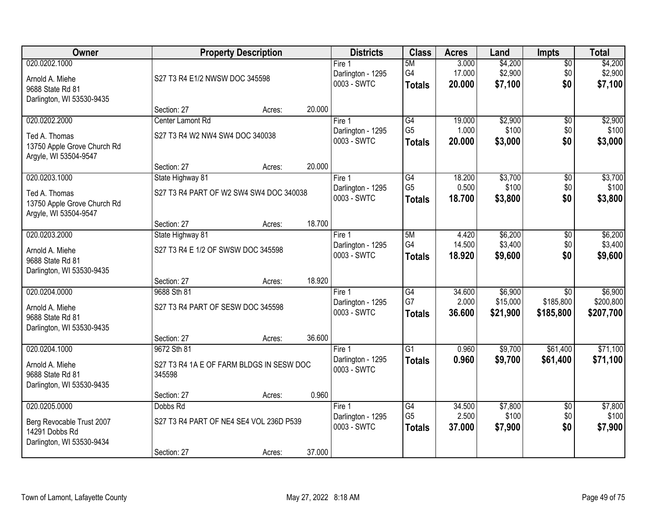| <b>Owner</b>                                                                              |                                                                    | <b>Property Description</b> |        | <b>Districts</b>                           | <b>Class</b>                                       | <b>Acres</b>              | Land                            | <b>Impts</b>                              | <b>Total</b>                      |
|-------------------------------------------------------------------------------------------|--------------------------------------------------------------------|-----------------------------|--------|--------------------------------------------|----------------------------------------------------|---------------------------|---------------------------------|-------------------------------------------|-----------------------------------|
| 020.0202.1000<br>Arnold A. Miehe<br>9688 State Rd 81<br>Darlington, WI 53530-9435         | S27 T3 R4 E1/2 NWSW DOC 345598                                     |                             |        | Fire 1<br>Darlington - 1295<br>0003 - SWTC | 5M<br>G4<br><b>Totals</b>                          | 3.000<br>17.000<br>20.000 | \$4,200<br>\$2,900<br>\$7,100   | \$0<br>\$0<br>\$0                         | \$4,200<br>\$2,900<br>\$7,100     |
|                                                                                           | Section: 27                                                        | Acres:                      | 20.000 |                                            |                                                    |                           |                                 |                                           |                                   |
| 020.0202.2000<br>Ted A. Thomas<br>13750 Apple Grove Church Rd                             | Center Lamont Rd<br>S27 T3 R4 W2 NW4 SW4 DOC 340038                |                             |        | Fire 1<br>Darlington - 1295<br>0003 - SWTC | G4<br>G <sub>5</sub><br><b>Totals</b>              | 19.000<br>1.000<br>20.000 | \$2,900<br>\$100<br>\$3,000     | \$0<br>\$0<br>\$0                         | \$2,900<br>\$100<br>\$3,000       |
| Argyle, WI 53504-9547                                                                     | Section: 27                                                        | Acres:                      | 20.000 |                                            |                                                    |                           |                                 |                                           |                                   |
| 020.0203.1000<br>Ted A. Thomas<br>13750 Apple Grove Church Rd<br>Argyle, WI 53504-9547    | State Highway 81<br>S27 T3 R4 PART OF W2 SW4 SW4 DOC 340038        |                             |        | Fire 1<br>Darlington - 1295<br>0003 - SWTC | $\overline{G4}$<br>G <sub>5</sub><br><b>Totals</b> | 18.200<br>0.500<br>18,700 | \$3,700<br>\$100<br>\$3,800     | \$0<br>\$0<br>\$0                         | \$3,700<br>\$100<br>\$3,800       |
|                                                                                           | Section: 27                                                        | Acres:                      | 18.700 |                                            |                                                    |                           |                                 |                                           |                                   |
| 020.0203.2000<br>Arnold A. Miehe<br>9688 State Rd 81<br>Darlington, WI 53530-9435         | State Highway 81<br>S27 T3 R4 E 1/2 OF SWSW DOC 345598             |                             |        | Fire 1<br>Darlington - 1295<br>0003 - SWTC | 5M<br>G4<br><b>Totals</b>                          | 4.420<br>14.500<br>18.920 | \$6,200<br>\$3,400<br>\$9,600   | $\sqrt[6]{3}$<br>\$0<br>\$0               | \$6,200<br>\$3,400<br>\$9,600     |
|                                                                                           | Section: 27                                                        | Acres:                      | 18.920 |                                            |                                                    |                           |                                 |                                           |                                   |
| 020.0204.0000<br>Arnold A. Miehe<br>9688 State Rd 81<br>Darlington, WI 53530-9435         | 9688 Sth 81<br>S27 T3 R4 PART OF SESW DOC 345598<br>Section: 27    | Acres:                      | 36.600 | Fire 1<br>Darlington - 1295<br>0003 - SWTC | G4<br>G7<br><b>Totals</b>                          | 34.600<br>2.000<br>36.600 | \$6,900<br>\$15,000<br>\$21,900 | $\overline{50}$<br>\$185,800<br>\$185,800 | \$6,900<br>\$200,800<br>\$207,700 |
| 020.0204.1000                                                                             | 9672 Sth 81                                                        |                             |        | Fire 1                                     | $\overline{G1}$                                    | 0.960                     | \$9,700                         | \$61,400                                  | \$71,100                          |
| Arnold A. Miehe<br>9688 State Rd 81<br>Darlington, WI 53530-9435                          | S27 T3 R4 1A E OF FARM BLDGS IN SESW DOC<br>345598                 |                             |        | Darlington - 1295<br>0003 - SWTC           | <b>Totals</b>                                      | 0.960                     | \$9,700                         | \$61,400                                  | \$71,100                          |
|                                                                                           | Section: 27                                                        | Acres:                      | 0.960  |                                            |                                                    |                           |                                 |                                           |                                   |
| 020.0205.0000<br>Berg Revocable Trust 2007<br>14291 Dobbs Rd<br>Darlington, WI 53530-9434 | Dobbs Rd<br>S27 T3 R4 PART OF NE4 SE4 VOL 236D P539<br>Section: 27 |                             | 37.000 | Fire 1<br>Darlington - 1295<br>0003 - SWTC | G4<br>G <sub>5</sub><br><b>Totals</b>              | 34.500<br>2.500<br>37.000 | \$7,800<br>\$100<br>\$7,900     | $\overline{60}$<br>\$0<br>\$0             | \$7,800<br>\$100<br>\$7,900       |
|                                                                                           |                                                                    | Acres:                      |        |                                            |                                                    |                           |                                 |                                           |                                   |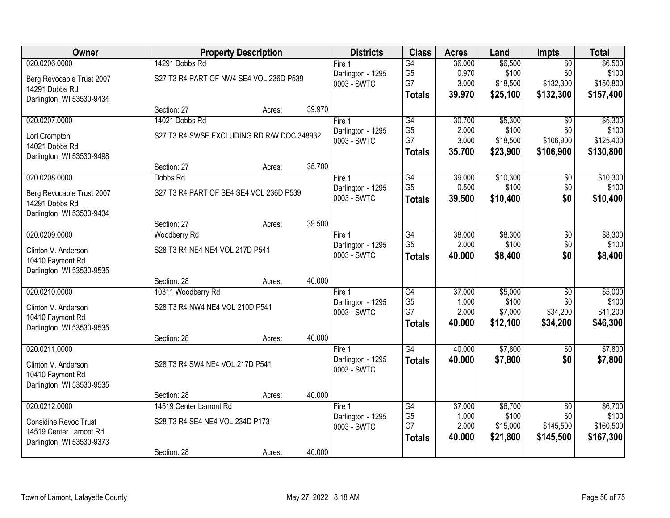| Owner                        |                                            | <b>Property Description</b> |        | <b>Districts</b>                 | <b>Class</b>         | <b>Acres</b>    | Land             | <b>Impts</b>           | <b>Total</b>      |
|------------------------------|--------------------------------------------|-----------------------------|--------|----------------------------------|----------------------|-----------------|------------------|------------------------|-------------------|
| 020.0206.0000                | 14291 Dobbs Rd                             |                             |        | Fire $1$                         | $\overline{G4}$      | 36.000          | \$6,500          | $\overline{50}$        | \$6,500           |
| Berg Revocable Trust 2007    | S27 T3 R4 PART OF NW4 SE4 VOL 236D P539    |                             |        | Darlington - 1295                | G <sub>5</sub>       | 0.970           | \$100            | \$0                    | \$100             |
| 14291 Dobbs Rd               |                                            |                             |        | 0003 - SWTC                      | G7                   | 3.000           | \$18,500         | \$132,300              | \$150,800         |
| Darlington, WI 53530-9434    |                                            |                             |        |                                  | <b>Totals</b>        | 39.970          | \$25,100         | \$132,300              | \$157,400         |
|                              | Section: 27                                | Acres:                      | 39.970 |                                  |                      |                 |                  |                        |                   |
| 020.0207.0000                | 14021 Dobbs Rd                             |                             |        | Fire $1$                         | $\overline{G4}$      | 30.700          | \$5,300          | \$0                    | \$5,300           |
| Lori Crompton                | S27 T3 R4 SWSE EXCLUDING RD R/W DOC 348932 |                             |        | Darlington - 1295                | G <sub>5</sub>       | 2.000           | \$100            | \$0                    | \$100             |
| 14021 Dobbs Rd               |                                            |                             |        | 0003 - SWTC                      | G7                   | 3.000           | \$18,500         | \$106,900              | \$125,400         |
| Darlington, WI 53530-9498    |                                            |                             |        |                                  | <b>Totals</b>        | 35.700          | \$23,900         | \$106,900              | \$130,800         |
|                              | Section: 27                                | Acres:                      | 35.700 |                                  |                      |                 |                  |                        |                   |
| 020.0208.0000                | Dobbs Rd                                   |                             |        | Fire 1                           | G4                   | 39.000          | \$10,300         | \$0                    | \$10,300          |
| Berg Revocable Trust 2007    | S27 T3 R4 PART OF SE4 SE4 VOL 236D P539    |                             |        | Darlington - 1295                | G <sub>5</sub>       | 0.500           | \$100            | \$0                    | \$100             |
| 14291 Dobbs Rd               |                                            |                             |        | 0003 - SWTC                      | <b>Totals</b>        | 39.500          | \$10,400         | \$0                    | \$10,400          |
| Darlington, WI 53530-9434    |                                            |                             |        |                                  |                      |                 |                  |                        |                   |
|                              | Section: 27                                | Acres:                      | 39.500 |                                  |                      |                 |                  |                        |                   |
| 020.0209.0000                | Woodberry Rd                               |                             |        | Fire 1                           | G4                   | 38.000          | \$8,300          | \$0                    | \$8,300           |
| Clinton V. Anderson          | S28 T3 R4 NE4 NE4 VOL 217D P541            |                             |        | Darlington - 1295                | G <sub>5</sub>       | 2.000           | \$100            | \$0                    | \$100             |
| 10410 Faymont Rd             |                                            |                             |        | 0003 - SWTC                      | <b>Totals</b>        | 40.000          | \$8,400          | \$0                    | \$8,400           |
| Darlington, WI 53530-9535    |                                            |                             |        |                                  |                      |                 |                  |                        |                   |
|                              | Section: 28                                | Acres:                      | 40.000 |                                  |                      |                 |                  |                        |                   |
| 020.0210.0000                | 10311 Woodberry Rd                         |                             |        | Fire 1                           | $\overline{G4}$      | 37.000          | \$5,000          | $\overline{50}$        | \$5,000           |
| Clinton V. Anderson          | S28 T3 R4 NW4 NE4 VOL 210D P541            |                             |        | Darlington - 1295                | G <sub>5</sub><br>G7 | 1.000<br>2.000  | \$100<br>\$7,000 | \$0<br>\$34,200        | \$100<br>\$41,200 |
| 10410 Faymont Rd             |                                            |                             |        | 0003 - SWTC                      | <b>Totals</b>        | 40.000          | \$12,100         | \$34,200               | \$46,300          |
| Darlington, WI 53530-9535    |                                            |                             |        |                                  |                      |                 |                  |                        |                   |
|                              | Section: 28                                | Acres:                      | 40.000 |                                  |                      |                 |                  |                        |                   |
| 020.0211.0000                |                                            |                             |        | Fire 1                           | $\overline{G4}$      | 40.000          | \$7,800          | $\overline{50}$        | \$7,800           |
| Clinton V. Anderson          | S28 T3 R4 SW4 NE4 VOL 217D P541            |                             |        | Darlington - 1295<br>0003 - SWTC | <b>Totals</b>        | 40.000          | \$7,800          | \$0                    | \$7,800           |
| 10410 Faymont Rd             |                                            |                             |        |                                  |                      |                 |                  |                        |                   |
| Darlington, WI 53530-9535    |                                            |                             |        |                                  |                      |                 |                  |                        |                   |
|                              | Section: 28                                | Acres:                      | 40.000 |                                  |                      |                 |                  |                        |                   |
| 020.0212.0000                | 14519 Center Lamont Rd                     |                             |        | Fire 1                           | G4<br>G <sub>5</sub> | 37.000<br>1.000 | \$6,700<br>\$100 | $\overline{50}$<br>\$0 | \$6,700<br>\$100  |
| <b>Considine Revoc Trust</b> | S28 T3 R4 SE4 NE4 VOL 234D P173            |                             |        | Darlington - 1295<br>0003 - SWTC | G7                   | 2.000           | \$15,000         | \$145,500              | \$160,500         |
| 14519 Center Lamont Rd       |                                            |                             |        |                                  | <b>Totals</b>        | 40.000          | \$21,800         | \$145,500              | \$167,300         |
| Darlington, WI 53530-9373    |                                            |                             |        |                                  |                      |                 |                  |                        |                   |
|                              | Section: 28                                | Acres:                      | 40.000 |                                  |                      |                 |                  |                        |                   |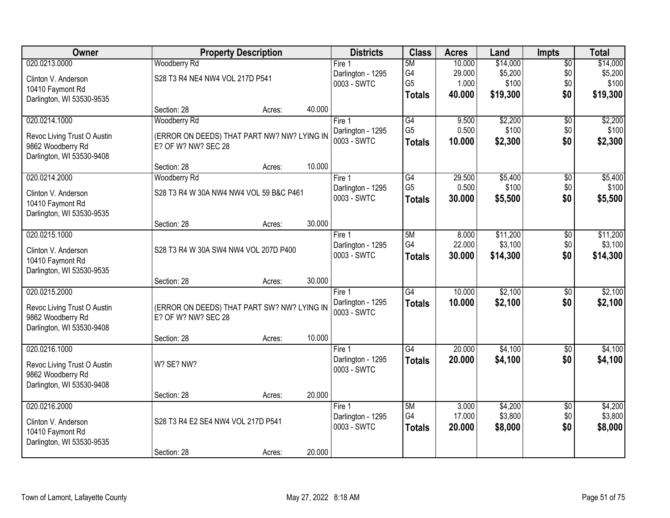| Owner                       |                                             | <b>Property Description</b> |        | <b>Districts</b>                 | <b>Class</b>    | <b>Acres</b>     | Land                | <b>Impts</b>           | <b>Total</b>        |
|-----------------------------|---------------------------------------------|-----------------------------|--------|----------------------------------|-----------------|------------------|---------------------|------------------------|---------------------|
| 020.0213.0000               | Woodberry Rd                                |                             |        | Fire 1                           | 5M              | 10.000           | \$14,000            | $\overline{60}$        | \$14,000            |
| Clinton V. Anderson         | S28 T3 R4 NE4 NW4 VOL 217D P541             |                             |        | Darlington - 1295                | G4              | 29.000           | \$5,200             | \$0                    | \$5,200             |
| 10410 Faymont Rd            |                                             |                             |        | 0003 - SWTC                      | G <sub>5</sub>  | 1.000            | \$100               | \$0                    | \$100               |
| Darlington, WI 53530-9535   |                                             |                             |        |                                  | <b>Totals</b>   | 40.000           | \$19,300            | \$0                    | \$19,300            |
|                             | Section: 28                                 | Acres:                      | 40.000 |                                  |                 |                  |                     |                        |                     |
| 020.0214.1000               | Woodberry Rd                                |                             |        | Fire 1                           | $\overline{G4}$ | 9.500            | \$2,200             | $\overline{50}$        | \$2,200             |
| Revoc Living Trust O Austin | (ERROR ON DEEDS) THAT PART NW? NW? LYING IN |                             |        | Darlington - 1295                | G <sub>5</sub>  | 0.500            | \$100               | \$0                    | \$100               |
| 9862 Woodberry Rd           | E? OF W? NW? SEC 28                         |                             |        | 0003 - SWTC                      | <b>Totals</b>   | 10.000           | \$2,300             | \$0                    | \$2,300             |
| Darlington, WI 53530-9408   |                                             |                             |        |                                  |                 |                  |                     |                        |                     |
|                             | Section: 28                                 | Acres:                      | 10.000 |                                  |                 |                  |                     |                        |                     |
| 020.0214.2000               | Woodberry Rd                                |                             |        | Fire 1                           | G4              | 29.500           | \$5,400             | $\sqrt[6]{30}$         | \$5,400             |
| Clinton V. Anderson         | S28 T3 R4 W 30A NW4 NW4 VOL 59 B&C P461     |                             |        | Darlington - 1295<br>0003 - SWTC | G <sub>5</sub>  | 0.500            | \$100               | \$0                    | \$100               |
| 10410 Faymont Rd            |                                             |                             |        |                                  | <b>Totals</b>   | 30.000           | \$5,500             | \$0                    | \$5,500             |
| Darlington, WI 53530-9535   |                                             |                             |        |                                  |                 |                  |                     |                        |                     |
|                             | Section: 28                                 | Acres:                      | 30.000 |                                  |                 |                  |                     |                        |                     |
| 020.0215.1000               |                                             |                             |        | Fire 1                           | 5M              | 8.000            | \$11,200            | \$0                    | \$11,200            |
| Clinton V. Anderson         | S28 T3 R4 W 30A SW4 NW4 VOL 207D P400       |                             |        | Darlington - 1295<br>0003 - SWTC | G4              | 22.000<br>30.000 | \$3,100<br>\$14,300 | \$0<br>\$0             | \$3,100<br>\$14,300 |
| 10410 Faymont Rd            |                                             |                             |        |                                  | <b>Totals</b>   |                  |                     |                        |                     |
| Darlington, WI 53530-9535   |                                             |                             |        |                                  |                 |                  |                     |                        |                     |
|                             | Section: 28                                 | Acres:                      | 30.000 |                                  |                 |                  |                     |                        |                     |
| 020.0215.2000               |                                             |                             |        | Fire 1                           | $\overline{G4}$ | 10.000           | \$2,100             | $\overline{50}$        | \$2,100             |
| Revoc Living Trust O Austin | (ERROR ON DEEDS) THAT PART SW? NW? LYING IN |                             |        | Darlington - 1295<br>0003 - SWTC | <b>Totals</b>   | 10.000           | \$2,100             | \$0                    | \$2,100             |
| 9862 Woodberry Rd           | E? OF W? NW? SEC 28                         |                             |        |                                  |                 |                  |                     |                        |                     |
| Darlington, WI 53530-9408   |                                             |                             |        |                                  |                 |                  |                     |                        |                     |
| 020.0216.1000               | Section: 28                                 | Acres:                      | 10.000 |                                  | $\overline{G4}$ | 20.000           | \$4,100             |                        | \$4,100             |
|                             |                                             |                             |        | Fire 1<br>Darlington - 1295      | <b>Totals</b>   | 20.000           | \$4,100             | $\overline{60}$<br>\$0 | \$4,100             |
| Revoc Living Trust O Austin | W? SE? NW?                                  |                             |        | 0003 - SWTC                      |                 |                  |                     |                        |                     |
| 9862 Woodberry Rd           |                                             |                             |        |                                  |                 |                  |                     |                        |                     |
| Darlington, WI 53530-9408   |                                             |                             | 20.000 |                                  |                 |                  |                     |                        |                     |
| 020.0216.2000               | Section: 28                                 | Acres:                      |        | Fire 1                           | 5M              | 3.000            | \$4,200             | $\overline{30}$        | \$4,200             |
|                             |                                             |                             |        | Darlington - 1295                | G4              | 17.000           | \$3,800             | \$0                    | \$3,800             |
| Clinton V. Anderson         | S28 T3 R4 E2 SE4 NW4 VOL 217D P541          |                             |        | 0003 - SWTC                      | <b>Totals</b>   | 20.000           | \$8,000             | \$0                    | \$8,000             |
| 10410 Faymont Rd            |                                             |                             |        |                                  |                 |                  |                     |                        |                     |
| Darlington, WI 53530-9535   | Section: 28                                 | Acres:                      | 20.000 |                                  |                 |                  |                     |                        |                     |
|                             |                                             |                             |        |                                  |                 |                  |                     |                        |                     |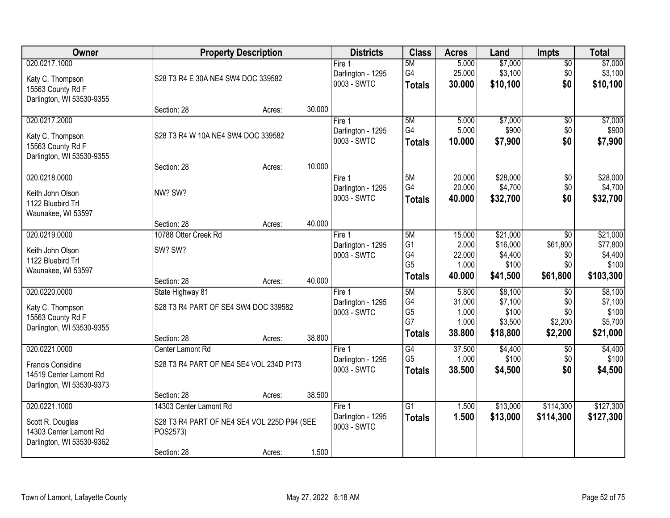| Owner                                                                                     |                                                                         | <b>Property Description</b> |        | <b>Districts</b>                           | <b>Class</b>                                      | <b>Acres</b>                                 | Land                                                 | <b>Impts</b>                                        | <b>Total</b>                                          |
|-------------------------------------------------------------------------------------------|-------------------------------------------------------------------------|-----------------------------|--------|--------------------------------------------|---------------------------------------------------|----------------------------------------------|------------------------------------------------------|-----------------------------------------------------|-------------------------------------------------------|
| 020.0217.1000<br>Katy C. Thompson<br>15563 County Rd F<br>Darlington, WI 53530-9355       | S28 T3 R4 E 30A NE4 SW4 DOC 339582                                      |                             |        | Fire 1<br>Darlington - 1295<br>0003 - SWTC | 5M<br>G4<br><b>Totals</b>                         | 5.000<br>25.000<br>30.000                    | \$7,000<br>\$3,100<br>\$10,100                       | \$0<br>\$0<br>\$0                                   | \$7,000<br>\$3,100<br>\$10,100                        |
|                                                                                           | Section: 28                                                             | Acres:                      | 30.000 |                                            |                                                   |                                              |                                                      |                                                     |                                                       |
| 020.0217.2000<br>Katy C. Thompson<br>15563 County Rd F<br>Darlington, WI 53530-9355       | S28 T3 R4 W 10A NE4 SW4 DOC 339582                                      |                             |        | Fire 1<br>Darlington - 1295<br>0003 - SWTC | 5M<br>G4<br><b>Totals</b>                         | 5.000<br>5.000<br>10.000                     | \$7,000<br>\$900<br>\$7,900                          | \$0<br>\$0<br>\$0                                   | \$7,000<br>\$900<br>\$7,900                           |
| 020.0218.0000                                                                             | Section: 28                                                             | Acres:                      | 10.000 | Fire 1                                     | 5M                                                | 20.000                                       | \$28,000                                             | \$0                                                 | \$28,000                                              |
| Keith John Olson<br>1122 Bluebird Trl<br>Waunakee, WI 53597                               | NW? SW?                                                                 |                             |        | Darlington - 1295<br>0003 - SWTC           | G4<br><b>Totals</b>                               | 20.000<br>40.000                             | \$4,700<br>\$32,700                                  | \$0<br>\$0                                          | \$4,700<br>\$32,700                                   |
|                                                                                           | Section: 28                                                             | Acres:                      | 40.000 |                                            |                                                   |                                              |                                                      |                                                     |                                                       |
| 020.0219.0000<br>Keith John Olson<br>1122 Bluebird Trl<br>Waunakee, WI 53597              | 10788 Otter Creek Rd<br>SW? SW?                                         |                             |        | Fire 1<br>Darlington - 1295<br>0003 - SWTC | 5M<br>G <sub>1</sub><br>G4<br>G <sub>5</sub>      | 15.000<br>2.000<br>22.000<br>1.000<br>40.000 | \$21,000<br>\$16,000<br>\$4,400<br>\$100<br>\$41,500 | $\sqrt{6}$<br>\$61,800<br>\$0<br>\$0<br>\$61,800    | \$21,000<br>\$77,800<br>\$4,400<br>\$100<br>\$103,300 |
|                                                                                           | Section: 28                                                             | Acres:                      | 40.000 |                                            | <b>Totals</b>                                     |                                              |                                                      |                                                     |                                                       |
| 020.0220.0000<br>Katy C. Thompson<br>15563 County Rd F<br>Darlington, WI 53530-9355       | State Highway 81<br>S28 T3 R4 PART OF SE4 SW4 DOC 339582<br>Section: 28 | Acres:                      | 38.800 | Fire 1<br>Darlington - 1295<br>0003 - SWTC | 5M<br>G4<br>G <sub>5</sub><br>G7<br><b>Totals</b> | 5.800<br>31.000<br>1.000<br>1.000<br>38.800  | \$8,100<br>\$7,100<br>\$100<br>\$3,500<br>\$18,800   | $\overline{50}$<br>\$0<br>\$0<br>\$2,200<br>\$2,200 | \$8,100<br>\$7,100<br>\$100<br>\$5,700<br>\$21,000    |
| 020.0221.0000<br>Francis Considine<br>14519 Center Lamont Rd<br>Darlington, WI 53530-9373 | Center Lamont Rd<br>S28 T3 R4 PART OF NE4 SE4 VOL 234D P173             |                             | 38.500 | Fire 1<br>Darlington - 1295<br>0003 - SWTC | G4<br>G <sub>5</sub><br><b>Totals</b>             | 37.500<br>1.000<br>38.500                    | \$4,400<br>\$100<br>\$4,500                          | $\overline{50}$<br>\$0<br>\$0                       | \$4,400<br>\$100<br>\$4,500                           |
| 020.0221.1000                                                                             | Section: 28<br>14303 Center Lamont Rd                                   | Acres:                      |        | Fire 1                                     | $\overline{G1}$                                   | 1.500                                        | \$13,000                                             | \$114,300                                           | \$127,300                                             |
| Scott R. Douglas<br>14303 Center Lamont Rd<br>Darlington, WI 53530-9362                   | S28 T3 R4 PART OF NE4 SE4 VOL 225D P94 (SEE<br>POS2573)                 |                             |        | Darlington - 1295<br>0003 - SWTC           | <b>Totals</b>                                     | 1.500                                        | \$13,000                                             | \$114,300                                           | \$127,300                                             |
|                                                                                           | Section: 28                                                             | Acres:                      | 1.500  |                                            |                                                   |                                              |                                                      |                                                     |                                                       |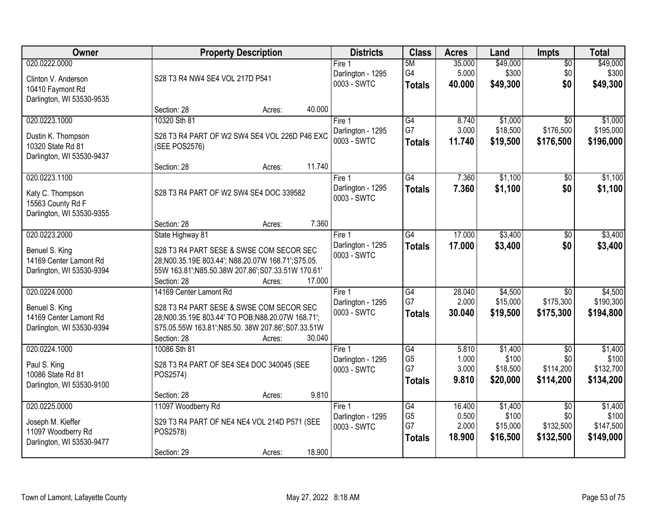| Owner                                                                                  | <b>Property Description</b>                                                                                                                                                                                    | <b>Districts</b>                           | <b>Class</b>                                | <b>Acres</b>                       | Land                                     | <b>Impts</b>                                     | <b>Total</b>                               |
|----------------------------------------------------------------------------------------|----------------------------------------------------------------------------------------------------------------------------------------------------------------------------------------------------------------|--------------------------------------------|---------------------------------------------|------------------------------------|------------------------------------------|--------------------------------------------------|--------------------------------------------|
| 020.0222.0000<br>Clinton V. Anderson<br>10410 Faymont Rd<br>Darlington, WI 53530-9535  | S28 T3 R4 NW4 SE4 VOL 217D P541                                                                                                                                                                                | Fire 1<br>Darlington - 1295<br>0003 - SWTC | 5M<br>G4<br><b>Totals</b>                   | 35.000<br>5.000<br>40.000          | \$49,000<br>\$300<br>\$49,300            | $\overline{50}$<br>\$0<br>\$0                    | \$49,000<br>\$300<br>\$49,300              |
|                                                                                        | Section: 28<br>40.000<br>Acres:                                                                                                                                                                                |                                            |                                             |                                    |                                          |                                                  |                                            |
| 020.0223.1000<br>Dustin K. Thompson<br>10320 State Rd 81<br>Darlington, WI 53530-9437  | 10320 Sth 81<br>S28 T3 R4 PART OF W2 SW4 SE4 VOL 226D P46 EXC<br>(SEE POS2576)                                                                                                                                 | Fire 1<br>Darlington - 1295<br>0003 - SWTC | G4<br>G7<br><b>Totals</b>                   | 8.740<br>3.000<br>11.740           | \$1,000<br>\$18,500<br>\$19,500          | $\overline{30}$<br>\$176,500<br>\$176,500        | \$1,000<br>\$195,000<br>\$196,000          |
|                                                                                        | 11.740<br>Section: 28<br>Acres:                                                                                                                                                                                |                                            |                                             |                                    |                                          |                                                  |                                            |
| 020.0223.1100<br>Katy C. Thompson<br>15563 County Rd F<br>Darlington, WI 53530-9355    | S28 T3 R4 PART OF W2 SW4 SE4 DOC 339582                                                                                                                                                                        | Fire 1<br>Darlington - 1295<br>0003 - SWTC | $\overline{G4}$<br><b>Totals</b>            | 7.360<br>7.360                     | \$1,100<br>\$1,100                       | \$0<br>\$0                                       | \$1,100<br>\$1,100                         |
|                                                                                        | 7.360<br>Section: 28<br>Acres:                                                                                                                                                                                 |                                            |                                             |                                    |                                          |                                                  |                                            |
| 020.0223.2000<br>Benuel S. King<br>14169 Center Lamont Rd<br>Darlington, WI 53530-9394 | State Highway 81<br>S28 T3 R4 PART SESE & SWSE COM SECOR SEC<br>28;N00.35.19E 803.44'; N88.20.07W 168.71';S75.05.<br>55W 163.81'; N85.50.38W 207.86'; S07.33.51W 170.61'<br>Section: 28<br>17.000<br>Acres:    | Fire 1<br>Darlington - 1295<br>0003 - SWTC | G4<br><b>Totals</b>                         | 17.000<br>17.000                   | \$3,400<br>\$3,400                       | \$0<br>\$0                                       | \$3,400<br>\$3,400                         |
| 020.0224.0000<br>Benuel S. King<br>14169 Center Lamont Rd<br>Darlington, WI 53530-9394 | 14169 Center Lamont Rd<br>S28 T3 R4 PART SESE & SWSE COM SECOR SEC<br>28;N00.35.19E 803.44' TO POB;N88.20.07W 168.71';<br>S75.05.55W 163.81';N85.50. 38W 207.86';S07.33.51W<br>Section: 28<br>30.040<br>Acres: | Fire 1<br>Darlington - 1295<br>0003 - SWTC | $\overline{G4}$<br>G7<br><b>Totals</b>      | 28.040<br>2.000<br>30.040          | \$4,500<br>\$15,000<br>\$19,500          | $\overline{50}$<br>\$175,300<br>\$175,300        | \$4,500<br>\$190,300<br>\$194,800          |
| 020.0224.1000<br>Paul S. King<br>10086 State Rd 81<br>Darlington, WI 53530-9100        | 10086 Sth 81<br>S28 T3 R4 PART OF SE4 SE4 DOC 340045 (SEE<br>POS2574)<br>9.810<br>Section: 28<br>Acres:                                                                                                        | Fire 1<br>Darlington - 1295<br>0003 - SWTC | G4<br>G <sub>5</sub><br>G7<br><b>Totals</b> | 5.810<br>1.000<br>3.000<br>9.810   | \$1,400<br>\$100<br>\$18,500<br>\$20,000 | $\sqrt{6}$<br>\$0<br>\$114,200<br>\$114,200      | \$1,400<br>\$100<br>\$132,700<br>\$134,200 |
| 020.0225.0000<br>Joseph M. Kieffer<br>11097 Woodberry Rd<br>Darlington, WI 53530-9477  | 11097 Woodberry Rd<br>S29 T3 R4 PART OF NE4 NE4 VOL 214D P571 (SEE<br>POS2578)<br>18.900<br>Section: 29<br>Acres:                                                                                              | Fire 1<br>Darlington - 1295<br>0003 - SWTC | G4<br>G <sub>5</sub><br>G7<br><b>Totals</b> | 16.400<br>0.500<br>2.000<br>18.900 | \$1,400<br>\$100<br>\$15,000<br>\$16,500 | $\overline{50}$<br>\$0<br>\$132,500<br>\$132,500 | \$1,400<br>\$100<br>\$147,500<br>\$149,000 |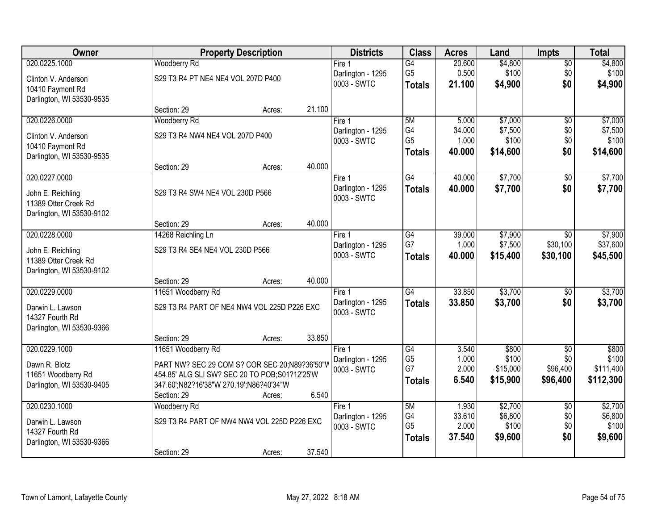| Owner                                             |                                               | <b>Property Description</b> |        | <b>Districts</b>                 | <b>Class</b>         | <b>Acres</b>    | Land             | <b>Impts</b>    | <b>Total</b>     |
|---------------------------------------------------|-----------------------------------------------|-----------------------------|--------|----------------------------------|----------------------|-----------------|------------------|-----------------|------------------|
| 020.0225.1000                                     | <b>Woodberry Rd</b>                           |                             |        | Fire <sub>1</sub>                | $\overline{G4}$      | 20.600          | \$4,800          | $\sqrt{$0}$     | \$4,800          |
| Clinton V. Anderson                               | S29 T3 R4 PT NE4 NE4 VOL 207D P400            |                             |        | Darlington - 1295                | G <sub>5</sub>       | 0.500           | \$100            | \$0             | \$100            |
| 10410 Faymont Rd                                  |                                               |                             |        | 0003 - SWTC                      | <b>Totals</b>        | 21.100          | \$4,900          | \$0             | \$4,900          |
| Darlington, WI 53530-9535                         |                                               |                             |        |                                  |                      |                 |                  |                 |                  |
|                                                   | Section: 29                                   | Acres:                      | 21.100 |                                  |                      |                 |                  |                 |                  |
| 020.0226.0000                                     | Woodberry Rd                                  |                             |        | Fire $1$                         | 5M                   | 5.000           | \$7,000          | $\overline{50}$ | \$7,000          |
| Clinton V. Anderson                               | S29 T3 R4 NW4 NE4 VOL 207D P400               |                             |        | Darlington - 1295<br>0003 - SWTC | G4<br>G <sub>5</sub> | 34.000<br>1.000 | \$7,500<br>\$100 | \$0<br>\$0      | \$7,500<br>\$100 |
| 10410 Faymont Rd                                  |                                               |                             |        |                                  | <b>Totals</b>        | 40.000          | \$14,600         | \$0             | \$14,600         |
| Darlington, WI 53530-9535                         |                                               |                             |        |                                  |                      |                 |                  |                 |                  |
|                                                   | Section: 29                                   | Acres:                      | 40.000 |                                  |                      |                 |                  |                 |                  |
| 020.0227.0000                                     |                                               |                             |        | Fire 1<br>Darlington - 1295      | G4                   | 40.000          | \$7,700          | \$0<br>\$0      | \$7,700          |
| John E. Reichling                                 | S29 T3 R4 SW4 NE4 VOL 230D P566               |                             |        | 0003 - SWTC                      | <b>Totals</b>        | 40.000          | \$7,700          |                 | \$7,700          |
| 11389 Otter Creek Rd                              |                                               |                             |        |                                  |                      |                 |                  |                 |                  |
| Darlington, WI 53530-9102                         |                                               |                             | 40.000 |                                  |                      |                 |                  |                 |                  |
| 020.0228.0000                                     | Section: 29<br>14268 Reichling Ln             | Acres:                      |        | Fire 1                           | G4                   | 39.000          | \$7,900          | $\sqrt{6}$      | \$7,900          |
|                                                   |                                               |                             |        | Darlington - 1295                | G7                   | 1.000           | \$7,500          | \$30,100        | \$37,600         |
| John E. Reichling                                 | S29 T3 R4 SE4 NE4 VOL 230D P566               |                             |        | 0003 - SWTC                      | <b>Totals</b>        | 40.000          | \$15,400         | \$30,100        | \$45,500         |
| 11389 Otter Creek Rd<br>Darlington, WI 53530-9102 |                                               |                             |        |                                  |                      |                 |                  |                 |                  |
|                                                   | Section: 29                                   | Acres:                      | 40.000 |                                  |                      |                 |                  |                 |                  |
| 020.0229.0000                                     | 11651 Woodberry Rd                            |                             |        | Fire 1                           | $\overline{G4}$      | 33.850          | \$3,700          | \$0             | \$3,700          |
|                                                   |                                               |                             |        | Darlington - 1295                | <b>Totals</b>        | 33.850          | \$3,700          | \$0             | \$3,700          |
| Darwin L. Lawson<br>14327 Fourth Rd               | S29 T3 R4 PART OF NE4 NW4 VOL 225D P226 EXC   |                             |        | 0003 - SWTC                      |                      |                 |                  |                 |                  |
| Darlington, WI 53530-9366                         |                                               |                             |        |                                  |                      |                 |                  |                 |                  |
|                                                   | Section: 29                                   | Acres:                      | 33.850 |                                  |                      |                 |                  |                 |                  |
| 020.0229.1000                                     | 11651 Woodberry Rd                            |                             |        | Fire 1                           | $\overline{G4}$      | 3.540           | \$800            | $\overline{50}$ | \$800            |
| Dawn R. Blotz                                     | PART NW? SEC 29 COM S? COR SEC 20;N89?36'50"V |                             |        | Darlington - 1295                | G <sub>5</sub>       | 1.000           | \$100            | \$0             | \$100            |
| 11651 Woodberry Rd                                | 454.85' ALG SLI SW? SEC 20 TO POB;S01?12'25'W |                             |        | 0003 - SWTC                      | G7                   | 2.000           | \$15,000         | \$96,400        | \$111,400        |
| Darlington, WI 53530-9405                         | 347.60';N82?16'38"W 270.19';N86?40'34"W       |                             |        |                                  | <b>Totals</b>        | 6.540           | \$15,900         | \$96,400        | \$112,300        |
|                                                   | Section: 29                                   | Acres:                      | 6.540  |                                  |                      |                 |                  |                 |                  |
| 020.0230.1000                                     | Woodberry Rd                                  |                             |        | Fire 1                           | 5M                   | 1.930           | \$2,700          | $\overline{50}$ | \$2,700          |
| Darwin L. Lawson                                  | S29 T3 R4 PART OF NW4 NW4 VOL 225D P226 EXC   |                             |        | Darlington - 1295                | G4                   | 33.610          | \$6,800          | \$0             | \$6,800          |
| 14327 Fourth Rd                                   |                                               |                             |        | 0003 - SWTC                      | G <sub>5</sub>       | 2.000           | \$100            | \$0<br>\$0      | \$100            |
| Darlington, WI 53530-9366                         |                                               |                             |        |                                  | <b>Totals</b>        | 37.540          | \$9,600          |                 | \$9,600          |
|                                                   | Section: 29                                   | Acres:                      | 37.540 |                                  |                      |                 |                  |                 |                  |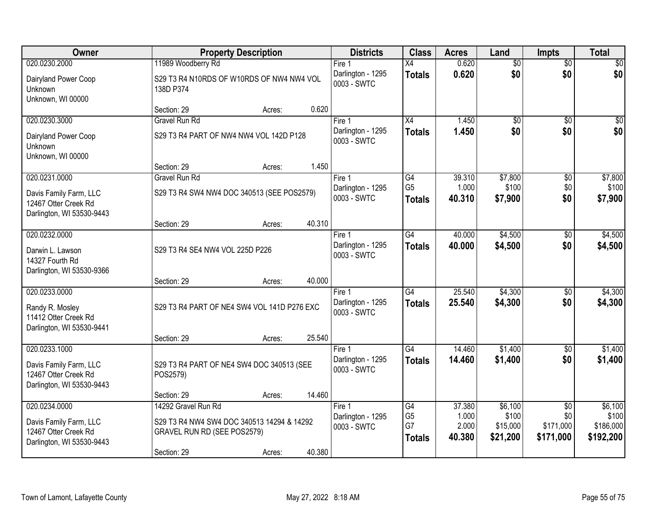| Owner                                                                       |                                                        | <b>Property Description</b> |        | <b>Districts</b>                 | <b>Class</b>                    | <b>Acres</b>    | Land                 | <b>Impts</b>           | <b>Total</b>           |
|-----------------------------------------------------------------------------|--------------------------------------------------------|-----------------------------|--------|----------------------------------|---------------------------------|-----------------|----------------------|------------------------|------------------------|
| 020.0230.2000                                                               | 11989 Woodberry Rd                                     |                             |        | Fire 1                           | Χ4                              | 0.620           | $\overline{50}$      | $\overline{50}$        | $\overline{30}$        |
| Dairyland Power Coop<br>Unknown<br>Unknown, WI 00000                        | S29 T3 R4 N10RDS OF W10RDS OF NW4 NW4 VOL<br>138D P374 |                             |        | Darlington - 1295<br>0003 - SWTC | <b>Totals</b>                   | 0.620           | \$0                  | \$0                    | \$0                    |
|                                                                             | Section: 29                                            | Acres:                      | 0.620  |                                  |                                 |                 |                      |                        |                        |
| 020.0230.3000                                                               | <b>Gravel Run Rd</b>                                   |                             |        | Fire 1                           | $\overline{X4}$                 | 1.450           | $\overline{50}$      | $\overline{50}$        | \$0                    |
| Dairyland Power Coop<br>Unknown<br>Unknown, WI 00000                        | S29 T3 R4 PART OF NW4 NW4 VOL 142D P128                |                             |        | Darlington - 1295<br>0003 - SWTC | <b>Totals</b>                   | 1.450           | \$0                  | \$0                    | \$0                    |
|                                                                             | Section: 29                                            | Acres:                      | 1.450  |                                  |                                 |                 |                      |                        |                        |
| 020.0231.0000                                                               | Gravel Run Rd                                          |                             |        | Fire 1                           | G4                              | 39.310          | \$7,800              | \$0                    | \$7,800                |
| Davis Family Farm, LLC<br>12467 Otter Creek Rd<br>Darlington, WI 53530-9443 | S29 T3 R4 SW4 NW4 DOC 340513 (SEE POS2579)             |                             |        | Darlington - 1295<br>0003 - SWTC | G <sub>5</sub><br><b>Totals</b> | 1.000<br>40.310 | \$100<br>\$7,900     | \$0<br>\$0             | \$100<br>\$7,900       |
|                                                                             | Section: 29                                            | Acres:                      | 40.310 |                                  |                                 |                 |                      |                        |                        |
| 020.0232.0000                                                               |                                                        |                             |        | Fire 1                           | G4                              | 40.000          | \$4,500              | $\sqrt[6]{3}$          | \$4,500                |
| Darwin L. Lawson<br>14327 Fourth Rd                                         | S29 T3 R4 SE4 NW4 VOL 225D P226                        |                             |        | Darlington - 1295<br>0003 - SWTC | <b>Totals</b>                   | 40,000          | \$4,500              | \$0                    | \$4,500                |
| Darlington, WI 53530-9366                                                   | Section: 29                                            | Acres:                      | 40.000 |                                  |                                 |                 |                      |                        |                        |
| 020.0233.0000                                                               |                                                        |                             |        | Fire 1                           | $\overline{G4}$                 | 25.540          | \$4,300              | $\overline{50}$        | \$4,300                |
| Randy R. Mosley<br>11412 Otter Creek Rd<br>Darlington, WI 53530-9441        | S29 T3 R4 PART OF NE4 SW4 VOL 141D P276 EXC            |                             |        | Darlington - 1295<br>0003 - SWTC | <b>Totals</b>                   | 25.540          | \$4,300              | \$0                    | \$4,300                |
|                                                                             | Section: 29                                            | Acres:                      | 25.540 |                                  |                                 |                 |                      |                        |                        |
| 020.0233.1000                                                               |                                                        |                             |        | Fire 1                           | $\overline{G4}$                 | 14.460          | \$1,400              | $\sqrt{6}$             | \$1,400                |
| Davis Family Farm, LLC<br>12467 Otter Creek Rd<br>Darlington, WI 53530-9443 | S29 T3 R4 PART OF NE4 SW4 DOC 340513 (SEE<br>POS2579)  |                             |        | Darlington - 1295<br>0003 - SWTC | <b>Totals</b>                   | 14.460          | \$1,400              | \$0                    | \$1,400                |
|                                                                             | Section: 29                                            | Acres:                      | 14.460 |                                  |                                 |                 |                      |                        |                        |
| 020.0234.0000                                                               | 14292 Gravel Run Rd                                    |                             |        | Fire 1                           | G4                              | 37.380          | \$6,100              | $\overline{30}$        | \$6,100                |
| Davis Family Farm, LLC                                                      | S29 T3 R4 NW4 SW4 DOC 340513 14294 & 14292             |                             |        | Darlington - 1295                | G <sub>5</sub>                  | 1.000           | \$100                | \$0                    | \$100                  |
| 12467 Otter Creek Rd                                                        | GRAVEL RUN RD (SEE POS2579)                            |                             |        | 0003 - SWTC                      | G7<br><b>Totals</b>             | 2.000<br>40.380 | \$15,000<br>\$21,200 | \$171,000<br>\$171,000 | \$186,000<br>\$192,200 |
| Darlington, WI 53530-9443                                                   |                                                        |                             |        |                                  |                                 |                 |                      |                        |                        |
|                                                                             | Section: 29                                            | Acres:                      | 40.380 |                                  |                                 |                 |                      |                        |                        |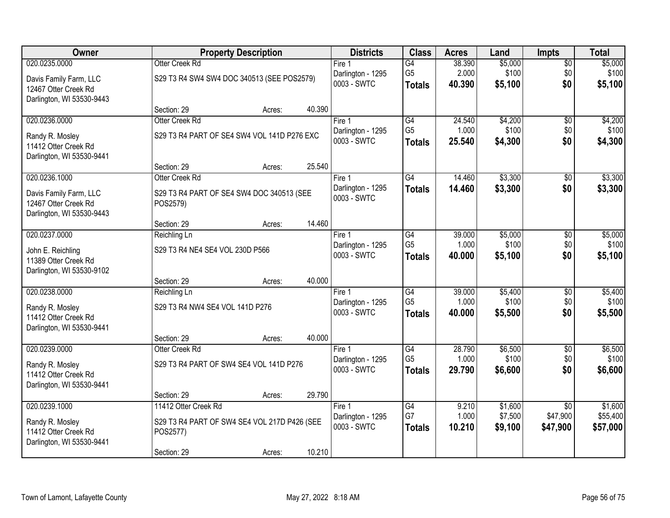| Owner                                     |                                              | <b>Property Description</b> |        | <b>Districts</b>                 | <b>Class</b>         | <b>Acres</b>    | Land               | <b>Impts</b>                | <b>Total</b>        |
|-------------------------------------------|----------------------------------------------|-----------------------------|--------|----------------------------------|----------------------|-----------------|--------------------|-----------------------------|---------------------|
| 020.0235.0000                             | Otter Creek Rd                               |                             |        | Fire $1$                         | G4                   | 38.390          | \$5,000            | $\sqrt{$0}$                 | \$5,000             |
| Davis Family Farm, LLC                    | S29 T3 R4 SW4 SW4 DOC 340513 (SEE POS2579)   |                             |        | Darlington - 1295                | G <sub>5</sub>       | 2.000           | \$100              | \$0                         | \$100               |
| 12467 Otter Creek Rd                      |                                              |                             |        | 0003 - SWTC                      | <b>Totals</b>        | 40.390          | \$5,100            | \$0                         | \$5,100             |
| Darlington, WI 53530-9443                 |                                              |                             |        |                                  |                      |                 |                    |                             |                     |
|                                           | Section: 29                                  | Acres:                      | 40.390 |                                  |                      |                 |                    |                             |                     |
| 020.0236.0000                             | Otter Creek Rd                               |                             |        | Fire 1                           | G4<br>G <sub>5</sub> | 24.540          | \$4,200            | \$0                         | \$4,200             |
| Randy R. Mosley                           | S29 T3 R4 PART OF SE4 SW4 VOL 141D P276 EXC  |                             |        | Darlington - 1295<br>0003 - SWTC | <b>Totals</b>        | 1.000<br>25.540 | \$100<br>\$4,300   | \$0<br>\$0                  | \$100<br>\$4,300    |
| 11412 Otter Creek Rd                      |                                              |                             |        |                                  |                      |                 |                    |                             |                     |
| Darlington, WI 53530-9441                 |                                              |                             |        |                                  |                      |                 |                    |                             |                     |
| 020.0236.1000                             | Section: 29<br>Otter Creek Rd                | Acres:                      | 25.540 | Fire 1                           | G4                   | 14.460          | \$3,300            |                             | \$3,300             |
|                                           |                                              |                             |        | Darlington - 1295                | <b>Totals</b>        | 14.460          | \$3,300            | $\sqrt[6]{3}$<br>\$0        | \$3,300             |
| Davis Family Farm, LLC                    | S29 T3 R4 PART OF SE4 SW4 DOC 340513 (SEE    |                             |        | 0003 - SWTC                      |                      |                 |                    |                             |                     |
| 12467 Otter Creek Rd                      | POS2579)                                     |                             |        |                                  |                      |                 |                    |                             |                     |
| Darlington, WI 53530-9443                 | Section: 29                                  | Acres:                      | 14.460 |                                  |                      |                 |                    |                             |                     |
| 020.0237.0000                             | Reichling Ln                                 |                             |        | Fire 1                           | G4                   | 39.000          | \$5,000            | $\sqrt[6]{3}$               | \$5,000             |
|                                           |                                              |                             |        | Darlington - 1295                | G <sub>5</sub>       | 1.000           | \$100              | \$0                         | \$100               |
| John E. Reichling<br>11389 Otter Creek Rd | S29 T3 R4 NE4 SE4 VOL 230D P566              |                             |        | 0003 - SWTC                      | <b>Totals</b>        | 40.000          | \$5,100            | \$0                         | \$5,100             |
| Darlington, WI 53530-9102                 |                                              |                             |        |                                  |                      |                 |                    |                             |                     |
|                                           | Section: 29                                  | Acres:                      | 40.000 |                                  |                      |                 |                    |                             |                     |
| 020.0238.0000                             | Reichling Ln                                 |                             |        | Fire 1                           | $\overline{G4}$      | 39.000          | \$5,400            | \$0                         | \$5,400             |
| Randy R. Mosley                           | S29 T3 R4 NW4 SE4 VOL 141D P276              |                             |        | Darlington - 1295                | G <sub>5</sub>       | 1.000           | \$100              | \$0                         | \$100               |
| 11412 Otter Creek Rd                      |                                              |                             |        | 0003 - SWTC                      | <b>Totals</b>        | 40.000          | \$5,500            | \$0                         | \$5,500             |
| Darlington, WI 53530-9441                 |                                              |                             |        |                                  |                      |                 |                    |                             |                     |
|                                           | Section: 29                                  | Acres:                      | 40.000 |                                  |                      |                 |                    |                             |                     |
| 020.0239.0000                             | Otter Creek Rd                               |                             |        | Fire 1                           | $\overline{G4}$      | 28.790          | \$6,500            | $\overline{$0}$             | \$6,500             |
| Randy R. Mosley                           | S29 T3 R4 PART OF SW4 SE4 VOL 141D P276      |                             |        | Darlington - 1295                | G <sub>5</sub>       | 1.000           | \$100              | \$0                         | \$100               |
| 11412 Otter Creek Rd                      |                                              |                             |        | 0003 - SWTC                      | <b>Totals</b>        | 29.790          | \$6,600            | \$0                         | \$6,600             |
| Darlington, WI 53530-9441                 |                                              |                             |        |                                  |                      |                 |                    |                             |                     |
|                                           | Section: 29                                  | Acres:                      | 29.790 |                                  |                      |                 |                    |                             |                     |
| 020.0239.1000                             | 11412 Otter Creek Rd                         |                             |        | Fire 1<br>Darlington - 1295      | G4<br>G7             | 9.210<br>1.000  | \$1,600<br>\$7,500 | $\overline{30}$<br>\$47,900 | \$1,600<br>\$55,400 |
| Randy R. Mosley                           | S29 T3 R4 PART OF SW4 SE4 VOL 217D P426 (SEE |                             |        | 0003 - SWTC                      | <b>Totals</b>        | 10.210          | \$9,100            | \$47,900                    | \$57,000            |
| 11412 Otter Creek Rd                      | POS2577)                                     |                             |        |                                  |                      |                 |                    |                             |                     |
| Darlington, WI 53530-9441                 |                                              |                             | 10.210 |                                  |                      |                 |                    |                             |                     |
|                                           | Section: 29                                  | Acres:                      |        |                                  |                      |                 |                    |                             |                     |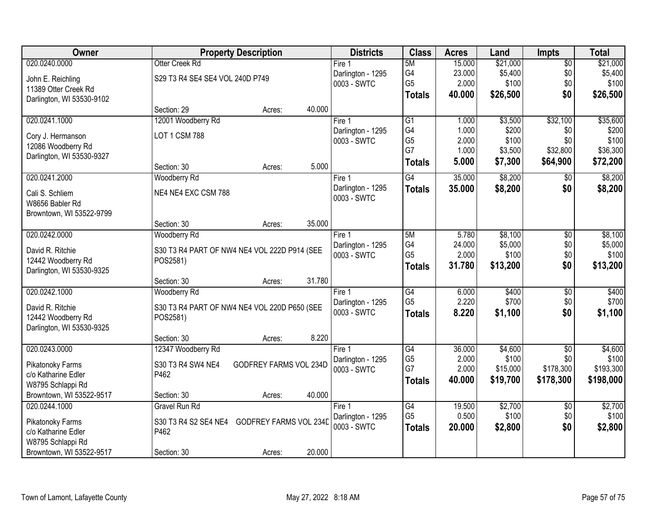| Owner                     | <b>Property Description</b>                    | <b>Districts</b>  | <b>Class</b>         | <b>Acres</b>   | Land                 | <b>Impts</b>     | <b>Total</b>           |
|---------------------------|------------------------------------------------|-------------------|----------------------|----------------|----------------------|------------------|------------------------|
| 020.0240.0000             | Otter Creek Rd                                 | Fire 1            | 5M                   | 15.000         | \$21,000             | $\overline{50}$  | \$21,000               |
| John E. Reichling         | S29 T3 R4 SE4 SE4 VOL 240D P749                | Darlington - 1295 | G4                   | 23.000         | \$5,400              | \$0              | \$5,400                |
| 11389 Otter Creek Rd      |                                                | 0003 - SWTC       | G <sub>5</sub>       | 2.000          | \$100                | \$0              | \$100                  |
| Darlington, WI 53530-9102 |                                                |                   | <b>Totals</b>        | 40.000         | \$26,500             | \$0              | \$26,500               |
|                           | 40.000<br>Section: 29<br>Acres:                |                   |                      |                |                      |                  |                        |
| 020.0241.1000             | 12001 Woodberry Rd                             | Fire 1            | $\overline{G1}$      | 1.000          | \$3,500              | \$32,100         | \$35,600               |
| Cory J. Hermanson         | LOT 1 CSM 788                                  | Darlington - 1295 | G4                   | 1.000          | \$200                | \$0              | \$200                  |
| 12086 Woodberry Rd        |                                                | 0003 - SWTC       | G <sub>5</sub><br>G7 | 2.000          | \$100                | \$0              | \$100                  |
| Darlington, WI 53530-9327 |                                                |                   |                      | 1.000          | \$3,500              | \$32,800         | \$36,300               |
|                           | 5.000<br>Section: 30<br>Acres:                 |                   | <b>Totals</b>        | 5.000          | \$7,300              | \$64,900         | \$72,200               |
| 020.0241.2000             | Woodberry Rd                                   | Fire 1            | G4                   | 35.000         | \$8,200              | \$0              | \$8,200                |
| Cali S. Schliem           | NE4 NE4 EXC CSM 788                            | Darlington - 1295 | <b>Totals</b>        | 35.000         | \$8,200              | \$0              | \$8,200                |
| W8656 Babler Rd           |                                                | 0003 - SWTC       |                      |                |                      |                  |                        |
| Browntown, WI 53522-9799  |                                                |                   |                      |                |                      |                  |                        |
|                           | 35.000<br>Section: 30<br>Acres:                |                   |                      |                |                      |                  |                        |
| 020.0242.0000             | Woodberry Rd                                   | Fire 1            | 5M                   | 5.780          | \$8,100              | \$0              | \$8,100                |
| David R. Ritchie          | S30 T3 R4 PART OF NW4 NE4 VOL 222D P914 (SEE   | Darlington - 1295 | G4                   | 24.000         | \$5,000              | \$0              | \$5,000                |
| 12442 Woodberry Rd        | POS2581)                                       | 0003 - SWTC       | G <sub>5</sub>       | 2.000          | \$100                | \$0              | \$100                  |
| Darlington, WI 53530-9325 |                                                |                   | <b>Totals</b>        | 31.780         | \$13,200             | \$0              | \$13,200               |
|                           | 31.780<br>Section: 30<br>Acres:                |                   |                      |                |                      |                  |                        |
| 020.0242.1000             | Woodberry Rd                                   | Fire 1            | $\overline{G4}$      | 6.000          | \$400                | \$0              | \$400                  |
| David R. Ritchie          | S30 T3 R4 PART OF NW4 NE4 VOL 220D P650 (SEE   | Darlington - 1295 | G <sub>5</sub>       | 2.220          | \$700                | \$0              | \$700                  |
| 12442 Woodberry Rd        | POS2581)                                       | 0003 - SWTC       | <b>Totals</b>        | 8.220          | \$1,100              | \$0              | \$1,100                |
| Darlington, WI 53530-9325 |                                                |                   |                      |                |                      |                  |                        |
|                           | 8.220<br>Section: 30<br>Acres:                 |                   |                      |                |                      |                  |                        |
| 020.0243.0000             | 12347 Woodberry Rd                             | Fire 1            | $\overline{G4}$      | 36.000         | \$4,600              | $\overline{50}$  | \$4,600                |
| Pikatonoky Farms          | S30 T3 R4 SW4 NE4<br>GODFREY FARMS VOL 234D    | Darlington - 1295 | G <sub>5</sub><br>G7 | 2.000<br>2.000 | \$100                | \$0<br>\$178,300 | \$100                  |
| c/o Katharine Edler       | P462                                           | 0003 - SWTC       |                      | 40.000         | \$15,000<br>\$19,700 | \$178,300        | \$193,300<br>\$198,000 |
| W8795 Schlappi Rd         |                                                |                   | <b>Totals</b>        |                |                      |                  |                        |
| Browntown, WI 53522-9517  | 40.000<br>Section: 30<br>Acres:                |                   |                      |                |                      |                  |                        |
| 020.0244.1000             | Gravel Run Rd                                  | Fire 1            | G4                   | 19.500         | \$2,700              | $\overline{60}$  | \$2,700                |
| Pikatonoky Farms          | S30 T3 R4 S2 SE4 NE4<br>GODFREY FARMS VOL 234D | Darlington - 1295 | G <sub>5</sub>       | 0.500          | \$100                | \$0              | \$100                  |
| c/o Katharine Edler       | P462                                           | 0003 - SWTC       | <b>Totals</b>        | 20.000         | \$2,800              | \$0              | \$2,800                |
| W8795 Schlappi Rd         |                                                |                   |                      |                |                      |                  |                        |
| Browntown, WI 53522-9517  | 20.000<br>Section: 30<br>Acres:                |                   |                      |                |                      |                  |                        |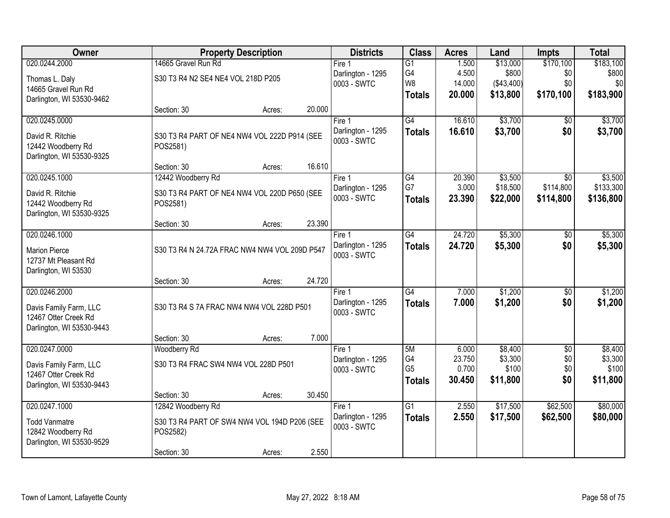| 020.0244.2000<br>14665 Gravel Run Rd<br>\$13,000<br>\$170,100<br>$\overline{G1}$<br>1.500<br>Fire 1<br>G4<br>\$800<br>4.500<br>\$0<br>\$800<br>Darlington - 1295<br>S30 T3 R4 N2 SE4 NE4 VOL 218D P205<br>Thomas L. Daly<br>W <sub>8</sub><br>\$0<br>\$0<br>14.000<br>(\$43,400)<br>0003 - SWTC<br>14665 Gravel Run Rd<br>\$183,900<br>\$13,800<br>\$170,100<br>20.000<br><b>Totals</b><br>Darlington, WI 53530-9462<br>20.000<br>Section: 30<br>Acres:<br>\$3,700<br>020.0245.0000<br>$\overline{G4}$<br>16.610<br>Fire 1<br>\$0<br>16.610<br>\$3,700<br>\$0<br>Darlington - 1295<br><b>Totals</b><br>David R. Ritchie<br>S30 T3 R4 PART OF NE4 NW4 VOL 222D P914 (SEE<br>0003 - SWTC<br>12442 Woodberry Rd<br>POS2581)<br>Darlington, WI 53530-9325<br>16.610<br>Section: 30<br>Acres:<br>\$3,500<br>020.0245.1000<br>12442 Woodberry Rd<br>$\overline{G4}$<br>20.390<br>$\overline{50}$<br>Fire 1<br>G7<br>\$114,800<br>3.000<br>\$18,500<br>Darlington - 1295<br>David R. Ritchie<br>S30 T3 R4 PART OF NE4 NW4 VOL 220D P650 (SEE<br>0003 - SWTC<br>23.390<br>\$22,000<br>\$114,800<br><b>Totals</b><br>12442 Woodberry Rd<br>POS2581)<br>Darlington, WI 53530-9325<br>23.390<br>Section: 30<br>Acres:<br>020.0246.1000<br>24.720<br>\$5,300<br>G4<br>Fire 1<br>$\sqrt[6]{}$<br>Darlington - 1295<br>24.720<br>\$5,300<br>\$0<br><b>Totals</b><br><b>Marion Pierce</b><br>S30 T3 R4 N 24.72A FRAC NW4 NW4 VOL 209D P547<br>0003 - SWTC<br>12737 Mt Pleasant Rd<br>Darlington, WI 53530<br>24.720<br>Section: 30<br>Acres:<br>G4<br>\$1,200<br>020.0246.2000<br>7.000<br>$\overline{50}$<br>Fire 1<br>\$1,200<br>Darlington - 1295<br>7.000<br>\$0<br><b>Totals</b><br>S30 T3 R4 S 7A FRAC NW4 NW4 VOL 228D P501<br>Davis Family Farm, LLC<br>0003 - SWTC<br>12467 Otter Creek Rd<br>Darlington, WI 53530-9443<br>7.000<br>Section: 30<br>Acres:<br>5M<br>\$8,400<br>$\overline{50}$<br>020.0247.0000<br>6.000<br>Fire 1<br>Woodberry Rd<br>\$0<br>G4<br>23.750<br>\$3,300<br>Darlington - 1295<br>S30 T3 R4 FRAC SW4 NW4 VOL 228D P501<br>Davis Family Farm, LLC<br>G <sub>5</sub><br>0.700<br>\$100<br>\$0<br>0003 - SWTC<br>12467 Otter Creek Rd<br>30.450<br>\$11,800<br>\$0<br><b>Totals</b><br>Darlington, WI 53530-9443<br>30.450<br>Section: 30<br>Acres:<br>020.0247.1000<br>\$17,500<br>$\overline{G1}$<br>\$62,500<br>\$80,000<br>12842 Woodberry Rd<br>2.550<br>Fire 1<br>2.550<br>\$62,500<br>\$80,000<br>Darlington - 1295<br>\$17,500<br><b>Totals</b><br><b>Todd Vanmatre</b><br>S30 T3 R4 PART OF SW4 NW4 VOL 194D P206 (SEE<br>0003 - SWTC<br>12842 Woodberry Rd<br>POS2582)<br>Darlington, WI 53530-9529 | Owner |             | <b>Property Description</b> |       | <b>Districts</b> | <b>Class</b> | <b>Acres</b> | Land | <b>Impts</b> | <b>Total</b> |
|--------------------------------------------------------------------------------------------------------------------------------------------------------------------------------------------------------------------------------------------------------------------------------------------------------------------------------------------------------------------------------------------------------------------------------------------------------------------------------------------------------------------------------------------------------------------------------------------------------------------------------------------------------------------------------------------------------------------------------------------------------------------------------------------------------------------------------------------------------------------------------------------------------------------------------------------------------------------------------------------------------------------------------------------------------------------------------------------------------------------------------------------------------------------------------------------------------------------------------------------------------------------------------------------------------------------------------------------------------------------------------------------------------------------------------------------------------------------------------------------------------------------------------------------------------------------------------------------------------------------------------------------------------------------------------------------------------------------------------------------------------------------------------------------------------------------------------------------------------------------------------------------------------------------------------------------------------------------------------------------------------------------------------------------------------------------------------------------------------------------------------------------------------------------------------------------------------------------------------------------------------------------------------------------------------------------------------------------------------------------------------------------------------------------------------------------------------------------------------------------------------------------------------------------------------------------------------------------------------------------------------|-------|-------------|-----------------------------|-------|------------------|--------------|--------------|------|--------------|--------------|
|                                                                                                                                                                                                                                                                                                                                                                                                                                                                                                                                                                                                                                                                                                                                                                                                                                                                                                                                                                                                                                                                                                                                                                                                                                                                                                                                                                                                                                                                                                                                                                                                                                                                                                                                                                                                                                                                                                                                                                                                                                                                                                                                                                                                                                                                                                                                                                                                                                                                                                                                                                                                                                |       |             |                             |       |                  |              |              |      |              | \$183,100    |
| \$3,700<br>\$136,800<br>\$5,300<br>\$5,300<br>\$1,200<br>\$3,300<br>\$100<br>\$11,800                                                                                                                                                                                                                                                                                                                                                                                                                                                                                                                                                                                                                                                                                                                                                                                                                                                                                                                                                                                                                                                                                                                                                                                                                                                                                                                                                                                                                                                                                                                                                                                                                                                                                                                                                                                                                                                                                                                                                                                                                                                                                                                                                                                                                                                                                                                                                                                                                                                                                                                                          |       |             |                             |       |                  |              |              |      |              |              |
|                                                                                                                                                                                                                                                                                                                                                                                                                                                                                                                                                                                                                                                                                                                                                                                                                                                                                                                                                                                                                                                                                                                                                                                                                                                                                                                                                                                                                                                                                                                                                                                                                                                                                                                                                                                                                                                                                                                                                                                                                                                                                                                                                                                                                                                                                                                                                                                                                                                                                                                                                                                                                                |       |             |                             |       |                  |              |              |      |              |              |
| \$3,700<br>\$3,500<br>\$133,300<br>\$1,200<br>\$8,400                                                                                                                                                                                                                                                                                                                                                                                                                                                                                                                                                                                                                                                                                                                                                                                                                                                                                                                                                                                                                                                                                                                                                                                                                                                                                                                                                                                                                                                                                                                                                                                                                                                                                                                                                                                                                                                                                                                                                                                                                                                                                                                                                                                                                                                                                                                                                                                                                                                                                                                                                                          |       |             |                             |       |                  |              |              |      |              |              |
|                                                                                                                                                                                                                                                                                                                                                                                                                                                                                                                                                                                                                                                                                                                                                                                                                                                                                                                                                                                                                                                                                                                                                                                                                                                                                                                                                                                                                                                                                                                                                                                                                                                                                                                                                                                                                                                                                                                                                                                                                                                                                                                                                                                                                                                                                                                                                                                                                                                                                                                                                                                                                                |       |             |                             |       |                  |              |              |      |              |              |
|                                                                                                                                                                                                                                                                                                                                                                                                                                                                                                                                                                                                                                                                                                                                                                                                                                                                                                                                                                                                                                                                                                                                                                                                                                                                                                                                                                                                                                                                                                                                                                                                                                                                                                                                                                                                                                                                                                                                                                                                                                                                                                                                                                                                                                                                                                                                                                                                                                                                                                                                                                                                                                |       |             |                             |       |                  |              |              |      |              |              |
|                                                                                                                                                                                                                                                                                                                                                                                                                                                                                                                                                                                                                                                                                                                                                                                                                                                                                                                                                                                                                                                                                                                                                                                                                                                                                                                                                                                                                                                                                                                                                                                                                                                                                                                                                                                                                                                                                                                                                                                                                                                                                                                                                                                                                                                                                                                                                                                                                                                                                                                                                                                                                                |       |             |                             |       |                  |              |              |      |              |              |
|                                                                                                                                                                                                                                                                                                                                                                                                                                                                                                                                                                                                                                                                                                                                                                                                                                                                                                                                                                                                                                                                                                                                                                                                                                                                                                                                                                                                                                                                                                                                                                                                                                                                                                                                                                                                                                                                                                                                                                                                                                                                                                                                                                                                                                                                                                                                                                                                                                                                                                                                                                                                                                |       |             |                             |       |                  |              |              |      |              |              |
|                                                                                                                                                                                                                                                                                                                                                                                                                                                                                                                                                                                                                                                                                                                                                                                                                                                                                                                                                                                                                                                                                                                                                                                                                                                                                                                                                                                                                                                                                                                                                                                                                                                                                                                                                                                                                                                                                                                                                                                                                                                                                                                                                                                                                                                                                                                                                                                                                                                                                                                                                                                                                                |       |             |                             |       |                  |              |              |      |              |              |
|                                                                                                                                                                                                                                                                                                                                                                                                                                                                                                                                                                                                                                                                                                                                                                                                                                                                                                                                                                                                                                                                                                                                                                                                                                                                                                                                                                                                                                                                                                                                                                                                                                                                                                                                                                                                                                                                                                                                                                                                                                                                                                                                                                                                                                                                                                                                                                                                                                                                                                                                                                                                                                |       |             |                             |       |                  |              |              |      |              |              |
|                                                                                                                                                                                                                                                                                                                                                                                                                                                                                                                                                                                                                                                                                                                                                                                                                                                                                                                                                                                                                                                                                                                                                                                                                                                                                                                                                                                                                                                                                                                                                                                                                                                                                                                                                                                                                                                                                                                                                                                                                                                                                                                                                                                                                                                                                                                                                                                                                                                                                                                                                                                                                                |       |             |                             |       |                  |              |              |      |              |              |
|                                                                                                                                                                                                                                                                                                                                                                                                                                                                                                                                                                                                                                                                                                                                                                                                                                                                                                                                                                                                                                                                                                                                                                                                                                                                                                                                                                                                                                                                                                                                                                                                                                                                                                                                                                                                                                                                                                                                                                                                                                                                                                                                                                                                                                                                                                                                                                                                                                                                                                                                                                                                                                |       |             |                             |       |                  |              |              |      |              |              |
|                                                                                                                                                                                                                                                                                                                                                                                                                                                                                                                                                                                                                                                                                                                                                                                                                                                                                                                                                                                                                                                                                                                                                                                                                                                                                                                                                                                                                                                                                                                                                                                                                                                                                                                                                                                                                                                                                                                                                                                                                                                                                                                                                                                                                                                                                                                                                                                                                                                                                                                                                                                                                                |       |             |                             |       |                  |              |              |      |              |              |
|                                                                                                                                                                                                                                                                                                                                                                                                                                                                                                                                                                                                                                                                                                                                                                                                                                                                                                                                                                                                                                                                                                                                                                                                                                                                                                                                                                                                                                                                                                                                                                                                                                                                                                                                                                                                                                                                                                                                                                                                                                                                                                                                                                                                                                                                                                                                                                                                                                                                                                                                                                                                                                |       |             |                             |       |                  |              |              |      |              |              |
|                                                                                                                                                                                                                                                                                                                                                                                                                                                                                                                                                                                                                                                                                                                                                                                                                                                                                                                                                                                                                                                                                                                                                                                                                                                                                                                                                                                                                                                                                                                                                                                                                                                                                                                                                                                                                                                                                                                                                                                                                                                                                                                                                                                                                                                                                                                                                                                                                                                                                                                                                                                                                                |       |             |                             |       |                  |              |              |      |              |              |
|                                                                                                                                                                                                                                                                                                                                                                                                                                                                                                                                                                                                                                                                                                                                                                                                                                                                                                                                                                                                                                                                                                                                                                                                                                                                                                                                                                                                                                                                                                                                                                                                                                                                                                                                                                                                                                                                                                                                                                                                                                                                                                                                                                                                                                                                                                                                                                                                                                                                                                                                                                                                                                |       |             |                             |       |                  |              |              |      |              |              |
|                                                                                                                                                                                                                                                                                                                                                                                                                                                                                                                                                                                                                                                                                                                                                                                                                                                                                                                                                                                                                                                                                                                                                                                                                                                                                                                                                                                                                                                                                                                                                                                                                                                                                                                                                                                                                                                                                                                                                                                                                                                                                                                                                                                                                                                                                                                                                                                                                                                                                                                                                                                                                                |       |             |                             |       |                  |              |              |      |              |              |
|                                                                                                                                                                                                                                                                                                                                                                                                                                                                                                                                                                                                                                                                                                                                                                                                                                                                                                                                                                                                                                                                                                                                                                                                                                                                                                                                                                                                                                                                                                                                                                                                                                                                                                                                                                                                                                                                                                                                                                                                                                                                                                                                                                                                                                                                                                                                                                                                                                                                                                                                                                                                                                |       |             |                             |       |                  |              |              |      |              |              |
|                                                                                                                                                                                                                                                                                                                                                                                                                                                                                                                                                                                                                                                                                                                                                                                                                                                                                                                                                                                                                                                                                                                                                                                                                                                                                                                                                                                                                                                                                                                                                                                                                                                                                                                                                                                                                                                                                                                                                                                                                                                                                                                                                                                                                                                                                                                                                                                                                                                                                                                                                                                                                                |       |             |                             |       |                  |              |              |      |              |              |
|                                                                                                                                                                                                                                                                                                                                                                                                                                                                                                                                                                                                                                                                                                                                                                                                                                                                                                                                                                                                                                                                                                                                                                                                                                                                                                                                                                                                                                                                                                                                                                                                                                                                                                                                                                                                                                                                                                                                                                                                                                                                                                                                                                                                                                                                                                                                                                                                                                                                                                                                                                                                                                |       |             |                             |       |                  |              |              |      |              |              |
|                                                                                                                                                                                                                                                                                                                                                                                                                                                                                                                                                                                                                                                                                                                                                                                                                                                                                                                                                                                                                                                                                                                                                                                                                                                                                                                                                                                                                                                                                                                                                                                                                                                                                                                                                                                                                                                                                                                                                                                                                                                                                                                                                                                                                                                                                                                                                                                                                                                                                                                                                                                                                                |       |             |                             |       |                  |              |              |      |              |              |
|                                                                                                                                                                                                                                                                                                                                                                                                                                                                                                                                                                                                                                                                                                                                                                                                                                                                                                                                                                                                                                                                                                                                                                                                                                                                                                                                                                                                                                                                                                                                                                                                                                                                                                                                                                                                                                                                                                                                                                                                                                                                                                                                                                                                                                                                                                                                                                                                                                                                                                                                                                                                                                |       |             |                             |       |                  |              |              |      |              |              |
|                                                                                                                                                                                                                                                                                                                                                                                                                                                                                                                                                                                                                                                                                                                                                                                                                                                                                                                                                                                                                                                                                                                                                                                                                                                                                                                                                                                                                                                                                                                                                                                                                                                                                                                                                                                                                                                                                                                                                                                                                                                                                                                                                                                                                                                                                                                                                                                                                                                                                                                                                                                                                                |       |             |                             |       |                  |              |              |      |              |              |
|                                                                                                                                                                                                                                                                                                                                                                                                                                                                                                                                                                                                                                                                                                                                                                                                                                                                                                                                                                                                                                                                                                                                                                                                                                                                                                                                                                                                                                                                                                                                                                                                                                                                                                                                                                                                                                                                                                                                                                                                                                                                                                                                                                                                                                                                                                                                                                                                                                                                                                                                                                                                                                |       |             |                             |       |                  |              |              |      |              |              |
|                                                                                                                                                                                                                                                                                                                                                                                                                                                                                                                                                                                                                                                                                                                                                                                                                                                                                                                                                                                                                                                                                                                                                                                                                                                                                                                                                                                                                                                                                                                                                                                                                                                                                                                                                                                                                                                                                                                                                                                                                                                                                                                                                                                                                                                                                                                                                                                                                                                                                                                                                                                                                                |       |             |                             |       |                  |              |              |      |              |              |
|                                                                                                                                                                                                                                                                                                                                                                                                                                                                                                                                                                                                                                                                                                                                                                                                                                                                                                                                                                                                                                                                                                                                                                                                                                                                                                                                                                                                                                                                                                                                                                                                                                                                                                                                                                                                                                                                                                                                                                                                                                                                                                                                                                                                                                                                                                                                                                                                                                                                                                                                                                                                                                |       |             |                             |       |                  |              |              |      |              |              |
|                                                                                                                                                                                                                                                                                                                                                                                                                                                                                                                                                                                                                                                                                                                                                                                                                                                                                                                                                                                                                                                                                                                                                                                                                                                                                                                                                                                                                                                                                                                                                                                                                                                                                                                                                                                                                                                                                                                                                                                                                                                                                                                                                                                                                                                                                                                                                                                                                                                                                                                                                                                                                                |       |             |                             |       |                  |              |              |      |              |              |
|                                                                                                                                                                                                                                                                                                                                                                                                                                                                                                                                                                                                                                                                                                                                                                                                                                                                                                                                                                                                                                                                                                                                                                                                                                                                                                                                                                                                                                                                                                                                                                                                                                                                                                                                                                                                                                                                                                                                                                                                                                                                                                                                                                                                                                                                                                                                                                                                                                                                                                                                                                                                                                |       |             |                             |       |                  |              |              |      |              |              |
|                                                                                                                                                                                                                                                                                                                                                                                                                                                                                                                                                                                                                                                                                                                                                                                                                                                                                                                                                                                                                                                                                                                                                                                                                                                                                                                                                                                                                                                                                                                                                                                                                                                                                                                                                                                                                                                                                                                                                                                                                                                                                                                                                                                                                                                                                                                                                                                                                                                                                                                                                                                                                                |       |             |                             |       |                  |              |              |      |              |              |
|                                                                                                                                                                                                                                                                                                                                                                                                                                                                                                                                                                                                                                                                                                                                                                                                                                                                                                                                                                                                                                                                                                                                                                                                                                                                                                                                                                                                                                                                                                                                                                                                                                                                                                                                                                                                                                                                                                                                                                                                                                                                                                                                                                                                                                                                                                                                                                                                                                                                                                                                                                                                                                |       |             |                             |       |                  |              |              |      |              |              |
|                                                                                                                                                                                                                                                                                                                                                                                                                                                                                                                                                                                                                                                                                                                                                                                                                                                                                                                                                                                                                                                                                                                                                                                                                                                                                                                                                                                                                                                                                                                                                                                                                                                                                                                                                                                                                                                                                                                                                                                                                                                                                                                                                                                                                                                                                                                                                                                                                                                                                                                                                                                                                                |       |             |                             |       |                  |              |              |      |              |              |
|                                                                                                                                                                                                                                                                                                                                                                                                                                                                                                                                                                                                                                                                                                                                                                                                                                                                                                                                                                                                                                                                                                                                                                                                                                                                                                                                                                                                                                                                                                                                                                                                                                                                                                                                                                                                                                                                                                                                                                                                                                                                                                                                                                                                                                                                                                                                                                                                                                                                                                                                                                                                                                |       |             |                             |       |                  |              |              |      |              |              |
|                                                                                                                                                                                                                                                                                                                                                                                                                                                                                                                                                                                                                                                                                                                                                                                                                                                                                                                                                                                                                                                                                                                                                                                                                                                                                                                                                                                                                                                                                                                                                                                                                                                                                                                                                                                                                                                                                                                                                                                                                                                                                                                                                                                                                                                                                                                                                                                                                                                                                                                                                                                                                                |       | Section: 30 | Acres:                      | 2.550 |                  |              |              |      |              |              |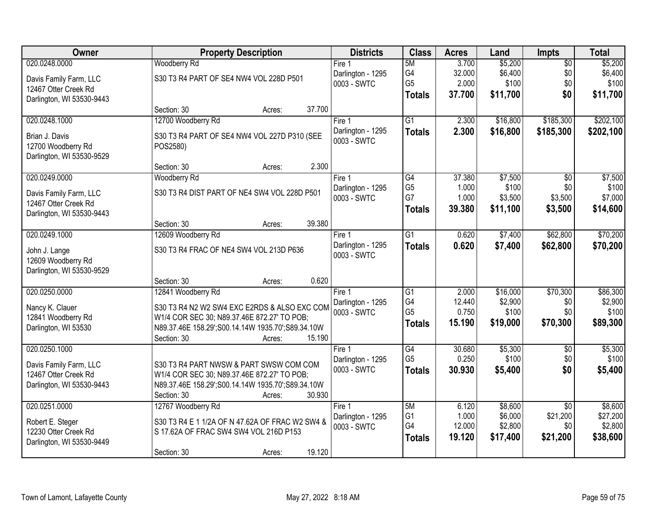| <b>Owner</b>              | <b>Property Description</b>                       | <b>Districts</b>  | <b>Class</b>    | <b>Acres</b> | Land     | Impts           | <b>Total</b> |
|---------------------------|---------------------------------------------------|-------------------|-----------------|--------------|----------|-----------------|--------------|
| 020.0248.0000             | <b>Woodberry Rd</b>                               | Fire $1$          | 5M              | 3.700        | \$5,200  | $\overline{50}$ | \$5,200      |
| Davis Family Farm, LLC    | S30 T3 R4 PART OF SE4 NW4 VOL 228D P501           | Darlington - 1295 | G4              | 32.000       | \$6,400  | \$0             | \$6,400      |
| 12467 Otter Creek Rd      |                                                   | 0003 - SWTC       | G <sub>5</sub>  | 2.000        | \$100    | \$0             | \$100        |
| Darlington, WI 53530-9443 |                                                   |                   | <b>Totals</b>   | 37.700       | \$11,700 | \$0             | \$11,700     |
|                           | 37.700<br>Section: 30<br>Acres:                   |                   |                 |              |          |                 |              |
| 020.0248.1000             | 12700 Woodberry Rd                                | Fire 1            | $\overline{G1}$ | 2.300        | \$16,800 | \$185,300       | \$202,100    |
| Brian J. Davis            | S30 T3 R4 PART OF SE4 NW4 VOL 227D P310 (SEE      | Darlington - 1295 | <b>Totals</b>   | 2.300        | \$16,800 | \$185,300       | \$202,100    |
| 12700 Woodberry Rd        | POS2580)                                          | 0003 - SWTC       |                 |              |          |                 |              |
| Darlington, WI 53530-9529 |                                                   |                   |                 |              |          |                 |              |
|                           | 2.300<br>Section: 30<br>Acres:                    |                   |                 |              |          |                 |              |
| 020.0249.0000             | Woodberry Rd                                      | Fire 1            | $\overline{G4}$ | 37.380       | \$7,500  | $\overline{50}$ | \$7,500      |
| Davis Family Farm, LLC    | S30 T3 R4 DIST PART OF NE4 SW4 VOL 228D P501      | Darlington - 1295 | G <sub>5</sub>  | 1.000        | \$100    | \$0             | \$100        |
| 12467 Otter Creek Rd      |                                                   | 0003 - SWTC       | G7              | 1.000        | \$3,500  | \$3,500         | \$7,000      |
| Darlington, WI 53530-9443 |                                                   |                   | <b>Totals</b>   | 39.380       | \$11,100 | \$3,500         | \$14,600     |
|                           | 39.380<br>Section: 30<br>Acres:                   |                   |                 |              |          |                 |              |
| 020.0249.1000             | 12609 Woodberry Rd                                | Fire 1            | G1              | 0.620        | \$7,400  | \$62,800        | \$70,200     |
| John J. Lange             | S30 T3 R4 FRAC OF NE4 SW4 VOL 213D P636           | Darlington - 1295 | <b>Totals</b>   | 0.620        | \$7,400  | \$62,800        | \$70,200     |
| 12609 Woodberry Rd        |                                                   | 0003 - SWTC       |                 |              |          |                 |              |
| Darlington, WI 53530-9529 |                                                   |                   |                 |              |          |                 |              |
|                           | 0.620<br>Section: 30<br>Acres:                    |                   |                 |              |          |                 |              |
| 020.0250.0000             | 12841 Woodberry Rd                                | Fire 1            | $\overline{G1}$ | 2.000        | \$16,000 | \$70,300        | \$86,300     |
| Nancy K. Clauer           | S30 T3 R4 N2 W2 SW4 EXC E2RDS & ALSO EXC COM      | Darlington - 1295 | G4              | 12.440       | \$2,900  | \$0             | \$2,900      |
| 12841 Woodberry Rd        | W1/4 COR SEC 30; N89.37.46E 872.27' TO POB;       | 0003 - SWTC       | G <sub>5</sub>  | 0.750        | \$100    | \$0             | \$100        |
| Darlington, WI 53530      | N89.37.46E 158.29';S00.14.14W 1935.70';S89.34.10W |                   | <b>Totals</b>   | 15.190       | \$19,000 | \$70,300        | \$89,300     |
|                           | Section: 30<br>15.190<br>Acres:                   |                   |                 |              |          |                 |              |
| 020.0250.1000             |                                                   | Fire 1            | G4              | 30.680       | \$5,300  | $\sqrt{6}$      | \$5,300      |
| Davis Family Farm, LLC    | S30 T3 R4 PART NWSW & PART SWSW COM COM           | Darlington - 1295 | G <sub>5</sub>  | 0.250        | \$100    | \$0             | \$100        |
| 12467 Otter Creek Rd      | W1/4 COR SEC 30; N89.37.46E 872.27' TO POB;       | 0003 - SWTC       | <b>Totals</b>   | 30.930       | \$5,400  | \$0             | \$5,400      |
| Darlington, WI 53530-9443 | N89.37.46E 158.29';S00.14.14W 1935.70';S89.34.10W |                   |                 |              |          |                 |              |
|                           | 30.930<br>Section: 30<br>Acres:                   |                   |                 |              |          |                 |              |
| 020.0251.0000             | 12767 Woodberry Rd                                | Fire 1            | 5M              | 6.120        | \$8,600  | $\overline{50}$ | \$8,600      |
| Robert E. Steger          | S30 T3 R4 E 1 1/2A OF N 47.62A OF FRAC W2 SW4 &   | Darlington - 1295 | G1              | 1.000        | \$6,000  | \$21,200        | \$27,200     |
| 12230 Otter Creek Rd      | S 17.62A OF FRAC SW4 SW4 VOL 216D P153            | 0003 - SWTC       | G4              | 12.000       | \$2,800  | \$0             | \$2,800      |
| Darlington, WI 53530-9449 |                                                   |                   | <b>Totals</b>   | 19.120       | \$17,400 | \$21,200        | \$38,600     |
|                           | 19.120<br>Section: 30<br>Acres:                   |                   |                 |              |          |                 |              |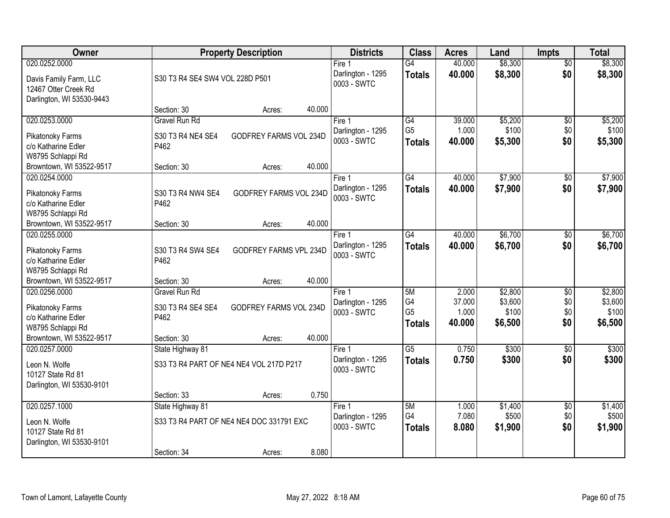| Owner                                             | <b>Property Description</b>              |                        | <b>Districts</b>                           | <b>Class</b>                     | <b>Acres</b>     | Land               | <b>Impts</b>           | <b>Total</b>       |
|---------------------------------------------------|------------------------------------------|------------------------|--------------------------------------------|----------------------------------|------------------|--------------------|------------------------|--------------------|
| 020.0252.0000<br>Davis Family Farm, LLC           | S30 T3 R4 SE4 SW4 VOL 228D P501          |                        | Fire 1<br>Darlington - 1295<br>0003 - SWTC | $\overline{G4}$<br><b>Totals</b> | 40.000<br>40.000 | \$8,300<br>\$8,300 | $\overline{50}$<br>\$0 | \$8,300<br>\$8,300 |
| 12467 Otter Creek Rd<br>Darlington, WI 53530-9443 | Section: 30<br>Acres:                    | 40.000                 |                                            |                                  |                  |                    |                        |                    |
| 020.0253.0000                                     | <b>Gravel Run Rd</b>                     |                        | Fire 1                                     | G4                               | 39.000           | \$5,200            | $\overline{50}$        | \$5,200            |
|                                                   |                                          |                        | Darlington - 1295                          | G <sub>5</sub>                   | 1.000            | \$100              | \$0                    | \$100              |
| Pikatonoky Farms                                  | S30 T3 R4 NE4 SE4                        | GODFREY FARMS VOL 234D | 0003 - SWTC                                | <b>Totals</b>                    | 40.000           | \$5,300            | \$0                    | \$5,300            |
| c/o Katharine Edler                               | P462                                     |                        |                                            |                                  |                  |                    |                        |                    |
| W8795 Schlappi Rd                                 | Section: 30                              | 40.000                 |                                            |                                  |                  |                    |                        |                    |
| Browntown, WI 53522-9517<br>020.0254.0000         | Acres:                                   |                        | Fire 1                                     | G4                               | 40.000           | \$7,900            | $\sqrt[6]{3}$          | \$7,900            |
|                                                   |                                          |                        | Darlington - 1295                          | <b>Totals</b>                    | 40.000           | \$7,900            | \$0                    | \$7,900            |
| Pikatonoky Farms                                  | S30 T3 R4 NW4 SE4                        | GODFREY FARMS VOL 234D | 0003 - SWTC                                |                                  |                  |                    |                        |                    |
| c/o Katharine Edler                               | P462                                     |                        |                                            |                                  |                  |                    |                        |                    |
| W8795 Schlappi Rd                                 |                                          |                        |                                            |                                  |                  |                    |                        |                    |
| Browntown, WI 53522-9517<br>020.0255.0000         | Section: 30<br>Acres:                    | 40.000                 |                                            | G4                               | 40.000           | \$6,700            |                        | \$6,700            |
|                                                   |                                          |                        | Fire 1<br>Darlington - 1295                |                                  | 40.000           | \$6,700            | $\sqrt[6]{3}$<br>\$0   |                    |
| Pikatonoky Farms                                  | S30 T3 R4 SW4 SE4                        | GODFREY FARMS VPL 234D | 0003 - SWTC                                | <b>Totals</b>                    |                  |                    |                        | \$6,700            |
| c/o Katharine Edler                               | P462                                     |                        |                                            |                                  |                  |                    |                        |                    |
| W8795 Schlappi Rd                                 |                                          |                        |                                            |                                  |                  |                    |                        |                    |
| Browntown, WI 53522-9517                          | Section: 30<br>Acres:                    | 40.000                 |                                            |                                  |                  |                    |                        |                    |
| 020.0256.0000                                     | <b>Gravel Run Rd</b>                     |                        | Fire 1                                     | 5M<br>G4                         | 2.000<br>37.000  | \$2,800<br>\$3,600 | $\overline{50}$<br>\$0 | \$2,800<br>\$3,600 |
| Pikatonoky Farms                                  | S30 T3 R4 SE4 SE4                        | GODFREY FARMS VOL 234D | Darlington - 1295<br>0003 - SWTC           | G <sub>5</sub>                   | 1.000            | \$100              | \$0                    | \$100              |
| c/o Katharine Edler                               | P462                                     |                        |                                            | <b>Totals</b>                    | 40.000           | \$6,500            | \$0                    | \$6,500            |
| W8795 Schlappi Rd                                 |                                          |                        |                                            |                                  |                  |                    |                        |                    |
| Browntown, WI 53522-9517                          | Section: 30<br>Acres:                    | 40.000                 |                                            |                                  |                  |                    |                        |                    |
| 020.0257.0000                                     | State Highway 81                         |                        | Fire 1                                     | $\overline{G5}$                  | 0.750            | \$300              | $\overline{30}$        | \$300              |
| Leon N. Wolfe                                     | S33 T3 R4 PART OF NE4 NE4 VOL 217D P217  |                        | Darlington - 1295<br>0003 - SWTC           | <b>Totals</b>                    | 0.750            | \$300              | \$0                    | \$300              |
| 10127 State Rd 81                                 |                                          |                        |                                            |                                  |                  |                    |                        |                    |
| Darlington, WI 53530-9101                         |                                          |                        |                                            |                                  |                  |                    |                        |                    |
|                                                   | Section: 33<br>Acres:                    | 0.750                  |                                            |                                  |                  |                    |                        |                    |
| 020.0257.1000                                     | State Highway 81                         |                        | Fire 1                                     | 5M                               | 1.000            | \$1,400            | $\overline{60}$        | \$1,400            |
| Leon N. Wolfe                                     | S33 T3 R4 PART OF NE4 NE4 DOC 331791 EXC |                        | Darlington - 1295<br>0003 - SWTC           | G4                               | 7.080            | \$500              | \$0                    | \$500              |
| 10127 State Rd 81                                 |                                          |                        |                                            | <b>Totals</b>                    | 8.080            | \$1,900            | \$0                    | \$1,900            |
| Darlington, WI 53530-9101                         |                                          |                        |                                            |                                  |                  |                    |                        |                    |
|                                                   | Section: 34<br>Acres:                    | 8.080                  |                                            |                                  |                  |                    |                        |                    |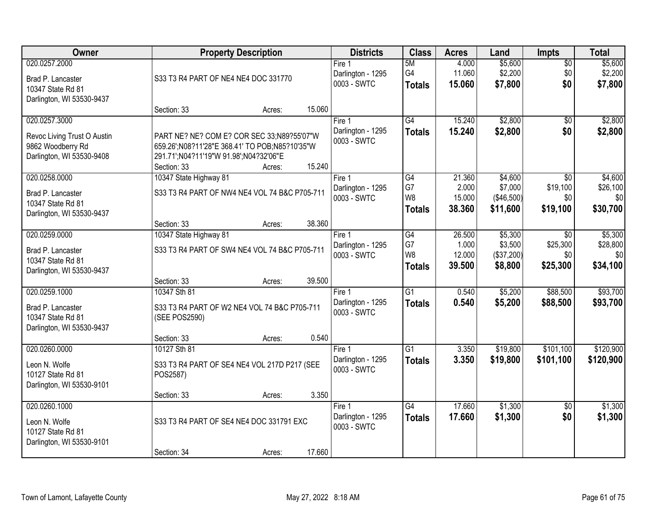| Owner                                                                                          |                                                                                                                                                       | <b>Property Description</b> |        | <b>Districts</b>                           | <b>Class</b>                                | <b>Acres</b>                        | Land                                        | Impts                                     | <b>Total</b>                           |
|------------------------------------------------------------------------------------------------|-------------------------------------------------------------------------------------------------------------------------------------------------------|-----------------------------|--------|--------------------------------------------|---------------------------------------------|-------------------------------------|---------------------------------------------|-------------------------------------------|----------------------------------------|
| 020.0257.2000<br>Brad P. Lancaster<br>10347 State Rd 81<br>Darlington, WI 53530-9437           | S33 T3 R4 PART OF NE4 NE4 DOC 331770                                                                                                                  |                             |        | Fire 1<br>Darlington - 1295<br>0003 - SWTC | 5M<br>G4<br><b>Totals</b>                   | 4.000<br>11.060<br>15.060           | \$5,600<br>\$2,200<br>\$7,800               | $\overline{50}$<br>\$0<br>\$0             | \$5,600<br>\$2,200<br>\$7,800          |
|                                                                                                | Section: 33                                                                                                                                           | Acres:                      | 15.060 |                                            |                                             |                                     |                                             |                                           |                                        |
| 020.0257.3000<br>Revoc Living Trust O Austin<br>9862 Woodberry Rd<br>Darlington, WI 53530-9408 | PART NE? NE? COM E? COR SEC 33;N89?55'07"W<br>659.26';N08?11'28"E 368.41' TO POB;N85?10'35"W<br>291.71';N04?11'19"W 91.98';N04?32'06"E<br>Section: 33 | Acres:                      | 15.240 | Fire 1<br>Darlington - 1295<br>0003 - SWTC | G4<br><b>Totals</b>                         | 15.240<br>15.240                    | \$2,800<br>\$2,800                          | \$0<br>\$0                                | \$2,800<br>\$2,800                     |
| 020.0258.0000                                                                                  | 10347 State Highway 81                                                                                                                                |                             |        | Fire 1                                     | G4                                          | 21.360                              | \$4,600                                     | \$0                                       | \$4,600                                |
| Brad P. Lancaster<br>10347 State Rd 81<br>Darlington, WI 53530-9437                            | S33 T3 R4 PART OF NW4 NE4 VOL 74 B&C P705-711                                                                                                         |                             |        | Darlington - 1295<br>0003 - SWTC           | G7<br>W8<br><b>Totals</b>                   | 2.000<br>15.000<br>38,360           | \$7,000<br>(\$46,500)<br>\$11,600           | \$19,100<br>\$0<br>\$19,100               | \$26,100<br>\$0<br>\$30,700            |
|                                                                                                | Section: 33                                                                                                                                           | Acres:                      | 38.360 |                                            |                                             |                                     |                                             |                                           |                                        |
| 020.0259.0000<br>Brad P. Lancaster<br>10347 State Rd 81<br>Darlington, WI 53530-9437           | 10347 State Highway 81<br>S33 T3 R4 PART OF SW4 NE4 VOL 74 B&C P705-711                                                                               |                             |        | Fire 1<br>Darlington - 1295<br>0003 - SWTC | G4<br>G7<br>W <sub>8</sub><br><b>Totals</b> | 26.500<br>1.000<br>12.000<br>39.500 | \$5,300<br>\$3,500<br>(\$37,200)<br>\$8,800 | $\sqrt{6}$<br>\$25,300<br>\$0<br>\$25,300 | \$5,300<br>\$28,800<br>\$0<br>\$34,100 |
|                                                                                                | Section: 33                                                                                                                                           | Acres:                      | 39.500 |                                            |                                             |                                     |                                             |                                           |                                        |
| 020.0259.1000<br>Brad P. Lancaster<br>10347 State Rd 81<br>Darlington, WI 53530-9437           | 10347 Sth 81<br>S33 T3 R4 PART OF W2 NE4 VOL 74 B&C P705-711<br>(SEE POS2590)                                                                         |                             |        | Fire 1<br>Darlington - 1295<br>0003 - SWTC | $\overline{G1}$<br><b>Totals</b>            | 0.540<br>0.540                      | \$5,200<br>\$5,200                          | \$88,500<br>\$88,500                      | \$93,700<br>\$93,700                   |
| 020.0260.0000                                                                                  | Section: 33<br>10127 Sth 81                                                                                                                           | Acres:                      | 0.540  | Fire 1                                     | $\overline{G1}$                             | 3.350                               | \$19,800                                    | \$101,100                                 | \$120,900                              |
| Leon N. Wolfe<br>10127 State Rd 81<br>Darlington, WI 53530-9101                                | S33 T3 R4 PART OF SE4 NE4 VOL 217D P217 (SEE<br>POS2587)                                                                                              |                             |        | Darlington - 1295<br>0003 - SWTC           | <b>Totals</b>                               | 3.350                               | \$19,800                                    | \$101,100                                 | \$120,900                              |
|                                                                                                | Section: 33                                                                                                                                           | Acres:                      | 3.350  |                                            |                                             |                                     |                                             |                                           |                                        |
| 020.0260.1000<br>Leon N. Wolfe<br>10127 State Rd 81<br>Darlington, WI 53530-9101               | S33 T3 R4 PART OF SE4 NE4 DOC 331791 EXC                                                                                                              |                             |        | Fire 1<br>Darlington - 1295<br>0003 - SWTC | $\overline{G4}$<br><b>Totals</b>            | 17.660<br>17.660                    | \$1,300<br>\$1,300                          | $\overline{50}$<br>\$0                    | \$1,300<br>\$1,300                     |
|                                                                                                | Section: 34                                                                                                                                           | Acres:                      | 17.660 |                                            |                                             |                                     |                                             |                                           |                                        |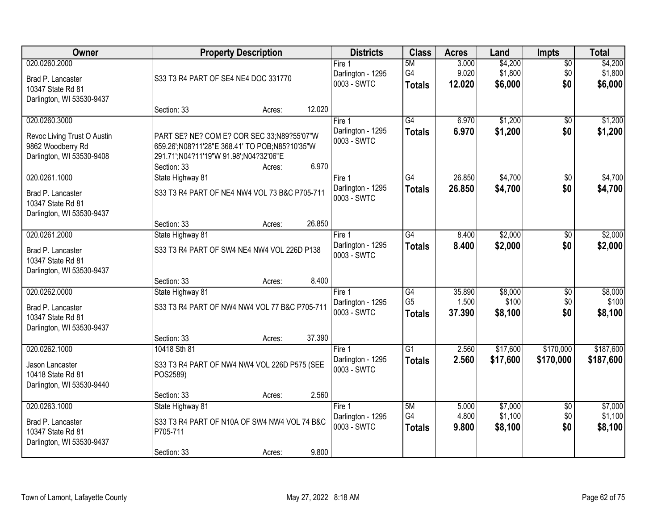| 020.0260.2000<br>\$4,200<br>5M<br>3.000<br>$\overline{50}$<br>Fire 1<br>G4<br>\$1,800<br>9.020<br>\$0<br>Darlington - 1295<br>Brad P. Lancaster<br>S33 T3 R4 PART OF SE4 NE4 DOC 331770<br>0003 - SWTC<br>\$0<br>12.020<br>\$6,000<br><b>Totals</b><br>10347 State Rd 81<br>Darlington, WI 53530-9437<br>12.020<br>Section: 33<br>Acres:<br>G4<br>\$1,200<br>020.0260.3000<br>6.970<br>$\overline{50}$<br>Fire 1<br>6.970<br>\$1,200<br>\$0<br>Darlington - 1295<br><b>Totals</b><br>PART SE? NE? COM E? COR SEC 33;N89?55'07"W<br>Revoc Living Trust O Austin<br>0003 - SWTC<br>9862 Woodberry Rd<br>659.26';N08?11'28"E 368.41' TO POB;N85?10'35"W<br>Darlington, WI 53530-9408<br>291.71';N04?11'19"W 91.98';N04?32'06"E<br>6.970<br>Section: 33<br>Acres:<br>26.850<br>\$4,700<br>020.0261.1000<br>State Highway 81<br>$\overline{G4}$<br>\$0<br>Fire 1<br>\$4,700<br>\$0<br>Darlington - 1295<br>26.850<br><b>Totals</b><br>S33 T3 R4 PART OF NE4 NW4 VOL 73 B&C P705-711<br>Brad P. Lancaster<br>0003 - SWTC<br>10347 State Rd 81<br>Darlington, WI 53530-9437<br>26.850<br>Section: 33<br>Acres:<br>020.0261.2000<br>$\overline{G4}$<br>\$2,000<br>State Highway 81<br>8.400<br>Fire 1<br>$\sqrt[6]{}$<br>Darlington - 1295<br>8.400<br>\$2,000<br>\$0<br><b>Totals</b><br>S33 T3 R4 PART OF SW4 NE4 NW4 VOL 226D P138<br>Brad P. Lancaster<br>0003 - SWTC<br>10347 State Rd 81<br>Darlington, WI 53530-9437<br>8.400<br>Section: 33<br>Acres:<br>\$8,000<br>020.0262.0000<br>$\overline{G4}$<br>35.890<br>State Highway 81<br>$\overline{50}$<br>Fire 1<br>G <sub>5</sub><br>1.500<br>\$100<br>\$0<br>Darlington - 1295<br>S33 T3 R4 PART OF NW4 NW4 VOL 77 B&C P705-711<br>Brad P. Lancaster<br>37.390<br>\$8,100<br>\$0<br>0003 - SWTC<br><b>Totals</b><br>10347 State Rd 81 | \$4,200<br>\$1,800<br>\$6,000<br>\$1,200<br>\$1,200 |
|----------------------------------------------------------------------------------------------------------------------------------------------------------------------------------------------------------------------------------------------------------------------------------------------------------------------------------------------------------------------------------------------------------------------------------------------------------------------------------------------------------------------------------------------------------------------------------------------------------------------------------------------------------------------------------------------------------------------------------------------------------------------------------------------------------------------------------------------------------------------------------------------------------------------------------------------------------------------------------------------------------------------------------------------------------------------------------------------------------------------------------------------------------------------------------------------------------------------------------------------------------------------------------------------------------------------------------------------------------------------------------------------------------------------------------------------------------------------------------------------------------------------------------------------------------------------------------------------------------------------------------------------------------------------------------------------------------------------------------------------------------------------------------------|-----------------------------------------------------|
|                                                                                                                                                                                                                                                                                                                                                                                                                                                                                                                                                                                                                                                                                                                                                                                                                                                                                                                                                                                                                                                                                                                                                                                                                                                                                                                                                                                                                                                                                                                                                                                                                                                                                                                                                                                        |                                                     |
|                                                                                                                                                                                                                                                                                                                                                                                                                                                                                                                                                                                                                                                                                                                                                                                                                                                                                                                                                                                                                                                                                                                                                                                                                                                                                                                                                                                                                                                                                                                                                                                                                                                                                                                                                                                        |                                                     |
|                                                                                                                                                                                                                                                                                                                                                                                                                                                                                                                                                                                                                                                                                                                                                                                                                                                                                                                                                                                                                                                                                                                                                                                                                                                                                                                                                                                                                                                                                                                                                                                                                                                                                                                                                                                        |                                                     |
|                                                                                                                                                                                                                                                                                                                                                                                                                                                                                                                                                                                                                                                                                                                                                                                                                                                                                                                                                                                                                                                                                                                                                                                                                                                                                                                                                                                                                                                                                                                                                                                                                                                                                                                                                                                        | \$4,700                                             |
|                                                                                                                                                                                                                                                                                                                                                                                                                                                                                                                                                                                                                                                                                                                                                                                                                                                                                                                                                                                                                                                                                                                                                                                                                                                                                                                                                                                                                                                                                                                                                                                                                                                                                                                                                                                        | \$4,700                                             |
|                                                                                                                                                                                                                                                                                                                                                                                                                                                                                                                                                                                                                                                                                                                                                                                                                                                                                                                                                                                                                                                                                                                                                                                                                                                                                                                                                                                                                                                                                                                                                                                                                                                                                                                                                                                        |                                                     |
|                                                                                                                                                                                                                                                                                                                                                                                                                                                                                                                                                                                                                                                                                                                                                                                                                                                                                                                                                                                                                                                                                                                                                                                                                                                                                                                                                                                                                                                                                                                                                                                                                                                                                                                                                                                        | \$2,000<br>\$2,000                                  |
|                                                                                                                                                                                                                                                                                                                                                                                                                                                                                                                                                                                                                                                                                                                                                                                                                                                                                                                                                                                                                                                                                                                                                                                                                                                                                                                                                                                                                                                                                                                                                                                                                                                                                                                                                                                        |                                                     |
| Darlington, WI 53530-9437<br>37.390<br>Section: 33<br>Acres:                                                                                                                                                                                                                                                                                                                                                                                                                                                                                                                                                                                                                                                                                                                                                                                                                                                                                                                                                                                                                                                                                                                                                                                                                                                                                                                                                                                                                                                                                                                                                                                                                                                                                                                           | \$8,000<br>\$100<br>\$8,100                         |
| 020.0262.1000<br>$\overline{G1}$<br>\$17,600<br>\$170,000<br>10418 Sth 81<br>2.560<br>Fire 1                                                                                                                                                                                                                                                                                                                                                                                                                                                                                                                                                                                                                                                                                                                                                                                                                                                                                                                                                                                                                                                                                                                                                                                                                                                                                                                                                                                                                                                                                                                                                                                                                                                                                           | \$187,600                                           |
| \$17,600<br>Darlington - 1295<br>2.560<br>\$170,000<br><b>Totals</b><br>S33 T3 R4 PART OF NW4 NW4 VOL 226D P575 (SEE<br>Jason Lancaster<br>0003 - SWTC<br>10418 State Rd 81<br>POS2589)<br>Darlington, WI 53530-9440                                                                                                                                                                                                                                                                                                                                                                                                                                                                                                                                                                                                                                                                                                                                                                                                                                                                                                                                                                                                                                                                                                                                                                                                                                                                                                                                                                                                                                                                                                                                                                   | \$187,600                                           |
| 2.560<br>Section: 33<br>Acres:                                                                                                                                                                                                                                                                                                                                                                                                                                                                                                                                                                                                                                                                                                                                                                                                                                                                                                                                                                                                                                                                                                                                                                                                                                                                                                                                                                                                                                                                                                                                                                                                                                                                                                                                                         |                                                     |
| 020.0263.1000<br>\$7,000<br>State Highway 81<br>5M<br>5.000<br>Fire 1<br>$\overline{30}$<br>G4<br>4.800<br>\$1,100<br>\$0<br>Darlington - 1295<br>S33 T3 R4 PART OF N10A OF SW4 NW4 VOL 74 B&C<br>Brad P. Lancaster<br>0003 - SWTC<br>\$8,100<br>\$0<br>9.800<br><b>Totals</b><br>10347 State Rd 81<br>P705-711<br>Darlington, WI 53530-9437<br>9.800<br>Section: 33<br>Acres:                                                                                                                                                                                                                                                                                                                                                                                                                                                                                                                                                                                                                                                                                                                                                                                                                                                                                                                                                                                                                                                                                                                                                                                                                                                                                                                                                                                                         | \$7,000<br>\$1,100<br>\$8,100                       |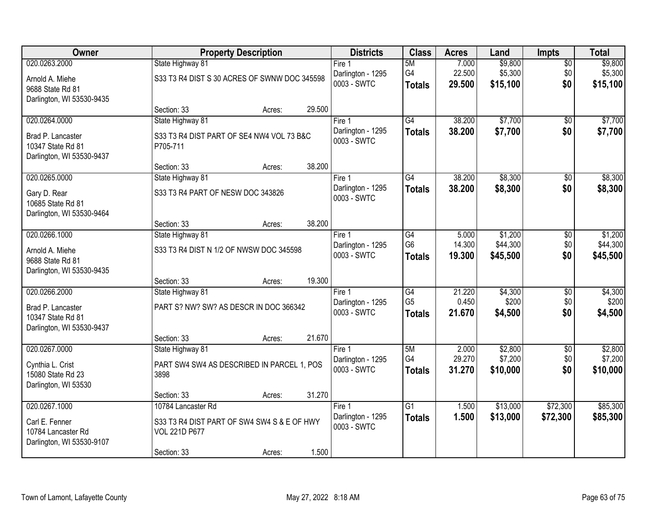| Owner                                          |                                              | <b>Property Description</b> |        | <b>Districts</b>                 | <b>Class</b>    | <b>Acres</b>     | Land     | <b>Impts</b>           | <b>Total</b> |
|------------------------------------------------|----------------------------------------------|-----------------------------|--------|----------------------------------|-----------------|------------------|----------|------------------------|--------------|
| 020.0263.2000                                  | State Highway 81                             |                             |        | Fire 1                           | 5M              | 7.000            | \$9,800  | $\overline{30}$        | \$9,800      |
| Arnold A. Miehe                                | S33 T3 R4 DIST S 30 ACRES OF SWNW DOC 345598 |                             |        | Darlington - 1295                | G4              | 22.500           | \$5,300  | \$0                    | \$5,300      |
| 9688 State Rd 81                               |                                              |                             |        | 0003 - SWTC                      | <b>Totals</b>   | 29.500           | \$15,100 | \$0                    | \$15,100     |
| Darlington, WI 53530-9435                      |                                              |                             |        |                                  |                 |                  |          |                        |              |
| 020.0264.0000                                  | Section: 33                                  | Acres:                      | 29.500 | Fire $1$                         | G4              | 38.200           | \$7,700  |                        | \$7,700      |
|                                                | State Highway 81                             |                             |        | Darlington - 1295                |                 | 38.200           | \$7,700  | $\overline{50}$<br>\$0 | \$7,700      |
| Brad P. Lancaster                              | S33 T3 R4 DIST PART OF SE4 NW4 VOL 73 B&C    |                             |        | 0003 - SWTC                      | <b>Totals</b>   |                  |          |                        |              |
| 10347 State Rd 81                              | P705-711                                     |                             |        |                                  |                 |                  |          |                        |              |
| Darlington, WI 53530-9437                      | Section: 33                                  | Acres:                      | 38.200 |                                  |                 |                  |          |                        |              |
| 020.0265.0000                                  | State Highway 81                             |                             |        | Fire 1                           | G4              | 38.200           | \$8,300  | \$0                    | \$8,300      |
| Gary D. Rear                                   | S33 T3 R4 PART OF NESW DOC 343826            |                             |        | Darlington - 1295                | <b>Totals</b>   | 38.200           | \$8,300  | \$0                    | \$8,300      |
| 10685 State Rd 81                              |                                              |                             |        | 0003 - SWTC                      |                 |                  |          |                        |              |
| Darlington, WI 53530-9464                      |                                              |                             |        |                                  |                 |                  |          |                        |              |
|                                                | Section: 33                                  | Acres:                      | 38.200 |                                  |                 |                  |          |                        |              |
| 020.0266.1000                                  | State Highway 81                             |                             |        | Fire 1                           | G4              | 5.000            | \$1,200  | \$0                    | \$1,200      |
| Arnold A. Miehe                                | S33 T3 R4 DIST N 1/2 OF NWSW DOC 345598      |                             |        | Darlington - 1295<br>0003 - SWTC | G <sub>6</sub>  | 14.300<br>19.300 | \$44,300 | \$0<br>\$0             | \$44,300     |
| 9688 State Rd 81                               |                                              |                             |        |                                  | <b>Totals</b>   |                  | \$45,500 |                        | \$45,500     |
| Darlington, WI 53530-9435                      |                                              |                             | 19.300 |                                  |                 |                  |          |                        |              |
| 020.0266.2000                                  | Section: 33<br>State Highway 81              | Acres:                      |        | Fire $1$                         | $\overline{G4}$ | 21.220           | \$4,300  | $\overline{30}$        | \$4,300      |
|                                                |                                              |                             |        | Darlington - 1295                | G <sub>5</sub>  | 0.450            | \$200    | \$0                    | \$200        |
| Brad P. Lancaster                              | PART S? NW? SW? AS DESCR IN DOC 366342       |                             |        | 0003 - SWTC                      | <b>Totals</b>   | 21.670           | \$4,500  | \$0                    | \$4,500      |
| 10347 State Rd 81<br>Darlington, WI 53530-9437 |                                              |                             |        |                                  |                 |                  |          |                        |              |
|                                                | Section: 33                                  | Acres:                      | 21.670 |                                  |                 |                  |          |                        |              |
| 020.0267.0000                                  | State Highway 81                             |                             |        | Fire 1                           | 5M              | 2.000            | \$2,800  | $\overline{50}$        | \$2,800      |
| Cynthia L. Crist                               | PART SW4 SW4 AS DESCRIBED IN PARCEL 1, POS   |                             |        | Darlington - 1295                | G4              | 29.270           | \$7,200  | \$0                    | \$7,200      |
| 15080 State Rd 23                              | 3898                                         |                             |        | 0003 - SWTC                      | <b>Totals</b>   | 31.270           | \$10,000 | \$0                    | \$10,000     |
| Darlington, WI 53530                           |                                              |                             |        |                                  |                 |                  |          |                        |              |
|                                                | Section: 33                                  | Acres:                      | 31.270 |                                  |                 |                  |          |                        |              |
| 020.0267.1000                                  | 10784 Lancaster Rd                           |                             |        | Fire 1                           | $\overline{G1}$ | 1.500            | \$13,000 | \$72,300               | \$85,300     |
| Carl E. Fenner                                 | S33 T3 R4 DIST PART OF SW4 SW4 S & E OF HWY  |                             |        | Darlington - 1295<br>0003 - SWTC | <b>Totals</b>   | 1.500            | \$13,000 | \$72,300               | \$85,300     |
| 10784 Lancaster Rd                             | VOL 221D P677                                |                             |        |                                  |                 |                  |          |                        |              |
| Darlington, WI 53530-9107                      | Section: 33                                  | Acres:                      | 1.500  |                                  |                 |                  |          |                        |              |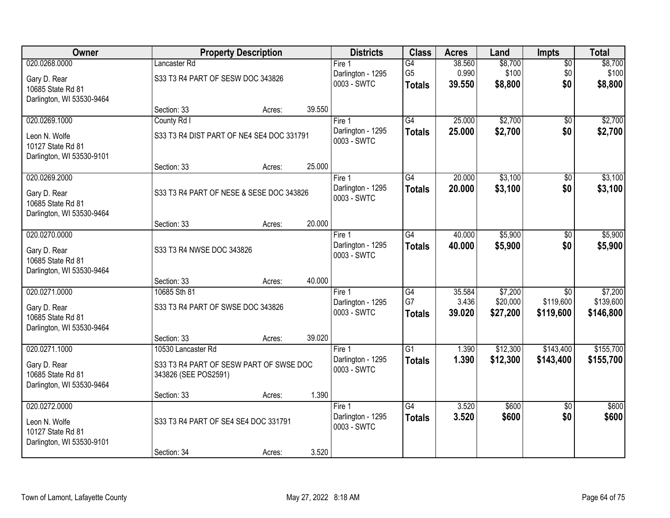| 020.0268.0000<br>\$8,700<br>Lancaster Rd<br>G4<br>38.560<br>Fire 1                                                                        | \$8,700<br>$\overline{50}$      |
|-------------------------------------------------------------------------------------------------------------------------------------------|---------------------------------|
|                                                                                                                                           |                                 |
| \$100<br>G <sub>5</sub><br>0.990<br>Darlington - 1295<br>S33 T3 R4 PART OF SESW DOC 343826<br>Gary D. Rear<br>0003 - SWTC                 | \$100<br>\$0<br>\$0             |
| 39.550<br>\$8,800<br><b>Totals</b><br>10685 State Rd 81                                                                                   | \$8,800                         |
| Darlington, WI 53530-9464                                                                                                                 |                                 |
| 39.550<br>Section: 33<br>Acres:<br>\$2,700<br>020.0269.1000<br>G4<br>25.000<br>County Rd I<br>Fire 1                                      | \$2,700<br>$\overline{50}$      |
| 25.000<br>\$2,700<br>\$0<br>Darlington - 1295<br><b>Totals</b>                                                                            | \$2,700                         |
| S33 T3 R4 DIST PART OF NE4 SE4 DOC 331791<br>Leon N. Wolfe<br>0003 - SWTC                                                                 |                                 |
| 10127 State Rd 81<br>Darlington, WI 53530-9101                                                                                            |                                 |
| 25.000<br>Section: 33<br>Acres:                                                                                                           |                                 |
| \$3,100<br>020.0269.2000<br>G4<br>20.000<br>Fire 1                                                                                        | \$0<br>\$3,100                  |
| Darlington - 1295<br>\$3,100<br>20.000<br><b>Totals</b><br>S33 T3 R4 PART OF NESE & SESE DOC 343826<br>Gary D. Rear                       | \$0<br>\$3,100                  |
| 0003 - SWTC<br>10685 State Rd 81                                                                                                          |                                 |
| Darlington, WI 53530-9464                                                                                                                 |                                 |
| 20.000<br>Section: 33<br>Acres:                                                                                                           |                                 |
| \$5,900<br>020.0270.0000<br>40.000<br>G4<br>Fire 1                                                                                        | \$5,900<br>\$0                  |
| Darlington - 1295<br>40.000<br>\$5,900<br><b>Totals</b><br>Gary D. Rear<br>S33 T3 R4 NWSE DOC 343826<br>0003 - SWTC                       | \$0<br>\$5,900                  |
| 10685 State Rd 81                                                                                                                         |                                 |
| Darlington, WI 53530-9464<br>40.000<br>Section: 33<br>Acres:                                                                              |                                 |
| 020.0271.0000<br>10685 Sth 81<br>$\overline{G4}$<br>35.584<br>\$7,200<br>Fire 1                                                           | \$7,200<br>$\overline{30}$      |
| G7<br>\$119,600<br>3.436<br>\$20,000<br>Darlington - 1295                                                                                 | \$139,600                       |
| S33 T3 R4 PART OF SWSE DOC 343826<br>Gary D. Rear<br>0003 - SWTC<br>39.020<br>\$27,200<br>\$119,600<br><b>Totals</b><br>10685 State Rd 81 | \$146,800                       |
| Darlington, WI 53530-9464                                                                                                                 |                                 |
| 39.020<br>Section: 33<br>Acres:                                                                                                           |                                 |
| 020.0271.1000<br>$\overline{G1}$<br>\$143,400<br>1.390<br>\$12,300<br>10530 Lancaster Rd<br>Fire 1                                        | \$155,700                       |
| 1.390<br>\$12,300<br>\$143,400<br>Darlington - 1295<br><b>Totals</b><br>S33 T3 R4 PART OF SESW PART OF SWSE DOC<br>Gary D. Rear           | \$155,700                       |
| 0003 - SWTC<br>10685 State Rd 81<br>343826 (SEE POS2591)                                                                                  |                                 |
| Darlington, WI 53530-9464                                                                                                                 |                                 |
| 1.390<br>Section: 33<br>Acres:                                                                                                            |                                 |
| 020.0272.0000<br>$\overline{G4}$<br>3.520<br>\$600<br>Fire 1                                                                              | \$600<br>$\overline{50}$<br>\$0 |
| Darlington - 1295<br>3.520<br>\$600<br><b>Totals</b><br>S33 T3 R4 PART OF SE4 SE4 DOC 331791<br>Leon N. Wolfe<br>0003 - SWTC              | \$600                           |
| 10127 State Rd 81                                                                                                                         |                                 |
| Darlington, WI 53530-9101<br>3.520<br>Section: 34<br>Acres:                                                                               |                                 |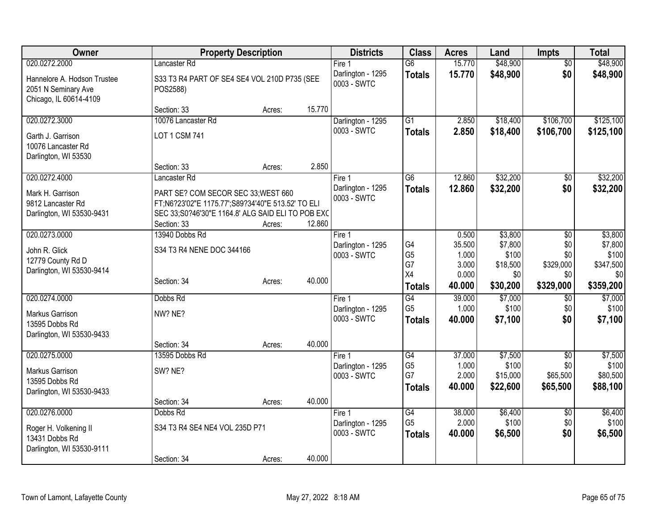| Owner                       |                                                   | <b>Property Description</b> |        | <b>Districts</b>                 | <b>Class</b>         | <b>Acres</b>    | Land              | <b>Impts</b>     | <b>Total</b>     |
|-----------------------------|---------------------------------------------------|-----------------------------|--------|----------------------------------|----------------------|-----------------|-------------------|------------------|------------------|
| 020.0272.2000               | Lancaster Rd                                      |                             |        | Fire $1$                         | $\overline{G6}$      | 15.770          | \$48,900          | $\overline{50}$  | \$48,900         |
| Hannelore A. Hodson Trustee | S33 T3 R4 PART OF SE4 SE4 VOL 210D P735 (SEE      |                             |        | Darlington - 1295                | <b>Totals</b>        | 15.770          | \$48,900          | \$0              | \$48,900         |
| 2051 N Seminary Ave         | POS2588)                                          |                             |        | 0003 - SWTC                      |                      |                 |                   |                  |                  |
| Chicago, IL 60614-4109      |                                                   |                             |        |                                  |                      |                 |                   |                  |                  |
|                             | Section: 33                                       | Acres:                      | 15.770 |                                  |                      |                 |                   |                  |                  |
| 020.0272.3000               | 10076 Lancaster Rd                                |                             |        | Darlington - 1295                | G1                   | 2.850           | \$18,400          | \$106,700        | \$125,100        |
| Garth J. Garrison           | <b>LOT 1 CSM 741</b>                              |                             |        | 0003 - SWTC                      | <b>Totals</b>        | 2.850           | \$18,400          | \$106,700        | \$125,100        |
| 10076 Lancaster Rd          |                                                   |                             |        |                                  |                      |                 |                   |                  |                  |
| Darlington, WI 53530        |                                                   |                             |        |                                  |                      |                 |                   |                  |                  |
|                             | Section: 33                                       | Acres:                      | 2.850  |                                  |                      |                 |                   |                  |                  |
| 020.0272.4000               | Lancaster Rd                                      |                             |        | Fire 1                           | $\overline{G6}$      | 12.860          | \$32,200          | $\overline{50}$  | \$32,200         |
| Mark H. Garrison            | PART SE? COM SECOR SEC 33; WEST 660               |                             |        | Darlington - 1295                | <b>Totals</b>        | 12.860          | \$32,200          | \$0              | \$32,200         |
| 9812 Lancaster Rd           | FT;N6?23'02"E 1175.77';S89?34'40"E 513.52' TO ELI |                             |        | 0003 - SWTC                      |                      |                 |                   |                  |                  |
| Darlington, WI 53530-9431   | SEC 33;S0?46'30"E 1164.8' ALG SAID ELI TO POB EXC |                             |        |                                  |                      |                 |                   |                  |                  |
|                             | Section: 33                                       | Acres:                      | 12.860 |                                  |                      |                 |                   |                  |                  |
| 020.0273.0000               | 13940 Dobbs Rd                                    |                             |        | Fire 1                           |                      | 0.500           | \$3,800           | $\overline{50}$  | \$3,800          |
| John R. Glick               | S34 T3 R4 NENE DOC 344166                         |                             |        | Darlington - 1295                | G4                   | 35.500          | \$7,800           | \$0              | \$7,800          |
| 12779 County Rd D           |                                                   |                             |        | 0003 - SWTC                      | G <sub>5</sub>       | 1.000           | \$100             | \$0              | \$100            |
| Darlington, WI 53530-9414   |                                                   |                             |        |                                  | G7<br>X4             | 3.000<br>0.000  | \$18,500<br>\$0   | \$329,000<br>\$0 | \$347,500<br>\$0 |
|                             | Section: 34                                       | Acres:                      | 40.000 |                                  |                      | 40.000          | \$30,200          | \$329,000        | \$359,200        |
|                             |                                                   |                             |        |                                  | <b>Totals</b>        |                 |                   |                  |                  |
| 020.0274.0000               | Dobbs Rd                                          |                             |        | Fire $1$                         | G4<br>G <sub>5</sub> | 39.000<br>1.000 | \$7,000<br>\$100  | \$0<br>\$0       | \$7,000<br>\$100 |
| Markus Garrison             | NW? NE?                                           |                             |        | Darlington - 1295<br>0003 - SWTC | <b>Totals</b>        | 40.000          | \$7,100           | \$0              | \$7,100          |
| 13595 Dobbs Rd              |                                                   |                             |        |                                  |                      |                 |                   |                  |                  |
| Darlington, WI 53530-9433   |                                                   |                             |        |                                  |                      |                 |                   |                  |                  |
|                             | Section: 34                                       | Acres:                      | 40.000 |                                  |                      |                 |                   |                  |                  |
| 020.0275.0000               | 13595 Dobbs Rd                                    |                             |        | Fire 1                           | G4                   | 37.000          | \$7,500           | $\sqrt{6}$       | \$7,500<br>\$100 |
| <b>Markus Garrison</b>      | SW? NE?                                           |                             |        | Darlington - 1295<br>0003 - SWTC | G <sub>5</sub><br>G7 | 1.000<br>2.000  | \$100<br>\$15,000 | \$0<br>\$65,500  | \$80,500         |
| 13595 Dobbs Rd              |                                                   |                             |        |                                  | <b>Totals</b>        | 40.000          | \$22,600          | \$65,500         | \$88,100         |
| Darlington, WI 53530-9433   |                                                   |                             |        |                                  |                      |                 |                   |                  |                  |
|                             | Section: 34                                       | Acres:                      | 40.000 |                                  |                      |                 |                   |                  |                  |
| 020.0276.0000               | Dobbs Rd                                          |                             |        | Fire 1                           | G4                   | 38.000          | \$6,400           | \$0              | \$6,400          |
| Roger H. Volkening II       | S34 T3 R4 SE4 NE4 VOL 235D P71                    |                             |        | Darlington - 1295<br>0003 - SWTC | G <sub>5</sub>       | 2.000           | \$100             | \$0              | \$100            |
| 13431 Dobbs Rd              |                                                   |                             |        |                                  | <b>Totals</b>        | 40.000          | \$6,500           | \$0              | \$6,500          |
| Darlington, WI 53530-9111   |                                                   |                             |        |                                  |                      |                 |                   |                  |                  |
|                             | Section: 34                                       | Acres:                      | 40.000 |                                  |                      |                 |                   |                  |                  |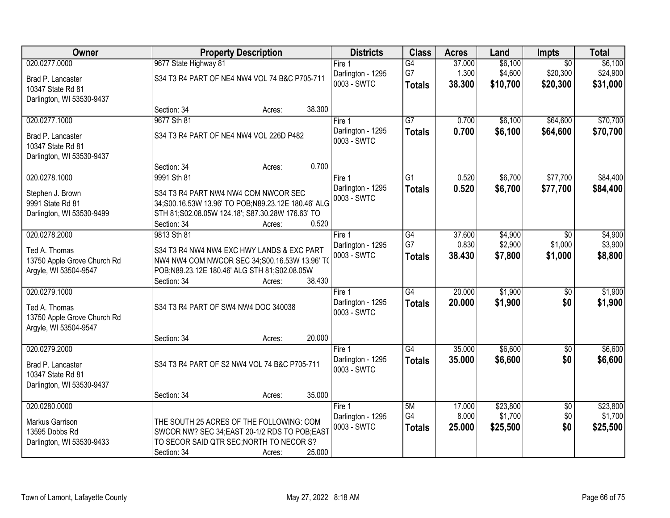| Owner                       | <b>Property Description</b>                        |                   | <b>Districts</b>  | <b>Class</b>    | <b>Acres</b> | Land     | <b>Impts</b>    | <b>Total</b> |
|-----------------------------|----------------------------------------------------|-------------------|-------------------|-----------------|--------------|----------|-----------------|--------------|
| 020.0277.0000               | 9677 State Highway 81                              | Fire 1            |                   | $\overline{G4}$ | 37.000       | \$6,100  | $\overline{50}$ | \$6,100      |
| Brad P. Lancaster           | S34 T3 R4 PART OF NE4 NW4 VOL 74 B&C P705-711      |                   | Darlington - 1295 | G7              | 1.300        | \$4,600  | \$20,300        | \$24,900     |
| 10347 State Rd 81           |                                                    |                   | 0003 - SWTC       | <b>Totals</b>   | 38.300       | \$10,700 | \$20,300        | \$31,000     |
| Darlington, WI 53530-9437   |                                                    |                   |                   |                 |              |          |                 |              |
|                             | Section: 34<br>Acres:                              | 38.300            |                   |                 |              |          |                 |              |
| 020.0277.1000               | 9677 Sth 81                                        | Fire 1            |                   | $\overline{G7}$ | 0.700        | \$6,100  | \$64,600        | \$70,700     |
| Brad P. Lancaster           | S34 T3 R4 PART OF NE4 NW4 VOL 226D P482            |                   | Darlington - 1295 | <b>Totals</b>   | 0.700        | \$6,100  | \$64,600        | \$70,700     |
| 10347 State Rd 81           |                                                    |                   | 0003 - SWTC       |                 |              |          |                 |              |
| Darlington, WI 53530-9437   |                                                    |                   |                   |                 |              |          |                 |              |
|                             | Section: 34<br>Acres:                              | 0.700             |                   |                 |              |          |                 |              |
| 020.0278.1000               | 9991 Sth 81                                        | Fire 1            |                   | G1              | 0.520        | \$6,700  | \$77,700        | \$84,400     |
| Stephen J. Brown            | S34 T3 R4 PART NW4 NW4 COM NWCOR SEC               |                   | Darlington - 1295 | <b>Totals</b>   | 0.520        | \$6,700  | \$77,700        | \$84,400     |
| 9991 State Rd 81            | 34;S00.16.53W 13.96' TO POB;N89.23.12E 180.46' ALG |                   | 0003 - SWTC       |                 |              |          |                 |              |
| Darlington, WI 53530-9499   | STH 81;S02.08.05W 124.18'; S87.30.28W 176.63' TO   |                   |                   |                 |              |          |                 |              |
|                             | Section: 34<br>Acres:                              | 0.520             |                   |                 |              |          |                 |              |
| 020.0278.2000               | 9813 Sth 81                                        | Fire 1            |                   | $\overline{G4}$ | 37.600       | \$4,900  | \$0             | \$4,900      |
| Ted A. Thomas               | S34 T3 R4 NW4 NW4 EXC HWY LANDS & EXC PART         |                   | Darlington - 1295 | G7              | 0.830        | \$2,900  | \$1,000         | \$3,900      |
| 13750 Apple Grove Church Rd | NW4 NW4 COM NWCOR SEC 34;S00.16.53W 13.96' TO      |                   | 0003 - SWTC       | <b>Totals</b>   | 38.430       | \$7,800  | \$1,000         | \$8,800      |
| Argyle, WI 53504-9547       | POB;N89.23.12E 180.46' ALG STH 81;S02.08.05W       |                   |                   |                 |              |          |                 |              |
|                             | Section: 34<br>Acres:                              | 38.430            |                   |                 |              |          |                 |              |
| 020.0279.1000               |                                                    | Fire 1            |                   | G4              | 20.000       | \$1,900  | $\overline{50}$ | \$1,900      |
| Ted A. Thomas               | S34 T3 R4 PART OF SW4 NW4 DOC 340038               |                   | Darlington - 1295 | <b>Totals</b>   | 20.000       | \$1,900  | \$0             | \$1,900      |
| 13750 Apple Grove Church Rd |                                                    |                   | 0003 - SWTC       |                 |              |          |                 |              |
| Argyle, WI 53504-9547       |                                                    |                   |                   |                 |              |          |                 |              |
|                             | Section: 34<br>Acres:                              | 20.000            |                   |                 |              |          |                 |              |
| 020.0279.2000               |                                                    | Fire <sub>1</sub> |                   | $\overline{G4}$ | 35.000       | \$6,600  | $\overline{60}$ | \$6,600      |
| Brad P. Lancaster           | S34 T3 R4 PART OF S2 NW4 VOL 74 B&C P705-711       |                   | Darlington - 1295 | <b>Totals</b>   | 35.000       | \$6,600  | \$0             | \$6,600      |
| 10347 State Rd 81           |                                                    |                   | 0003 - SWTC       |                 |              |          |                 |              |
| Darlington, WI 53530-9437   |                                                    |                   |                   |                 |              |          |                 |              |
|                             | Section: 34<br>Acres:                              | 35.000            |                   |                 |              |          |                 |              |
| 020.0280.0000               |                                                    | Fire 1            |                   | 5M              | 17.000       | \$23,800 | $\overline{50}$ | \$23,800     |
| Markus Garrison             | THE SOUTH 25 ACRES OF THE FOLLOWING: COM           |                   | Darlington - 1295 | G4              | 8.000        | \$1,700  | \$0             | \$1,700      |
| 13595 Dobbs Rd              | SWCOR NW? SEC 34: EAST 20-1/2 RDS TO POB: EAST     |                   | 0003 - SWTC       | <b>Totals</b>   | 25.000       | \$25,500 | \$0             | \$25,500     |
| Darlington, WI 53530-9433   | TO SECOR SAID QTR SEC; NORTH TO NECOR S?           |                   |                   |                 |              |          |                 |              |
|                             | Section: 34<br>Acres:                              | 25.000            |                   |                 |              |          |                 |              |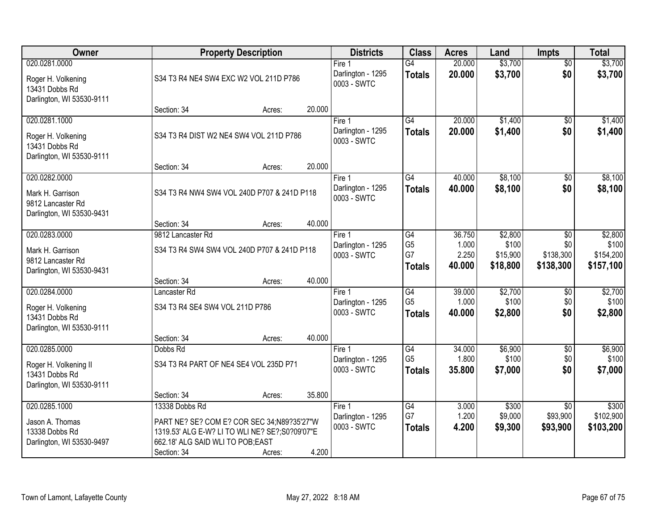| Owner                                                                               |                                                                                                                                                                    | <b>Property Description</b> |        | <b>Districts</b>                             | <b>Class</b>                                       | <b>Acres</b>                       | Land                                     | <b>Impts</b>                                  | <b>Total</b>                               |
|-------------------------------------------------------------------------------------|--------------------------------------------------------------------------------------------------------------------------------------------------------------------|-----------------------------|--------|----------------------------------------------|----------------------------------------------------|------------------------------------|------------------------------------------|-----------------------------------------------|--------------------------------------------|
| 020.0281.0000<br>Roger H. Volkening<br>13431 Dobbs Rd<br>Darlington, WI 53530-9111  | S34 T3 R4 NE4 SW4 EXC W2 VOL 211D P786                                                                                                                             |                             |        | Fire $1$<br>Darlington - 1295<br>0003 - SWTC | $\overline{G4}$<br><b>Totals</b>                   | 20.000<br>20.000                   | \$3,700<br>\$3,700                       | $\overline{50}$<br>\$0                        | \$3,700<br>\$3,700                         |
|                                                                                     | Section: 34                                                                                                                                                        | Acres:                      | 20.000 |                                              |                                                    |                                    |                                          |                                               |                                            |
| 020.0281.1000<br>Roger H. Volkening<br>13431 Dobbs Rd<br>Darlington, WI 53530-9111  | S34 T3 R4 DIST W2 NE4 SW4 VOL 211D P786<br>Section: 34                                                                                                             | Acres:                      | 20.000 | Fire 1<br>Darlington - 1295<br>0003 - SWTC   | $\overline{G4}$<br><b>Totals</b>                   | 20.000<br>20.000                   | \$1,400<br>\$1,400                       | \$0<br>\$0                                    | \$1,400<br>\$1,400                         |
| 020.0282.0000                                                                       |                                                                                                                                                                    |                             |        | Fire 1                                       | G4                                                 | 40.000                             | \$8,100                                  | \$0                                           | \$8,100                                    |
| Mark H. Garrison<br>9812 Lancaster Rd<br>Darlington, WI 53530-9431                  | S34 T3 R4 NW4 SW4 VOL 240D P707 & 241D P118                                                                                                                        |                             |        | Darlington - 1295<br>0003 - SWTC             | <b>Totals</b>                                      | 40.000                             | \$8,100                                  | \$0                                           | \$8,100                                    |
|                                                                                     | Section: 34                                                                                                                                                        | Acres:                      | 40.000 |                                              |                                                    |                                    |                                          |                                               |                                            |
| 020.0283.0000<br>Mark H. Garrison<br>9812 Lancaster Rd<br>Darlington, WI 53530-9431 | 9812 Lancaster Rd<br>S34 T3 R4 SW4 SW4 VOL 240D P707 & 241D P118                                                                                                   |                             |        | Fire 1<br>Darlington - 1295<br>0003 - SWTC   | G4<br>G <sub>5</sub><br>G7<br><b>Totals</b>        | 36.750<br>1.000<br>2.250<br>40.000 | \$2,800<br>\$100<br>\$15,900<br>\$18,800 | $\sqrt[6]{}$<br>\$0<br>\$138,300<br>\$138,300 | \$2,800<br>\$100<br>\$154,200<br>\$157,100 |
|                                                                                     | Section: 34                                                                                                                                                        | Acres:                      | 40.000 |                                              |                                                    |                                    |                                          |                                               |                                            |
| 020.0284.0000<br>Roger H. Volkening<br>13431 Dobbs Rd<br>Darlington, WI 53530-9111  | Lancaster Rd<br>S34 T3 R4 SE4 SW4 VOL 211D P786                                                                                                                    |                             |        | Fire 1<br>Darlington - 1295<br>0003 - SWTC   | $\overline{G4}$<br>G <sub>5</sub><br><b>Totals</b> | 39.000<br>1.000<br>40.000          | \$2,700<br>\$100<br>\$2,800              | \$0<br>\$0<br>\$0                             | \$2,700<br>\$100<br>\$2,800                |
| 020.0285.0000                                                                       | Section: 34<br>Dobbs Rd                                                                                                                                            | Acres:                      | 40.000 | Fire 1                                       | $\overline{G4}$                                    | 34.000                             | \$6,900                                  | \$0                                           | \$6,900                                    |
| Roger H. Volkening II<br>13431 Dobbs Rd<br>Darlington, WI 53530-9111                | S34 T3 R4 PART OF NE4 SE4 VOL 235D P71                                                                                                                             |                             |        | Darlington - 1295<br>0003 - SWTC             | G <sub>5</sub><br><b>Totals</b>                    | 1.800<br>35.800                    | \$100<br>\$7,000                         | \$0<br>\$0                                    | \$100<br>\$7,000                           |
|                                                                                     | Section: 34                                                                                                                                                        | Acres:                      | 35.800 |                                              |                                                    |                                    |                                          |                                               |                                            |
| 020.0285.1000<br>Jason A. Thomas<br>13338 Dobbs Rd<br>Darlington, WI 53530-9497     | 13338 Dobbs Rd<br>PART NE? SE? COM E? COR SEC 34;N89?35'27"W<br>1319.53' ALG E-W? LI TO WLI NE? SE?; S0?09'07"E<br>662.18' ALG SAID WLI TO POB;EAST<br>Section: 34 | Acres:                      | 4.200  | Fire 1<br>Darlington - 1295<br>0003 - SWTC   | G4<br>G7<br><b>Totals</b>                          | 3.000<br>1.200<br>4.200            | \$300<br>\$9,000<br>\$9,300              | $\overline{30}$<br>\$93,900<br>\$93,900       | \$300<br>\$102,900<br>\$103,200            |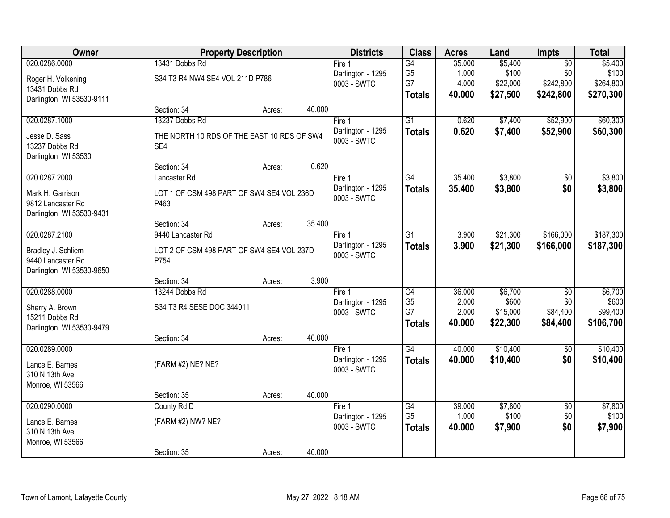| Owner                     |                                            | <b>Property Description</b> |        | <b>Districts</b>                 | <b>Class</b>                      | <b>Acres</b>    | Land             | Impts                  | <b>Total</b>     |
|---------------------------|--------------------------------------------|-----------------------------|--------|----------------------------------|-----------------------------------|-----------------|------------------|------------------------|------------------|
| 020.0286.0000             | 13431 Dobbs Rd                             |                             |        | Fire 1                           | G4                                | 35.000          | \$5,400          | $\overline{50}$        | \$5,400          |
| Roger H. Volkening        | S34 T3 R4 NW4 SE4 VOL 211D P786            |                             |        | Darlington - 1295                | G <sub>5</sub>                    | 1.000           | \$100            | \$0                    | \$100            |
| 13431 Dobbs Rd            |                                            |                             |        | 0003 - SWTC                      | G7                                | 4.000           | \$22,000         | \$242,800              | \$264,800        |
| Darlington, WI 53530-9111 |                                            |                             |        |                                  | <b>Totals</b>                     | 40.000          | \$27,500         | \$242,800              | \$270,300        |
|                           | Section: 34                                | Acres:                      | 40.000 |                                  |                                   |                 |                  |                        |                  |
| 020.0287.1000             | 13237 Dobbs Rd                             |                             |        | Fire 1                           | $\overline{G1}$                   | 0.620           | \$7,400          | \$52,900               | \$60,300         |
| Jesse D. Sass             | THE NORTH 10 RDS OF THE EAST 10 RDS OF SW4 |                             |        | Darlington - 1295                | <b>Totals</b>                     | 0.620           | \$7,400          | \$52,900               | \$60,300         |
| 13237 Dobbs Rd            | SE4                                        |                             |        | 0003 - SWTC                      |                                   |                 |                  |                        |                  |
| Darlington, WI 53530      |                                            |                             |        |                                  |                                   |                 |                  |                        |                  |
|                           | Section: 34                                | Acres:                      | 0.620  |                                  |                                   |                 |                  |                        |                  |
| 020.0287.2000             | Lancaster Rd                               |                             |        | Fire 1                           | $\overline{G4}$                   | 35.400          | \$3,800          | $\overline{50}$        | \$3,800          |
| Mark H. Garrison          | LOT 1 OF CSM 498 PART OF SW4 SE4 VOL 236D  |                             |        | Darlington - 1295<br>0003 - SWTC | <b>Totals</b>                     | 35.400          | \$3,800          | \$0                    | \$3,800          |
| 9812 Lancaster Rd         | P463                                       |                             |        |                                  |                                   |                 |                  |                        |                  |
| Darlington, WI 53530-9431 |                                            |                             |        |                                  |                                   |                 |                  |                        |                  |
|                           | Section: 34                                | Acres:                      | 35.400 |                                  |                                   |                 |                  |                        |                  |
| 020.0287.2100             | 9440 Lancaster Rd                          |                             |        | Fire 1                           | $\overline{G1}$                   | 3.900           | \$21,300         | \$166,000              | \$187,300        |
| Bradley J. Schliem        | LOT 2 OF CSM 498 PART OF SW4 SE4 VOL 237D  |                             |        | Darlington - 1295<br>0003 - SWTC | <b>Totals</b>                     | 3.900           | \$21,300         | \$166,000              | \$187,300        |
| 9440 Lancaster Rd         | P754                                       |                             |        |                                  |                                   |                 |                  |                        |                  |
| Darlington, WI 53530-9650 |                                            |                             |        |                                  |                                   |                 |                  |                        |                  |
|                           | Section: 34                                | Acres:                      | 3.900  |                                  |                                   |                 |                  |                        |                  |
| 020.0288.0000             | 13244 Dobbs Rd                             |                             |        | Fire 1                           | $\overline{G4}$<br>G <sub>5</sub> | 36.000<br>2.000 | \$6,700<br>\$600 | $\overline{50}$<br>\$0 | \$6,700<br>\$600 |
| Sherry A. Brown           | S34 T3 R4 SESE DOC 344011                  |                             |        | Darlington - 1295<br>0003 - SWTC | G7                                | 2.000           | \$15,000         | \$84,400               | \$99,400         |
| 15211 Dobbs Rd            |                                            |                             |        |                                  | <b>Totals</b>                     | 40.000          | \$22,300         | \$84,400               | \$106,700        |
| Darlington, WI 53530-9479 |                                            |                             |        |                                  |                                   |                 |                  |                        |                  |
| 020.0289.0000             | Section: 34                                | Acres:                      | 40.000 |                                  | $\overline{G4}$                   | 40.000          | \$10,400         |                        | \$10,400         |
|                           |                                            |                             |        | Fire 1<br>Darlington - 1295      |                                   | 40.000          | \$10,400         | $\overline{50}$<br>\$0 | \$10,400         |
| Lance E. Barnes           | (FARM #2) NE? NE?                          |                             |        | 0003 - SWTC                      | <b>Totals</b>                     |                 |                  |                        |                  |
| 310 N 13th Ave            |                                            |                             |        |                                  |                                   |                 |                  |                        |                  |
| Monroe, WI 53566          |                                            |                             | 40.000 |                                  |                                   |                 |                  |                        |                  |
| 020.0290.0000             | Section: 35<br>County Rd D                 | Acres:                      |        | Fire 1                           | G4                                | 39.000          | \$7,800          | $\overline{50}$        | \$7,800          |
|                           |                                            |                             |        | Darlington - 1295                | G <sub>5</sub>                    | 1.000           | \$100            | \$0                    | \$100            |
| Lance E. Barnes           | (FARM #2) NW? NE?                          |                             |        | 0003 - SWTC                      | <b>Totals</b>                     | 40.000          | \$7,900          | \$0                    | \$7,900          |
| 310 N 13th Ave            |                                            |                             |        |                                  |                                   |                 |                  |                        |                  |
| Monroe, WI 53566          | Section: 35                                | Acres:                      | 40.000 |                                  |                                   |                 |                  |                        |                  |
|                           |                                            |                             |        |                                  |                                   |                 |                  |                        |                  |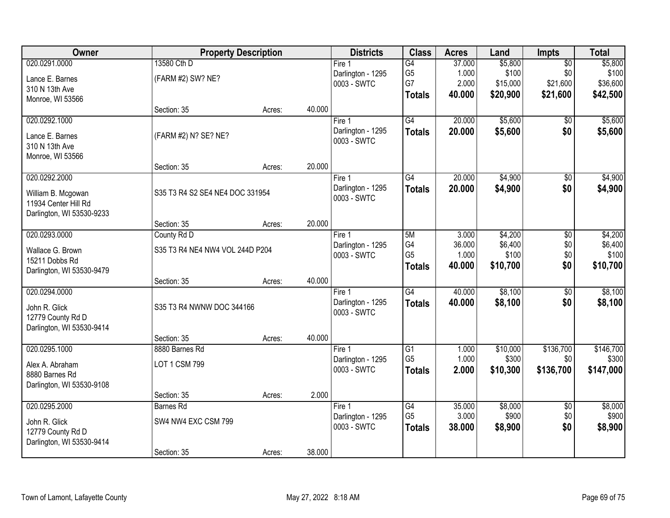| Owner                                          |                                 | <b>Property Description</b> |        | <b>Districts</b>                 | <b>Class</b>    | <b>Acres</b> | Land     | <b>Impts</b>    | <b>Total</b> |
|------------------------------------------------|---------------------------------|-----------------------------|--------|----------------------------------|-----------------|--------------|----------|-----------------|--------------|
| 020.0291.0000                                  | 13580 Cth D                     |                             |        | Fire $1$                         | $\overline{G4}$ | 37.000       | \$5,800  | $\overline{50}$ | \$5,800      |
| Lance E. Barnes                                | (FARM #2) SW? NE?               |                             |        | Darlington - 1295                | G <sub>5</sub>  | 1.000        | \$100    | \$0             | \$100        |
| 310 N 13th Ave                                 |                                 |                             |        | 0003 - SWTC                      | G7              | 2.000        | \$15,000 | \$21,600        | \$36,600     |
| Monroe, WI 53566                               |                                 |                             |        |                                  | <b>Totals</b>   | 40.000       | \$20,900 | \$21,600        | \$42,500     |
|                                                | Section: 35                     | Acres:                      | 40.000 |                                  |                 |              |          |                 |              |
| 020.0292.1000                                  |                                 |                             |        | Fire 1                           | G4              | 20.000       | \$5,600  | $\overline{50}$ | \$5,600      |
| Lance E. Barnes                                | (FARM #2) N? SE? NE?            |                             |        | Darlington - 1295<br>0003 - SWTC | <b>Totals</b>   | 20.000       | \$5,600  | \$0             | \$5,600      |
| 310 N 13th Ave                                 |                                 |                             |        |                                  |                 |              |          |                 |              |
| Monroe, WI 53566                               |                                 |                             |        |                                  |                 |              |          |                 |              |
|                                                | Section: 35                     | Acres:                      | 20.000 |                                  |                 |              |          |                 |              |
| 020.0292.2000                                  |                                 |                             |        | Fire 1                           | G4              | 20.000       | \$4,900  | $\sqrt{6}$      | \$4,900      |
| William B. Mcgowan                             | S35 T3 R4 S2 SE4 NE4 DOC 331954 |                             |        | Darlington - 1295<br>0003 - SWTC | <b>Totals</b>   | 20.000       | \$4,900  | \$0             | \$4,900      |
| 11934 Center Hill Rd                           |                                 |                             |        |                                  |                 |              |          |                 |              |
| Darlington, WI 53530-9233                      |                                 |                             |        |                                  |                 |              |          |                 |              |
| 020.0293.0000                                  | Section: 35<br>County Rd D      | Acres:                      | 20.000 | Fire 1                           | 5M              | 3.000        | \$4,200  | \$0             | \$4,200      |
|                                                |                                 |                             |        | Darlington - 1295                | G4              | 36.000       | \$6,400  | \$0             | \$6,400      |
| Wallace G. Brown                               | S35 T3 R4 NE4 NW4 VOL 244D P204 |                             |        | 0003 - SWTC                      | G <sub>5</sub>  | 1.000        | \$100    | \$0             | \$100        |
| 15211 Dobbs Rd                                 |                                 |                             |        |                                  | <b>Totals</b>   | 40.000       | \$10,700 | \$0             | \$10,700     |
| Darlington, WI 53530-9479                      | Section: 35                     | Acres:                      | 40.000 |                                  |                 |              |          |                 |              |
| 020.0294.0000                                  |                                 |                             |        | Fire 1                           | G4              | 40.000       | \$8,100  | \$0             | \$8,100      |
|                                                |                                 |                             |        | Darlington - 1295                | <b>Totals</b>   | 40.000       | \$8,100  | \$0             | \$8,100      |
| John R. Glick                                  | S35 T3 R4 NWNW DOC 344166       |                             |        | 0003 - SWTC                      |                 |              |          |                 |              |
| 12779 County Rd D<br>Darlington, WI 53530-9414 |                                 |                             |        |                                  |                 |              |          |                 |              |
|                                                | Section: 35                     | Acres:                      | 40.000 |                                  |                 |              |          |                 |              |
| 020.0295.1000                                  | 8880 Barnes Rd                  |                             |        | Fire <sub>1</sub>                | $\overline{G1}$ | 1.000        | \$10,000 | \$136,700       | \$146,700    |
| Alex A. Abraham                                | LOT 1 CSM 799                   |                             |        | Darlington - 1295                | G <sub>5</sub>  | 1.000        | \$300    | \$0             | \$300        |
| 8880 Barnes Rd                                 |                                 |                             |        | 0003 - SWTC                      | <b>Totals</b>   | 2.000        | \$10,300 | \$136,700       | \$147,000    |
| Darlington, WI 53530-9108                      |                                 |                             |        |                                  |                 |              |          |                 |              |
|                                                | Section: 35                     | Acres:                      | 2.000  |                                  |                 |              |          |                 |              |
| 020.0295.2000                                  | <b>Barnes Rd</b>                |                             |        | Fire 1                           | G4              | 35.000       | \$8,000  | $\overline{30}$ | \$8,000      |
| John R. Glick                                  | SW4 NW4 EXC CSM 799             |                             |        | Darlington - 1295                | G <sub>5</sub>  | 3.000        | \$900    | \$0             | \$900        |
| 12779 County Rd D                              |                                 |                             |        | 0003 - SWTC                      | <b>Totals</b>   | 38.000       | \$8,900  | \$0             | \$8,900      |
| Darlington, WI 53530-9414                      |                                 |                             |        |                                  |                 |              |          |                 |              |
|                                                | Section: 35                     | Acres:                      | 38.000 |                                  |                 |              |          |                 |              |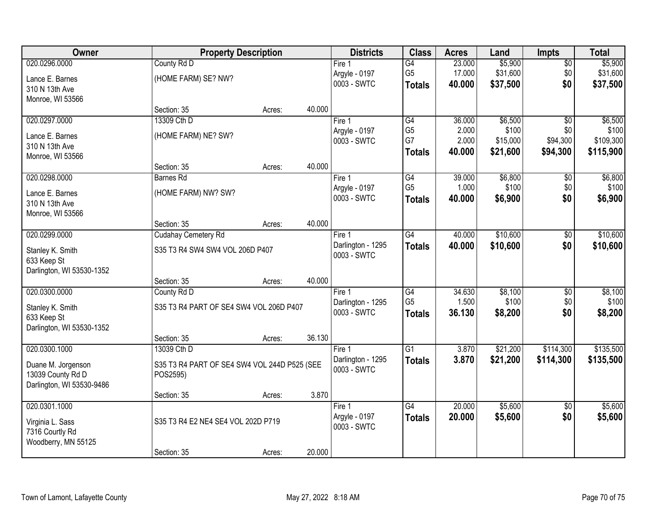| Owner                     |                                              | <b>Property Description</b> |        | <b>Districts</b>  | <b>Class</b>    | <b>Acres</b> | Land     | <b>Impts</b>    | <b>Total</b> |
|---------------------------|----------------------------------------------|-----------------------------|--------|-------------------|-----------------|--------------|----------|-----------------|--------------|
| 020.0296.0000             | County Rd D                                  |                             |        | Fire 1            | $\overline{G4}$ | 23.000       | \$5,900  | $\sqrt{$0}$     | \$5,900      |
| Lance E. Barnes           | (HOME FARM) SE? NW?                          |                             |        | Argyle - 0197     | G <sub>5</sub>  | 17.000       | \$31,600 | \$0             | \$31,600     |
| 310 N 13th Ave            |                                              |                             |        | 0003 - SWTC       | <b>Totals</b>   | 40.000       | \$37,500 | \$0             | \$37,500     |
| Monroe, WI 53566          |                                              |                             |        |                   |                 |              |          |                 |              |
|                           | Section: 35                                  | Acres:                      | 40.000 |                   |                 |              |          |                 |              |
| 020.0297.0000             | 13309 Cth D                                  |                             |        | Fire 1            | G4              | 36.000       | \$6,500  | $\overline{50}$ | \$6,500      |
| Lance E. Barnes           | (HOME FARM) NE? SW?                          |                             |        | Argyle - 0197     | G <sub>5</sub>  | 2.000        | \$100    | \$0             | \$100        |
| 310 N 13th Ave            |                                              |                             |        | 0003 - SWTC       | G7              | 2.000        | \$15,000 | \$94,300        | \$109,300    |
| Monroe, WI 53566          |                                              |                             |        |                   | <b>Totals</b>   | 40.000       | \$21,600 | \$94,300        | \$115,900    |
|                           | Section: 35                                  | Acres:                      | 40.000 |                   |                 |              |          |                 |              |
| 020.0298.0000             | <b>Barnes Rd</b>                             |                             |        | Fire 1            | G4              | 39.000       | \$6,800  | \$0             | \$6,800      |
| Lance E. Barnes           | (HOME FARM) NW? SW?                          |                             |        | Argyle - 0197     | G <sub>5</sub>  | 1.000        | \$100    | \$0             | \$100        |
| 310 N 13th Ave            |                                              |                             |        | 0003 - SWTC       | <b>Totals</b>   | 40.000       | \$6,900  | \$0             | \$6,900      |
| Monroe, WI 53566          |                                              |                             |        |                   |                 |              |          |                 |              |
|                           | Section: 35                                  | Acres:                      | 40.000 |                   |                 |              |          |                 |              |
| 020.0299.0000             | Cudahay Cemetery Rd                          |                             |        | Fire 1            | G4              | 40.000       | \$10,600 | \$0             | \$10,600     |
| Stanley K. Smith          | S35 T3 R4 SW4 SW4 VOL 206D P407              |                             |        | Darlington - 1295 | <b>Totals</b>   | 40.000       | \$10,600 | \$0             | \$10,600     |
| 633 Keep St               |                                              |                             |        | 0003 - SWTC       |                 |              |          |                 |              |
| Darlington, WI 53530-1352 |                                              |                             |        |                   |                 |              |          |                 |              |
|                           | Section: 35                                  | Acres:                      | 40.000 |                   |                 |              |          |                 |              |
| 020.0300.0000             | County Rd D                                  |                             |        | Fire 1            | $\overline{G4}$ | 34.630       | \$8,100  | $\overline{50}$ | \$8,100      |
| Stanley K. Smith          | S35 T3 R4 PART OF SE4 SW4 VOL 206D P407      |                             |        | Darlington - 1295 | G <sub>5</sub>  | 1.500        | \$100    | \$0             | \$100        |
| 633 Keep St               |                                              |                             |        | 0003 - SWTC       | <b>Totals</b>   | 36.130       | \$8,200  | \$0             | \$8,200      |
| Darlington, WI 53530-1352 |                                              |                             |        |                   |                 |              |          |                 |              |
|                           | Section: 35                                  | Acres:                      | 36.130 |                   |                 |              |          |                 |              |
| 020.0300.1000             | 13039 Cth D                                  |                             |        | Fire <sub>1</sub> | $\overline{G1}$ | 3.870        | \$21,200 | \$114,300       | \$135,500    |
| Duane M. Jorgenson        | S35 T3 R4 PART OF SE4 SW4 VOL 244D P525 (SEE |                             |        | Darlington - 1295 | <b>Totals</b>   | 3.870        | \$21,200 | \$114,300       | \$135,500    |
| 13039 County Rd D         | POS2595)                                     |                             |        | 0003 - SWTC       |                 |              |          |                 |              |
| Darlington, WI 53530-9486 |                                              |                             |        |                   |                 |              |          |                 |              |
|                           | Section: 35                                  | Acres:                      | 3.870  |                   |                 |              |          |                 |              |
| 020.0301.1000             |                                              |                             |        | Fire 1            | $\overline{G4}$ | 20.000       | \$5,600  | $\overline{50}$ | \$5,600      |
| Virginia L. Sass          | S35 T3 R4 E2 NE4 SE4 VOL 202D P719           |                             |        | Argyle - 0197     | <b>Totals</b>   | 20.000       | \$5,600  | \$0             | \$5,600      |
| 7316 Courtly Rd           |                                              |                             |        | 0003 - SWTC       |                 |              |          |                 |              |
| Woodberry, MN 55125       |                                              |                             |        |                   |                 |              |          |                 |              |
|                           | Section: 35                                  | Acres:                      | 20.000 |                   |                 |              |          |                 |              |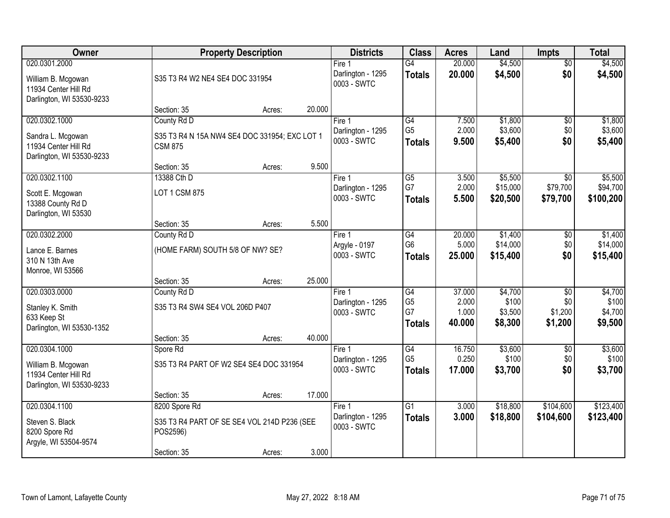| Owner                                                                                    |                                                                                         | <b>Property Description</b> |        | <b>Districts</b>                           | <b>Class</b>                                             | <b>Acres</b>                       | Land                                   | <b>Impts</b>                                 | <b>Total</b>                           |
|------------------------------------------------------------------------------------------|-----------------------------------------------------------------------------------------|-----------------------------|--------|--------------------------------------------|----------------------------------------------------------|------------------------------------|----------------------------------------|----------------------------------------------|----------------------------------------|
| 020.0301.2000<br>William B. Mcgowan<br>11934 Center Hill Rd<br>Darlington, WI 53530-9233 | S35 T3 R4 W2 NE4 SE4 DOC 331954                                                         |                             |        | Fire 1<br>Darlington - 1295<br>0003 - SWTC | G4<br><b>Totals</b>                                      | 20.000<br>20.000                   | \$4,500<br>\$4,500                     | $\overline{50}$<br>\$0                       | \$4,500<br>\$4,500                     |
|                                                                                          | Section: 35                                                                             | Acres:                      | 20.000 |                                            |                                                          |                                    |                                        |                                              |                                        |
| 020.0302.1000<br>Sandra L. Mcgowan<br>11934 Center Hill Rd<br>Darlington, WI 53530-9233  | County Rd D<br>S35 T3 R4 N 15A NW4 SE4 DOC 331954; EXC LOT 1<br><b>CSM 875</b>          |                             |        | Fire 1<br>Darlington - 1295<br>0003 - SWTC | G4<br>G <sub>5</sub><br><b>Totals</b>                    | 7.500<br>2.000<br>9.500            | \$1,800<br>\$3,600<br>\$5,400          | $\overline{50}$<br>\$0<br>\$0                | \$1,800<br>\$3,600<br>\$5,400          |
|                                                                                          | Section: 35                                                                             | Acres:                      | 9.500  |                                            |                                                          |                                    |                                        |                                              |                                        |
| 020.0302.1100<br>Scott E. Mcgowan<br>13388 County Rd D<br>Darlington, WI 53530           | 13388 Cth D<br>LOT 1 CSM 875                                                            |                             |        | Fire 1<br>Darlington - 1295<br>0003 - SWTC | $\overline{G5}$<br>G7<br>Totals                          | 3.500<br>2.000<br>5.500            | \$5,500<br>\$15,000<br>\$20,500        | \$0<br>\$79,700<br>\$79,700                  | \$5,500<br>\$94,700<br>\$100,200       |
|                                                                                          | Section: 35                                                                             | Acres:                      | 5.500  |                                            |                                                          |                                    |                                        |                                              |                                        |
| 020.0302.2000<br>Lance E. Barnes<br>310 N 13th Ave<br>Monroe, WI 53566                   | County Rd D<br>(HOME FARM) SOUTH 5/8 OF NW? SE?                                         |                             |        | Fire 1<br>Argyle - 0197<br>0003 - SWTC     | G4<br>G <sub>6</sub><br><b>Totals</b>                    | 20.000<br>5.000<br>25.000          | \$1,400<br>\$14,000<br>\$15,400        | \$0<br>\$0<br>\$0                            | \$1,400<br>\$14,000<br>\$15,400        |
|                                                                                          | Section: 35                                                                             | Acres:                      | 25.000 |                                            |                                                          |                                    |                                        |                                              |                                        |
| 020.0303.0000<br>Stanley K. Smith<br>633 Keep St<br>Darlington, WI 53530-1352            | County Rd D<br>S35 T3 R4 SW4 SE4 VOL 206D P407<br>Section: 35                           | Acres:                      | 40.000 | Fire 1<br>Darlington - 1295<br>0003 - SWTC | $\overline{G4}$<br>G <sub>5</sub><br>G7<br><b>Totals</b> | 37.000<br>2.000<br>1.000<br>40.000 | \$4,700<br>\$100<br>\$3,500<br>\$8,300 | $\overline{50}$<br>\$0<br>\$1,200<br>\$1,200 | \$4,700<br>\$100<br>\$4,700<br>\$9,500 |
| 020.0304.1000                                                                            | Spore Rd                                                                                |                             |        | Fire 1                                     | G4                                                       | 16.750                             | \$3,600                                | $\overline{50}$                              | \$3,600                                |
| William B. Mcgowan<br>11934 Center Hill Rd<br>Darlington, WI 53530-9233                  | S35 T3 R4 PART OF W2 SE4 SE4 DOC 331954                                                 |                             |        | Darlington - 1295<br>0003 - SWTC           | G <sub>5</sub><br><b>Totals</b>                          | 0.250<br>17,000                    | \$100<br>\$3,700                       | \$0<br>\$0                                   | \$100<br>\$3,700                       |
|                                                                                          | Section: 35                                                                             | Acres:                      | 17.000 |                                            |                                                          |                                    |                                        |                                              |                                        |
| 020.0304.1100<br>Steven S. Black<br>8200 Spore Rd<br>Argyle, WI 53504-9574               | 8200 Spore Rd<br>S35 T3 R4 PART OF SE SE4 VOL 214D P236 (SEE<br>POS2596)<br>Section: 35 | Acres:                      | 3.000  | Fire 1<br>Darlington - 1295<br>0003 - SWTC | $\overline{G1}$<br><b>Totals</b>                         | 3.000<br>3.000                     | \$18,800<br>\$18,800                   | \$104,600<br>\$104,600                       | \$123,400<br>\$123,400                 |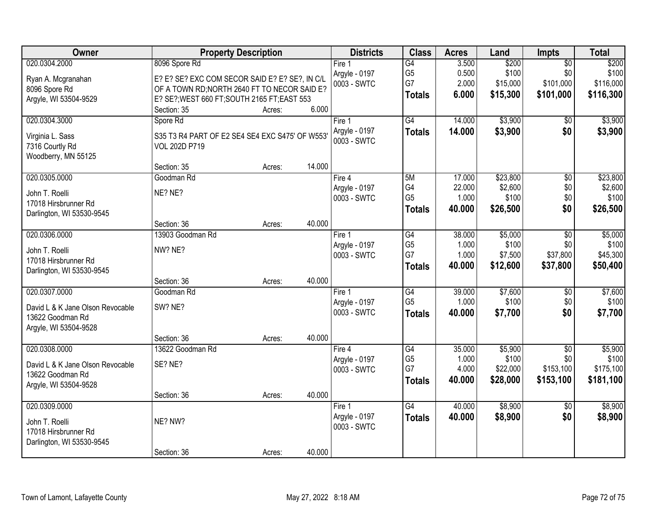| Owner                            |                                                 | <b>Property Description</b> |        | <b>Districts</b> | <b>Class</b>    | <b>Acres</b> | Land     | <b>Impts</b>    | <b>Total</b> |
|----------------------------------|-------------------------------------------------|-----------------------------|--------|------------------|-----------------|--------------|----------|-----------------|--------------|
| 020.0304.2000                    | 8096 Spore Rd                                   |                             |        | Fire 1           | G4              | 3.500        | \$200    | $\overline{50}$ | \$200        |
| Ryan A. Mcgranahan               | E? E? SE? EXC COM SECOR SAID E? E? SE?, IN C/L  |                             |        | Argyle - 0197    | G <sub>5</sub>  | 0.500        | \$100    | \$0             | \$100        |
| 8096 Spore Rd                    | OF A TOWN RD; NORTH 2640 FT TO NECOR SAID E?    |                             |        | 0003 - SWTC      | G7              | 2.000        | \$15,000 | \$101,000       | \$116,000    |
| Argyle, WI 53504-9529            | E? SE?; WEST 660 FT; SOUTH 2165 FT; EAST 553    |                             |        |                  | <b>Totals</b>   | 6.000        | \$15,300 | \$101,000       | \$116,300    |
|                                  | Section: 35                                     | Acres:                      | 6.000  |                  |                 |              |          |                 |              |
| 020.0304.3000                    | Spore Rd                                        |                             |        | Fire 1           | $\overline{G4}$ | 14.000       | \$3,900  | \$0             | \$3,900      |
| Virginia L. Sass                 | S35 T3 R4 PART OF E2 SE4 SE4 EXC S475' OF W553' |                             |        | Argyle - 0197    | <b>Totals</b>   | 14.000       | \$3,900  | \$0             | \$3,900      |
| 7316 Courtly Rd                  | VOL 202D P719                                   |                             |        | 0003 - SWTC      |                 |              |          |                 |              |
| Woodberry, MN 55125              |                                                 |                             |        |                  |                 |              |          |                 |              |
|                                  | Section: 35                                     | Acres:                      | 14.000 |                  |                 |              |          |                 |              |
| 020.0305.0000                    | Goodman Rd                                      |                             |        | Fire 4           | 5M              | 17.000       | \$23,800 | $\overline{50}$ | \$23,800     |
| John T. Roelli                   | NE? NE?                                         |                             |        | Argyle - 0197    | G4              | 22.000       | \$2,600  | \$0             | \$2,600      |
| 17018 Hirsbrunner Rd             |                                                 |                             |        | 0003 - SWTC      | G <sub>5</sub>  | 1.000        | \$100    | \$0             | \$100        |
| Darlington, WI 53530-9545        |                                                 |                             |        |                  | <b>Totals</b>   | 40.000       | \$26,500 | \$0             | \$26,500     |
|                                  | Section: 36                                     | Acres:                      | 40.000 |                  |                 |              |          |                 |              |
| 020.0306.0000                    | 13903 Goodman Rd                                |                             |        | Fire 1           | G4              | 38.000       | \$5,000  | \$0             | \$5,000      |
| John T. Roelli                   | NW? NE?                                         |                             |        | Argyle - 0197    | G <sub>5</sub>  | 1.000        | \$100    | \$0             | \$100        |
| 17018 Hirsbrunner Rd             |                                                 |                             |        | 0003 - SWTC      | G7              | 1.000        | \$7,500  | \$37,800        | \$45,300     |
| Darlington, WI 53530-9545        |                                                 |                             |        |                  | <b>Totals</b>   | 40.000       | \$12,600 | \$37,800        | \$50,400     |
|                                  | Section: 36                                     | Acres:                      | 40.000 |                  |                 |              |          |                 |              |
| 020.0307.0000                    | Goodman Rd                                      |                             |        | Fire 1           | G4              | 39.000       | \$7,600  | $\overline{50}$ | \$7,600      |
| David L & K Jane Olson Revocable | SW? NE?                                         |                             |        | Argyle - 0197    | G <sub>5</sub>  | 1.000        | \$100    | \$0             | \$100        |
| 13622 Goodman Rd                 |                                                 |                             |        | 0003 - SWTC      | <b>Totals</b>   | 40.000       | \$7,700  | \$0             | \$7,700      |
| Argyle, WI 53504-9528            |                                                 |                             |        |                  |                 |              |          |                 |              |
|                                  | Section: 36                                     | Acres:                      | 40.000 |                  |                 |              |          |                 |              |
| 020.0308.0000                    | 13622 Goodman Rd                                |                             |        | Fire 4           | G4              | 35.000       | \$5,900  | $\overline{50}$ | \$5,900      |
| David L & K Jane Olson Revocable | SE? NE?                                         |                             |        | Argyle - 0197    | G <sub>5</sub>  | 1.000        | \$100    | \$0             | \$100        |
| 13622 Goodman Rd                 |                                                 |                             |        | 0003 - SWTC      | G7              | 4.000        | \$22,000 | \$153,100       | \$175,100    |
| Argyle, WI 53504-9528            |                                                 |                             |        |                  | <b>Totals</b>   | 40.000       | \$28,000 | \$153,100       | \$181,100    |
|                                  | Section: 36                                     | Acres:                      | 40.000 |                  |                 |              |          |                 |              |
| 020.0309.0000                    |                                                 |                             |        | Fire 1           | G4              | 40.000       | \$8,900  | $\overline{50}$ | \$8,900      |
| John T. Roelli                   | NE? NW?                                         |                             |        | Argyle - 0197    | <b>Totals</b>   | 40.000       | \$8,900  | \$0             | \$8,900      |
| 17018 Hirsbrunner Rd             |                                                 |                             |        | 0003 - SWTC      |                 |              |          |                 |              |
| Darlington, WI 53530-9545        |                                                 |                             |        |                  |                 |              |          |                 |              |
|                                  | Section: 36                                     | Acres:                      | 40.000 |                  |                 |              |          |                 |              |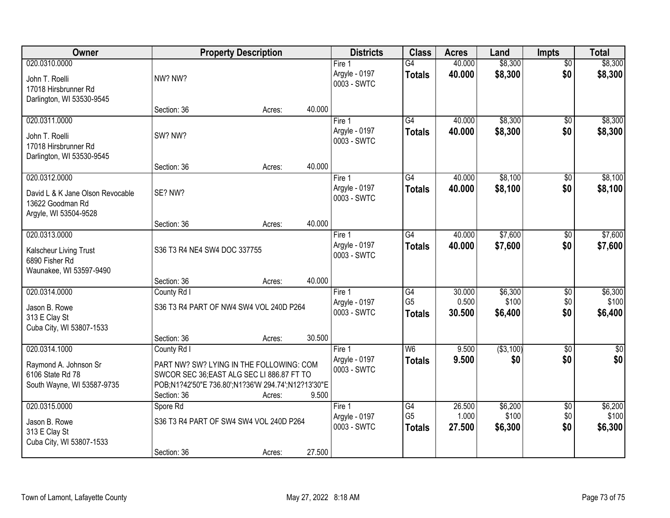| Owner                                                                                                                | <b>Property Description</b>                                                                                                                                 |        | <b>Districts</b>                       | <b>Class</b>                             | <b>Acres</b>                          | Land                      | <b>Impts</b>                | <b>Total</b>                  |                             |
|----------------------------------------------------------------------------------------------------------------------|-------------------------------------------------------------------------------------------------------------------------------------------------------------|--------|----------------------------------------|------------------------------------------|---------------------------------------|---------------------------|-----------------------------|-------------------------------|-----------------------------|
| 020.0310.0000<br>John T. Roelli<br>17018 Hirsbrunner Rd<br>Darlington, WI 53530-9545                                 | NW? NW?                                                                                                                                                     |        |                                        | Fire $1$<br>Argyle - 0197<br>0003 - SWTC | $\overline{G4}$<br><b>Totals</b>      | 40.000<br>40.000          | \$8,300<br>\$8,300          | $\overline{50}$<br>\$0        | \$8,300<br>\$8,300          |
|                                                                                                                      | Section: 36                                                                                                                                                 | Acres: | 40.000                                 |                                          |                                       |                           |                             |                               |                             |
| 020.0311.0000<br>John T. Roelli<br>17018 Hirsbrunner Rd<br>Darlington, WI 53530-9545                                 | SW? NW?                                                                                                                                                     |        |                                        | Fire 1<br>Argyle - 0197<br>0003 - SWTC   | $\overline{G4}$<br><b>Totals</b>      | 40.000<br>40.000          | \$8,300<br>\$8,300          | $\overline{50}$<br>\$0        | \$8,300<br>\$8,300          |
|                                                                                                                      | Section: 36                                                                                                                                                 | Acres: | 40.000                                 |                                          |                                       |                           |                             |                               |                             |
| 020.0312.0000<br>David L & K Jane Olson Revocable<br>13622 Goodman Rd<br>Argyle, WI 53504-9528                       | SE? NW?                                                                                                                                                     |        |                                        | Fire 1<br>Argyle - 0197<br>0003 - SWTC   | G4<br><b>Totals</b>                   | 40.000<br>40.000          | \$8,100<br>\$8,100          | \$0<br>\$0                    | \$8,100<br>\$8,100          |
|                                                                                                                      | Section: 36                                                                                                                                                 | Acres: | 40.000                                 |                                          |                                       |                           |                             |                               |                             |
| 020.0313.0000<br>S36 T3 R4 NE4 SW4 DOC 337755<br>Kalscheur Living Trust<br>6890 Fisher Rd<br>Waunakee, WI 53597-9490 |                                                                                                                                                             |        | Fire 1<br>Argyle - 0197<br>0003 - SWTC | $\overline{G4}$<br><b>Totals</b>         | 40.000<br>40,000                      | \$7,600<br>\$7,600        | \$0<br>\$0                  | \$7,600<br>\$7,600            |                             |
|                                                                                                                      | Section: 36                                                                                                                                                 | Acres: | 40.000                                 |                                          |                                       |                           |                             |                               |                             |
| 020.0314.0000<br>Jason B. Rowe<br>313 E Clay St<br>Cuba City, WI 53807-1533                                          | County Rd I<br>S36 T3 R4 PART OF NW4 SW4 VOL 240D P264<br>Section: 36                                                                                       | Acres: | 30.500                                 | Fire 1<br>Argyle - 0197<br>0003 - SWTC   | G4<br>G <sub>5</sub><br><b>Totals</b> | 30.000<br>0.500<br>30.500 | \$6,300<br>\$100<br>\$6,400 | \$0<br>\$0<br>\$0             | \$6,300<br>\$100<br>\$6,400 |
| 020.0314.1000                                                                                                        | County Rd I                                                                                                                                                 |        |                                        | Fire 1                                   | W <sub>6</sub>                        | 9.500                     | ( \$3,100)                  | $\overline{30}$               | $\overline{\$0}$            |
| Raymond A. Johnson Sr<br>6106 State Rd 78<br>South Wayne, WI 53587-9735                                              | PART NW? SW? LYING IN THE FOLLOWING: COM<br>SWCOR SEC 36; EAST ALG SEC LI 886.87 FT TO<br>POB;N1?42'50"E 736.80';N1?36'W 294.74';N12?13'30"E<br>Section: 36 | Acres: | 9.500                                  | Argyle - 0197<br>0003 - SWTC             | <b>Totals</b>                         | 9.500                     | \$0                         | \$0                           | \$0                         |
| 020.0315.0000<br>Jason B. Rowe<br>313 E Clay St<br>Cuba City, WI 53807-1533                                          | Spore Rd<br>S36 T3 R4 PART OF SW4 SW4 VOL 240D P264<br>Section: 36                                                                                          | Acres: | 27.500                                 | Fire 1<br>Argyle - 0197<br>0003 - SWTC   | G4<br>G <sub>5</sub><br><b>Totals</b> | 26.500<br>1.000<br>27.500 | \$6,200<br>\$100<br>\$6,300 | $\overline{50}$<br>\$0<br>\$0 | \$6,200<br>\$100<br>\$6,300 |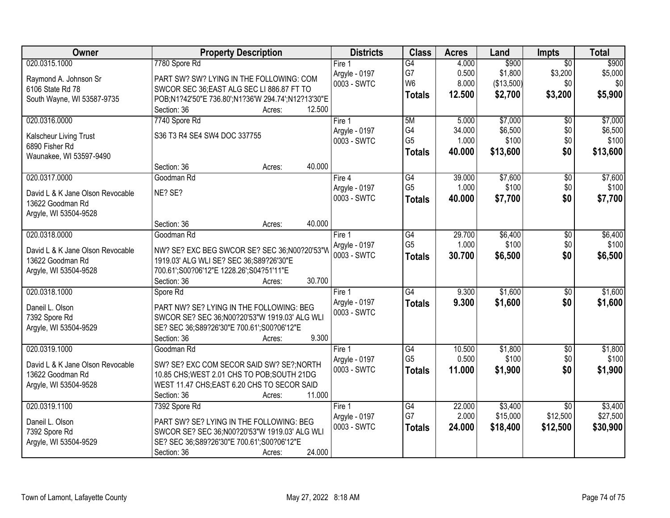| Owner                            | <b>Property Description</b>                        | <b>Districts</b> | <b>Class</b>    | <b>Acres</b> | Land       | <b>Impts</b>    | <b>Total</b> |
|----------------------------------|----------------------------------------------------|------------------|-----------------|--------------|------------|-----------------|--------------|
| 020.0315.1000                    | 7780 Spore Rd                                      | Fire $1$         | G4              | 4.000        | \$900      | $\overline{50}$ | \$900        |
| Raymond A. Johnson Sr            | PART SW? SW? LYING IN THE FOLLOWING: COM           | Argyle - 0197    | G7              | 0.500        | \$1,800    | \$3,200         | \$5,000      |
| 6106 State Rd 78                 | SWCOR SEC 36; EAST ALG SEC LI 886.87 FT TO         | 0003 - SWTC      | W <sub>6</sub>  | 8.000        | (\$13,500) | \$0             | \$0          |
| South Wayne, WI 53587-9735       | POB;N1?42'50"E 736.80';N1?36'W 294.74';N12?13'30"E |                  | <b>Totals</b>   | 12.500       | \$2,700    | \$3,200         | \$5,900      |
|                                  | 12.500<br>Section: 36<br>Acres:                    |                  |                 |              |            |                 |              |
| 020.0316.0000                    | 7740 Spore Rd                                      | Fire 1           | 5M              | 5.000        | \$7,000    | \$0             | \$7,000      |
| Kalscheur Living Trust           | S36 T3 R4 SE4 SW4 DOC 337755                       | Argyle - 0197    | G4              | 34.000       | \$6,500    | \$0             | \$6,500      |
| 6890 Fisher Rd                   |                                                    | 0003 - SWTC      | G <sub>5</sub>  | 1.000        | \$100      | \$0             | \$100        |
| Waunakee, WI 53597-9490          |                                                    |                  | <b>Totals</b>   | 40.000       | \$13,600   | \$0             | \$13,600     |
|                                  | 40.000<br>Section: 36<br>Acres:                    |                  |                 |              |            |                 |              |
| 020.0317.0000                    | Goodman Rd                                         | Fire 4           | $\overline{G4}$ | 39.000       | \$7,600    | \$0             | \$7,600      |
| David L & K Jane Olson Revocable | NE? SE?                                            | Argyle - 0197    | G <sub>5</sub>  | 1.000        | \$100      | \$0             | \$100        |
| 13622 Goodman Rd                 |                                                    | 0003 - SWTC      | <b>Totals</b>   | 40.000       | \$7,700    | \$0             | \$7,700      |
| Argyle, WI 53504-9528            |                                                    |                  |                 |              |            |                 |              |
|                                  | 40.000<br>Section: 36<br>Acres:                    |                  |                 |              |            |                 |              |
| 020.0318.0000                    | Goodman Rd                                         | Fire 1           | G4              | 29.700       | \$6,400    | $\sqrt[6]{3}$   | \$6,400      |
| David L & K Jane Olson Revocable | NW? SE? EXC BEG SWCOR SE? SEC 36;N00?20'53"W       | Argyle - 0197    | G <sub>5</sub>  | 1.000        | \$100      | \$0             | \$100        |
| 13622 Goodman Rd                 | 1919.03' ALG WLI SE? SEC 36;S89?26'30"E            | 0003 - SWTC      | <b>Totals</b>   | 30.700       | \$6,500    | \$0             | \$6,500      |
| Argyle, WI 53504-9528            | 700.61';S00?06'12"E 1228.26';S04?51'11"E           |                  |                 |              |            |                 |              |
|                                  | 30.700<br>Section: 36<br>Acres:                    |                  |                 |              |            |                 |              |
| 020.0318.1000                    | Spore Rd                                           | Fire 1           | G4              | 9.300        | \$1,600    | $\overline{50}$ | \$1,600      |
| Daneil L. Olson                  | PART NW? SE? LYING IN THE FOLLOWING: BEG           | Argyle - 0197    | <b>Totals</b>   | 9.300        | \$1,600    | \$0             | \$1,600      |
| 7392 Spore Rd                    | SWCOR SE? SEC 36;N00?20'53"W 1919.03' ALG WLI      | 0003 - SWTC      |                 |              |            |                 |              |
| Argyle, WI 53504-9529            | SE? SEC 36;S89?26'30"E 700.61';S00?06'12"E         |                  |                 |              |            |                 |              |
|                                  | 9.300<br>Section: 36<br>Acres:                     |                  |                 |              |            |                 |              |
| 020.0319.1000                    | Goodman Rd                                         | Fire 1           | G4              | 10.500       | \$1,800    | $\sqrt{6}$      | \$1,800      |
| David L & K Jane Olson Revocable | SW? SE? EXC COM SECOR SAID SW? SE?; NORTH          | Argyle - 0197    | G <sub>5</sub>  | 0.500        | \$100      | \$0             | \$100        |
| 13622 Goodman Rd                 | 10.85 CHS; WEST 2.01 CHS TO POB; SOUTH 21DG        | 0003 - SWTC      | <b>Totals</b>   | 11.000       | \$1,900    | \$0             | \$1,900      |
| Argyle, WI 53504-9528            | WEST 11.47 CHS;EAST 6.20 CHS TO SECOR SAID         |                  |                 |              |            |                 |              |
|                                  | 11.000<br>Section: 36<br>Acres:                    |                  |                 |              |            |                 |              |
| 020.0319.1100                    | 7392 Spore Rd                                      | Fire 1           | G4              | 22.000       | \$3,400    | $\overline{30}$ | \$3,400      |
| Daneil L. Olson                  | PART SW? SE? LYING IN THE FOLLOWING: BEG           | Argyle - 0197    | G7              | 2.000        | \$15,000   | \$12,500        | \$27,500     |
| 7392 Spore Rd                    | SWCOR SE? SEC 36;N00?20'53"W 1919.03' ALG WLI      | 0003 - SWTC      | <b>Totals</b>   | 24.000       | \$18,400   | \$12,500        | \$30,900     |
| Argyle, WI 53504-9529            | SE? SEC 36;S89?26'30"E 700.61';S00?06'12"E         |                  |                 |              |            |                 |              |
|                                  | 24.000<br>Section: 36<br>Acres:                    |                  |                 |              |            |                 |              |